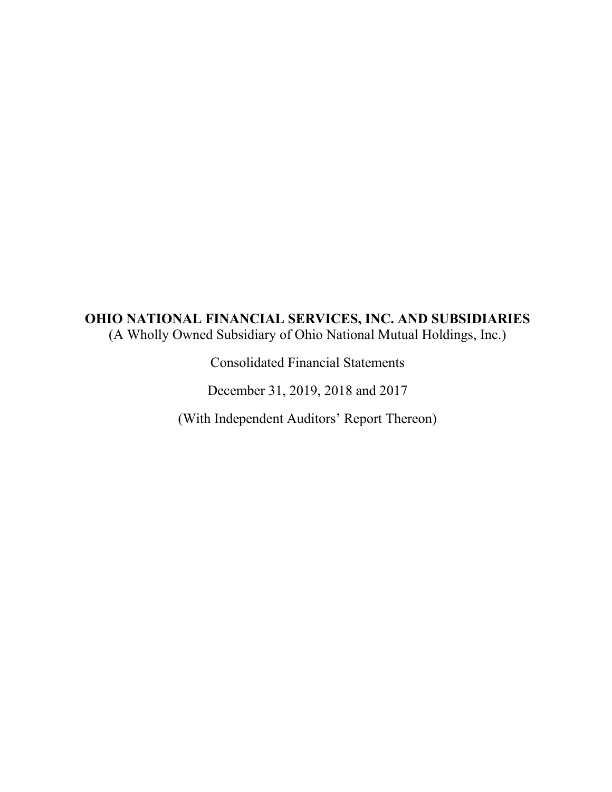# **OHIO NATIONAL FINANCIAL SERVICES, INC. AND SUBSIDIARIES**  (A Wholly Owned Subsidiary of Ohio National Mutual Holdings, Inc.)

Consolidated Financial Statements

December 31, 2019, 2018 and 2017

(With Independent Auditors' Report Thereon)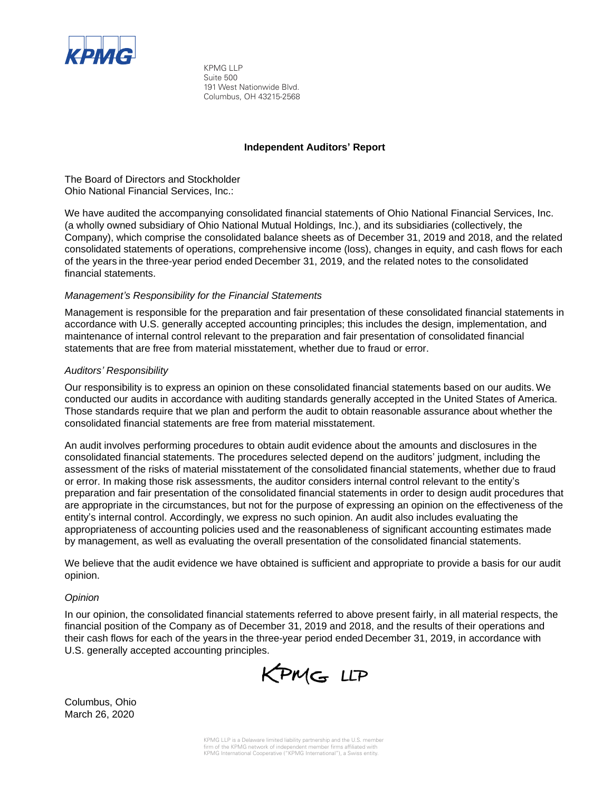

KPMG LLP Suite 500 191 West Nationwide Blvd. Columbus, OH 43215-2568

#### **Independent Auditors' Report**

The Board of Directors and Stockholder Ohio National Financial Services, Inc.:

We have audited the accompanying consolidated financial statements of Ohio National Financial Services, Inc. (a wholly owned subsidiary of Ohio National Mutual Holdings, Inc.), and its subsidiaries (collectively, the Company), which comprise the consolidated balance sheets as of December 31, 2019 and 2018, and the related consolidated statements of operations, comprehensive income (loss), changes in equity, and cash flows for each of the years in the three-year period ended December 31, 2019, and the related notes to the consolidated financial statements.

#### *Management's Responsibility for the Financial Statements*

Management is responsible for the preparation and fair presentation of these consolidated financial statements in accordance with U.S. generally accepted accounting principles; this includes the design, implementation, and maintenance of internal control relevant to the preparation and fair presentation of consolidated financial statements that are free from material misstatement, whether due to fraud or error.

#### *Auditors' Responsibility*

Our responsibility is to express an opinion on these consolidated financial statements based on our audits. We conducted our audits in accordance with auditing standards generally accepted in the United States of America. Those standards require that we plan and perform the audit to obtain reasonable assurance about whether the consolidated financial statements are free from material misstatement.

An audit involves performing procedures to obtain audit evidence about the amounts and disclosures in the consolidated financial statements. The procedures selected depend on the auditors' judgment, including the assessment of the risks of material misstatement of the consolidated financial statements, whether due to fraud or error. In making those risk assessments, the auditor considers internal control relevant to the entity's preparation and fair presentation of the consolidated financial statements in order to design audit procedures that are appropriate in the circumstances, but not for the purpose of expressing an opinion on the effectiveness of the entity's internal control. Accordingly, we express no such opinion. An audit also includes evaluating the appropriateness of accounting policies used and the reasonableness of significant accounting estimates made by management, as well as evaluating the overall presentation of the consolidated financial statements.

We believe that the audit evidence we have obtained is sufficient and appropriate to provide a basis for our audit opinion.

#### *Opinion*

In our opinion, the consolidated financial statements referred to above present fairly, in all material respects, the financial position of the Company as of December 31, 2019 and 2018, and the results of their operations and their cash flows for each of the years in the three-year period ended December 31, 2019, in accordance with U.S. generally accepted accounting principles.

KPMG LLP

Columbus, Ohio March 26, 2020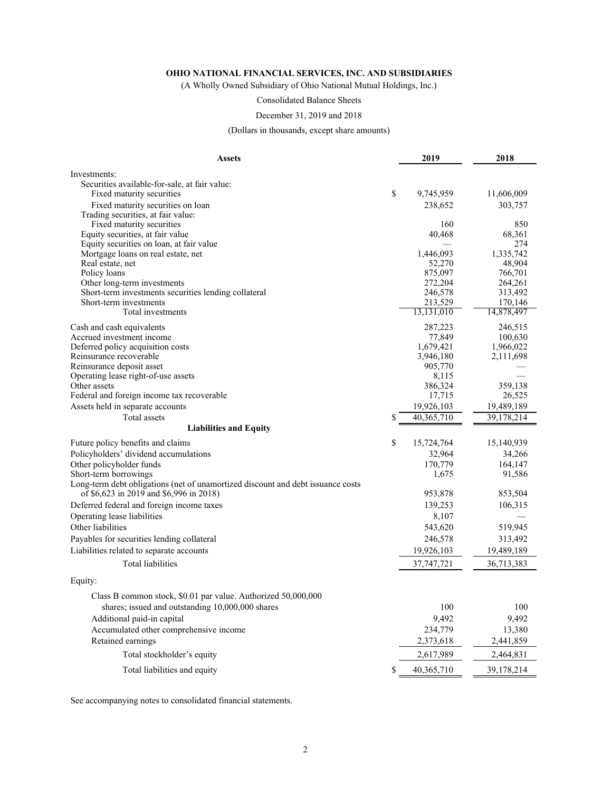(A Wholly Owned Subsidiary of Ohio National Mutual Holdings, Inc.)

Consolidated Balance Sheets

#### December 31, 2019 and 2018

(Dollars in thousands, except share amounts)

| 2019<br><b>Assets</b>                                                                                                      | 2018                |
|----------------------------------------------------------------------------------------------------------------------------|---------------------|
| Investments:                                                                                                               |                     |
| Securities available-for-sale, at fair value:                                                                              |                     |
| \$<br>Fixed maturity securities<br>9,745,959                                                                               | 11,606,009          |
| Fixed maturity securities on loan<br>238,652                                                                               | 303,757             |
| Trading securities, at fair value:                                                                                         |                     |
| Fixed maturity securities<br>160                                                                                           | 850                 |
| Equity securities, at fair value<br>40,468                                                                                 | 68,361              |
| Equity securities on loan, at fair value                                                                                   | 274                 |
| Mortgage loans on real estate, net<br>1,446,093<br>52,270                                                                  | 1,335,742<br>48,904 |
| Real estate, net<br>Policy loans<br>875,097                                                                                | 766,701             |
| Other long-term investments<br>272,204                                                                                     | 264,261             |
| Short-term investments securities lending collateral<br>246,578                                                            | 313,492             |
| Short-term investments<br>213,529                                                                                          | 170,146             |
| Total investments<br>13,131,010                                                                                            | 14,878,497          |
| 287,223<br>Cash and cash equivalents                                                                                       | 246,515             |
| Accrued investment income<br>77,849                                                                                        | 100,630             |
| Deferred policy acquisition costs<br>1,679,421                                                                             | 1,966,022           |
| Reinsurance recoverable<br>3,946,180                                                                                       | 2,111,698           |
| Reinsurance deposit asset<br>905,770                                                                                       |                     |
| Operating lease right-of-use assets<br>8,115                                                                               |                     |
| Other assets<br>386,324                                                                                                    | 359,138             |
| Federal and foreign income tax recoverable<br>17,715                                                                       | 26,525              |
| Assets held in separate accounts<br>19,926,103                                                                             | 19,489,189          |
| 40,365,710<br>Total assets<br>\$                                                                                           | 39,178,214          |
| <b>Liabilities and Equity</b>                                                                                              |                     |
| \$<br>Future policy benefits and claims<br>15,724,764                                                                      | 15,140,939          |
| Policyholders' dividend accumulations<br>32,964                                                                            | 34,266              |
| Other policyholder funds<br>170,779                                                                                        | 164,147             |
| Short-term borrowings<br>1,675                                                                                             | 91,586              |
| Long-term debt obligations (net of unamortized discount and debt issuance costs<br>of \$6,623 in 2019 and \$6,996 in 2018) |                     |
| 953,878                                                                                                                    | 853,504             |
| Deferred federal and foreign income taxes<br>139,253                                                                       | 106,315             |
| Operating lease liabilities<br>8,107                                                                                       |                     |
| Other liabilities<br>543,620                                                                                               | 519,945             |
| Payables for securities lending collateral<br>246,578                                                                      | 313,492             |
| Liabilities related to separate accounts<br>19,926,103                                                                     | 19,489,189          |
| <b>Total liabilities</b><br>37,747,721                                                                                     | 36,713,383          |
| Equity:                                                                                                                    |                     |
| Class B common stock, \$0.01 par value. Authorized 50,000,000                                                              |                     |
| 100<br>shares; issued and outstanding 10,000,000 shares                                                                    | 100                 |
| 9,492<br>Additional paid-in capital                                                                                        | 9,492               |
| Accumulated other comprehensive income<br>234,779                                                                          | 13,380              |
| Retained earnings<br>2,373,618                                                                                             | 2,441,859           |
| Total stockholder's equity<br>2,617,989                                                                                    | 2,464,831           |
| Total liabilities and equity<br>\$<br>40,365,710                                                                           | 39,178,214          |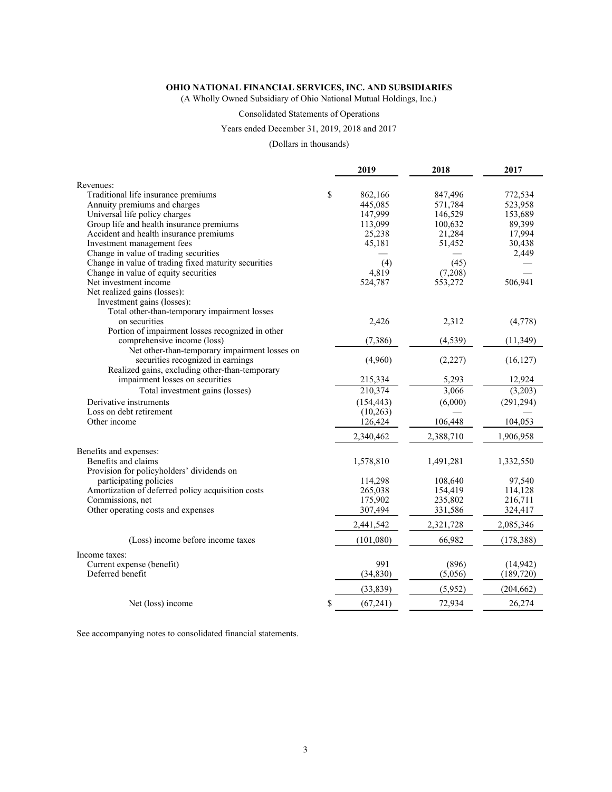(A Wholly Owned Subsidiary of Ohio National Mutual Holdings, Inc.)

#### Consolidated Statements of Operations

#### Years ended December 31, 2019, 2018 and 2017

#### (Dollars in thousands)

|                                                      | 2019            | 2018      | 2017       |
|------------------------------------------------------|-----------------|-----------|------------|
| Revenues:                                            |                 |           |            |
| Traditional life insurance premiums                  | \$<br>862,166   | 847,496   | 772,534    |
| Annuity premiums and charges                         | 445,085         | 571,784   | 523,958    |
| Universal life policy charges                        | 147,999         | 146,529   | 153,689    |
| Group life and health insurance premiums             | 113,099         | 100,632   | 89,399     |
| Accident and health insurance premiums               | 25,238          | 21,284    | 17,994     |
| Investment management fees                           | 45,181          | 51,452    | 30,438     |
| Change in value of trading securities                |                 |           | 2,449      |
| Change in value of trading fixed maturity securities | (4)             | (45)      |            |
| Change in value of equity securities                 | 4,819           | (7,208)   |            |
| Net investment income                                | 524,787         | 553,272   | 506,941    |
| Net realized gains (losses):                         |                 |           |            |
| Investment gains (losses):                           |                 |           |            |
| Total other-than-temporary impairment losses         |                 |           |            |
| on securities                                        | 2,426           | 2,312     | (4,778)    |
| Portion of impairment losses recognized in other     |                 |           |            |
| comprehensive income (loss)                          | (7,386)         | (4, 539)  | (11, 349)  |
| Net other-than-temporary impairment losses on        |                 |           |            |
| securities recognized in earnings                    | (4,960)         | (2,227)   | (16, 127)  |
| Realized gains, excluding other-than-temporary       |                 |           |            |
| impairment losses on securities                      | 215,334         | 5,293     | 12,924     |
| Total investment gains (losses)                      | 210,374         | 3,066     | (3,203)    |
| Derivative instruments                               | (154, 443)      | (6,000)   | (291, 294) |
| Loss on debt retirement                              | (10, 263)       |           |            |
| Other income                                         | 126,424         | 106,448   | 104,053    |
|                                                      | 2,340,462       | 2,388,710 | 1,906,958  |
| Benefits and expenses:                               |                 |           |            |
| Benefits and claims                                  | 1,578,810       | 1,491,281 | 1,332,550  |
| Provision for policyholders' dividends on            |                 |           |            |
| participating policies                               | 114,298         | 108,640   | 97,540     |
| Amortization of deferred policy acquisition costs    | 265,038         | 154,419   | 114,128    |
| Commissions, net                                     | 175,902         | 235,802   | 216,711    |
| Other operating costs and expenses                   | 307,494         | 331,586   | 324,417    |
|                                                      | 2,441,542       | 2,321,728 | 2,085,346  |
| (Loss) income before income taxes                    | (101,080)       | 66,982    | (178, 388) |
| Income taxes:                                        |                 |           |            |
| Current expense (benefit)                            | 991             | (896)     | (14, 942)  |
| Deferred benefit                                     | (34, 830)       | (5,056)   | (189, 720) |
|                                                      |                 |           |            |
|                                                      | (33,839)        | (5,952)   | (204, 662) |
| Net (loss) income                                    | \$<br>(67, 241) | 72,934    | 26,274     |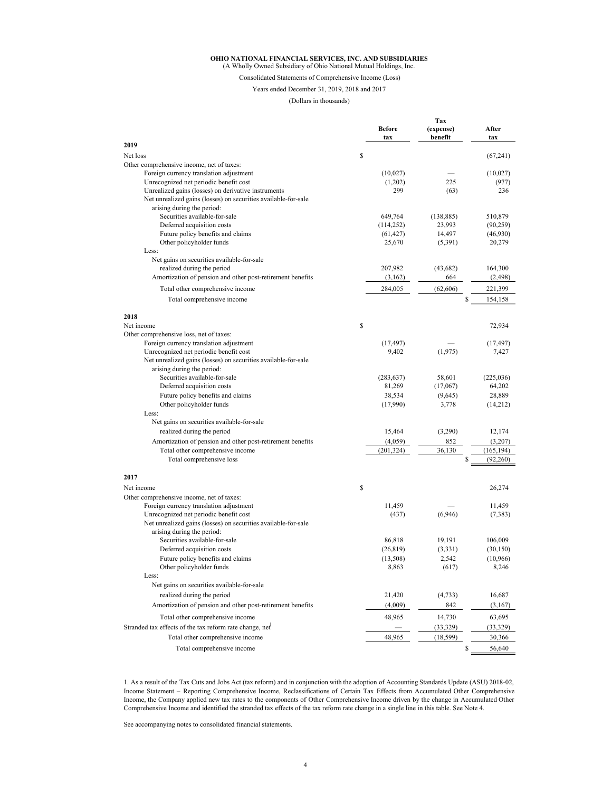#### **OHIO NATIONAL FINANCIAL SERVICES, INC. AND SUBSIDIARIES** (A Wholly Owned Subsidiary of Ohio National Mutual Holdings, Inc.

## Consolidated Statements of Comprehensive Income (Loss)

Years ended December 31, 2019, 2018 and 2017

#### (Dollars in thousands)

|                                                                                              | <b>Before</b><br>tax    | Tax<br>(expense)<br>benefit | After<br>tax                  |
|----------------------------------------------------------------------------------------------|-------------------------|-----------------------------|-------------------------------|
| 2019                                                                                         |                         |                             |                               |
| Net loss                                                                                     | \$                      |                             | (67,241)                      |
| Other comprehensive income, net of taxes:                                                    |                         |                             |                               |
| Foreign currency translation adjustment                                                      | (10,027)                |                             | (10,027)                      |
| Unrecognized net periodic benefit cost                                                       | (1,202)                 | 225                         | (977)                         |
| Unrealized gains (losses) on derivative instruments                                          | 299                     | (63)                        | 236                           |
| Net unrealized gains (losses) on securities available-for-sale                               |                         |                             |                               |
| arising during the period:                                                                   |                         |                             |                               |
| Securities available-for-sale                                                                | 649,764                 | (138, 885)                  | 510,879                       |
| Deferred acquisition costs<br>Future policy benefits and claims                              | (114, 252)<br>(61, 427) | 23,993<br>14,497            | (90, 259)<br>(46,930)         |
| Other policyholder funds                                                                     | 25,670                  | (5,391)                     | 20,279                        |
| Less:                                                                                        |                         |                             |                               |
| Net gains on securities available-for-sale                                                   |                         |                             |                               |
| realized during the period                                                                   | 207,982                 | (43, 682)                   | 164,300                       |
| Amortization of pension and other post-retirement benefits                                   | (3,162)                 | 664                         | (2, 498)                      |
| Total other comprehensive income                                                             | 284,005                 | (62,606)                    | 221,399                       |
| Total comprehensive income                                                                   |                         |                             | \$<br>154,158                 |
|                                                                                              |                         |                             |                               |
| 2018<br>Net income                                                                           | \$                      |                             | 72,934                        |
| Other comprehensive loss, net of taxes:                                                      |                         |                             |                               |
| Foreign currency translation adjustment                                                      | (17, 497)               |                             | (17, 497)                     |
| Unrecognized net periodic benefit cost                                                       | 9,402                   | (1, 975)                    | 7,427                         |
| Net unrealized gains (losses) on securities available-for-sale                               |                         |                             |                               |
| arising during the period:                                                                   |                         |                             |                               |
| Securities available-for-sale                                                                | (283, 637)              | 58,601                      | (225, 036)                    |
| Deferred acquisition costs                                                                   | 81,269                  | (17,067)                    | 64,202                        |
| Future policy benefits and claims                                                            | 38,534                  | (9,645)                     | 28,889                        |
| Other policyholder funds                                                                     | (17,990)                | 3,778                       | (14,212)                      |
| Less:                                                                                        |                         |                             |                               |
| Net gains on securities available-for-sale                                                   |                         |                             |                               |
| realized during the period                                                                   | 15,464                  | (3,290)                     | 12,174                        |
| Amortization of pension and other post-retirement benefits                                   | (4,059)                 | 852                         | (3,207)                       |
| Total other comprehensive income<br>Total comprehensive loss                                 | (201, 324)              | 36,130                      | (165, 194)<br>\$<br>(92, 260) |
|                                                                                              |                         |                             |                               |
| 2017                                                                                         |                         |                             |                               |
| Net income                                                                                   | \$                      |                             | 26,274                        |
| Other comprehensive income, net of taxes:                                                    |                         |                             |                               |
| Foreign currency translation adjustment                                                      | 11,459                  |                             | 11,459                        |
| Unrecognized net periodic benefit cost                                                       | (437)                   | (6,946)                     | (7, 383)                      |
| Net unrealized gains (losses) on securities available-for-sale<br>arising during the period: |                         |                             |                               |
| Securities available-for-sale                                                                | 86,818                  | 19,191                      | 106,009                       |
| Deferred acquisition costs                                                                   | (26, 819)               | (3,331)                     | (30, 150)                     |
| Future policy benefits and claims                                                            | (13,508)                | 2,542                       | (10,966)                      |
| Other policyholder funds                                                                     | 8,863                   | (617)                       | 8,246                         |
| Less:                                                                                        |                         |                             |                               |
| Net gains on securities available-for-sale                                                   |                         |                             |                               |
| realized during the period                                                                   | 21,420                  | (4, 733)                    | 16,687                        |
| Amortization of pension and other post-retirement benefits                                   | (4,009)                 | 842                         | (3,167)                       |
| Total other comprehensive income                                                             | 48,965                  | 14,730                      | 63,695                        |
| Stranded tax effects of the tax reform rate change, net                                      |                         | (33,329)                    | (33,329)                      |
| Total other comprehensive income                                                             | 48,965                  | (18, 599)                   | 30,366                        |
|                                                                                              |                         |                             |                               |
| Total comprehensive income                                                                   |                         |                             | \$<br>56,640                  |

1. As a result of the Tax Cuts and Jobs Act (tax reform) and in conjunction with the adoption of Accounting Standards Update (ASU) 2018-02, Income Statement – Reporting Comprehensive Income, Reclassifications of Certain Tax Effects from Accumulated Other Comprehensive Income, the Company applied new tax rates to the components of Other Comprehensive Income driven by the change in Accumulated Other Comprehensive Income and identified the stranded tax effects of the tax reform rate change in a single line in this table. See Note 4.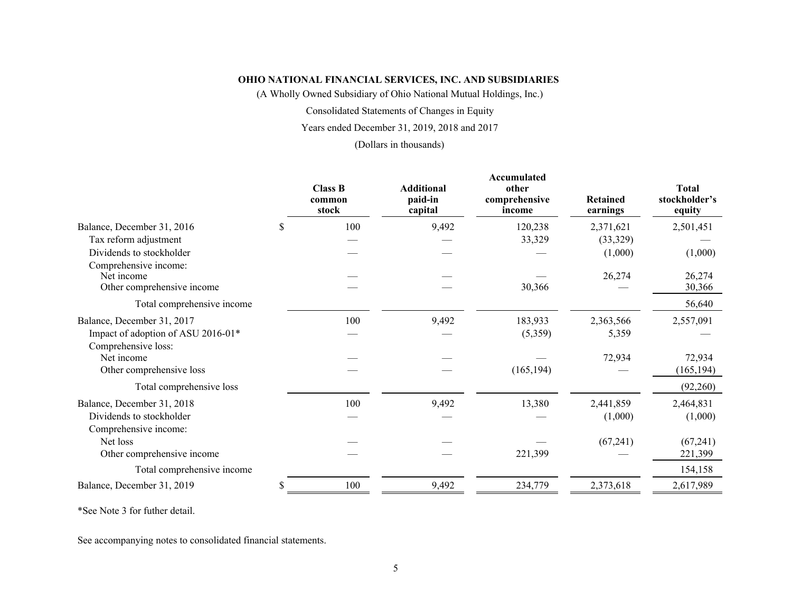(A Wholly Owned Subsidiary of Ohio National Mutual Holdings, Inc.)

Consolidated Statements of Changes in Equity

Years ended December 31, 2019, 2018 and 2017

(Dollars in thousands)

|                                                                                         | <b>Class B</b><br>common<br>stock | <b>Additional</b><br>paid-in<br>capital | Accumulated<br>other<br>comprehensive<br>income | <b>Retained</b><br>earnings | <b>Total</b><br>stockholder's<br>equity |
|-----------------------------------------------------------------------------------------|-----------------------------------|-----------------------------------------|-------------------------------------------------|-----------------------------|-----------------------------------------|
| Balance, December 31, 2016<br>\$                                                        | 100                               | 9,492                                   | 120,238                                         | 2,371,621                   | 2,501,451                               |
| Tax reform adjustment                                                                   |                                   |                                         | 33,329                                          | (33,329)                    |                                         |
| Dividends to stockholder                                                                |                                   |                                         |                                                 | (1,000)                     | (1,000)                                 |
| Comprehensive income:<br>Net income<br>Other comprehensive income                       |                                   |                                         | 30,366                                          | 26,274                      | 26,274<br>30,366                        |
| Total comprehensive income                                                              |                                   |                                         |                                                 |                             | 56,640                                  |
| Balance, December 31, 2017<br>Impact of adoption of ASU 2016-01*<br>Comprehensive loss: | 100                               | 9,492                                   | 183,933<br>(5,359)                              | 2,363,566<br>5,359          | 2,557,091                               |
| Net income                                                                              |                                   |                                         |                                                 | 72,934                      | 72,934                                  |
| Other comprehensive loss                                                                |                                   |                                         | (165, 194)                                      |                             | (165, 194)                              |
| Total comprehensive loss                                                                |                                   |                                         |                                                 |                             | (92,260)                                |
| Balance, December 31, 2018<br>Dividends to stockholder<br>Comprehensive income:         | 100                               | 9,492                                   | 13,380                                          | 2,441,859<br>(1,000)        | 2,464,831<br>(1,000)                    |
| Net loss<br>Other comprehensive income                                                  |                                   |                                         | 221,399                                         | (67,241)                    | (67,241)<br>221,399                     |
| Total comprehensive income                                                              |                                   |                                         |                                                 |                             | 154,158                                 |
| Balance, December 31, 2019                                                              | 100                               | 9,492                                   | 234,779                                         | 2,373,618                   | 2,617,989                               |

\*See Note 3 for futher detail.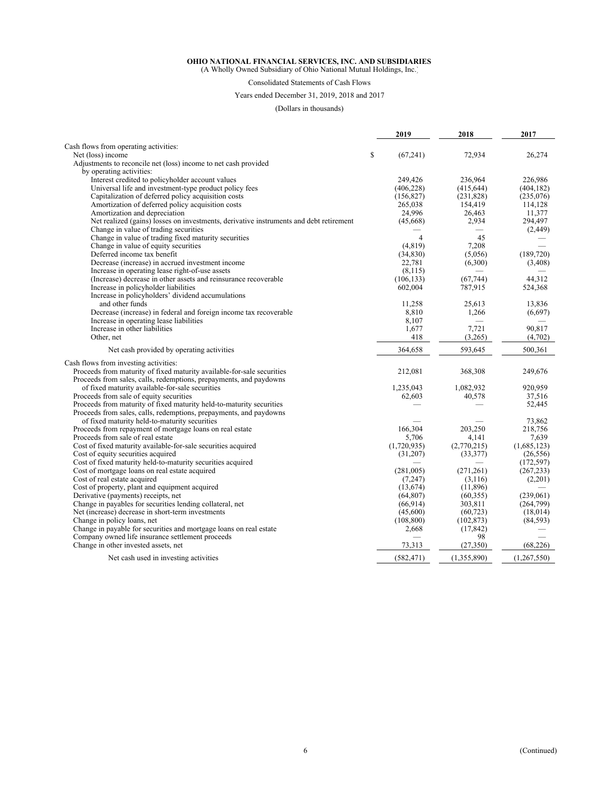(A Wholly Owned Subsidiary of Ohio National Mutual Holdings, Inc.)

#### Consolidated Statements of Cash Flows

Years ended December 31, 2019, 2018 and 2017

(Dollars in thousands)

|                                                                                                                        | 2019            | 2018            | 2017        |
|------------------------------------------------------------------------------------------------------------------------|-----------------|-----------------|-------------|
| Cash flows from operating activities:                                                                                  |                 |                 |             |
| Net (loss) income                                                                                                      | \$<br>(67, 241) | 72,934          | 26,274      |
| Adjustments to reconcile net (loss) income to net cash provided                                                        |                 |                 |             |
| by operating activities:                                                                                               |                 |                 |             |
| Interest credited to policyholder account values                                                                       | 249,426         | 236,964         | 226,986     |
| Universal life and investment-type product policy fees                                                                 | (406, 228)      | (415, 644)      | (404, 182)  |
| Capitalization of deferred policy acquisition costs                                                                    | (156, 827)      | (231,828)       | (235,076)   |
| Amortization of deferred policy acquisition costs                                                                      | 265,038         | 154,419         | 114,128     |
| Amortization and depreciation                                                                                          | 24,996          | 26,463          | 11,377      |
| Net realized (gains) losses on investments, derivative instruments and debt retirement                                 | (45,668)        | 2,934           | 294,497     |
| Change in value of trading securities                                                                                  |                 |                 | (2, 449)    |
| Change in value of trading fixed maturity securities                                                                   | 4               | 45              |             |
| Change in value of equity securities                                                                                   | (4, 819)        | 7,208           |             |
| Deferred income tax benefit                                                                                            | (34, 830)       | (5,056)         | (189, 720)  |
| Decrease (increase) in accrued investment income                                                                       | 22,781          | (6,300)         | (3,408)     |
| Increase in operating lease right-of-use assets                                                                        | (8, 115)        |                 |             |
| (Increase) decrease in other assets and reinsurance recoverable                                                        | (106, 133)      | (67, 744)       | 44,312      |
| Increase in policyholder liabilities                                                                                   | 602,004         | 787,915         | 524,368     |
| Increase in policyholders' dividend accumulations                                                                      |                 |                 |             |
| and other funds                                                                                                        | 11,258          | 25.613          | 13,836      |
| Decrease (increase) in federal and foreign income tax recoverable                                                      | 8,810           | 1,266           | (6,697)     |
| Increase in operating lease liabilities                                                                                | 8,107           |                 |             |
| Increase in other liabilities                                                                                          | 1,677           | 7,721           | 90,817      |
| Other, net                                                                                                             | 418             | (3,265)         | (4,702)     |
| Net cash provided by operating activities                                                                              | 364,658         | 593,645         | 500,361     |
| Cash flows from investing activities:                                                                                  |                 |                 |             |
| Proceeds from maturity of fixed maturity available-for-sale securities                                                 | 212,081         | 368,308         | 249,676     |
| Proceeds from sales, calls, redemptions, prepayments, and paydowns                                                     |                 |                 |             |
| of fixed maturity available-for-sale securities                                                                        | 1,235,043       | 1,082,932       | 920.959     |
| Proceeds from sale of equity securities                                                                                | 62,603          | 40,578          | 37,516      |
| Proceeds from maturity of fixed maturity held-to-maturity securities                                                   |                 |                 | 52,445      |
| Proceeds from sales, calls, redemptions, prepayments, and paydowns                                                     |                 |                 |             |
| of fixed maturity held-to-maturity securities                                                                          |                 |                 | 73,862      |
| Proceeds from repayment of mortgage loans on real estate                                                               | 166,304         | 203,250         | 218,756     |
| Proceeds from sale of real estate                                                                                      | 5,706           | 4,141           | 7,639       |
| Cost of fixed maturity available-for-sale securities acquired                                                          | (1,720,935)     | (2,770,215)     | (1,685,123) |
| Cost of equity securities acquired                                                                                     | (31,207)        | (33, 377)       | (26, 556)   |
| Cost of fixed maturity held-to-maturity securities acquired                                                            |                 |                 | (172, 597)  |
| Cost of mortgage loans on real estate acquired                                                                         | (281,005)       | (271, 261)      | (267, 233)  |
| Cost of real estate acquired                                                                                           | (7,247)         | (3,116)         | (2,201)     |
| Cost of property, plant and equipment acquired                                                                         | (13,674)        | (11,896)        |             |
| Derivative (payments) receipts, net                                                                                    | (64, 807)       | (60, 355)       | (239,061)   |
| Change in payables for securities lending collateral, net                                                              | (66, 914)       | 303,811         | (264,799)   |
| Net (increase) decrease in short-term investments                                                                      | (45,600)        | (60, 723)       | (18,014)    |
| Change in policy loans, net                                                                                            | (108, 800)      | (102, 873)      | (84, 593)   |
| Change in payable for securities and mortgage loans on real estate<br>Company owned life insurance settlement proceeds | 2,668           | (17, 842)<br>98 |             |
| Change in other invested assets, net                                                                                   | 73,313          | (27, 350)       | (68, 226)   |
| Net cash used in investing activities                                                                                  | (582, 471)      | (1,355,890)     | (1,267,550) |
|                                                                                                                        |                 |                 |             |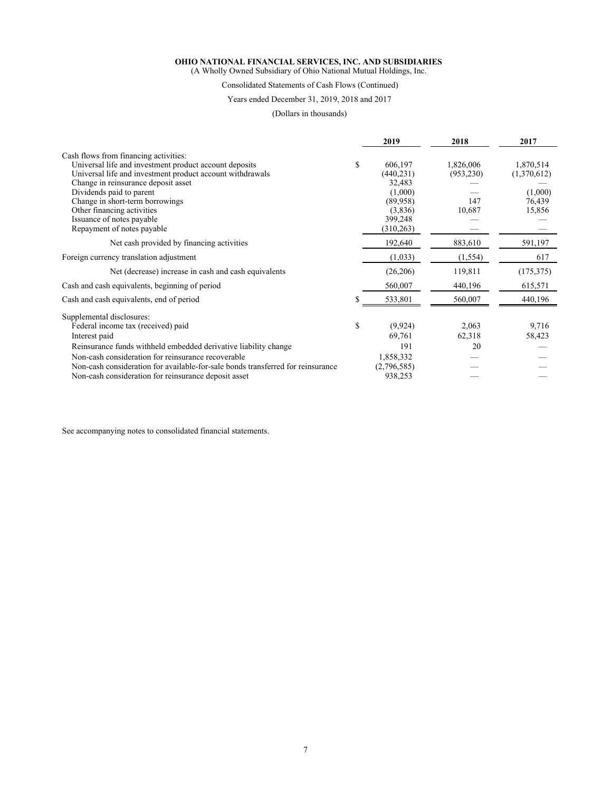(A Wholly Owned Subsidiary of Ohio National Mutual Holdings, Inc.)

#### Consolidated Statements of Cash Flows (Continued)

#### Years ended December 31, 2019, 2018 and 2017

(Dollars in thousands)

|                                                                                 | 2019           | 2018       | 2017        |
|---------------------------------------------------------------------------------|----------------|------------|-------------|
| Cash flows from financing activities:                                           |                |            |             |
| Universal life and investment product account deposits                          | \$<br>606,197  | 1,826,006  | 1,870,514   |
| Universal life and investment product account withdrawals                       | (440, 231)     | (953, 230) | (1,370,612) |
| Change in reinsurance deposit asset                                             | 32,483         |            |             |
| Dividends paid to parent                                                        | (1,000)        |            | (1,000)     |
| Change in short-term borrowings                                                 | (89,958)       | 147        | 76,439      |
| Other financing activities                                                      | (3,836)        | 10,687     | 15,856      |
| Issuance of notes payable                                                       | 399,248        |            |             |
| Repayment of notes payable                                                      | (310, 263)     |            |             |
| Net cash provided by financing activities                                       | 192,640        | 883,610    | 591,197     |
| Foreign currency translation adjustment                                         | (1,033)        | (1, 554)   | 617         |
| Net (decrease) increase in cash and cash equivalents                            | (26, 206)      | 119,811    | (175, 375)  |
| Cash and cash equivalents, beginning of period                                  | 560,007        | 440,196    | 615,571     |
| Cash and cash equivalents, end of period                                        | 533,801        | 560,007    | 440,196     |
| Supplemental disclosures:                                                       |                |            |             |
| Federal income tax (received) paid                                              | \$<br>(9, 924) | 2,063      | 9,716       |
| Interest paid                                                                   | 69,761         | 62,318     | 58,423      |
| Reinsurance funds withheld embedded derivative liability change                 | 191            | 20         |             |
| Non-cash consideration for reinsurance recoverable                              | 1,858,332      |            |             |
| Non-cash consideration for available-for-sale bonds transferred for reinsurance | (2,796,585)    |            |             |
| Non-cash consideration for reinsurance deposit asset                            | 938,253        |            |             |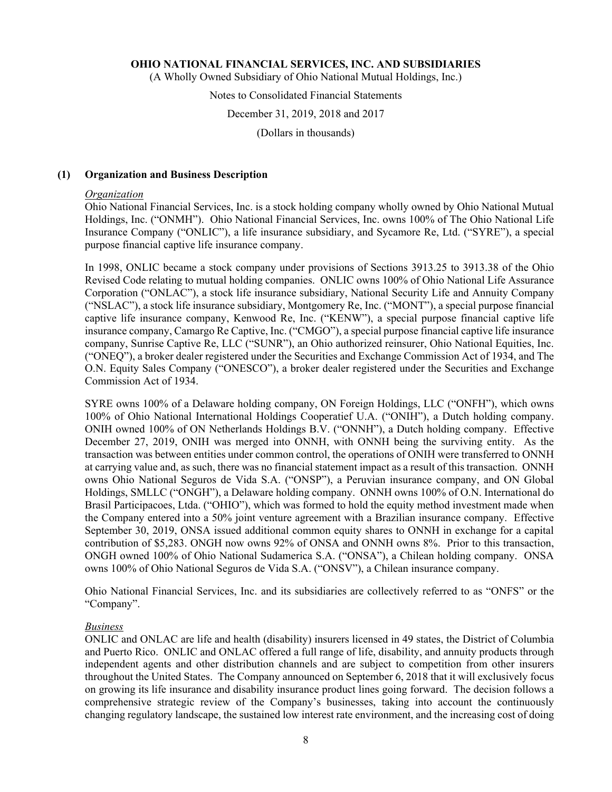(A Wholly Owned Subsidiary of Ohio National Mutual Holdings, Inc.)

#### Notes to Consolidated Financial Statements

#### December 31, 2019, 2018 and 2017

(Dollars in thousands)

#### **(1) Organization and Business Description**

#### *Organization*

Ohio National Financial Services, Inc. is a stock holding company wholly owned by Ohio National Mutual Holdings, Inc. ("ONMH"). Ohio National Financial Services, Inc. owns 100% of The Ohio National Life Insurance Company ("ONLIC"), a life insurance subsidiary, and Sycamore Re, Ltd. ("SYRE"), a special purpose financial captive life insurance company.

In 1998, ONLIC became a stock company under provisions of Sections 3913.25 to 3913.38 of the Ohio Revised Code relating to mutual holding companies. ONLIC owns 100% of Ohio National Life Assurance Corporation ("ONLAC"), a stock life insurance subsidiary, National Security Life and Annuity Company ("NSLAC"), a stock life insurance subsidiary, Montgomery Re, Inc. ("MONT"), a special purpose financial captive life insurance company, Kenwood Re, Inc. ("KENW"), a special purpose financial captive life insurance company, Camargo Re Captive, Inc. ("CMGO"), a special purpose financial captive life insurance company, Sunrise Captive Re, LLC ("SUNR"), an Ohio authorized reinsurer, Ohio National Equities, Inc. ("ONEQ"), a broker dealer registered under the Securities and Exchange Commission Act of 1934, and The O.N. Equity Sales Company ("ONESCO"), a broker dealer registered under the Securities and Exchange Commission Act of 1934.

SYRE owns 100% of a Delaware holding company, ON Foreign Holdings, LLC ("ONFH"), which owns 100% of Ohio National International Holdings Cooperatief U.A. ("ONIH"), a Dutch holding company. ONIH owned 100% of ON Netherlands Holdings B.V. ("ONNH"), a Dutch holding company. Effective December 27, 2019, ONIH was merged into ONNH, with ONNH being the surviving entity. As the transaction was between entities under common control, the operations of ONIH were transferred to ONNH at carrying value and, as such, there was no financial statement impact as a result of this transaction. ONNH owns Ohio National Seguros de Vida S.A. ("ONSP"), a Peruvian insurance company, and ON Global Holdings, SMLLC ("ONGH"), a Delaware holding company. ONNH owns 100% of O.N. International do Brasil Participacoes, Ltda. ("OHIO"), which was formed to hold the equity method investment made when the Company entered into a 50% joint venture agreement with a Brazilian insurance company. Effective September 30, 2019, ONSA issued additional common equity shares to ONNH in exchange for a capital contribution of \$5,283. ONGH now owns 92% of ONSA and ONNH owns 8%. Prior to this transaction, ONGH owned 100% of Ohio National Sudamerica S.A. ("ONSA"), a Chilean holding company. ONSA owns 100% of Ohio National Seguros de Vida S.A. ("ONSV"), a Chilean insurance company.

Ohio National Financial Services, Inc. and its subsidiaries are collectively referred to as "ONFS" or the "Company".

#### *Business*

ONLIC and ONLAC are life and health (disability) insurers licensed in 49 states, the District of Columbia and Puerto Rico. ONLIC and ONLAC offered a full range of life, disability, and annuity products through independent agents and other distribution channels and are subject to competition from other insurers throughout the United States. The Company announced on September 6, 2018 that it will exclusively focus on growing its life insurance and disability insurance product lines going forward. The decision follows a comprehensive strategic review of the Company's businesses, taking into account the continuously changing regulatory landscape, the sustained low interest rate environment, and the increasing cost of doing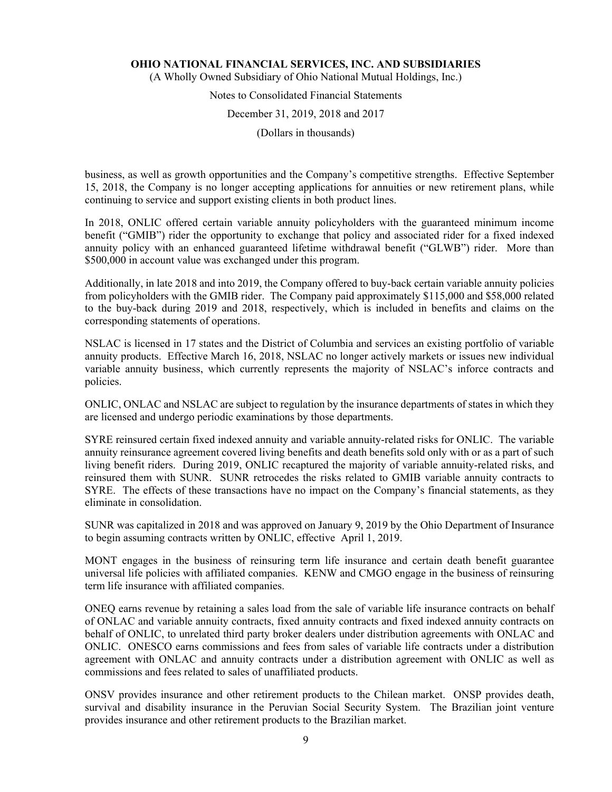(A Wholly Owned Subsidiary of Ohio National Mutual Holdings, Inc.)

## Notes to Consolidated Financial Statements

#### December 31, 2019, 2018 and 2017

(Dollars in thousands)

business, as well as growth opportunities and the Company's competitive strengths. Effective September 15, 2018, the Company is no longer accepting applications for annuities or new retirement plans, while continuing to service and support existing clients in both product lines.

In 2018, ONLIC offered certain variable annuity policyholders with the guaranteed minimum income benefit ("GMIB") rider the opportunity to exchange that policy and associated rider for a fixed indexed annuity policy with an enhanced guaranteed lifetime withdrawal benefit ("GLWB") rider. More than \$500,000 in account value was exchanged under this program.

Additionally, in late 2018 and into 2019, the Company offered to buy-back certain variable annuity policies from policyholders with the GMIB rider. The Company paid approximately \$115,000 and \$58,000 related to the buy-back during 2019 and 2018, respectively, which is included in benefits and claims on the corresponding statements of operations.

NSLAC is licensed in 17 states and the District of Columbia and services an existing portfolio of variable annuity products. Effective March 16, 2018, NSLAC no longer actively markets or issues new individual variable annuity business, which currently represents the majority of NSLAC's inforce contracts and policies.

ONLIC, ONLAC and NSLAC are subject to regulation by the insurance departments of states in which they are licensed and undergo periodic examinations by those departments.

SYRE reinsured certain fixed indexed annuity and variable annuity-related risks for ONLIC. The variable annuity reinsurance agreement covered living benefits and death benefits sold only with or as a part of such living benefit riders. During 2019, ONLIC recaptured the majority of variable annuity-related risks, and reinsured them with SUNR. SUNR retrocedes the risks related to GMIB variable annuity contracts to SYRE. The effects of these transactions have no impact on the Company's financial statements, as they eliminate in consolidation.

SUNR was capitalized in 2018 and was approved on January 9, 2019 by the Ohio Department of Insurance to begin assuming contracts written by ONLIC, effective April 1, 2019.

MONT engages in the business of reinsuring term life insurance and certain death benefit guarantee universal life policies with affiliated companies. KENW and CMGO engage in the business of reinsuring term life insurance with affiliated companies.

ONEQ earns revenue by retaining a sales load from the sale of variable life insurance contracts on behalf of ONLAC and variable annuity contracts, fixed annuity contracts and fixed indexed annuity contracts on behalf of ONLIC, to unrelated third party broker dealers under distribution agreements with ONLAC and ONLIC. ONESCO earns commissions and fees from sales of variable life contracts under a distribution agreement with ONLAC and annuity contracts under a distribution agreement with ONLIC as well as commissions and fees related to sales of unaffiliated products.

ONSV provides insurance and other retirement products to the Chilean market. ONSP provides death, survival and disability insurance in the Peruvian Social Security System. The Brazilian joint venture provides insurance and other retirement products to the Brazilian market.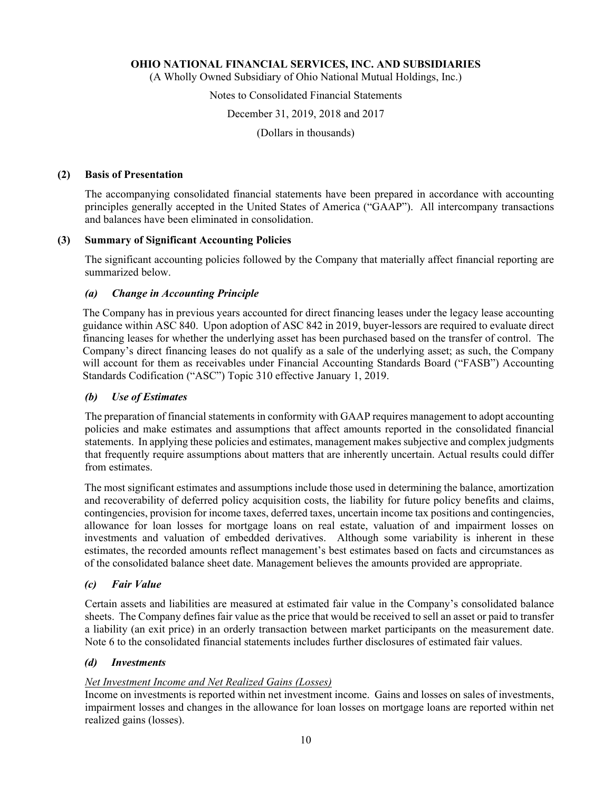(A Wholly Owned Subsidiary of Ohio National Mutual Holdings, Inc.)

#### Notes to Consolidated Financial Statements

December 31, 2019, 2018 and 2017

(Dollars in thousands)

#### **(2) Basis of Presentation**

The accompanying consolidated financial statements have been prepared in accordance with accounting principles generally accepted in the United States of America ("GAAP"). All intercompany transactions and balances have been eliminated in consolidation.

#### **(3) Summary of Significant Accounting Policies**

The significant accounting policies followed by the Company that materially affect financial reporting are summarized below.

#### *(a) Change in Accounting Principle*

The Company has in previous years accounted for direct financing leases under the legacy lease accounting guidance within ASC 840. Upon adoption of ASC 842 in 2019, buyer-lessors are required to evaluate direct financing leases for whether the underlying asset has been purchased based on the transfer of control. The Company's direct financing leases do not qualify as a sale of the underlying asset; as such, the Company will account for them as receivables under Financial Accounting Standards Board ("FASB") Accounting Standards Codification ("ASC") Topic 310 effective January 1, 2019.

#### *(b) Use of Estimates*

The preparation of financial statements in conformity with GAAP requires management to adopt accounting policies and make estimates and assumptions that affect amounts reported in the consolidated financial statements. In applying these policies and estimates, management makes subjective and complex judgments that frequently require assumptions about matters that are inherently uncertain. Actual results could differ from estimates.

The most significant estimates and assumptions include those used in determining the balance, amortization and recoverability of deferred policy acquisition costs, the liability for future policy benefits and claims, contingencies, provision for income taxes, deferred taxes, uncertain income tax positions and contingencies, allowance for loan losses for mortgage loans on real estate, valuation of and impairment losses on investments and valuation of embedded derivatives. Although some variability is inherent in these estimates, the recorded amounts reflect management's best estimates based on facts and circumstances as of the consolidated balance sheet date. Management believes the amounts provided are appropriate.

#### *(c) Fair Value*

Certain assets and liabilities are measured at estimated fair value in the Company's consolidated balance sheets. The Company defines fair value as the price that would be received to sell an asset or paid to transfer a liability (an exit price) in an orderly transaction between market participants on the measurement date. Note 6 to the consolidated financial statements includes further disclosures of estimated fair values.

#### *(d) Investments*

#### *Net Investment Income and Net Realized Gains (Losses)*

Income on investments is reported within net investment income. Gains and losses on sales of investments, impairment losses and changes in the allowance for loan losses on mortgage loans are reported within net realized gains (losses).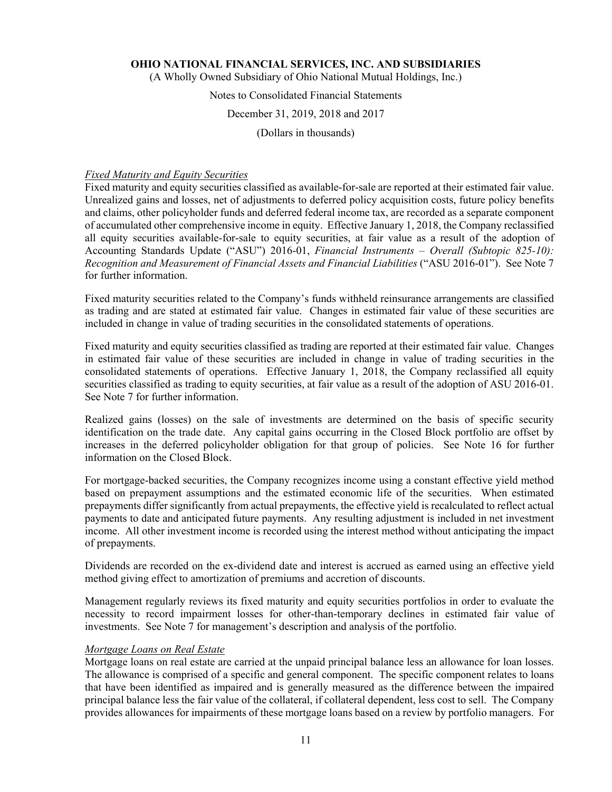(A Wholly Owned Subsidiary of Ohio National Mutual Holdings, Inc.)

## Notes to Consolidated Financial Statements

#### December 31, 2019, 2018 and 2017

(Dollars in thousands)

#### *Fixed Maturity and Equity Securities*

Fixed maturity and equity securities classified as available-for-sale are reported at their estimated fair value. Unrealized gains and losses, net of adjustments to deferred policy acquisition costs, future policy benefits and claims, other policyholder funds and deferred federal income tax, are recorded as a separate component of accumulated other comprehensive income in equity. Effective January 1, 2018, the Company reclassified all equity securities available-for-sale to equity securities, at fair value as a result of the adoption of Accounting Standards Update ("ASU") 2016-01, *Financial Instruments – Overall (Subtopic 825-10): Recognition and Measurement of Financial Assets and Financial Liabilities* ("ASU 2016-01"). See Note 7 for further information.

Fixed maturity securities related to the Company's funds withheld reinsurance arrangements are classified as trading and are stated at estimated fair value. Changes in estimated fair value of these securities are included in change in value of trading securities in the consolidated statements of operations.

Fixed maturity and equity securities classified as trading are reported at their estimated fair value. Changes in estimated fair value of these securities are included in change in value of trading securities in the consolidated statements of operations. Effective January 1, 2018, the Company reclassified all equity securities classified as trading to equity securities, at fair value as a result of the adoption of ASU 2016-01. See Note 7 for further information.

Realized gains (losses) on the sale of investments are determined on the basis of specific security identification on the trade date. Any capital gains occurring in the Closed Block portfolio are offset by increases in the deferred policyholder obligation for that group of policies. See Note 16 for further information on the Closed Block.

For mortgage-backed securities, the Company recognizes income using a constant effective yield method based on prepayment assumptions and the estimated economic life of the securities. When estimated prepayments differ significantly from actual prepayments, the effective yield is recalculated to reflect actual payments to date and anticipated future payments. Any resulting adjustment is included in net investment income. All other investment income is recorded using the interest method without anticipating the impact of prepayments.

Dividends are recorded on the ex-dividend date and interest is accrued as earned using an effective yield method giving effect to amortization of premiums and accretion of discounts.

Management regularly reviews its fixed maturity and equity securities portfolios in order to evaluate the necessity to record impairment losses for other-than-temporary declines in estimated fair value of investments. See Note 7 for management's description and analysis of the portfolio.

#### *Mortgage Loans on Real Estate*

Mortgage loans on real estate are carried at the unpaid principal balance less an allowance for loan losses. The allowance is comprised of a specific and general component. The specific component relates to loans that have been identified as impaired and is generally measured as the difference between the impaired principal balance less the fair value of the collateral, if collateral dependent, less cost to sell. The Company provides allowances for impairments of these mortgage loans based on a review by portfolio managers. For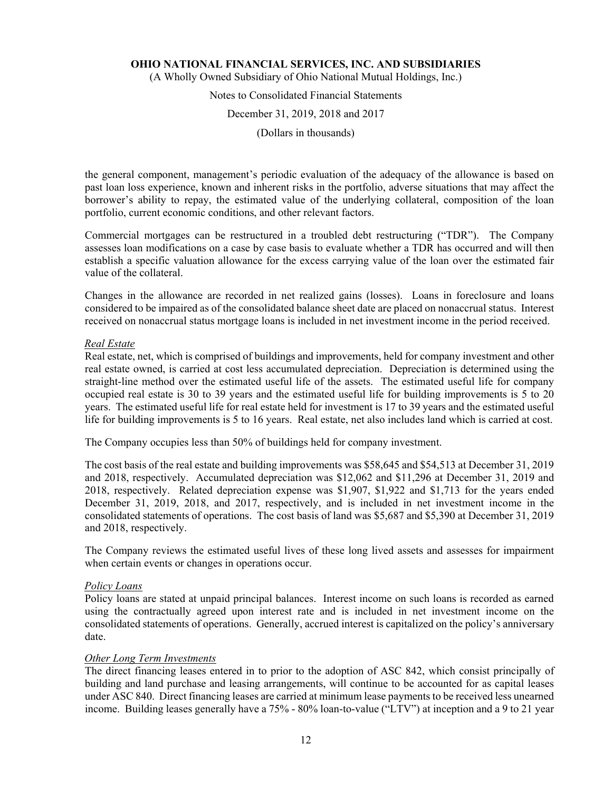(A Wholly Owned Subsidiary of Ohio National Mutual Holdings, Inc.)

## Notes to Consolidated Financial Statements

#### December 31, 2019, 2018 and 2017

(Dollars in thousands)

the general component, management's periodic evaluation of the adequacy of the allowance is based on past loan loss experience, known and inherent risks in the portfolio, adverse situations that may affect the borrower's ability to repay, the estimated value of the underlying collateral, composition of the loan portfolio, current economic conditions, and other relevant factors.

Commercial mortgages can be restructured in a troubled debt restructuring ("TDR"). The Company assesses loan modifications on a case by case basis to evaluate whether a TDR has occurred and will then establish a specific valuation allowance for the excess carrying value of the loan over the estimated fair value of the collateral.

Changes in the allowance are recorded in net realized gains (losses). Loans in foreclosure and loans considered to be impaired as of the consolidated balance sheet date are placed on nonaccrual status. Interest received on nonaccrual status mortgage loans is included in net investment income in the period received.

#### *Real Estate*

Real estate, net, which is comprised of buildings and improvements, held for company investment and other real estate owned, is carried at cost less accumulated depreciation. Depreciation is determined using the straight-line method over the estimated useful life of the assets. The estimated useful life for company occupied real estate is 30 to 39 years and the estimated useful life for building improvements is 5 to 20 years. The estimated useful life for real estate held for investment is 17 to 39 years and the estimated useful life for building improvements is 5 to 16 years. Real estate, net also includes land which is carried at cost.

The Company occupies less than 50% of buildings held for company investment.

The cost basis of the real estate and building improvements was \$58,645 and \$54,513 at December 31, 2019 and 2018, respectively. Accumulated depreciation was \$12,062 and \$11,296 at December 31, 2019 and 2018, respectively. Related depreciation expense was \$1,907, \$1,922 and \$1,713 for the years ended December 31, 2019, 2018, and 2017, respectively, and is included in net investment income in the consolidated statements of operations. The cost basis of land was \$5,687 and \$5,390 at December 31, 2019 and 2018, respectively.

The Company reviews the estimated useful lives of these long lived assets and assesses for impairment when certain events or changes in operations occur.

#### *Policy Loans*

Policy loans are stated at unpaid principal balances. Interest income on such loans is recorded as earned using the contractually agreed upon interest rate and is included in net investment income on the consolidated statements of operations. Generally, accrued interest is capitalized on the policy's anniversary date.

#### *Other Long Term Investments*

The direct financing leases entered in to prior to the adoption of ASC 842, which consist principally of building and land purchase and leasing arrangements, will continue to be accounted for as capital leases under ASC 840. Direct financing leases are carried at minimum lease payments to be received less unearned income. Building leases generally have a 75% - 80% loan-to-value ("LTV") at inception and a 9 to 21 year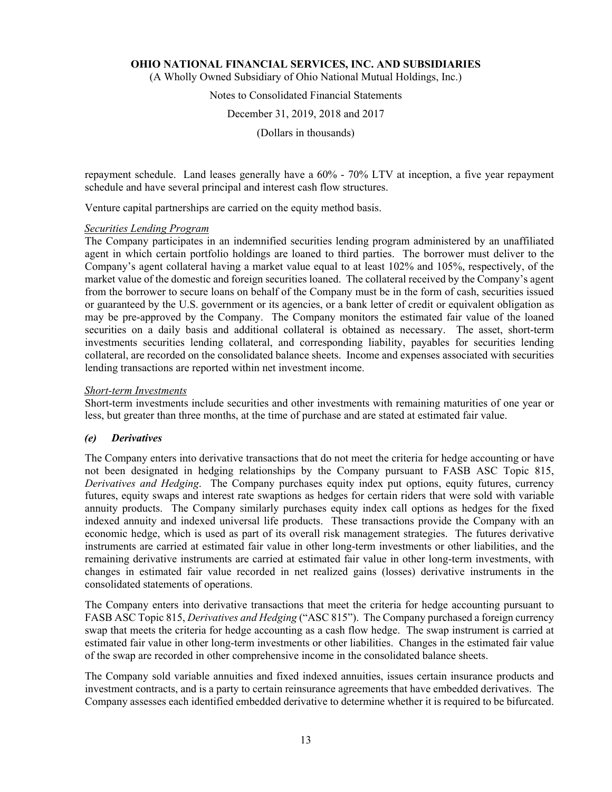(A Wholly Owned Subsidiary of Ohio National Mutual Holdings, Inc.)

#### Notes to Consolidated Financial Statements

December 31, 2019, 2018 and 2017

(Dollars in thousands)

repayment schedule. Land leases generally have a 60% - 70% LTV at inception, a five year repayment schedule and have several principal and interest cash flow structures.

Venture capital partnerships are carried on the equity method basis.

#### *Securities Lending Program*

The Company participates in an indemnified securities lending program administered by an unaffiliated agent in which certain portfolio holdings are loaned to third parties. The borrower must deliver to the Company's agent collateral having a market value equal to at least 102% and 105%, respectively, of the market value of the domestic and foreign securities loaned. The collateral received by the Company's agent from the borrower to secure loans on behalf of the Company must be in the form of cash, securities issued or guaranteed by the U.S. government or its agencies, or a bank letter of credit or equivalent obligation as may be pre-approved by the Company. The Company monitors the estimated fair value of the loaned securities on a daily basis and additional collateral is obtained as necessary. The asset, short-term investments securities lending collateral, and corresponding liability, payables for securities lending collateral, are recorded on the consolidated balance sheets. Income and expenses associated with securities lending transactions are reported within net investment income.

#### *Short-term Investments*

Short-term investments include securities and other investments with remaining maturities of one year or less, but greater than three months, at the time of purchase and are stated at estimated fair value.

#### *(e) Derivatives*

The Company enters into derivative transactions that do not meet the criteria for hedge accounting or have not been designated in hedging relationships by the Company pursuant to FASB ASC Topic 815, *Derivatives and Hedging*. The Company purchases equity index put options, equity futures, currency futures, equity swaps and interest rate swaptions as hedges for certain riders that were sold with variable annuity products. The Company similarly purchases equity index call options as hedges for the fixed indexed annuity and indexed universal life products. These transactions provide the Company with an economic hedge, which is used as part of its overall risk management strategies. The futures derivative instruments are carried at estimated fair value in other long-term investments or other liabilities, and the remaining derivative instruments are carried at estimated fair value in other long-term investments, with changes in estimated fair value recorded in net realized gains (losses) derivative instruments in the consolidated statements of operations.

The Company enters into derivative transactions that meet the criteria for hedge accounting pursuant to FASB ASC Topic 815, *Derivatives and Hedging* ("ASC 815"). The Company purchased a foreign currency swap that meets the criteria for hedge accounting as a cash flow hedge. The swap instrument is carried at estimated fair value in other long-term investments or other liabilities. Changes in the estimated fair value of the swap are recorded in other comprehensive income in the consolidated balance sheets.

The Company sold variable annuities and fixed indexed annuities, issues certain insurance products and investment contracts, and is a party to certain reinsurance agreements that have embedded derivatives. The Company assesses each identified embedded derivative to determine whether it is required to be bifurcated.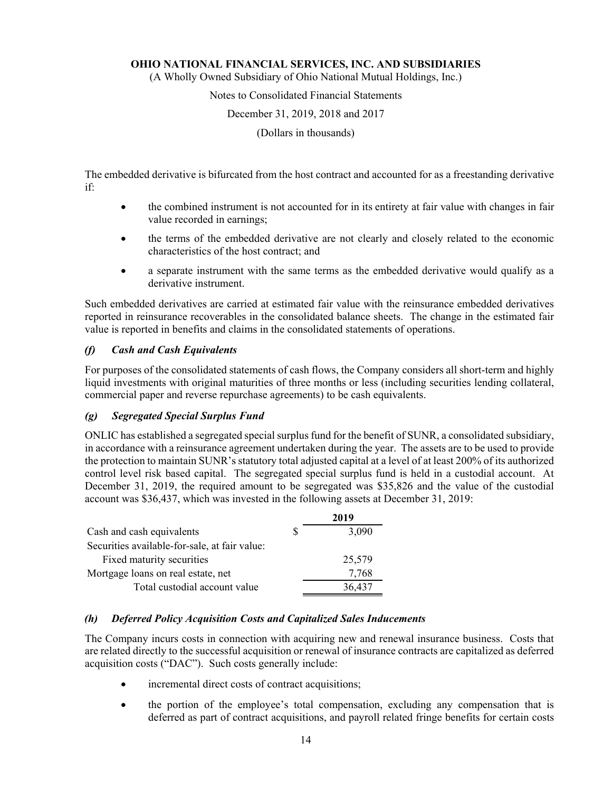(A Wholly Owned Subsidiary of Ohio National Mutual Holdings, Inc.)

#### Notes to Consolidated Financial Statements

#### December 31, 2019, 2018 and 2017

(Dollars in thousands)

The embedded derivative is bifurcated from the host contract and accounted for as a freestanding derivative if:

- the combined instrument is not accounted for in its entirety at fair value with changes in fair value recorded in earnings;
- the terms of the embedded derivative are not clearly and closely related to the economic characteristics of the host contract; and
- a separate instrument with the same terms as the embedded derivative would qualify as a derivative instrument.

Such embedded derivatives are carried at estimated fair value with the reinsurance embedded derivatives reported in reinsurance recoverables in the consolidated balance sheets. The change in the estimated fair value is reported in benefits and claims in the consolidated statements of operations.

#### *(f) Cash and Cash Equivalents*

For purposes of the consolidated statements of cash flows, the Company considers all short-term and highly liquid investments with original maturities of three months or less (including securities lending collateral, commercial paper and reverse repurchase agreements) to be cash equivalents.

#### *(g) Segregated Special Surplus Fund*

ONLIC has established a segregated special surplus fund for the benefit of SUNR, a consolidated subsidiary, in accordance with a reinsurance agreement undertaken during the year. The assets are to be used to provide the protection to maintain SUNR's statutory total adjusted capital at a level of at least 200% of its authorized control level risk based capital. The segregated special surplus fund is held in a custodial account. At December 31, 2019, the required amount to be segregated was \$35,826 and the value of the custodial account was \$36,437, which was invested in the following assets at December 31, 2019:

|                                               |    | 2019   |
|-----------------------------------------------|----|--------|
| Cash and cash equivalents                     | S. | 3,090  |
| Securities available-for-sale, at fair value: |    |        |
| Fixed maturity securities                     |    | 25,579 |
| Mortgage loans on real estate, net            |    | 7,768  |
| Total custodial account value                 |    | 36,437 |

#### *(h) Deferred Policy Acquisition Costs and Capitalized Sales Inducements*

The Company incurs costs in connection with acquiring new and renewal insurance business. Costs that are related directly to the successful acquisition or renewal of insurance contracts are capitalized as deferred acquisition costs ("DAC"). Such costs generally include:

- incremental direct costs of contract acquisitions;
- the portion of the employee's total compensation, excluding any compensation that is deferred as part of contract acquisitions, and payroll related fringe benefits for certain costs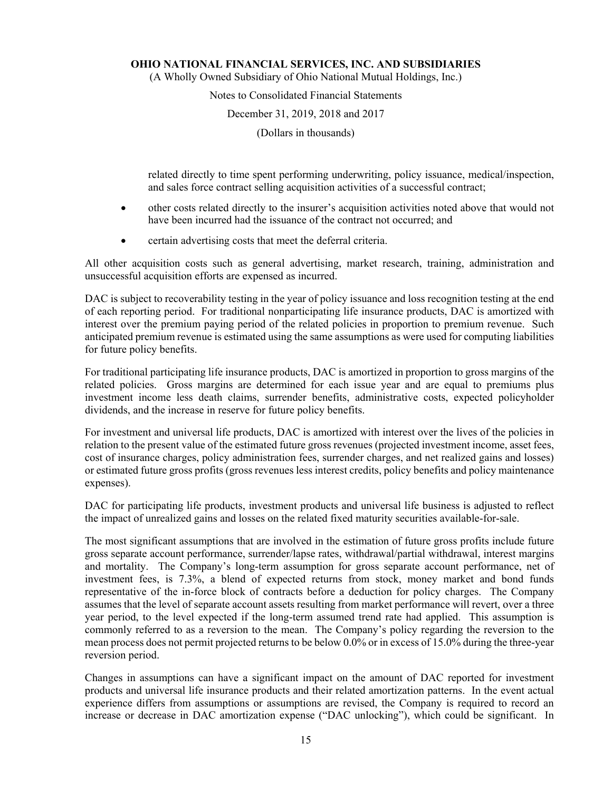(A Wholly Owned Subsidiary of Ohio National Mutual Holdings, Inc.)

#### Notes to Consolidated Financial Statements

#### December 31, 2019, 2018 and 2017

(Dollars in thousands)

related directly to time spent performing underwriting, policy issuance, medical/inspection, and sales force contract selling acquisition activities of a successful contract;

- other costs related directly to the insurer's acquisition activities noted above that would not have been incurred had the issuance of the contract not occurred; and
- certain advertising costs that meet the deferral criteria.

All other acquisition costs such as general advertising, market research, training, administration and unsuccessful acquisition efforts are expensed as incurred.

DAC is subject to recoverability testing in the year of policy issuance and loss recognition testing at the end of each reporting period. For traditional nonparticipating life insurance products, DAC is amortized with interest over the premium paying period of the related policies in proportion to premium revenue. Such anticipated premium revenue is estimated using the same assumptions as were used for computing liabilities for future policy benefits.

For traditional participating life insurance products, DAC is amortized in proportion to gross margins of the related policies. Gross margins are determined for each issue year and are equal to premiums plus investment income less death claims, surrender benefits, administrative costs, expected policyholder dividends, and the increase in reserve for future policy benefits.

For investment and universal life products, DAC is amortized with interest over the lives of the policies in relation to the present value of the estimated future gross revenues (projected investment income, asset fees, cost of insurance charges, policy administration fees, surrender charges, and net realized gains and losses) or estimated future gross profits (gross revenues less interest credits, policy benefits and policy maintenance expenses).

DAC for participating life products, investment products and universal life business is adjusted to reflect the impact of unrealized gains and losses on the related fixed maturity securities available-for-sale.

The most significant assumptions that are involved in the estimation of future gross profits include future gross separate account performance, surrender/lapse rates, withdrawal/partial withdrawal, interest margins and mortality. The Company's long-term assumption for gross separate account performance, net of investment fees, is 7.3%, a blend of expected returns from stock, money market and bond funds representative of the in-force block of contracts before a deduction for policy charges. The Company assumes that the level of separate account assets resulting from market performance will revert, over a three year period, to the level expected if the long-term assumed trend rate had applied. This assumption is commonly referred to as a reversion to the mean. The Company's policy regarding the reversion to the mean process does not permit projected returns to be below 0.0% or in excess of 15.0% during the three-year reversion period.

Changes in assumptions can have a significant impact on the amount of DAC reported for investment products and universal life insurance products and their related amortization patterns. In the event actual experience differs from assumptions or assumptions are revised, the Company is required to record an increase or decrease in DAC amortization expense ("DAC unlocking"), which could be significant. In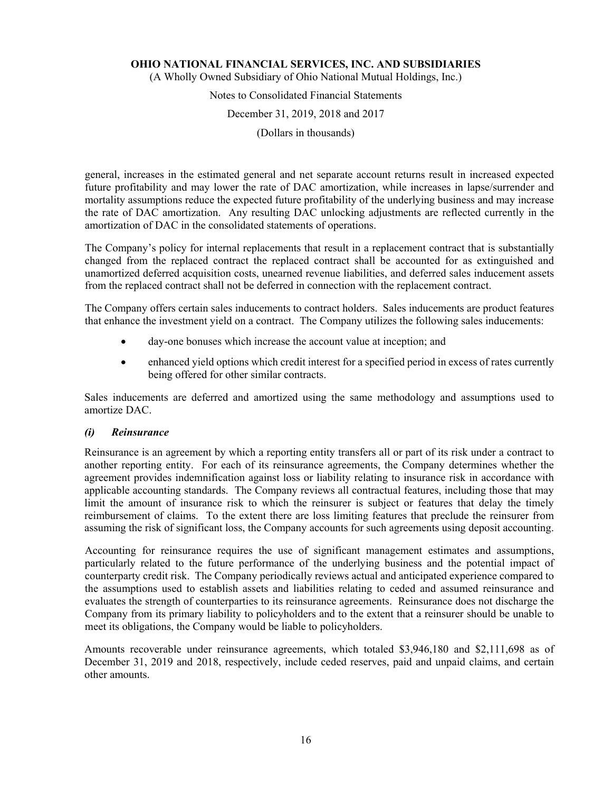(A Wholly Owned Subsidiary of Ohio National Mutual Holdings, Inc.)

## Notes to Consolidated Financial Statements December 31, 2019, 2018 and 2017

(Dollars in thousands)

general, increases in the estimated general and net separate account returns result in increased expected future profitability and may lower the rate of DAC amortization, while increases in lapse/surrender and mortality assumptions reduce the expected future profitability of the underlying business and may increase the rate of DAC amortization. Any resulting DAC unlocking adjustments are reflected currently in the amortization of DAC in the consolidated statements of operations.

The Company's policy for internal replacements that result in a replacement contract that is substantially changed from the replaced contract the replaced contract shall be accounted for as extinguished and unamortized deferred acquisition costs, unearned revenue liabilities, and deferred sales inducement assets from the replaced contract shall not be deferred in connection with the replacement contract.

The Company offers certain sales inducements to contract holders. Sales inducements are product features that enhance the investment yield on a contract. The Company utilizes the following sales inducements:

- day-one bonuses which increase the account value at inception; and
- enhanced yield options which credit interest for a specified period in excess of rates currently being offered for other similar contracts.

Sales inducements are deferred and amortized using the same methodology and assumptions used to amortize DAC.

#### *(i) Reinsurance*

Reinsurance is an agreement by which a reporting entity transfers all or part of its risk under a contract to another reporting entity. For each of its reinsurance agreements, the Company determines whether the agreement provides indemnification against loss or liability relating to insurance risk in accordance with applicable accounting standards. The Company reviews all contractual features, including those that may limit the amount of insurance risk to which the reinsurer is subject or features that delay the timely reimbursement of claims. To the extent there are loss limiting features that preclude the reinsurer from assuming the risk of significant loss, the Company accounts for such agreements using deposit accounting.

Accounting for reinsurance requires the use of significant management estimates and assumptions, particularly related to the future performance of the underlying business and the potential impact of counterparty credit risk. The Company periodically reviews actual and anticipated experience compared to the assumptions used to establish assets and liabilities relating to ceded and assumed reinsurance and evaluates the strength of counterparties to its reinsurance agreements. Reinsurance does not discharge the Company from its primary liability to policyholders and to the extent that a reinsurer should be unable to meet its obligations, the Company would be liable to policyholders.

Amounts recoverable under reinsurance agreements, which totaled \$3,946,180 and \$2,111,698 as of December 31, 2019 and 2018, respectively, include ceded reserves, paid and unpaid claims, and certain other amounts.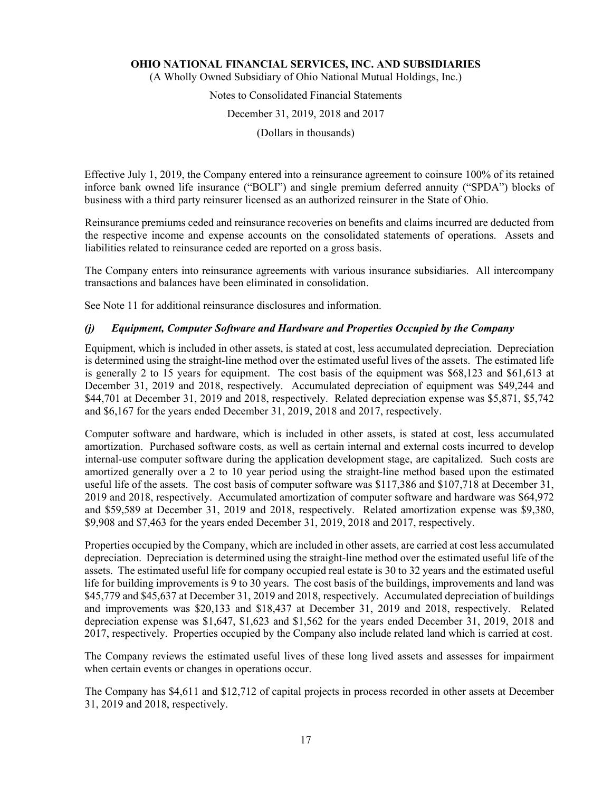(A Wholly Owned Subsidiary of Ohio National Mutual Holdings, Inc.)

## Notes to Consolidated Financial Statements

#### December 31, 2019, 2018 and 2017

(Dollars in thousands)

Effective July 1, 2019, the Company entered into a reinsurance agreement to coinsure 100% of its retained inforce bank owned life insurance ("BOLI") and single premium deferred annuity ("SPDA") blocks of business with a third party reinsurer licensed as an authorized reinsurer in the State of Ohio.

Reinsurance premiums ceded and reinsurance recoveries on benefits and claims incurred are deducted from the respective income and expense accounts on the consolidated statements of operations. Assets and liabilities related to reinsurance ceded are reported on a gross basis.

The Company enters into reinsurance agreements with various insurance subsidiaries. All intercompany transactions and balances have been eliminated in consolidation.

See Note 11 for additional reinsurance disclosures and information.

## *(j) Equipment, Computer Software and Hardware and Properties Occupied by the Company*

Equipment, which is included in other assets, is stated at cost, less accumulated depreciation. Depreciation is determined using the straight-line method over the estimated useful lives of the assets. The estimated life is generally 2 to 15 years for equipment. The cost basis of the equipment was \$68,123 and \$61,613 at December 31, 2019 and 2018, respectively. Accumulated depreciation of equipment was \$49,244 and \$44,701 at December 31, 2019 and 2018, respectively. Related depreciation expense was \$5,871, \$5,742 and \$6,167 for the years ended December 31, 2019, 2018 and 2017, respectively.

Computer software and hardware, which is included in other assets, is stated at cost, less accumulated amortization. Purchased software costs, as well as certain internal and external costs incurred to develop internal-use computer software during the application development stage, are capitalized. Such costs are amortized generally over a 2 to 10 year period using the straight-line method based upon the estimated useful life of the assets. The cost basis of computer software was \$117,386 and \$107,718 at December 31, 2019 and 2018, respectively. Accumulated amortization of computer software and hardware was \$64,972 and \$59,589 at December 31, 2019 and 2018, respectively. Related amortization expense was \$9,380, \$9,908 and \$7,463 for the years ended December 31, 2019, 2018 and 2017, respectively.

Properties occupied by the Company, which are included in other assets, are carried at cost less accumulated depreciation. Depreciation is determined using the straight-line method over the estimated useful life of the assets. The estimated useful life for company occupied real estate is 30 to 32 years and the estimated useful life for building improvements is 9 to 30 years. The cost basis of the buildings, improvements and land was \$45,779 and \$45,637 at December 31, 2019 and 2018, respectively. Accumulated depreciation of buildings and improvements was \$20,133 and \$18,437 at December 31, 2019 and 2018, respectively. Related depreciation expense was \$1,647, \$1,623 and \$1,562 for the years ended December 31, 2019, 2018 and 2017, respectively. Properties occupied by the Company also include related land which is carried at cost.

The Company reviews the estimated useful lives of these long lived assets and assesses for impairment when certain events or changes in operations occur.

The Company has \$4,611 and \$12,712 of capital projects in process recorded in other assets at December 31, 2019 and 2018, respectively.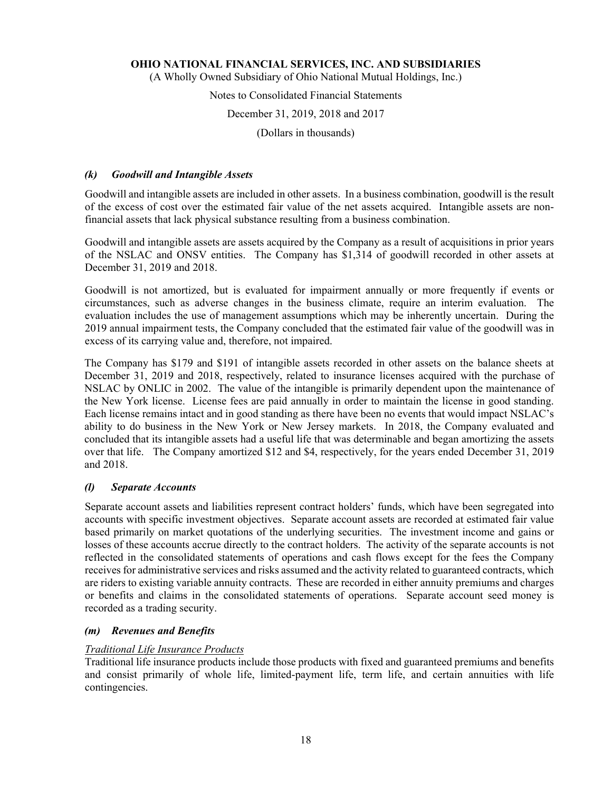(A Wholly Owned Subsidiary of Ohio National Mutual Holdings, Inc.)

#### Notes to Consolidated Financial Statements

#### December 31, 2019, 2018 and 2017

(Dollars in thousands)

#### *(k) Goodwill and Intangible Assets*

Goodwill and intangible assets are included in other assets. In a business combination, goodwill is the result of the excess of cost over the estimated fair value of the net assets acquired. Intangible assets are nonfinancial assets that lack physical substance resulting from a business combination.

Goodwill and intangible assets are assets acquired by the Company as a result of acquisitions in prior years of the NSLAC and ONSV entities. The Company has \$1,314 of goodwill recorded in other assets at December 31, 2019 and 2018.

Goodwill is not amortized, but is evaluated for impairment annually or more frequently if events or circumstances, such as adverse changes in the business climate, require an interim evaluation. The evaluation includes the use of management assumptions which may be inherently uncertain. During the 2019 annual impairment tests, the Company concluded that the estimated fair value of the goodwill was in excess of its carrying value and, therefore, not impaired.

The Company has \$179 and \$191 of intangible assets recorded in other assets on the balance sheets at December 31, 2019 and 2018, respectively, related to insurance licenses acquired with the purchase of NSLAC by ONLIC in 2002. The value of the intangible is primarily dependent upon the maintenance of the New York license. License fees are paid annually in order to maintain the license in good standing. Each license remains intact and in good standing as there have been no events that would impact NSLAC's ability to do business in the New York or New Jersey markets. In 2018, the Company evaluated and concluded that its intangible assets had a useful life that was determinable and began amortizing the assets over that life. The Company amortized \$12 and \$4, respectively, for the years ended December 31, 2019 and 2018.

#### *(l) Separate Accounts*

Separate account assets and liabilities represent contract holders' funds, which have been segregated into accounts with specific investment objectives. Separate account assets are recorded at estimated fair value based primarily on market quotations of the underlying securities. The investment income and gains or losses of these accounts accrue directly to the contract holders. The activity of the separate accounts is not reflected in the consolidated statements of operations and cash flows except for the fees the Company receives for administrative services and risks assumed and the activity related to guaranteed contracts, which are riders to existing variable annuity contracts. These are recorded in either annuity premiums and charges or benefits and claims in the consolidated statements of operations. Separate account seed money is recorded as a trading security.

#### *(m) Revenues and Benefits*

#### *Traditional Life Insurance Products*

Traditional life insurance products include those products with fixed and guaranteed premiums and benefits and consist primarily of whole life, limited-payment life, term life, and certain annuities with life contingencies.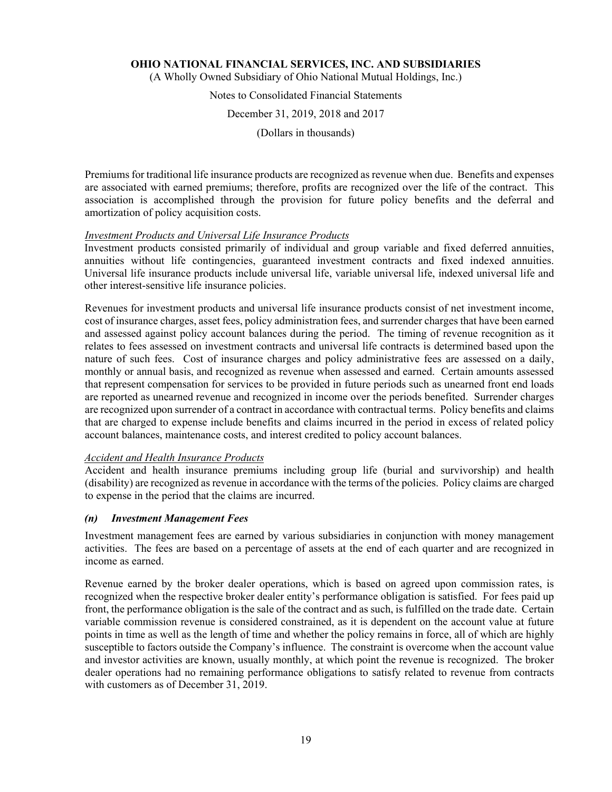(A Wholly Owned Subsidiary of Ohio National Mutual Holdings, Inc.)

Notes to Consolidated Financial Statements

December 31, 2019, 2018 and 2017

(Dollars in thousands)

Premiums for traditional life insurance products are recognized as revenue when due. Benefits and expenses are associated with earned premiums; therefore, profits are recognized over the life of the contract. This association is accomplished through the provision for future policy benefits and the deferral and amortization of policy acquisition costs.

#### *Investment Products and Universal Life Insurance Products*

Investment products consisted primarily of individual and group variable and fixed deferred annuities, annuities without life contingencies, guaranteed investment contracts and fixed indexed annuities. Universal life insurance products include universal life, variable universal life, indexed universal life and other interest-sensitive life insurance policies.

Revenues for investment products and universal life insurance products consist of net investment income, cost of insurance charges, asset fees, policy administration fees, and surrender charges that have been earned and assessed against policy account balances during the period. The timing of revenue recognition as it relates to fees assessed on investment contracts and universal life contracts is determined based upon the nature of such fees. Cost of insurance charges and policy administrative fees are assessed on a daily, monthly or annual basis, and recognized as revenue when assessed and earned. Certain amounts assessed that represent compensation for services to be provided in future periods such as unearned front end loads are reported as unearned revenue and recognized in income over the periods benefited. Surrender charges are recognized upon surrender of a contract in accordance with contractual terms. Policy benefits and claims that are charged to expense include benefits and claims incurred in the period in excess of related policy account balances, maintenance costs, and interest credited to policy account balances.

#### *Accident and Health Insurance Products*

Accident and health insurance premiums including group life (burial and survivorship) and health (disability) are recognized as revenue in accordance with the terms of the policies. Policy claims are charged to expense in the period that the claims are incurred.

#### *(n) Investment Management Fees*

Investment management fees are earned by various subsidiaries in conjunction with money management activities. The fees are based on a percentage of assets at the end of each quarter and are recognized in income as earned.

Revenue earned by the broker dealer operations, which is based on agreed upon commission rates, is recognized when the respective broker dealer entity's performance obligation is satisfied. For fees paid up front, the performance obligation is the sale of the contract and as such, is fulfilled on the trade date. Certain variable commission revenue is considered constrained, as it is dependent on the account value at future points in time as well as the length of time and whether the policy remains in force, all of which are highly susceptible to factors outside the Company's influence. The constraint is overcome when the account value and investor activities are known, usually monthly, at which point the revenue is recognized. The broker dealer operations had no remaining performance obligations to satisfy related to revenue from contracts with customers as of December 31, 2019.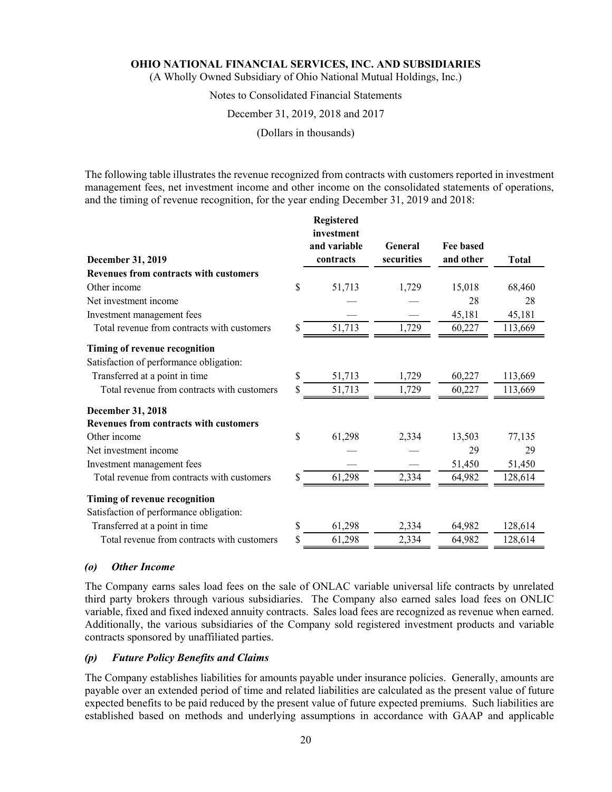(A Wholly Owned Subsidiary of Ohio National Mutual Holdings, Inc.)

#### Notes to Consolidated Financial Statements

#### December 31, 2019, 2018 and 2017

(Dollars in thousands)

The following table illustrates the revenue recognized from contracts with customers reported in investment management fees, net investment income and other income on the consolidated statements of operations, and the timing of revenue recognition, for the year ending December 31, 2019 and 2018:

**Registered** 

| December 31, 2019                             |    | <b>Registered</b><br>investment<br>and variable<br>contracts | General<br>securities | <b>Fee based</b><br>and other | <b>Total</b> |
|-----------------------------------------------|----|--------------------------------------------------------------|-----------------------|-------------------------------|--------------|
| <b>Revenues from contracts with customers</b> |    |                                                              |                       |                               |              |
| Other income                                  | \$ | 51,713                                                       | 1,729                 | 15,018                        | 68,460       |
| Net investment income                         |    |                                                              |                       | 28                            | 28           |
| Investment management fees                    |    |                                                              |                       | 45,181                        | 45,181       |
| Total revenue from contracts with customers   | \$ | 51,713                                                       | 1,729                 | 60,227                        | 113,669      |
| Timing of revenue recognition                 |    |                                                              |                       |                               |              |
| Satisfaction of performance obligation:       |    |                                                              |                       |                               |              |
| Transferred at a point in time                | \$ | 51,713                                                       | 1,729                 | 60,227                        | 113,669      |
| Total revenue from contracts with customers   | S  | 51,713                                                       | 1,729                 | 60,227                        | 113,669      |
| December 31, 2018                             |    |                                                              |                       |                               |              |
| <b>Revenues from contracts with customers</b> |    |                                                              |                       |                               |              |
| Other income                                  | \$ | 61,298                                                       | 2,334                 | 13,503                        | 77,135       |
| Net investment income                         |    |                                                              |                       | 29                            | 29           |
| Investment management fees                    |    |                                                              |                       | 51,450                        | 51,450       |
| Total revenue from contracts with customers   | \$ | 61,298                                                       | 2,334                 | 64,982                        | 128,614      |
| Timing of revenue recognition                 |    |                                                              |                       |                               |              |
| Satisfaction of performance obligation:       |    |                                                              |                       |                               |              |
| Transferred at a point in time                | \$ | 61,298                                                       | 2,334                 | 64,982                        | 128,614      |
| Total revenue from contracts with customers   | \$ | 61,298                                                       | 2,334                 | 64,982                        | 128,614      |

#### *(o) Other Income*

The Company earns sales load fees on the sale of ONLAC variable universal life contracts by unrelated third party brokers through various subsidiaries. The Company also earned sales load fees on ONLIC variable, fixed and fixed indexed annuity contracts. Sales load fees are recognized as revenue when earned. Additionally, the various subsidiaries of the Company sold registered investment products and variable contracts sponsored by unaffiliated parties.

#### *(p) Future Policy Benefits and Claims*

The Company establishes liabilities for amounts payable under insurance policies. Generally, amounts are payable over an extended period of time and related liabilities are calculated as the present value of future expected benefits to be paid reduced by the present value of future expected premiums. Such liabilities are established based on methods and underlying assumptions in accordance with GAAP and applicable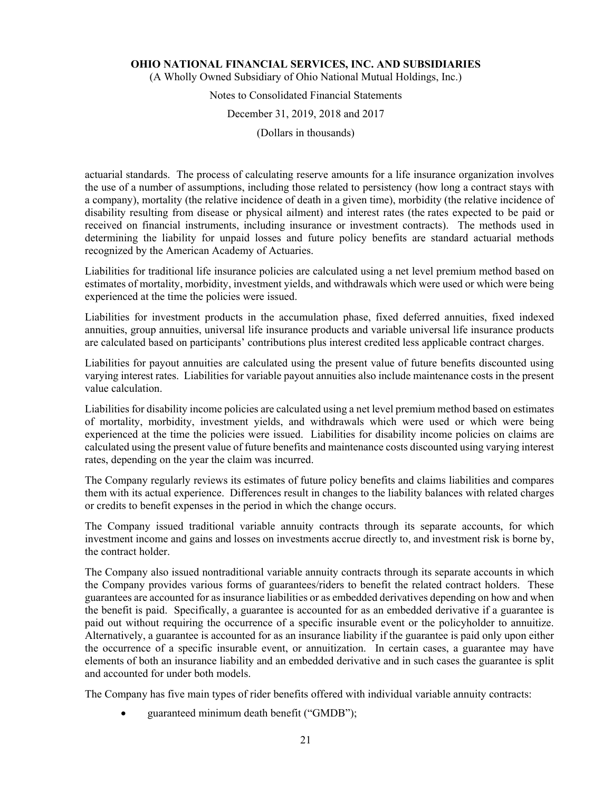(A Wholly Owned Subsidiary of Ohio National Mutual Holdings, Inc.)

## Notes to Consolidated Financial Statements

#### December 31, 2019, 2018 and 2017

(Dollars in thousands)

actuarial standards. The process of calculating reserve amounts for a life insurance organization involves the use of a number of assumptions, including those related to persistency (how long a contract stays with a company), mortality (the relative incidence of death in a given time), morbidity (the relative incidence of disability resulting from disease or physical ailment) and interest rates (the rates expected to be paid or received on financial instruments, including insurance or investment contracts). The methods used in determining the liability for unpaid losses and future policy benefits are standard actuarial methods recognized by the American Academy of Actuaries.

Liabilities for traditional life insurance policies are calculated using a net level premium method based on estimates of mortality, morbidity, investment yields, and withdrawals which were used or which were being experienced at the time the policies were issued.

Liabilities for investment products in the accumulation phase, fixed deferred annuities, fixed indexed annuities, group annuities, universal life insurance products and variable universal life insurance products are calculated based on participants' contributions plus interest credited less applicable contract charges.

Liabilities for payout annuities are calculated using the present value of future benefits discounted using varying interest rates. Liabilities for variable payout annuities also include maintenance costs in the present value calculation.

Liabilities for disability income policies are calculated using a net level premium method based on estimates of mortality, morbidity, investment yields, and withdrawals which were used or which were being experienced at the time the policies were issued. Liabilities for disability income policies on claims are calculated using the present value of future benefits and maintenance costs discounted using varying interest rates, depending on the year the claim was incurred.

The Company regularly reviews its estimates of future policy benefits and claims liabilities and compares them with its actual experience. Differences result in changes to the liability balances with related charges or credits to benefit expenses in the period in which the change occurs.

The Company issued traditional variable annuity contracts through its separate accounts, for which investment income and gains and losses on investments accrue directly to, and investment risk is borne by, the contract holder.

The Company also issued nontraditional variable annuity contracts through its separate accounts in which the Company provides various forms of guarantees/riders to benefit the related contract holders. These guarantees are accounted for as insurance liabilities or as embedded derivatives depending on how and when the benefit is paid. Specifically, a guarantee is accounted for as an embedded derivative if a guarantee is paid out without requiring the occurrence of a specific insurable event or the policyholder to annuitize. Alternatively, a guarantee is accounted for as an insurance liability if the guarantee is paid only upon either the occurrence of a specific insurable event, or annuitization. In certain cases, a guarantee may have elements of both an insurance liability and an embedded derivative and in such cases the guarantee is split and accounted for under both models.

The Company has five main types of rider benefits offered with individual variable annuity contracts:

guaranteed minimum death benefit ("GMDB");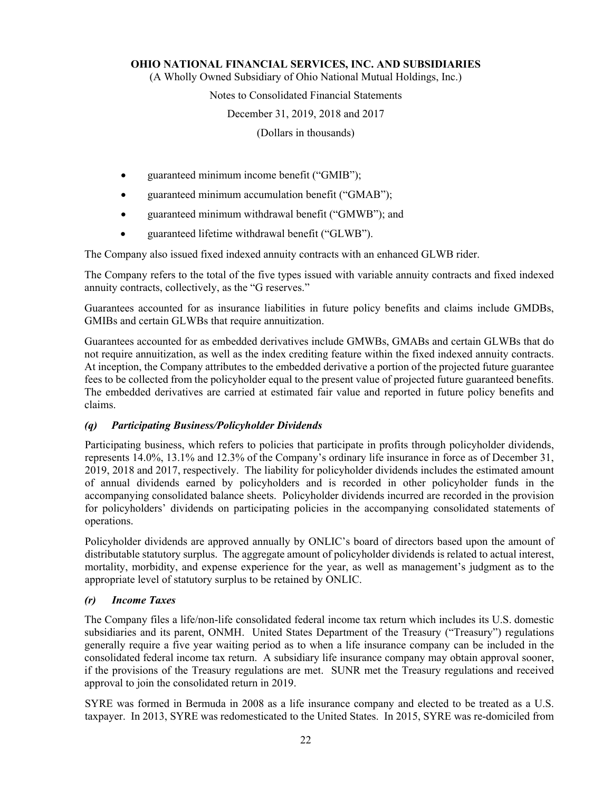(A Wholly Owned Subsidiary of Ohio National Mutual Holdings, Inc.)

#### Notes to Consolidated Financial Statements

#### December 31, 2019, 2018 and 2017

(Dollars in thousands)

- guaranteed minimum income benefit ("GMIB");
- guaranteed minimum accumulation benefit ("GMAB");
- guaranteed minimum withdrawal benefit ("GMWB"); and
- guaranteed lifetime withdrawal benefit ("GLWB").

The Company also issued fixed indexed annuity contracts with an enhanced GLWB rider.

The Company refers to the total of the five types issued with variable annuity contracts and fixed indexed annuity contracts, collectively, as the "G reserves."

Guarantees accounted for as insurance liabilities in future policy benefits and claims include GMDBs, GMIBs and certain GLWBs that require annuitization.

Guarantees accounted for as embedded derivatives include GMWBs, GMABs and certain GLWBs that do not require annuitization, as well as the index crediting feature within the fixed indexed annuity contracts. At inception, the Company attributes to the embedded derivative a portion of the projected future guarantee fees to be collected from the policyholder equal to the present value of projected future guaranteed benefits. The embedded derivatives are carried at estimated fair value and reported in future policy benefits and claims.

#### *(q) Participating Business/Policyholder Dividends*

Participating business, which refers to policies that participate in profits through policyholder dividends, represents 14.0%, 13.1% and 12.3% of the Company's ordinary life insurance in force as of December 31, 2019, 2018 and 2017, respectively. The liability for policyholder dividends includes the estimated amount of annual dividends earned by policyholders and is recorded in other policyholder funds in the accompanying consolidated balance sheets. Policyholder dividends incurred are recorded in the provision for policyholders' dividends on participating policies in the accompanying consolidated statements of operations.

Policyholder dividends are approved annually by ONLIC's board of directors based upon the amount of distributable statutory surplus. The aggregate amount of policyholder dividends is related to actual interest, mortality, morbidity, and expense experience for the year, as well as management's judgment as to the appropriate level of statutory surplus to be retained by ONLIC.

#### *(r) Income Taxes*

The Company files a life/non-life consolidated federal income tax return which includes its U.S. domestic subsidiaries and its parent, ONMH. United States Department of the Treasury ("Treasury") regulations generally require a five year waiting period as to when a life insurance company can be included in the consolidated federal income tax return. A subsidiary life insurance company may obtain approval sooner, if the provisions of the Treasury regulations are met. SUNR met the Treasury regulations and received approval to join the consolidated return in 2019.

SYRE was formed in Bermuda in 2008 as a life insurance company and elected to be treated as a U.S. taxpayer. In 2013, SYRE was redomesticated to the United States. In 2015, SYRE was re-domiciled from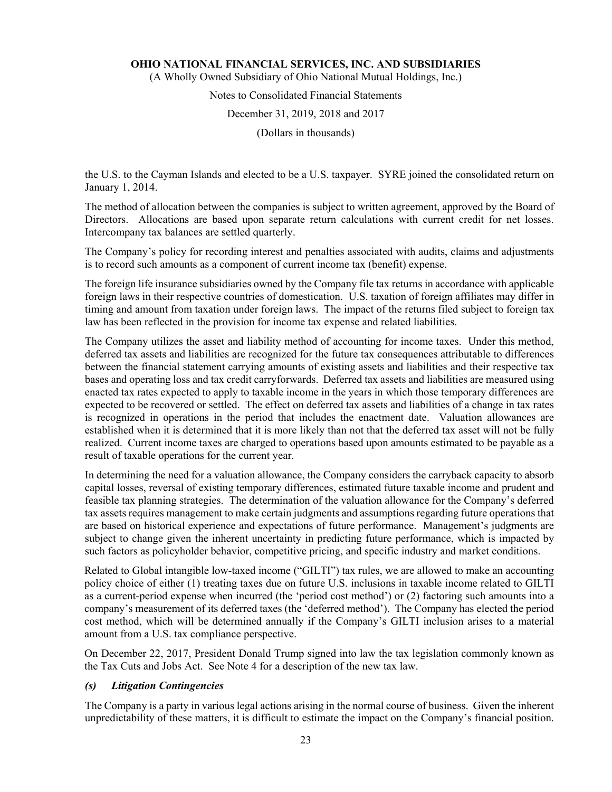(A Wholly Owned Subsidiary of Ohio National Mutual Holdings, Inc.)

## Notes to Consolidated Financial Statements

#### December 31, 2019, 2018 and 2017

(Dollars in thousands)

the U.S. to the Cayman Islands and elected to be a U.S. taxpayer. SYRE joined the consolidated return on January 1, 2014.

The method of allocation between the companies is subject to written agreement, approved by the Board of Directors. Allocations are based upon separate return calculations with current credit for net losses. Intercompany tax balances are settled quarterly.

The Company's policy for recording interest and penalties associated with audits, claims and adjustments is to record such amounts as a component of current income tax (benefit) expense.

The foreign life insurance subsidiaries owned by the Company file tax returns in accordance with applicable foreign laws in their respective countries of domestication. U.S. taxation of foreign affiliates may differ in timing and amount from taxation under foreign laws. The impact of the returns filed subject to foreign tax law has been reflected in the provision for income tax expense and related liabilities.

The Company utilizes the asset and liability method of accounting for income taxes. Under this method, deferred tax assets and liabilities are recognized for the future tax consequences attributable to differences between the financial statement carrying amounts of existing assets and liabilities and their respective tax bases and operating loss and tax credit carryforwards. Deferred tax assets and liabilities are measured using enacted tax rates expected to apply to taxable income in the years in which those temporary differences are expected to be recovered or settled. The effect on deferred tax assets and liabilities of a change in tax rates is recognized in operations in the period that includes the enactment date. Valuation allowances are established when it is determined that it is more likely than not that the deferred tax asset will not be fully realized. Current income taxes are charged to operations based upon amounts estimated to be payable as a result of taxable operations for the current year.

In determining the need for a valuation allowance, the Company considers the carryback capacity to absorb capital losses, reversal of existing temporary differences, estimated future taxable income and prudent and feasible tax planning strategies. The determination of the valuation allowance for the Company's deferred tax assets requires management to make certain judgments and assumptions regarding future operations that are based on historical experience and expectations of future performance. Management's judgments are subject to change given the inherent uncertainty in predicting future performance, which is impacted by such factors as policyholder behavior, competitive pricing, and specific industry and market conditions.

Related to Global intangible low-taxed income ("GILTI") tax rules, we are allowed to make an accounting policy choice of either (1) treating taxes due on future U.S. inclusions in taxable income related to GILTI as a current-period expense when incurred (the 'period cost method') or (2) factoring such amounts into a company's measurement of its deferred taxes (the 'deferred method'). The Company has elected the period cost method, which will be determined annually if the Company's GILTI inclusion arises to a material amount from a U.S. tax compliance perspective.

On December 22, 2017, President Donald Trump signed into law the tax legislation commonly known as the Tax Cuts and Jobs Act. See Note 4 for a description of the new tax law.

#### *(s) Litigation Contingencies*

The Company is a party in various legal actions arising in the normal course of business. Given the inherent unpredictability of these matters, it is difficult to estimate the impact on the Company's financial position.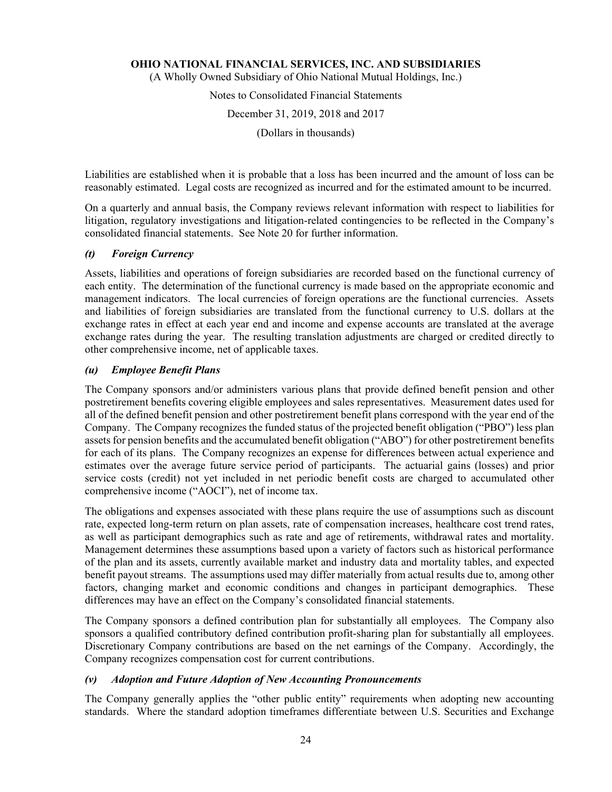(A Wholly Owned Subsidiary of Ohio National Mutual Holdings, Inc.)

Notes to Consolidated Financial Statements

December 31, 2019, 2018 and 2017

(Dollars in thousands)

Liabilities are established when it is probable that a loss has been incurred and the amount of loss can be reasonably estimated. Legal costs are recognized as incurred and for the estimated amount to be incurred.

On a quarterly and annual basis, the Company reviews relevant information with respect to liabilities for litigation, regulatory investigations and litigation-related contingencies to be reflected in the Company's consolidated financial statements. See Note 20 for further information.

#### *(t) Foreign Currency*

Assets, liabilities and operations of foreign subsidiaries are recorded based on the functional currency of each entity. The determination of the functional currency is made based on the appropriate economic and management indicators. The local currencies of foreign operations are the functional currencies. Assets and liabilities of foreign subsidiaries are translated from the functional currency to U.S. dollars at the exchange rates in effect at each year end and income and expense accounts are translated at the average exchange rates during the year. The resulting translation adjustments are charged or credited directly to other comprehensive income, net of applicable taxes.

#### *(u) Employee Benefit Plans*

The Company sponsors and/or administers various plans that provide defined benefit pension and other postretirement benefits covering eligible employees and sales representatives. Measurement dates used for all of the defined benefit pension and other postretirement benefit plans correspond with the year end of the Company. The Company recognizes the funded status of the projected benefit obligation ("PBO") less plan assets for pension benefits and the accumulated benefit obligation ("ABO") for other postretirement benefits for each of its plans. The Company recognizes an expense for differences between actual experience and estimates over the average future service period of participants. The actuarial gains (losses) and prior service costs (credit) not yet included in net periodic benefit costs are charged to accumulated other comprehensive income ("AOCI"), net of income tax.

The obligations and expenses associated with these plans require the use of assumptions such as discount rate, expected long-term return on plan assets, rate of compensation increases, healthcare cost trend rates, as well as participant demographics such as rate and age of retirements, withdrawal rates and mortality. Management determines these assumptions based upon a variety of factors such as historical performance of the plan and its assets, currently available market and industry data and mortality tables, and expected benefit payout streams. The assumptions used may differ materially from actual results due to, among other factors, changing market and economic conditions and changes in participant demographics. These differences may have an effect on the Company's consolidated financial statements.

The Company sponsors a defined contribution plan for substantially all employees. The Company also sponsors a qualified contributory defined contribution profit-sharing plan for substantially all employees. Discretionary Company contributions are based on the net earnings of the Company. Accordingly, the Company recognizes compensation cost for current contributions.

#### *(v) Adoption and Future Adoption of New Accounting Pronouncements*

The Company generally applies the "other public entity" requirements when adopting new accounting standards. Where the standard adoption timeframes differentiate between U.S. Securities and Exchange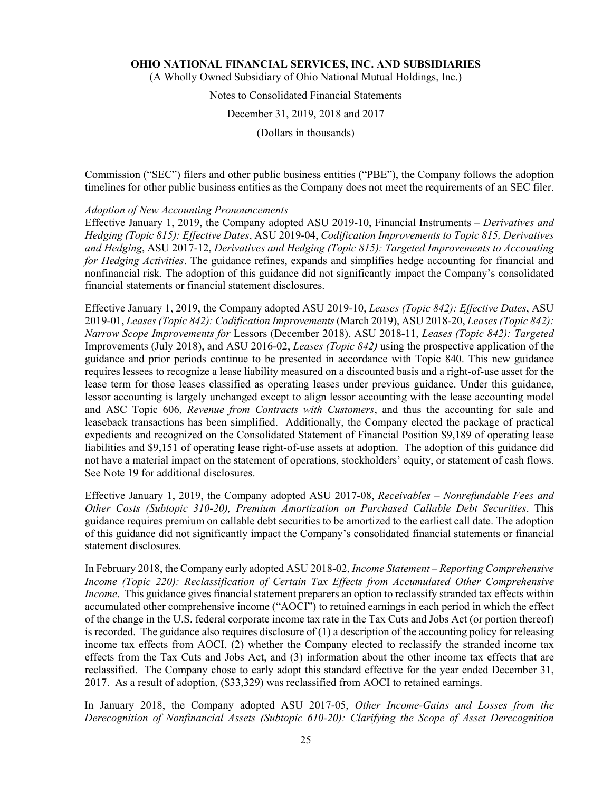(A Wholly Owned Subsidiary of Ohio National Mutual Holdings, Inc.)

# Notes to Consolidated Financial Statements

December 31, 2019, 2018 and 2017

(Dollars in thousands)

Commission ("SEC") filers and other public business entities ("PBE"), the Company follows the adoption timelines for other public business entities as the Company does not meet the requirements of an SEC filer.

#### *Adoption of New Accounting Pronouncements*

Effective January 1, 2019, the Company adopted ASU 2019-10, Financial Instruments – *Derivatives and Hedging (Topic 815): Effective Dates*, ASU 2019-04, *Codification Improvements to Topic 815, Derivatives and Hedging*, ASU 2017-12, *Derivatives and Hedging (Topic 815): Targeted Improvements to Accounting for Hedging Activities*. The guidance refines, expands and simplifies hedge accounting for financial and nonfinancial risk. The adoption of this guidance did not significantly impact the Company's consolidated financial statements or financial statement disclosures.

Effective January 1, 2019, the Company adopted ASU 2019-10, *Leases (Topic 842): Effective Dates*, ASU 2019-01, *Leases (Topic 842): Codification Improvements* (March 2019), ASU 2018-20, *Leases (Topic 842): Narrow Scope Improvements for* Lessors (December 2018), ASU 2018-11, *Leases (Topic 842): Targeted*  Improvements (July 2018), and ASU 2016-02, *Leases (Topic 842)* using the prospective application of the guidance and prior periods continue to be presented in accordance with Topic 840. This new guidance requires lessees to recognize a lease liability measured on a discounted basis and a right-of-use asset for the lease term for those leases classified as operating leases under previous guidance. Under this guidance, lessor accounting is largely unchanged except to align lessor accounting with the lease accounting model and ASC Topic 606, *Revenue from Contracts with Customers*, and thus the accounting for sale and leaseback transactions has been simplified. Additionally, the Company elected the package of practical expedients and recognized on the Consolidated Statement of Financial Position \$9,189 of operating lease liabilities and \$9,151 of operating lease right-of-use assets at adoption. The adoption of this guidance did not have a material impact on the statement of operations, stockholders' equity, or statement of cash flows. See Note 19 for additional disclosures.

Effective January 1, 2019, the Company adopted ASU 2017-08, *Receivables – Nonrefundable Fees and Other Costs (Subtopic 310-20), Premium Amortization on Purchased Callable Debt Securities*. This guidance requires premium on callable debt securities to be amortized to the earliest call date. The adoption of this guidance did not significantly impact the Company's consolidated financial statements or financial statement disclosures.

In February 2018, the Company early adopted ASU 2018-02, *Income Statement – Reporting Comprehensive Income (Topic 220): Reclassification of Certain Tax Effects from Accumulated Other Comprehensive Income*. This guidance gives financial statement preparers an option to reclassify stranded tax effects within accumulated other comprehensive income ("AOCI") to retained earnings in each period in which the effect of the change in the U.S. federal corporate income tax rate in the Tax Cuts and Jobs Act (or portion thereof) is recorded. The guidance also requires disclosure of (1) a description of the accounting policy for releasing income tax effects from AOCI, (2) whether the Company elected to reclassify the stranded income tax effects from the Tax Cuts and Jobs Act, and (3) information about the other income tax effects that are reclassified. The Company chose to early adopt this standard effective for the year ended December 31, 2017. As a result of adoption, (\$33,329) was reclassified from AOCI to retained earnings.

In January 2018, the Company adopted ASU 2017-05, *Other Income-Gains and Losses from the Derecognition of Nonfinancial Assets (Subtopic 610-20): Clarifying the Scope of Asset Derecognition*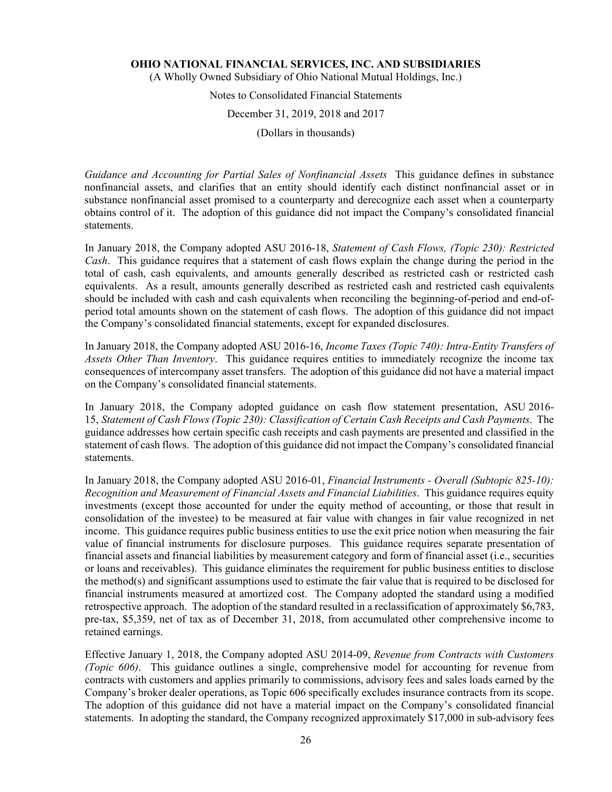(A Wholly Owned Subsidiary of Ohio National Mutual Holdings, Inc.)

## Notes to Consolidated Financial Statements

#### December 31, 2019, 2018 and 2017

(Dollars in thousands)

*Guidance and Accounting for Partial Sales of Nonfinancial Assets* This guidance defines in substance nonfinancial assets, and clarifies that an entity should identify each distinct nonfinancial asset or in substance nonfinancial asset promised to a counterparty and derecognize each asset when a counterparty obtains control of it. The adoption of this guidance did not impact the Company's consolidated financial statements.

In January 2018, the Company adopted ASU 2016-18, *Statement of Cash Flows, (Topic 230): Restricted Cash*. This guidance requires that a statement of cash flows explain the change during the period in the total of cash, cash equivalents, and amounts generally described as restricted cash or restricted cash equivalents. As a result, amounts generally described as restricted cash and restricted cash equivalents should be included with cash and cash equivalents when reconciling the beginning-of-period and end-ofperiod total amounts shown on the statement of cash flows. The adoption of this guidance did not impact the Company's consolidated financial statements, except for expanded disclosures.

In January 2018, the Company adopted ASU 2016-16, *Income Taxes (Topic 740): Intra-Entity Transfers of Assets Other Than Inventory*. This guidance requires entities to immediately recognize the income tax consequences of intercompany asset transfers. The adoption of this guidance did not have a material impact on the Company's consolidated financial statements.

In January 2018, the Company adopted guidance on cash flow statement presentation, ASU 2016- 15, *Statement of Cash Flows (Topic 230): Classification of Certain Cash Receipts and Cash Payments*. The guidance addresses how certain specific cash receipts and cash payments are presented and classified in the statement of cash flows. The adoption of this guidance did not impact the Company's consolidated financial statements.

In January 2018, the Company adopted ASU 2016-01, *Financial Instruments - Overall (Subtopic 825-10): Recognition and Measurement of Financial Assets and Financial Liabilities*. This guidance requires equity investments (except those accounted for under the equity method of accounting, or those that result in consolidation of the investee) to be measured at fair value with changes in fair value recognized in net income. This guidance requires public business entities to use the exit price notion when measuring the fair value of financial instruments for disclosure purposes. This guidance requires separate presentation of financial assets and financial liabilities by measurement category and form of financial asset (i.e., securities or loans and receivables). This guidance eliminates the requirement for public business entities to disclose the method(s) and significant assumptions used to estimate the fair value that is required to be disclosed for financial instruments measured at amortized cost. The Company adopted the standard using a modified retrospective approach. The adoption of the standard resulted in a reclassification of approximately \$6,783, pre-tax, \$5,359, net of tax as of December 31, 2018, from accumulated other comprehensive income to retained earnings.

Effective January 1, 2018, the Company adopted ASU 2014-09, *Revenue from Contracts with Customers (Topic 606)*. This guidance outlines a single, comprehensive model for accounting for revenue from contracts with customers and applies primarily to commissions, advisory fees and sales loads earned by the Company's broker dealer operations, as Topic 606 specifically excludes insurance contracts from its scope. The adoption of this guidance did not have a material impact on the Company's consolidated financial statements. In adopting the standard, the Company recognized approximately \$17,000 in sub-advisory fees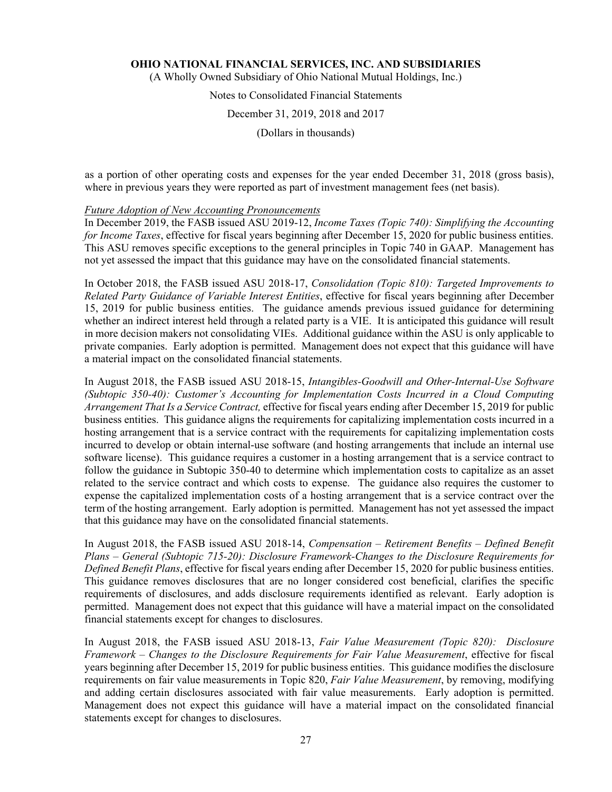(A Wholly Owned Subsidiary of Ohio National Mutual Holdings, Inc.)

## Notes to Consolidated Financial Statements

December 31, 2019, 2018 and 2017

(Dollars in thousands)

as a portion of other operating costs and expenses for the year ended December 31, 2018 (gross basis), where in previous years they were reported as part of investment management fees (net basis).

#### *Future Adoption of New Accounting Pronouncements*

In December 2019, the FASB issued ASU 2019-12, *Income Taxes (Topic 740): Simplifying the Accounting for Income Taxes*, effective for fiscal years beginning after December 15, 2020 for public business entities. This ASU removes specific exceptions to the general principles in Topic 740 in GAAP. Management has not yet assessed the impact that this guidance may have on the consolidated financial statements.

In October 2018, the FASB issued ASU 2018-17, *Consolidation (Topic 810): Targeted Improvements to Related Party Guidance of Variable Interest Entities*, effective for fiscal years beginning after December 15, 2019 for public business entities. The guidance amends previous issued guidance for determining whether an indirect interest held through a related party is a VIE. It is anticipated this guidance will result in more decision makers not consolidating VIEs. Additional guidance within the ASU is only applicable to private companies. Early adoption is permitted. Management does not expect that this guidance will have a material impact on the consolidated financial statements.

In August 2018, the FASB issued ASU 2018-15, *Intangibles-Goodwill and Other-Internal-Use Software (Subtopic 350-40): Customer's Accounting for Implementation Costs Incurred in a Cloud Computing Arrangement That Is a Service Contract,* effective for fiscal years ending after December 15, 2019 for public business entities. This guidance aligns the requirements for capitalizing implementation costs incurred in a hosting arrangement that is a service contract with the requirements for capitalizing implementation costs incurred to develop or obtain internal-use software (and hosting arrangements that include an internal use software license). This guidance requires a customer in a hosting arrangement that is a service contract to follow the guidance in Subtopic 350-40 to determine which implementation costs to capitalize as an asset related to the service contract and which costs to expense. The guidance also requires the customer to expense the capitalized implementation costs of a hosting arrangement that is a service contract over the term of the hosting arrangement. Early adoption is permitted. Management has not yet assessed the impact that this guidance may have on the consolidated financial statements.

In August 2018, the FASB issued ASU 2018-14, *Compensation – Retirement Benefits – Defined Benefit Plans – General (Subtopic 715-20): Disclosure Framework-Changes to the Disclosure Requirements for Defined Benefit Plans*, effective for fiscal years ending after December 15, 2020 for public business entities. This guidance removes disclosures that are no longer considered cost beneficial, clarifies the specific requirements of disclosures, and adds disclosure requirements identified as relevant. Early adoption is permitted. Management does not expect that this guidance will have a material impact on the consolidated financial statements except for changes to disclosures.

In August 2018, the FASB issued ASU 2018-13, *Fair Value Measurement (Topic 820): Disclosure Framework – Changes to the Disclosure Requirements for Fair Value Measurement*, effective for fiscal years beginning after December 15, 2019 for public business entities. This guidance modifies the disclosure requirements on fair value measurements in Topic 820, *Fair Value Measurement*, by removing, modifying and adding certain disclosures associated with fair value measurements. Early adoption is permitted. Management does not expect this guidance will have a material impact on the consolidated financial statements except for changes to disclosures.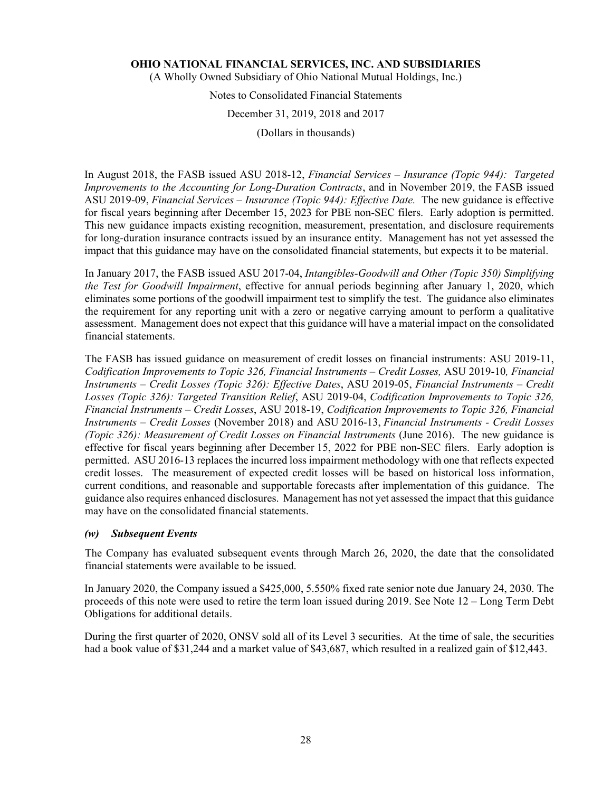(A Wholly Owned Subsidiary of Ohio National Mutual Holdings, Inc.)

## Notes to Consolidated Financial Statements

#### December 31, 2019, 2018 and 2017

(Dollars in thousands)

In August 2018, the FASB issued ASU 2018-12, *Financial Services – Insurance (Topic 944): Targeted Improvements to the Accounting for Long-Duration Contracts*, and in November 2019, the FASB issued ASU 2019-09, *Financial Services – Insurance (Topic 944): Effective Date.* The new guidance is effective for fiscal years beginning after December 15, 2023 for PBE non-SEC filers. Early adoption is permitted. This new guidance impacts existing recognition, measurement, presentation, and disclosure requirements for long-duration insurance contracts issued by an insurance entity. Management has not yet assessed the impact that this guidance may have on the consolidated financial statements, but expects it to be material.

In January 2017, the FASB issued ASU 2017-04, *Intangibles-Goodwill and Other (Topic 350) Simplifying the Test for Goodwill Impairment*, effective for annual periods beginning after January 1, 2020, which eliminates some portions of the goodwill impairment test to simplify the test. The guidance also eliminates the requirement for any reporting unit with a zero or negative carrying amount to perform a qualitative assessment. Management does not expect that this guidance will have a material impact on the consolidated financial statements.

The FASB has issued guidance on measurement of credit losses on financial instruments: ASU 2019-11, *Codification Improvements to Topic 326, Financial Instruments – Credit Losses,* ASU 2019-10*, Financial Instruments – Credit Losses (Topic 326): Effective Dates*, ASU 2019-05, *Financial Instruments – Credit Losses (Topic 326): Targeted Transition Relief*, ASU 2019-04, *Codification Improvements to Topic 326, Financial Instruments – Credit Losses*, ASU 2018-19, *Codification Improvements to Topic 326, Financial Instruments – Credit Losses* (November 2018) and ASU 2016-13, *Financial Instruments - Credit Losses (Topic 326): Measurement of Credit Losses on Financial Instruments (June 2016). The new guidance is* effective for fiscal years beginning after December 15, 2022 for PBE non-SEC filers. Early adoption is permitted. ASU 2016-13 replaces the incurred loss impairment methodology with one that reflects expected credit losses. The measurement of expected credit losses will be based on historical loss information, current conditions, and reasonable and supportable forecasts after implementation of this guidance. The guidance also requires enhanced disclosures. Management has not yet assessed the impact that this guidance may have on the consolidated financial statements.

#### *(w) Subsequent Events*

The Company has evaluated subsequent events through March 26, 2020, the date that the consolidated financial statements were available to be issued.

In January 2020, the Company issued a \$425,000, 5.550% fixed rate senior note due January 24, 2030. The proceeds of this note were used to retire the term loan issued during 2019. See Note 12 – Long Term Debt Obligations for additional details.

During the first quarter of 2020, ONSV sold all of its Level 3 securities. At the time of sale, the securities had a book value of \$31,244 and a market value of \$43,687, which resulted in a realized gain of \$12,443.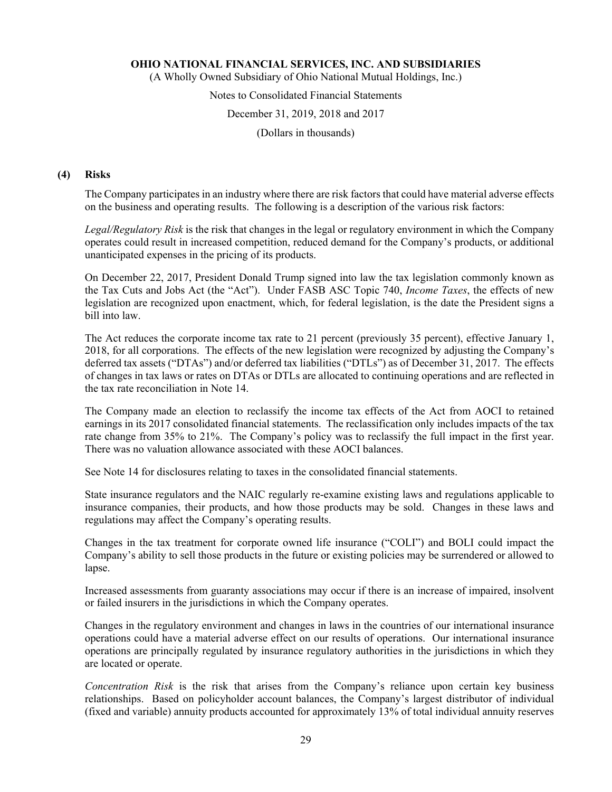(A Wholly Owned Subsidiary of Ohio National Mutual Holdings, Inc.)

#### Notes to Consolidated Financial Statements

#### December 31, 2019, 2018 and 2017

(Dollars in thousands)

#### **(4) Risks**

The Company participates in an industry where there are risk factors that could have material adverse effects on the business and operating results. The following is a description of the various risk factors:

*Legal/Regulatory Risk* is the risk that changes in the legal or regulatory environment in which the Company operates could result in increased competition, reduced demand for the Company's products, or additional unanticipated expenses in the pricing of its products.

On December 22, 2017, President Donald Trump signed into law the tax legislation commonly known as the Tax Cuts and Jobs Act (the "Act"). Under FASB ASC Topic 740, *Income Taxes*, the effects of new legislation are recognized upon enactment, which, for federal legislation, is the date the President signs a bill into law.

The Act reduces the corporate income tax rate to 21 percent (previously 35 percent), effective January 1, 2018, for all corporations. The effects of the new legislation were recognized by adjusting the Company's deferred tax assets ("DTAs") and/or deferred tax liabilities ("DTLs") as of December 31, 2017. The effects of changes in tax laws or rates on DTAs or DTLs are allocated to continuing operations and are reflected in the tax rate reconciliation in Note 14.

The Company made an election to reclassify the income tax effects of the Act from AOCI to retained earnings in its 2017 consolidated financial statements. The reclassification only includes impacts of the tax rate change from 35% to 21%. The Company's policy was to reclassify the full impact in the first year. There was no valuation allowance associated with these AOCI balances.

See Note 14 for disclosures relating to taxes in the consolidated financial statements.

State insurance regulators and the NAIC regularly re-examine existing laws and regulations applicable to insurance companies, their products, and how those products may be sold. Changes in these laws and regulations may affect the Company's operating results.

Changes in the tax treatment for corporate owned life insurance ("COLI") and BOLI could impact the Company's ability to sell those products in the future or existing policies may be surrendered or allowed to lapse.

Increased assessments from guaranty associations may occur if there is an increase of impaired, insolvent or failed insurers in the jurisdictions in which the Company operates.

Changes in the regulatory environment and changes in laws in the countries of our international insurance operations could have a material adverse effect on our results of operations. Our international insurance operations are principally regulated by insurance regulatory authorities in the jurisdictions in which they are located or operate.

*Concentration Risk* is the risk that arises from the Company's reliance upon certain key business relationships. Based on policyholder account balances, the Company's largest distributor of individual (fixed and variable) annuity products accounted for approximately 13% of total individual annuity reserves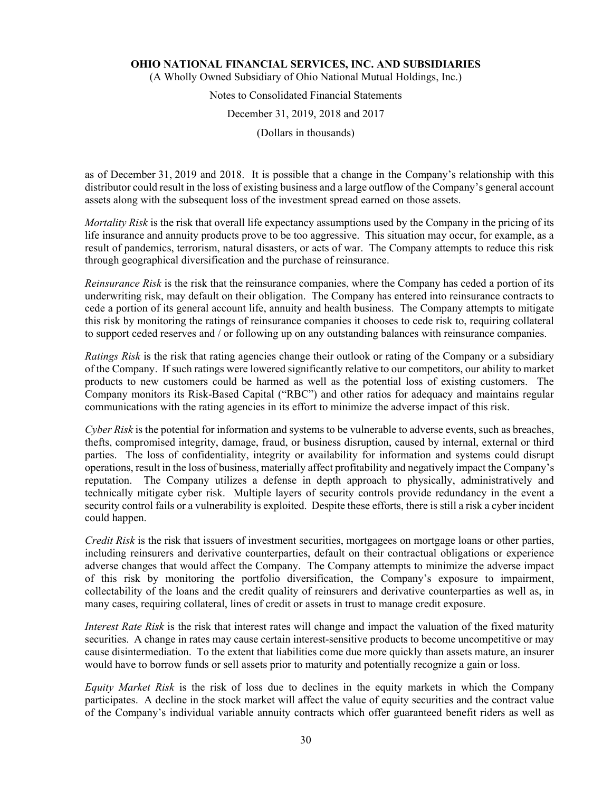(A Wholly Owned Subsidiary of Ohio National Mutual Holdings, Inc.)

# Notes to Consolidated Financial Statements

December 31, 2019, 2018 and 2017

(Dollars in thousands)

as of December 31, 2019 and 2018. It is possible that a change in the Company's relationship with this distributor could result in the loss of existing business and a large outflow of the Company's general account assets along with the subsequent loss of the investment spread earned on those assets.

*Mortality Risk* is the risk that overall life expectancy assumptions used by the Company in the pricing of its life insurance and annuity products prove to be too aggressive. This situation may occur, for example, as a result of pandemics, terrorism, natural disasters, or acts of war. The Company attempts to reduce this risk through geographical diversification and the purchase of reinsurance.

*Reinsurance Risk* is the risk that the reinsurance companies, where the Company has ceded a portion of its underwriting risk, may default on their obligation. The Company has entered into reinsurance contracts to cede a portion of its general account life, annuity and health business. The Company attempts to mitigate this risk by monitoring the ratings of reinsurance companies it chooses to cede risk to, requiring collateral to support ceded reserves and / or following up on any outstanding balances with reinsurance companies.

*Ratings Risk* is the risk that rating agencies change their outlook or rating of the Company or a subsidiary of the Company. If such ratings were lowered significantly relative to our competitors, our ability to market products to new customers could be harmed as well as the potential loss of existing customers. The Company monitors its Risk-Based Capital ("RBC") and other ratios for adequacy and maintains regular communications with the rating agencies in its effort to minimize the adverse impact of this risk.

*Cyber Risk* is the potential for information and systems to be vulnerable to adverse events, such as breaches, thefts, compromised integrity, damage, fraud, or business disruption, caused by internal, external or third parties. The loss of confidentiality, integrity or availability for information and systems could disrupt operations, result in the loss of business, materially affect profitability and negatively impact the Company's reputation. The Company utilizes a defense in depth approach to physically, administratively and technically mitigate cyber risk. Multiple layers of security controls provide redundancy in the event a security control fails or a vulnerability is exploited. Despite these efforts, there is still a risk a cyber incident could happen.

*Credit Risk* is the risk that issuers of investment securities, mortgagees on mortgage loans or other parties, including reinsurers and derivative counterparties, default on their contractual obligations or experience adverse changes that would affect the Company. The Company attempts to minimize the adverse impact of this risk by monitoring the portfolio diversification, the Company's exposure to impairment, collectability of the loans and the credit quality of reinsurers and derivative counterparties as well as, in many cases, requiring collateral, lines of credit or assets in trust to manage credit exposure.

*Interest Rate Risk* is the risk that interest rates will change and impact the valuation of the fixed maturity securities. A change in rates may cause certain interest-sensitive products to become uncompetitive or may cause disintermediation. To the extent that liabilities come due more quickly than assets mature, an insurer would have to borrow funds or sell assets prior to maturity and potentially recognize a gain or loss.

*Equity Market Risk* is the risk of loss due to declines in the equity markets in which the Company participates. A decline in the stock market will affect the value of equity securities and the contract value of the Company's individual variable annuity contracts which offer guaranteed benefit riders as well as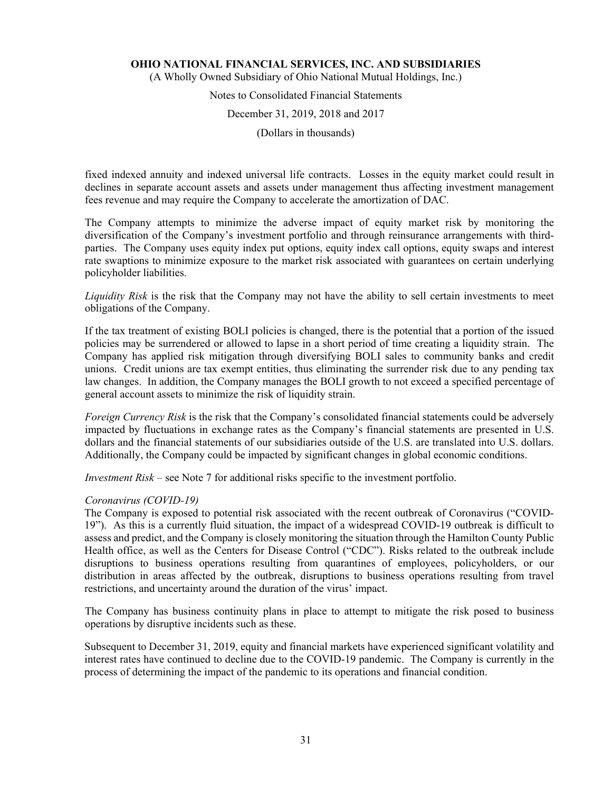(A Wholly Owned Subsidiary of Ohio National Mutual Holdings, Inc.)

# Notes to Consolidated Financial Statements

#### December 31, 2019, 2018 and 2017

(Dollars in thousands)

fixed indexed annuity and indexed universal life contracts. Losses in the equity market could result in declines in separate account assets and assets under management thus affecting investment management fees revenue and may require the Company to accelerate the amortization of DAC.

The Company attempts to minimize the adverse impact of equity market risk by monitoring the diversification of the Company's investment portfolio and through reinsurance arrangements with thirdparties. The Company uses equity index put options, equity index call options, equity swaps and interest rate swaptions to minimize exposure to the market risk associated with guarantees on certain underlying policyholder liabilities.

*Liquidity Risk* is the risk that the Company may not have the ability to sell certain investments to meet obligations of the Company.

If the tax treatment of existing BOLI policies is changed, there is the potential that a portion of the issued policies may be surrendered or allowed to lapse in a short period of time creating a liquidity strain. The Company has applied risk mitigation through diversifying BOLI sales to community banks and credit unions. Credit unions are tax exempt entities, thus eliminating the surrender risk due to any pending tax law changes. In addition, the Company manages the BOLI growth to not exceed a specified percentage of general account assets to minimize the risk of liquidity strain.

*Foreign Currency Risk* is the risk that the Company's consolidated financial statements could be adversely impacted by fluctuations in exchange rates as the Company's financial statements are presented in U.S. dollars and the financial statements of our subsidiaries outside of the U.S. are translated into U.S. dollars. Additionally, the Company could be impacted by significant changes in global economic conditions.

*Investment Risk* – see Note 7 for additional risks specific to the investment portfolio.

#### *Coronavirus (COVID-19)*

The Company is exposed to potential risk associated with the recent outbreak of Coronavirus ("COVID-19"). As this is a currently fluid situation, the impact of a widespread COVID-19 outbreak is difficult to assess and predict, and the Company is closely monitoring the situation through the Hamilton County Public Health office, as well as the Centers for Disease Control ("CDC"). Risks related to the outbreak include disruptions to business operations resulting from quarantines of employees, policyholders, or our distribution in areas affected by the outbreak, disruptions to business operations resulting from travel restrictions, and uncertainty around the duration of the virus' impact.

The Company has business continuity plans in place to attempt to mitigate the risk posed to business operations by disruptive incidents such as these.

Subsequent to December 31, 2019, equity and financial markets have experienced significant volatility and interest rates have continued to decline due to the COVID-19 pandemic. The Company is currently in the process of determining the impact of the pandemic to its operations and financial condition.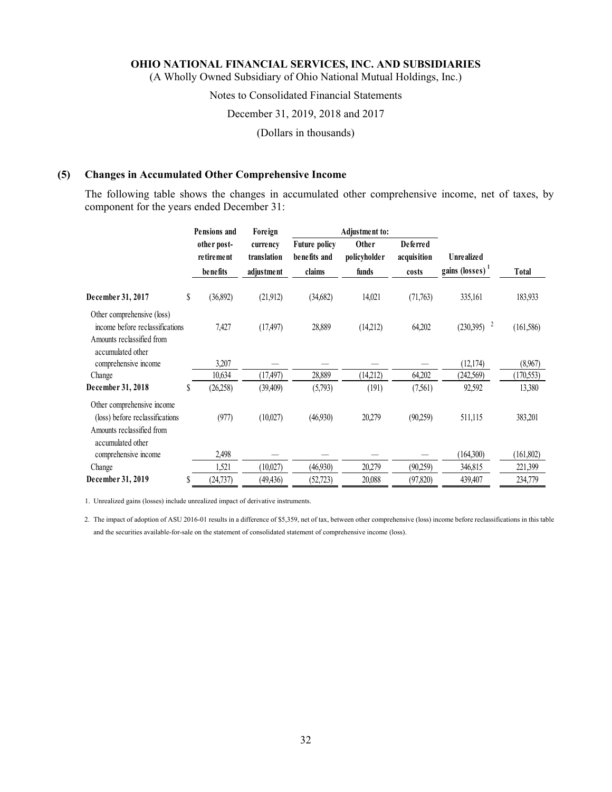(A Wholly Owned Subsidiary of Ohio National Mutual Holdings, Inc.)

#### Notes to Consolidated Financial Statements

#### December 31, 2019, 2018 and 2017

(Dollars in thousands)

#### **(5) Changes in Accumulated Other Comprehensive Income**

The following table shows the changes in accumulated other comprehensive income, net of taxes, by component for the years ended December 31:

|                                                                                                                 |    | <b>Pensions and</b>                   | Foreign                               |                                                | <b>Adjustment to:</b>          |                                         |                                                  |            |
|-----------------------------------------------------------------------------------------------------------------|----|---------------------------------------|---------------------------------------|------------------------------------------------|--------------------------------|-----------------------------------------|--------------------------------------------------|------------|
|                                                                                                                 |    | other post-<br>retirement<br>benefits | currency<br>translation<br>adjustment | <b>Future policy</b><br>benefits and<br>claims | Other<br>policyholder<br>funds | <b>Deferred</b><br>acquisition<br>costs | <b>Unrealized</b><br>gains (losses) <sup>1</sup> | Total      |
| December 31, 2017                                                                                               | \$ | (36,892)                              | (21,912)                              | (34,682)                                       | 14,021                         | (71,763)                                | 335,161                                          | 183,933    |
| Other comprehensive (loss)<br>income before reclassifications<br>Amounts reclassified from<br>accumulated other |    | 7,427                                 | (17, 497)                             | 28,889                                         | (14,212)                       | 64,202                                  | $\overline{c}$<br>(230,395)                      | (161, 586) |
| comprehensive income                                                                                            |    | 3,207                                 |                                       |                                                |                                |                                         | (12,174)                                         | (8,967)    |
| Change                                                                                                          |    | 10,634                                | (17, 497)                             | 28,889                                         | (14,212)                       | 64,202                                  | (242,569)                                        | (170, 553) |
| December 31, 2018                                                                                               | S  | (26, 258)                             | (39, 409)                             | (5,793)                                        | (191)                          | (7,561)                                 | 92,592                                           | 13,380     |
| Other comprehensive income<br>(loss) before reclassifications<br>Amounts reclassified from<br>accumulated other |    | (977)                                 | (10,027)                              | (46,930)                                       | 20,279                         | (90,259)                                | 511,115                                          | 383,201    |
| comprehensive income                                                                                            |    | 2,498                                 |                                       |                                                |                                |                                         | (164,300)                                        | (161, 802) |
| Change                                                                                                          |    | 1,521                                 | (10,027)                              | (46,930)                                       | 20,279                         | (90,259)                                | 346,815                                          | 221,399    |
| December 31, 2019                                                                                               | S  | (24, 737)                             | (49, 436)                             | (52, 723)                                      | 20,088                         | (97, 820)                               | 439,407                                          | 234,779    |

1. Unrealized gains (losses) include unrealized impact of derivative instruments.

2. The impact of adoption of ASU 2016-01 results in a difference of \$5,359, net of tax, between other comprehensive (loss) income before reclassifications in this table and the securities available-for-sale on the statement of consolidated statement of comprehensive income (loss).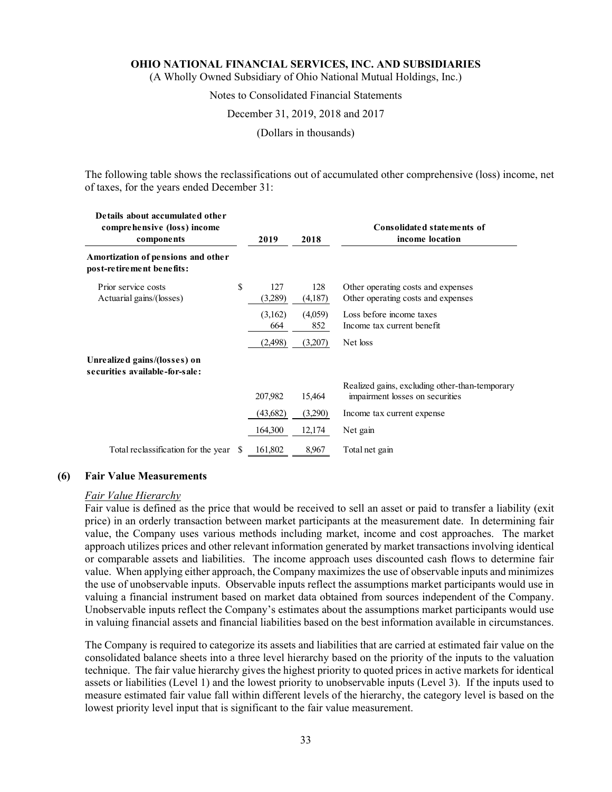(A Wholly Owned Subsidiary of Ohio National Mutual Holdings, Inc.)

#### Notes to Consolidated Financial Statements

#### December 31, 2019, 2018 and 2017

(Dollars in thousands)

The following table shows the reclassifications out of accumulated other comprehensive (loss) income, net of taxes, for the years ended December 31:

| Details about accumulated other<br>comprehensive (loss) income<br>components |     | 2019           | 2018           | Consolidated statements of<br>income location                                     |
|------------------------------------------------------------------------------|-----|----------------|----------------|-----------------------------------------------------------------------------------|
| Amortization of pensions and other<br>post-retirement benefits:              |     |                |                |                                                                                   |
| Prior service costs<br>Actuarial gains/(losses)                              | S   | 127<br>(3,289) | 128<br>(4,187) | Other operating costs and expenses<br>Other operating costs and expenses          |
|                                                                              |     | (3,162)<br>664 | (4,059)<br>852 | Loss before income taxes<br>Income tax current benefit                            |
|                                                                              |     | (2,498)        | (3,207)        | Net loss                                                                          |
| Unrealized gains/(losses) on<br>securities available-for-sale:               |     |                |                |                                                                                   |
|                                                                              |     | 207,982        | 15,464         | Realized gains, excluding other-than-temporary<br>impairment losses on securities |
|                                                                              |     | (43,682)       | (3,290)        | Income tax current expense                                                        |
|                                                                              |     | 164,300        | 12,174         | Net gain                                                                          |
| Total reclassification for the year                                          | -SS | 161,802        | 8,967          | Total net gain                                                                    |

#### **(6) Fair Value Measurements**

#### *Fair Value Hierarchy*

Fair value is defined as the price that would be received to sell an asset or paid to transfer a liability (exit price) in an orderly transaction between market participants at the measurement date. In determining fair value, the Company uses various methods including market, income and cost approaches. The market approach utilizes prices and other relevant information generated by market transactions involving identical or comparable assets and liabilities. The income approach uses discounted cash flows to determine fair value. When applying either approach, the Company maximizes the use of observable inputs and minimizes the use of unobservable inputs. Observable inputs reflect the assumptions market participants would use in valuing a financial instrument based on market data obtained from sources independent of the Company. Unobservable inputs reflect the Company's estimates about the assumptions market participants would use in valuing financial assets and financial liabilities based on the best information available in circumstances.

The Company is required to categorize its assets and liabilities that are carried at estimated fair value on the consolidated balance sheets into a three level hierarchy based on the priority of the inputs to the valuation technique. The fair value hierarchy gives the highest priority to quoted prices in active markets for identical assets or liabilities (Level 1) and the lowest priority to unobservable inputs (Level 3). If the inputs used to measure estimated fair value fall within different levels of the hierarchy, the category level is based on the lowest priority level input that is significant to the fair value measurement.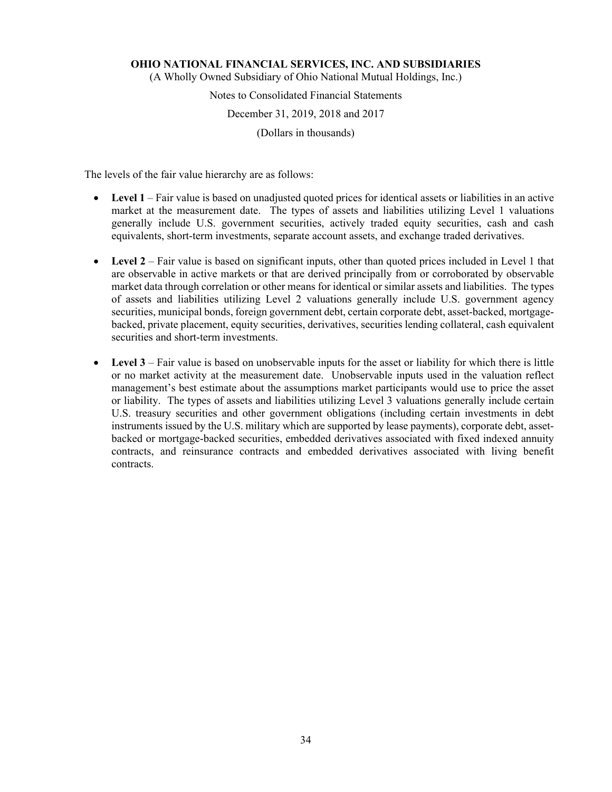(A Wholly Owned Subsidiary of Ohio National Mutual Holdings, Inc.)

## Notes to Consolidated Financial Statements December 31, 2019, 2018 and 2017 (Dollars in thousands)

The levels of the fair value hierarchy are as follows:

- Level 1 Fair value is based on unadjusted quoted prices for identical assets or liabilities in an active market at the measurement date. The types of assets and liabilities utilizing Level 1 valuations generally include U.S. government securities, actively traded equity securities, cash and cash equivalents, short-term investments, separate account assets, and exchange traded derivatives.
- **Level 2** Fair value is based on significant inputs, other than quoted prices included in Level 1 that are observable in active markets or that are derived principally from or corroborated by observable market data through correlation or other means for identical or similar assets and liabilities. The types of assets and liabilities utilizing Level 2 valuations generally include U.S. government agency securities, municipal bonds, foreign government debt, certain corporate debt, asset-backed, mortgagebacked, private placement, equity securities, derivatives, securities lending collateral, cash equivalent securities and short-term investments.
- **Level 3** Fair value is based on unobservable inputs for the asset or liability for which there is little or no market activity at the measurement date. Unobservable inputs used in the valuation reflect management's best estimate about the assumptions market participants would use to price the asset or liability. The types of assets and liabilities utilizing Level 3 valuations generally include certain U.S. treasury securities and other government obligations (including certain investments in debt instruments issued by the U.S. military which are supported by lease payments), corporate debt, assetbacked or mortgage-backed securities, embedded derivatives associated with fixed indexed annuity contracts, and reinsurance contracts and embedded derivatives associated with living benefit contracts.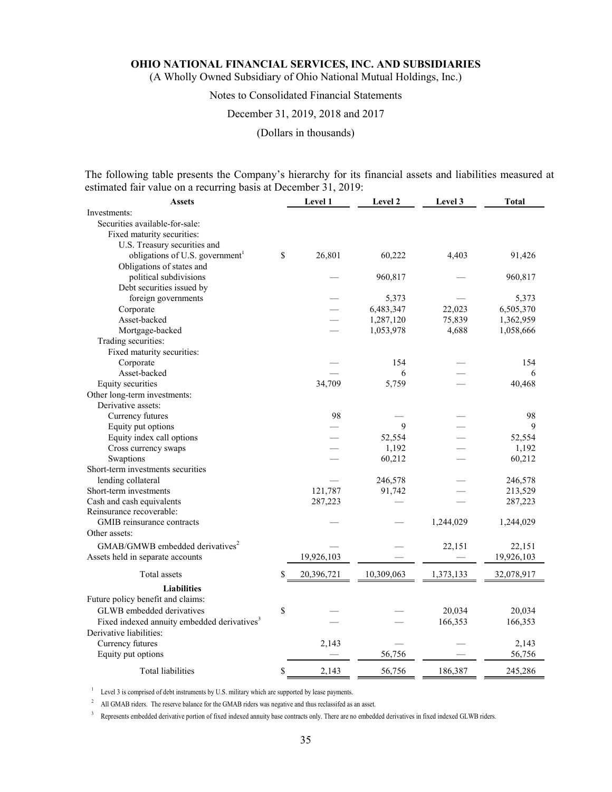(A Wholly Owned Subsidiary of Ohio National Mutual Holdings, Inc.)

## Notes to Consolidated Financial Statements

#### December 31, 2019, 2018 and 2017

(Dollars in thousands)

The following table presents the Company's hierarchy for its financial assets and liabilities measured at estimated fair value on a recurring basis at December 31, 2019:

| <b>Assets</b>                                           | Level 1          | Level 2    | Level 3   | <b>Total</b> |
|---------------------------------------------------------|------------------|------------|-----------|--------------|
| Investments:                                            |                  |            |           |              |
| Securities available-for-sale:                          |                  |            |           |              |
| Fixed maturity securities:                              |                  |            |           |              |
| U.S. Treasury securities and                            |                  |            |           |              |
| obligations of U.S. government <sup>1</sup>             | \$<br>26,801     | 60,222     | 4,403     | 91,426       |
| Obligations of states and                               |                  |            |           |              |
| political subdivisions                                  |                  | 960,817    |           | 960,817      |
| Debt securities issued by                               |                  |            |           |              |
| foreign governments                                     |                  | 5,373      |           | 5,373        |
| Corporate                                               |                  | 6,483,347  | 22,023    | 6,505,370    |
| Asset-backed                                            |                  | 1,287,120  | 75,839    | 1,362,959    |
| Mortgage-backed                                         |                  | 1,053,978  | 4,688     | 1,058,666    |
| Trading securities:                                     |                  |            |           |              |
| Fixed maturity securities:                              |                  |            |           |              |
| Corporate                                               |                  | 154        |           | 154          |
| Asset-backed                                            |                  | 6          |           | 6            |
| Equity securities                                       | 34,709           | 5,759      |           | 40,468       |
| Other long-term investments:                            |                  |            |           |              |
| Derivative assets:                                      |                  |            |           |              |
| Currency futures                                        | 98               |            |           | 98           |
| Equity put options                                      |                  | 9          |           | 9            |
| Equity index call options                               |                  | 52,554     |           | 52,554       |
| Cross currency swaps                                    |                  | 1,192      |           | 1,192        |
| Swaptions                                               |                  | 60,212     |           | 60,212       |
| Short-term investments securities                       |                  |            |           |              |
| lending collateral                                      |                  | 246,578    |           | 246,578      |
| Short-term investments                                  | 121,787          | 91,742     |           | 213,529      |
| Cash and cash equivalents                               | 287,223          |            |           | 287,223      |
| Reinsurance recoverable:                                |                  |            |           |              |
| GMIB reinsurance contracts                              |                  |            | 1,244,029 | 1,244,029    |
| Other assets:                                           |                  |            |           |              |
| GMAB/GMWB embedded derivatives <sup>2</sup>             |                  |            | 22,151    | 22,151       |
| Assets held in separate accounts                        | 19,926,103       |            |           | 19,926,103   |
|                                                         |                  |            |           |              |
| Total assets                                            | \$<br>20,396,721 | 10,309,063 | 1,373,133 | 32,078,917   |
| <b>Liabilities</b>                                      |                  |            |           |              |
| Future policy benefit and claims:                       |                  |            |           |              |
| GLWB embedded derivatives                               | \$               |            | 20,034    | 20,034       |
| Fixed indexed annuity embedded derivatives <sup>3</sup> |                  |            | 166,353   | 166,353      |
| Derivative liabilities:                                 |                  |            |           |              |
| Currency futures                                        | 2,143            |            |           | 2,143        |
| Equity put options                                      |                  | 56,756     |           | 56,756       |
| Total liabilities                                       | \$<br>2,143      | 56,756     | 186,387   | 245,286      |

 $1$  Level 3 is comprised of debt instruments by U.S. military which are supported by lease payments.

<sup>2</sup> All GMAB riders. The reserve balance for the GMAB riders was negative and thus reclassifed as an asset.

<sup>3</sup> Represents embedded derivative portion of fixed indexed annuity base contracts only. There are no embedded derivatives in fixed indexed GLWB riders.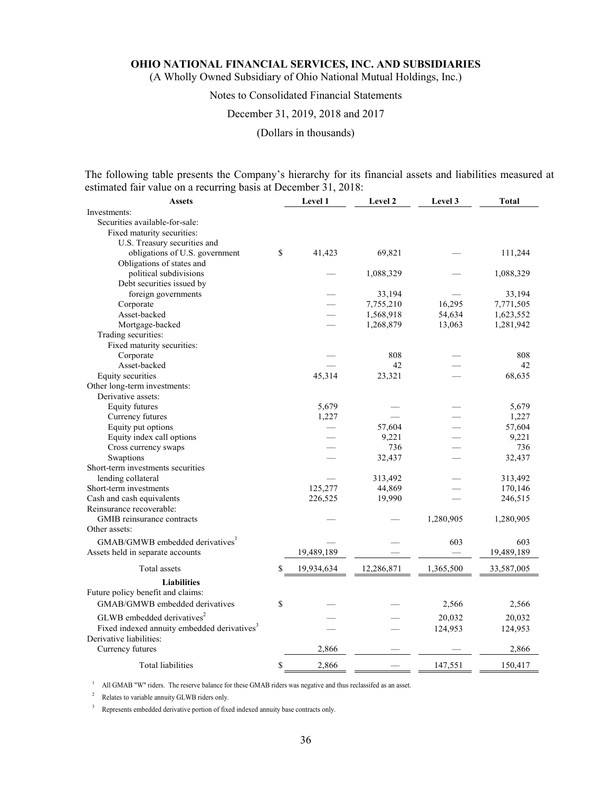(A Wholly Owned Subsidiary of Ohio National Mutual Holdings, Inc.)

### Notes to Consolidated Financial Statements

### December 31, 2019, 2018 and 2017

(Dollars in thousands)

The following table presents the Company's hierarchy for its financial assets and liabilities measured at estimated fair value on a recurring basis at December 31, 2018:

| <b>Assets</b>                                           | Level 1          | Level 2    | Level 3   | <b>Total</b> |
|---------------------------------------------------------|------------------|------------|-----------|--------------|
| Investments:                                            |                  |            |           |              |
| Securities available-for-sale:                          |                  |            |           |              |
| Fixed maturity securities:                              |                  |            |           |              |
| U.S. Treasury securities and                            |                  |            |           |              |
| obligations of U.S. government                          | \$<br>41,423     | 69,821     |           | 111,244      |
| Obligations of states and                               |                  |            |           |              |
| political subdivisions                                  |                  | 1,088,329  |           | 1,088,329    |
| Debt securities issued by                               |                  |            |           |              |
| foreign governments                                     |                  | 33,194     |           | 33,194       |
| Corporate                                               |                  | 7,755,210  | 16,295    | 7,771,505    |
| Asset-backed                                            |                  | 1,568,918  | 54,634    | 1,623,552    |
| Mortgage-backed                                         |                  | 1,268,879  | 13,063    | 1,281,942    |
| Trading securities:                                     |                  |            |           |              |
| Fixed maturity securities:                              |                  |            |           |              |
| Corporate                                               |                  | 808        |           | 808          |
| Asset-backed                                            |                  | 42         |           | 42           |
| Equity securities                                       | 45,314           | 23,321     |           | 68,635       |
| Other long-term investments:                            |                  |            |           |              |
| Derivative assets:                                      |                  |            |           |              |
| Equity futures                                          | 5,679            |            |           | 5,679        |
| Currency futures                                        | 1,227            |            |           | 1,227        |
| Equity put options                                      |                  | 57,604     |           | 57,604       |
| Equity index call options                               |                  | 9,221      |           | 9,221        |
| Cross currency swaps                                    |                  | 736        |           | 736          |
| Swaptions                                               |                  | 32,437     |           | 32,437       |
| Short-term investments securities                       |                  |            |           |              |
| lending collateral                                      |                  | 313,492    |           | 313,492      |
| Short-term investments                                  | 125,277          | 44,869     |           | 170,146      |
| Cash and cash equivalents                               | 226,525          | 19,990     |           | 246,515      |
| Reinsurance recoverable:                                |                  |            |           |              |
| GMIB reinsurance contracts                              |                  |            | 1,280,905 | 1,280,905    |
| Other assets:                                           |                  |            |           |              |
| GMAB/GMWB embedded derivatives <sup>1</sup>             |                  |            | 603       | 603          |
| Assets held in separate accounts                        | 19,489,189       |            |           | 19,489,189   |
| Total assets                                            | \$<br>19,934,634 | 12,286,871 | 1,365,500 | 33,587,005   |
| <b>Liabilities</b>                                      |                  |            |           |              |
|                                                         |                  |            |           |              |
| Future policy benefit and claims:                       |                  |            |           |              |
| GMAB/GMWB embedded derivatives                          | \$               |            | 2,566     | 2,566        |
| GLWB embedded derivatives <sup>2</sup>                  |                  |            | 20,032    | 20,032       |
| Fixed indexed annuity embedded derivatives <sup>3</sup> |                  |            | 124,953   | 124,953      |
| Derivative liabilities:                                 |                  |            |           |              |
| Currency futures                                        | 2,866            |            |           | 2,866        |
| Total liabilities                                       | \$<br>2,866      |            | 147,551   | 150,417      |

<sup>1</sup> All GMAB "W" riders. The reserve balance for these GMAB riders was negative and thus reclassifed as an asset.

<sup>2</sup> Relates to variable annuity GLWB riders only.

<sup>3</sup> Represents embedded derivative portion of fixed indexed annuity base contracts only.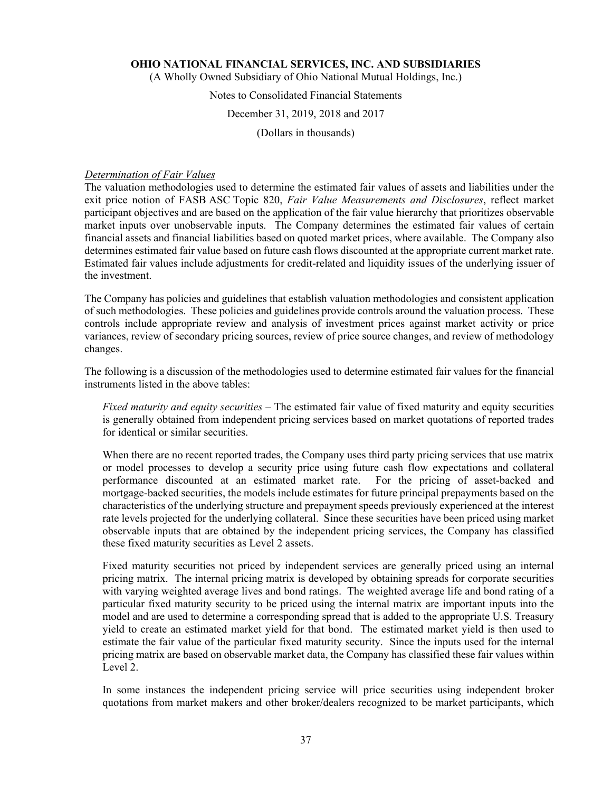(A Wholly Owned Subsidiary of Ohio National Mutual Holdings, Inc.)

### Notes to Consolidated Financial Statements

### December 31, 2019, 2018 and 2017

(Dollars in thousands)

### *Determination of Fair Values*

The valuation methodologies used to determine the estimated fair values of assets and liabilities under the exit price notion of FASB ASC Topic 820, *Fair Value Measurements and Disclosures*, reflect market participant objectives and are based on the application of the fair value hierarchy that prioritizes observable market inputs over unobservable inputs. The Company determines the estimated fair values of certain financial assets and financial liabilities based on quoted market prices, where available. The Company also determines estimated fair value based on future cash flows discounted at the appropriate current market rate. Estimated fair values include adjustments for credit-related and liquidity issues of the underlying issuer of the investment.

The Company has policies and guidelines that establish valuation methodologies and consistent application of such methodologies. These policies and guidelines provide controls around the valuation process. These controls include appropriate review and analysis of investment prices against market activity or price variances, review of secondary pricing sources, review of price source changes, and review of methodology changes.

The following is a discussion of the methodologies used to determine estimated fair values for the financial instruments listed in the above tables:

*Fixed maturity and equity securities –* The estimated fair value of fixed maturity and equity securities is generally obtained from independent pricing services based on market quotations of reported trades for identical or similar securities.

When there are no recent reported trades, the Company uses third party pricing services that use matrix or model processes to develop a security price using future cash flow expectations and collateral performance discounted at an estimated market rate. For the pricing of asset-backed and mortgage-backed securities, the models include estimates for future principal prepayments based on the characteristics of the underlying structure and prepayment speeds previously experienced at the interest rate levels projected for the underlying collateral. Since these securities have been priced using market observable inputs that are obtained by the independent pricing services, the Company has classified these fixed maturity securities as Level 2 assets.

Fixed maturity securities not priced by independent services are generally priced using an internal pricing matrix. The internal pricing matrix is developed by obtaining spreads for corporate securities with varying weighted average lives and bond ratings. The weighted average life and bond rating of a particular fixed maturity security to be priced using the internal matrix are important inputs into the model and are used to determine a corresponding spread that is added to the appropriate U.S. Treasury yield to create an estimated market yield for that bond. The estimated market yield is then used to estimate the fair value of the particular fixed maturity security. Since the inputs used for the internal pricing matrix are based on observable market data, the Company has classified these fair values within Level 2.

In some instances the independent pricing service will price securities using independent broker quotations from market makers and other broker/dealers recognized to be market participants, which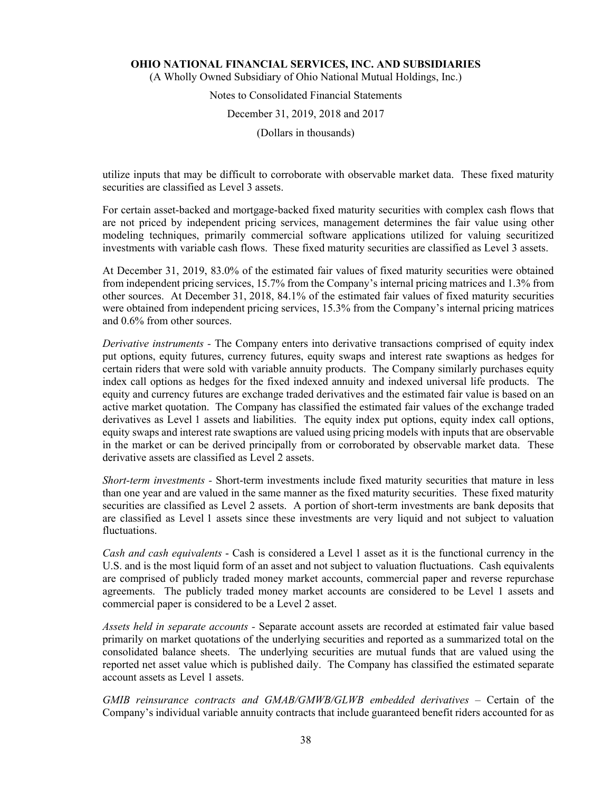(A Wholly Owned Subsidiary of Ohio National Mutual Holdings, Inc.)

# Notes to Consolidated Financial Statements December 31, 2019, 2018 and 2017

(Dollars in thousands)

utilize inputs that may be difficult to corroborate with observable market data. These fixed maturity securities are classified as Level 3 assets.

For certain asset-backed and mortgage-backed fixed maturity securities with complex cash flows that are not priced by independent pricing services, management determines the fair value using other modeling techniques, primarily commercial software applications utilized for valuing securitized investments with variable cash flows. These fixed maturity securities are classified as Level 3 assets.

At December 31, 2019, 83.0% of the estimated fair values of fixed maturity securities were obtained from independent pricing services, 15.7% from the Company's internal pricing matrices and 1.3% from other sources. At December 31, 2018, 84.1% of the estimated fair values of fixed maturity securities were obtained from independent pricing services, 15.3% from the Company's internal pricing matrices and 0.6% from other sources.

*Derivative instruments -* The Company enters into derivative transactions comprised of equity index put options, equity futures, currency futures, equity swaps and interest rate swaptions as hedges for certain riders that were sold with variable annuity products. The Company similarly purchases equity index call options as hedges for the fixed indexed annuity and indexed universal life products. The equity and currency futures are exchange traded derivatives and the estimated fair value is based on an active market quotation. The Company has classified the estimated fair values of the exchange traded derivatives as Level 1 assets and liabilities. The equity index put options, equity index call options, equity swaps and interest rate swaptions are valued using pricing models with inputs that are observable in the market or can be derived principally from or corroborated by observable market data. These derivative assets are classified as Level 2 assets.

*Short-term investments -* Short-term investments include fixed maturity securities that mature in less than one year and are valued in the same manner as the fixed maturity securities. These fixed maturity securities are classified as Level 2 assets. A portion of short-term investments are bank deposits that are classified as Level 1 assets since these investments are very liquid and not subject to valuation fluctuations.

*Cash and cash equivalents* - Cash is considered a Level 1 asset as it is the functional currency in the U.S. and is the most liquid form of an asset and not subject to valuation fluctuations. Cash equivalents are comprised of publicly traded money market accounts, commercial paper and reverse repurchase agreements. The publicly traded money market accounts are considered to be Level 1 assets and commercial paper is considered to be a Level 2 asset.

*Assets held in separate accounts -* Separate account assets are recorded at estimated fair value based primarily on market quotations of the underlying securities and reported as a summarized total on the consolidated balance sheets. The underlying securities are mutual funds that are valued using the reported net asset value which is published daily. The Company has classified the estimated separate account assets as Level 1 assets.

GMIB reinsurance contracts and GMAB/GMWB/GLWB embedded derivatives – Certain of the Company's individual variable annuity contracts that include guaranteed benefit riders accounted for as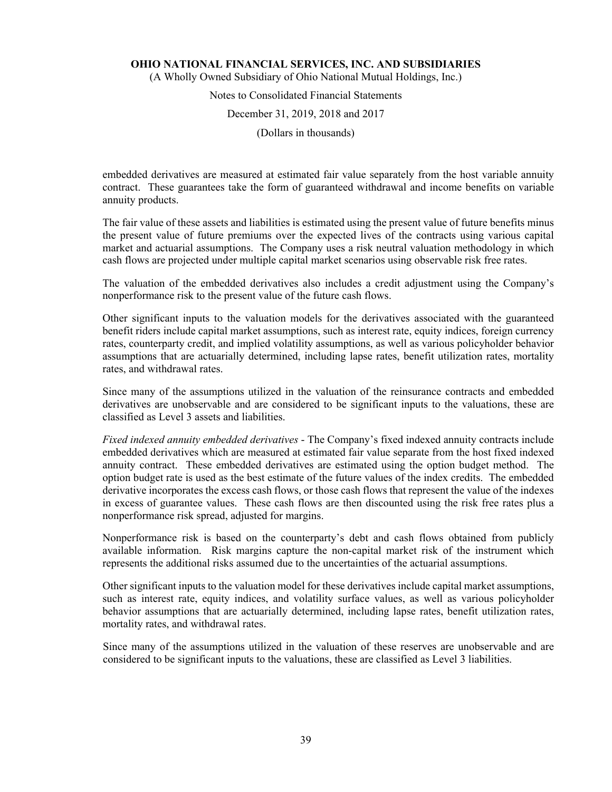(A Wholly Owned Subsidiary of Ohio National Mutual Holdings, Inc.)

# Notes to Consolidated Financial Statements

### December 31, 2019, 2018 and 2017

(Dollars in thousands)

embedded derivatives are measured at estimated fair value separately from the host variable annuity contract. These guarantees take the form of guaranteed withdrawal and income benefits on variable annuity products.

The fair value of these assets and liabilities is estimated using the present value of future benefits minus the present value of future premiums over the expected lives of the contracts using various capital market and actuarial assumptions. The Company uses a risk neutral valuation methodology in which cash flows are projected under multiple capital market scenarios using observable risk free rates.

The valuation of the embedded derivatives also includes a credit adjustment using the Company's nonperformance risk to the present value of the future cash flows.

Other significant inputs to the valuation models for the derivatives associated with the guaranteed benefit riders include capital market assumptions, such as interest rate, equity indices, foreign currency rates, counterparty credit, and implied volatility assumptions, as well as various policyholder behavior assumptions that are actuarially determined, including lapse rates, benefit utilization rates, mortality rates, and withdrawal rates.

Since many of the assumptions utilized in the valuation of the reinsurance contracts and embedded derivatives are unobservable and are considered to be significant inputs to the valuations, these are classified as Level 3 assets and liabilities.

*Fixed indexed annuity embedded derivatives* - The Company's fixed indexed annuity contracts include embedded derivatives which are measured at estimated fair value separate from the host fixed indexed annuity contract. These embedded derivatives are estimated using the option budget method. The option budget rate is used as the best estimate of the future values of the index credits. The embedded derivative incorporates the excess cash flows, or those cash flows that represent the value of the indexes in excess of guarantee values. These cash flows are then discounted using the risk free rates plus a nonperformance risk spread, adjusted for margins.

Nonperformance risk is based on the counterparty's debt and cash flows obtained from publicly available information. Risk margins capture the non-capital market risk of the instrument which represents the additional risks assumed due to the uncertainties of the actuarial assumptions.

Other significant inputs to the valuation model for these derivatives include capital market assumptions, such as interest rate, equity indices, and volatility surface values, as well as various policyholder behavior assumptions that are actuarially determined, including lapse rates, benefit utilization rates, mortality rates, and withdrawal rates.

Since many of the assumptions utilized in the valuation of these reserves are unobservable and are considered to be significant inputs to the valuations, these are classified as Level 3 liabilities.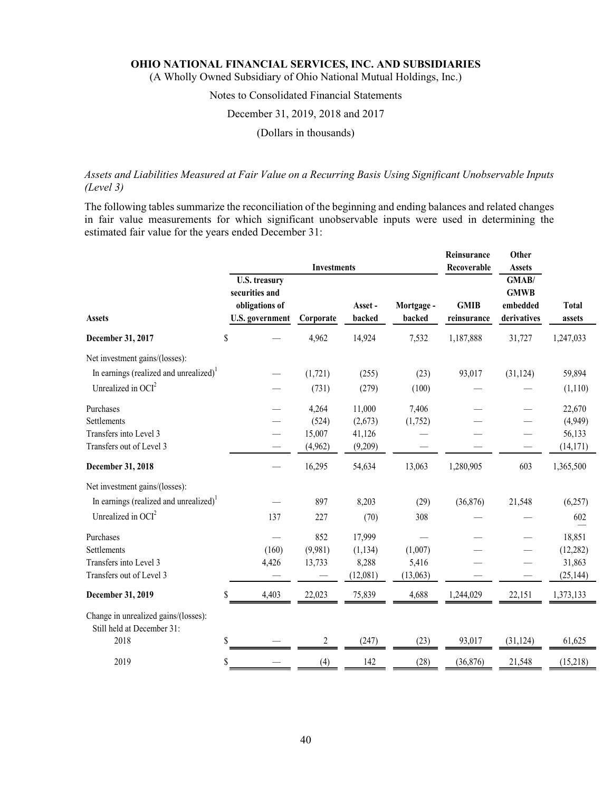(A Wholly Owned Subsidiary of Ohio National Mutual Holdings, Inc.)

## Notes to Consolidated Financial Statements

#### December 31, 2019, 2018 and 2017

### (Dollars in thousands)

### *Assets and Liabilities Measured at Fair Value on a Recurring Basis Using Significant Unobservable Inputs (Level 3)*

The following tables summarize the reconciliation of the beginning and ending balances and related changes in fair value measurements for which significant unobservable inputs were used in determining the estimated fair value for the years ended December 31:

|                                                                    |                                                                                    | <b>Investments</b> |                   | Reinsurance<br>Recoverable | Other<br><b>Assets</b>     |                                                 |                        |
|--------------------------------------------------------------------|------------------------------------------------------------------------------------|--------------------|-------------------|----------------------------|----------------------------|-------------------------------------------------|------------------------|
| <b>Assets</b>                                                      | <b>U.S. treasury</b><br>securities and<br>obligations of<br><b>U.S.</b> government | Corporate          | Asset -<br>backed | Mortgage -<br>backed       | <b>GMIB</b><br>reinsurance | GMAB/<br><b>GMWB</b><br>embedded<br>derivatives | <b>Total</b><br>assets |
| December 31, 2017                                                  | \$                                                                                 | 4,962              | 14,924            | 7,532                      | 1,187,888                  | 31,727                                          | 1,247,033              |
| Net investment gains/(losses):                                     |                                                                                    |                    |                   |                            |                            |                                                 |                        |
| In earnings (realized and unrealized) <sup>1</sup>                 |                                                                                    | (1,721)            | (255)             | (23)                       | 93,017                     | (31, 124)                                       | 59,894                 |
| Unrealized in $OCI2$                                               |                                                                                    | (731)              | (279)             | (100)                      |                            |                                                 | (1,110)                |
| Purchases                                                          |                                                                                    | 4,264              | 11,000            | 7,406                      |                            |                                                 | 22,670                 |
| Settlements                                                        |                                                                                    | (524)              | (2,673)           | (1,752)                    |                            |                                                 | (4,949)                |
| Transfers into Level 3                                             |                                                                                    | 15,007             | 41,126            |                            |                            |                                                 | 56,133                 |
| Transfers out of Level 3                                           |                                                                                    | (4,962)            | (9,209)           |                            |                            |                                                 | (14, 171)              |
| December 31, 2018                                                  |                                                                                    | 16,295             | 54,634            | 13,063                     | 1,280,905                  | 603                                             | 1,365,500              |
| Net investment gains/(losses):                                     |                                                                                    |                    |                   |                            |                            |                                                 |                        |
| In earnings (realized and unrealized) <sup>1</sup>                 |                                                                                    | 897                | 8,203             | (29)                       | (36,876)                   | 21,548                                          | (6,257)                |
| Unrealized in $OCI2$                                               | 137                                                                                | 227                | (70)              | 308                        |                            |                                                 | 602                    |
| Purchases                                                          |                                                                                    | 852                | 17,999            |                            |                            |                                                 | 18,851                 |
| <b>Settlements</b>                                                 | (160)                                                                              | (9,981)            | (1, 134)          | (1,007)                    |                            |                                                 | (12, 282)              |
| Transfers into Level 3                                             | 4,426                                                                              | 13,733             | 8,288             | 5,416                      |                            |                                                 | 31,863                 |
| Transfers out of Level 3                                           |                                                                                    |                    | (12,081)          | (13,063)                   |                            |                                                 | (25, 144)              |
| December 31, 2019                                                  | \$<br>4,403                                                                        | 22,023             | 75,839            | 4,688                      | 1,244,029                  | 22,151                                          | 1,373,133              |
| Change in unrealized gains/(losses):<br>Still held at December 31: |                                                                                    |                    |                   |                            |                            |                                                 |                        |
| 2018                                                               | \$                                                                                 | 2                  | (247)             | (23)                       | 93,017                     | (31, 124)                                       | 61,625                 |
| 2019                                                               | \$                                                                                 | (4)                | 142               | (28)                       | (36,876)                   | 21,548                                          | (15,218)               |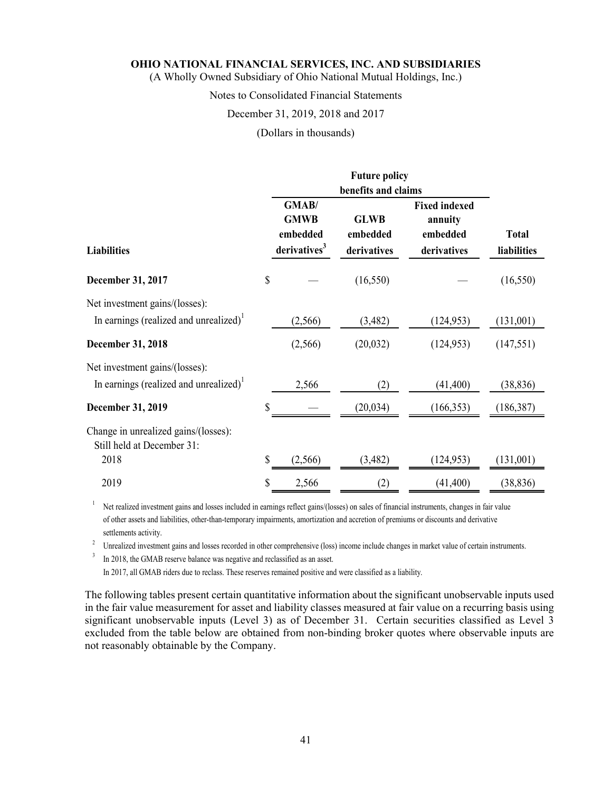(A Wholly Owned Subsidiary of Ohio National Mutual Holdings, Inc.)

### Notes to Consolidated Financial Statements

#### December 31, 2019, 2018 and 2017

(Dollars in thousands)

| <b>Liabilities</b>                                                                   | GMAB/<br><b>GMWB</b><br>embedded<br>derivatives <sup>3</sup> | benefits and claims<br><b>GLWB</b><br>embedded<br>derivatives | <b>Fixed indexed</b><br>annuity<br>embedded<br>derivatives | <b>Total</b><br>liabilities |
|--------------------------------------------------------------------------------------|--------------------------------------------------------------|---------------------------------------------------------------|------------------------------------------------------------|-----------------------------|
| December 31, 2017                                                                    | \$                                                           | (16, 550)                                                     |                                                            | (16, 550)                   |
| Net investment gains/(losses):<br>In earnings (realized and unrealized) <sup>1</sup> | (2, 566)                                                     | (3,482)                                                       | (124, 953)                                                 | (131,001)                   |
| <b>December 31, 2018</b>                                                             | (2,566)                                                      | (20, 032)                                                     | (124, 953)                                                 | (147, 551)                  |
| Net investment gains/(losses):<br>In earnings (realized and unrealized) <sup>1</sup> | 2,566                                                        | (2)                                                           | (41, 400)                                                  | (38, 836)                   |
| <b>December 31, 2019</b>                                                             | \$                                                           | (20, 034)                                                     | (166, 353)                                                 | (186, 387)                  |
| Change in unrealized gains/(losses):<br>Still held at December 31:<br>2018           | \$<br>(2, 566)                                               | (3,482)                                                       | (124, 953)                                                 | (131,001)                   |
| 2019                                                                                 | \$<br>2,566                                                  | (2)                                                           | (41, 400)                                                  | (38, 836)                   |

<sup>1</sup> Net realized investment gains and losses included in earnings reflect gains/(losses) on sales of financial instruments, changes in fair value of other assets and liabilities, other-than-temporary impairments, amortization and accretion of premiums or discounts and derivative settlements activity.<br><sup>2</sup> Unrealized investment gains and losses recorded in other comprehensive (loss) income include changes in market value of certain instruments.

<sup>3</sup> In 2018, the GMAB reserve balance was negative and reclassified as an asset. In 2017, all GMAB riders due to reclass. These reserves remained positive and were classified as a liability.

The following tables present certain quantitative information about the significant unobservable inputs used in the fair value measurement for asset and liability classes measured at fair value on a recurring basis using significant unobservable inputs (Level 3) as of December 31. Certain securities classified as Level 3 excluded from the table below are obtained from non-binding broker quotes where observable inputs are not reasonably obtainable by the Company.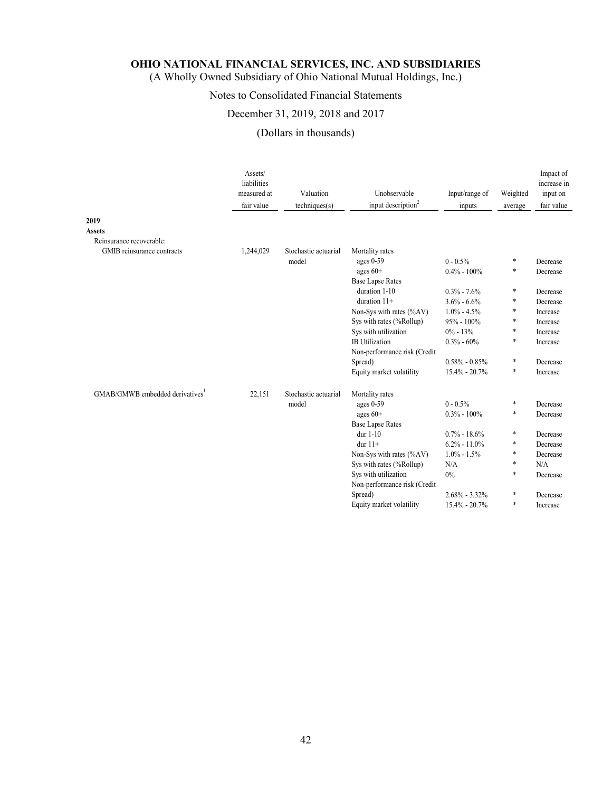(A Wholly Owned Subsidiary of Ohio National Mutual Holdings, Inc.)

## Notes to Consolidated Financial Statements

### December 31, 2019, 2018 and 2017

## (Dollars in thousands)

|                                | Assets/<br>liabilities<br>measured at<br>fair value | Valuation<br>techniques(s) | Unobservable<br>input description <sup>2</sup> | Input/range of<br>inputs | Weighted<br>average | Impact of<br>increase in<br>input on<br>fair value |
|--------------------------------|-----------------------------------------------------|----------------------------|------------------------------------------------|--------------------------|---------------------|----------------------------------------------------|
| 2019                           |                                                     |                            |                                                |                          |                     |                                                    |
| <b>Assets</b>                  |                                                     |                            |                                                |                          |                     |                                                    |
| Reinsurance recoverable:       |                                                     |                            |                                                |                          |                     |                                                    |
| GMIB reinsurance contracts     | 1,244,029                                           | Stochastic actuarial       | Mortality rates                                |                          |                     |                                                    |
|                                |                                                     | model                      | ages 0-59                                      | $0 - 0.5%$               | $\ast$              | Decrease                                           |
|                                |                                                     |                            | ages $60+$                                     | $0.4\% - 100\%$          | $\ast$              | Decrease                                           |
|                                |                                                     |                            | <b>Base Lapse Rates</b>                        |                          |                     |                                                    |
|                                |                                                     |                            | duration 1-10                                  | $0.3\% - 7.6\%$          | $\ast$              | Decrease                                           |
|                                |                                                     |                            | duration $11+$                                 | $3.6\% - 6.6\%$          | $\ast$              | Decrease                                           |
|                                |                                                     |                            | Non-Sys with rates (%AV)                       | $1.0\% - 4.5\%$          | *                   | Increase                                           |
|                                |                                                     |                            | Sys with rates (%Rollup)                       | $95\% - 100\%$           | $\ast$              | Increase                                           |
|                                |                                                     |                            | Sys with utilization                           | $0\% - 13\%$             | $\ast$              | Increase                                           |
|                                |                                                     |                            | <b>IB</b> Utilization                          | $0.3\% - 60\%$           | $\ast$              | Increase                                           |
|                                |                                                     |                            | Non-performance risk (Credit                   |                          |                     |                                                    |
|                                |                                                     |                            | Spread)                                        | $0.58\%$ - $0.85\%$      | *                   | Decrease                                           |
|                                |                                                     |                            | Equity market volatility                       | 15.4% - 20.7%            | *                   | Increase                                           |
| GMAB/GMWB embedded derivatives | 22,151                                              | Stochastic actuarial       | Mortality rates                                |                          |                     |                                                    |
|                                |                                                     | model                      | ages 0-59                                      | $0 - 0.5\%$              | $\ast$              | Decrease                                           |
|                                |                                                     |                            | ages $60+$                                     | $0.3\% - 100\%$          | $\ast$              | Decrease                                           |
|                                |                                                     |                            | <b>Base Lapse Rates</b>                        |                          |                     |                                                    |
|                                |                                                     |                            | dur $1-10$                                     | $0.7\% - 18.6\%$         | *                   | Decrease                                           |
|                                |                                                     |                            | dur $11+$                                      | $6.2\% - 11.0\%$         | *                   | Decrease                                           |
|                                |                                                     |                            | Non-Sys with rates $(\%AV)$                    | $1.0\% - 1.5\%$          | *                   | Decrease                                           |
|                                |                                                     |                            | Sys with rates (%Rollup)                       | N/A                      | $\ast$              | N/A                                                |
|                                |                                                     |                            | Sys with utilization                           | $0\%$                    | $\ast$              | Decrease                                           |
|                                |                                                     |                            | Non-performance risk (Credit                   |                          |                     |                                                    |
|                                |                                                     |                            | Spread)                                        | $2.68\% - 3.32\%$        | *                   | Decrease                                           |
|                                |                                                     |                            | Equity market volatility                       | 15.4% - 20.7%            | *                   | Increase                                           |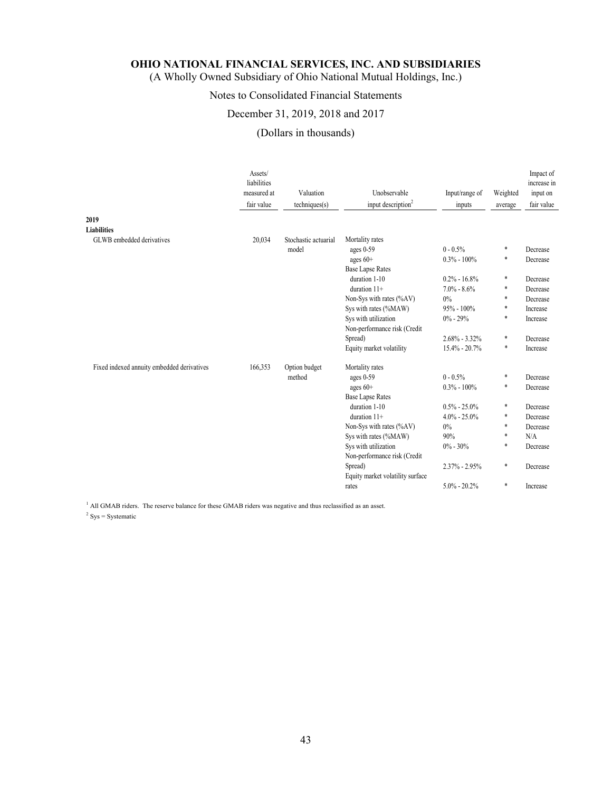(A Wholly Owned Subsidiary of Ohio National Mutual Holdings, Inc.)

## Notes to Consolidated Financial Statements

### December 31, 2019, 2018 and 2017

## (Dollars in thousands)

| 2019                                       | Assets/<br>liabilities<br>measured at<br>fair value | Valuation<br>techniques(s) | Unobservable<br>input description <sup>2</sup> | Input/range of<br>inputs | Weighted<br>average | Impact of<br>increase in<br>input on<br>fair value |
|--------------------------------------------|-----------------------------------------------------|----------------------------|------------------------------------------------|--------------------------|---------------------|----------------------------------------------------|
| <b>Liabilities</b>                         |                                                     |                            |                                                |                          |                     |                                                    |
| GLWB embedded derivatives                  | 20,034                                              | Stochastic actuarial       | Mortality rates                                |                          |                     |                                                    |
|                                            |                                                     | model                      | ages 0-59                                      | $0 - 0.5\%$              | *                   | Decrease                                           |
|                                            |                                                     |                            | ages $60+$                                     | $0.3\% - 100\%$          | *                   | Decrease                                           |
|                                            |                                                     |                            | <b>Base Lapse Rates</b>                        |                          |                     |                                                    |
|                                            |                                                     |                            | duration 1-10                                  | $0.2\% - 16.8\%$         | *                   | Decrease                                           |
|                                            |                                                     |                            | duration $11+$                                 | $7.0\% - 8.6\%$          | *                   | Decrease                                           |
|                                            |                                                     |                            | Non-Sys with rates (%AV)                       | $0\%$                    | *                   | Decrease                                           |
|                                            |                                                     |                            | Sys with rates (%MAW)                          | $95\% - 100\%$           | *                   | Increase                                           |
|                                            |                                                     |                            | Sys with utilization                           | $0\% - 29\%$             | *                   | Increase                                           |
|                                            |                                                     |                            | Non-performance risk (Credit                   |                          |                     |                                                    |
|                                            |                                                     |                            | Spread)                                        | $2.68\% - 3.32\%$        | *                   | Decrease                                           |
|                                            |                                                     |                            | Equity market volatility                       | $15.4\% - 20.7\%$        | $\ast$              | Increase                                           |
| Fixed indexed annuity embedded derivatives | 166,353                                             | Option budget              | Mortality rates                                |                          |                     |                                                    |
|                                            |                                                     | method                     | ages 0-59                                      | $0 - 0.5\%$              | $\ast$              | Decrease                                           |
|                                            |                                                     |                            | ages $60+$                                     | $0.3\% - 100\%$          | *                   | Decrease                                           |
|                                            |                                                     |                            | <b>Base Lapse Rates</b>                        |                          |                     |                                                    |
|                                            |                                                     |                            | duration 1-10                                  | $0.5\% - 25.0\%$         | *                   | Decrease                                           |
|                                            |                                                     |                            | duration $11+$                                 | $4.0\% - 25.0\%$         | *                   | Decrease                                           |
|                                            |                                                     |                            | Non-Sys with rates (%AV)                       | $0\%$                    | *                   | Decrease                                           |
|                                            |                                                     |                            | Sys with rates (%MAW)                          | 90%                      | *                   | N/A                                                |
|                                            |                                                     |                            | Sys with utilization                           | $0\% - 30\%$             | *                   | Decrease                                           |
|                                            |                                                     |                            | Non-performance risk (Credit                   |                          |                     |                                                    |
|                                            |                                                     |                            | Spread)                                        | $2.37\% - 2.95\%$        | $\ast$              | Decrease                                           |
|                                            |                                                     |                            | Equity market volatility surface               |                          |                     |                                                    |
|                                            |                                                     |                            | rates                                          | $5.0\% - 20.2\%$         | *                   | Increase                                           |

<sup>1</sup> All GMAB riders. The reserve balance for these GMAB riders was negative and thus reclassified as an asset.

 $2$  Sys = Systematic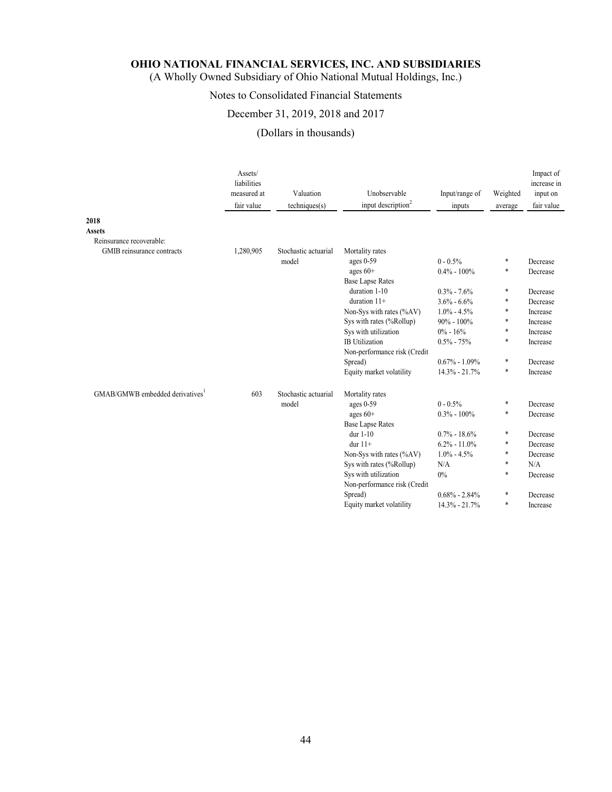(A Wholly Owned Subsidiary of Ohio National Mutual Holdings, Inc.)

## Notes to Consolidated Financial Statements

### December 31, 2019, 2018 and 2017

## (Dollars in thousands)

|                                | Assets/<br>liabilities<br>measured at<br>fair value | Valuation<br>techniques(s) | Unobservable<br>input description <sup>2</sup> | Input/range of<br>inputs | Weighted<br>average | Impact of<br>increase in<br>input on<br>fair value |
|--------------------------------|-----------------------------------------------------|----------------------------|------------------------------------------------|--------------------------|---------------------|----------------------------------------------------|
| 2018                           |                                                     |                            |                                                |                          |                     |                                                    |
| <b>Assets</b>                  |                                                     |                            |                                                |                          |                     |                                                    |
| Reinsurance recoverable:       |                                                     |                            |                                                |                          |                     |                                                    |
| GMIB reinsurance contracts     | 1,280,905                                           | Stochastic actuarial       | Mortality rates                                |                          |                     |                                                    |
|                                |                                                     | model                      | ages $0-59$                                    | $0 - 0.5\%$              | $\ast$              | Decrease                                           |
|                                |                                                     |                            | ages $60+$                                     | $0.4\% - 100\%$          | $\ast$              | Decrease                                           |
|                                |                                                     |                            | <b>Base Lapse Rates</b>                        |                          |                     |                                                    |
|                                |                                                     |                            | duration 1-10                                  | $0.3\% - 7.6\%$          | $\ast$              | Decrease                                           |
|                                |                                                     |                            | duration $11+$                                 | $3.6\% - 6.6\%$          | $\ast$              | Decrease                                           |
|                                |                                                     |                            | Non-Sys with rates (%AV)                       | $1.0\% - 4.5\%$          | $\ast$              | Increase                                           |
|                                |                                                     |                            | Sys with rates (%Rollup)                       | $90\% - 100\%$           | $\ast$              | Increase                                           |
|                                |                                                     |                            | Sys with utilization                           | $0\% - 16\%$             | $\ast$              | Increase                                           |
|                                |                                                     |                            | <b>IB</b> Utilization                          | $0.5\% - 75\%$           | $\ast$              | Increase                                           |
|                                |                                                     |                            | Non-performance risk (Credit                   |                          |                     |                                                    |
|                                |                                                     |                            | Spread)                                        | $0.67\% - 1.09\%$        | $\ast$              | Decrease                                           |
|                                |                                                     |                            | Equity market volatility                       | 14.3% - 21.7%            | *                   | Increase                                           |
| GMAB/GMWB embedded derivatives | 603                                                 | Stochastic actuarial       | Mortality rates                                |                          |                     |                                                    |
|                                |                                                     | model                      | ages $0-59$                                    | $0 - 0.5\%$              | $\ast$              | Decrease                                           |
|                                |                                                     |                            | ages $60+$                                     | $0.3\% - 100\%$          | $\ast$              | Decrease                                           |
|                                |                                                     |                            | <b>Base Lapse Rates</b>                        |                          |                     |                                                    |
|                                |                                                     |                            | dur $1-10$                                     | $0.7\% - 18.6\%$         | $\ast$              | Decrease                                           |
|                                |                                                     |                            | dur $11+$                                      | $6.2\% - 11.0\%$         | *                   | Decrease                                           |
|                                |                                                     |                            | Non-Sys with rates (%AV)                       | $1.0\% - 4.5\%$          | *                   | Decrease                                           |
|                                |                                                     |                            | Sys with rates (%Rollup)                       | N/A                      | $\ast$              | N/A                                                |
|                                |                                                     |                            | Sys with utilization                           | 0%                       | $\ast$              | Decrease                                           |
|                                |                                                     |                            | Non-performance risk (Credit                   |                          |                     |                                                    |
|                                |                                                     |                            | Spread)                                        | $0.68\% - 2.84\%$        | $\ast$              | Decrease                                           |
|                                |                                                     |                            | Equity market volatility                       | $14.3\% - 21.7\%$        | $\ast$              | Increase                                           |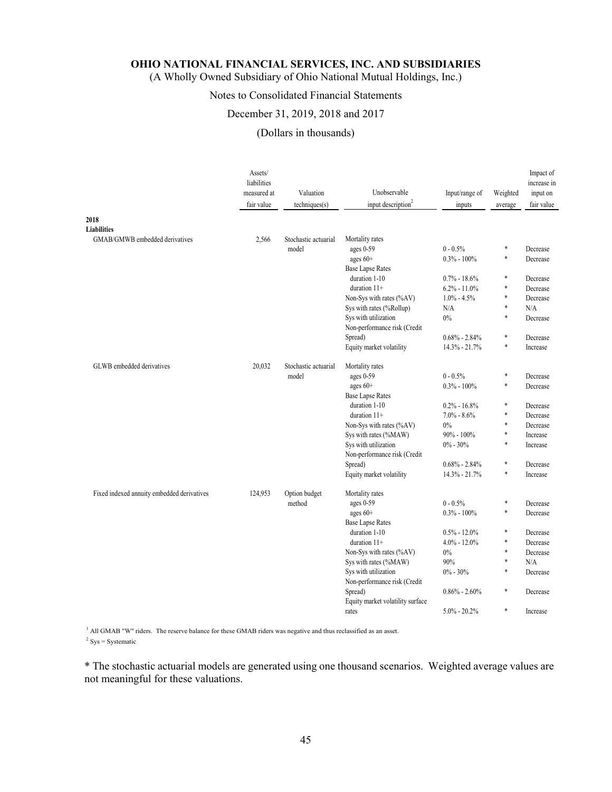(A Wholly Owned Subsidiary of Ohio National Mutual Holdings, Inc.)

### Notes to Consolidated Financial Statements

### December 31, 2019, 2018 and 2017

#### (Dollars in thousands)

|                                            | Assets/<br>liabilities<br>measured at<br>fair value | Valuation<br>techniques(s) | Unobservable<br>input description <sup>2</sup> | Input/range of<br>inputs | Weighted<br>average | Impact of<br>increase in<br>input on<br>fair value |
|--------------------------------------------|-----------------------------------------------------|----------------------------|------------------------------------------------|--------------------------|---------------------|----------------------------------------------------|
| 2018                                       |                                                     |                            |                                                |                          |                     |                                                    |
| <b>Liabilities</b>                         |                                                     |                            |                                                |                          |                     |                                                    |
| GMAB/GMWB embedded derivatives             | 2,566                                               | Stochastic actuarial       | Mortality rates                                |                          |                     |                                                    |
|                                            |                                                     | model                      | ages 0-59                                      | $0 - 0.5\%$              | *                   | Decrease                                           |
|                                            |                                                     |                            | ages 60+                                       | $0.3\% - 100\%$          | $\ast$              | Decrease                                           |
|                                            |                                                     |                            | <b>Base Lapse Rates</b>                        |                          |                     |                                                    |
|                                            |                                                     |                            | duration 1-10                                  | $0.7\% - 18.6\%$         | *                   | Decrease                                           |
|                                            |                                                     |                            | duration 11+                                   | $6.2\% - 11.0\%$         | $\ast$              | Decrease                                           |
|                                            |                                                     |                            | Non-Sys with rates (%AV)                       | $1.0\% - 4.5\%$          | *                   | Decrease                                           |
|                                            |                                                     |                            | Sys with rates (%Rollup)                       | N/A                      | *                   | N/A                                                |
|                                            |                                                     |                            | Sys with utilization                           | $0\%$                    | $\ast$              | Decrease                                           |
|                                            |                                                     |                            | Non-performance risk (Credit                   |                          |                     |                                                    |
|                                            |                                                     |                            | Spread)                                        | $0.68\% - 2.84\%$        | $\ast$              | Decrease                                           |
|                                            |                                                     |                            | Equity market volatility                       | 14.3% - 21.7%            | *                   | Increase                                           |
| GLWB embedded derivatives                  | 20,032                                              | Stochastic actuarial       | Mortality rates                                |                          |                     |                                                    |
|                                            |                                                     | model                      | ages 0-59                                      | $0 - 0.5\%$              | *                   | Decrease                                           |
|                                            |                                                     |                            | ages $60+$                                     | $0.3\% - 100\%$          | $\ast$              | Decrease                                           |
|                                            |                                                     |                            | <b>Base Lapse Rates</b>                        |                          |                     |                                                    |
|                                            |                                                     |                            | duration 1-10                                  | $0.2\% - 16.8\%$         | *                   | Decrease                                           |
|                                            |                                                     |                            | duration $11+$                                 | $7.0\% - 8.6\%$          | $\ast$              | Decrease                                           |
|                                            |                                                     |                            | Non-Sys with rates (%AV)                       | 0%                       | *                   | Decrease                                           |
|                                            |                                                     |                            | Sys with rates (%MAW)                          | $90\% - 100\%$           | *                   | Increase                                           |
|                                            |                                                     |                            | Sys with utilization                           | $0\% - 30\%$             | *                   | Increase                                           |
|                                            |                                                     |                            | Non-performance risk (Credit                   |                          |                     |                                                    |
|                                            |                                                     |                            | Spread)                                        | $0.68\% - 2.84\%$        | *                   | Decrease                                           |
|                                            |                                                     |                            | Equity market volatility                       | $14.3\% - 21.7\%$        | *                   | Increase                                           |
|                                            |                                                     |                            |                                                |                          |                     |                                                    |
| Fixed indexed annuity embedded derivatives | 124,953                                             | Option budget              | Mortality rates                                |                          |                     |                                                    |
|                                            |                                                     | method                     | ages 0-59                                      | $0 - 0.5%$               | *                   | Decrease                                           |
|                                            |                                                     |                            | ages $60+$                                     | $0.3\% - 100\%$          | *                   | Decrease                                           |
|                                            |                                                     |                            | <b>Base Lapse Rates</b>                        |                          |                     |                                                    |
|                                            |                                                     |                            | duration 1-10                                  | $0.5\% - 12.0\%$         | *                   | Decrease                                           |
|                                            |                                                     |                            | duration $11+$                                 | $4.0\% - 12.0\%$         | *                   | Decrease                                           |
|                                            |                                                     |                            | Non-Sys with rates (%AV)                       | 0%                       | *                   | Decrease                                           |
|                                            |                                                     |                            | Sys with rates (%MAW)                          | 90%                      | *                   | N/A                                                |
|                                            |                                                     |                            | Sys with utilization                           | $0\% - 30\%$             | *                   | Decrease                                           |
|                                            |                                                     |                            | Non-performance risk (Credit                   |                          |                     |                                                    |
|                                            |                                                     |                            | Spread)                                        | $0.86\% - 2.60\%$        | *                   | Decrease                                           |
|                                            |                                                     |                            | Equity market volatility surface               |                          |                     |                                                    |
|                                            |                                                     |                            | rates                                          | $5.0\% - 20.2\%$         | *                   | Increase                                           |
|                                            |                                                     |                            |                                                |                          |                     |                                                    |

<sup>1</sup> All GMAB "W" riders. The reserve balance for these GMAB riders was negative and thus reclassified as an asset.  $2$  Sys = Systematic

\* The stochastic actuarial models are generated using one thousand scenarios. Weighted average values are not meaningful for these valuations.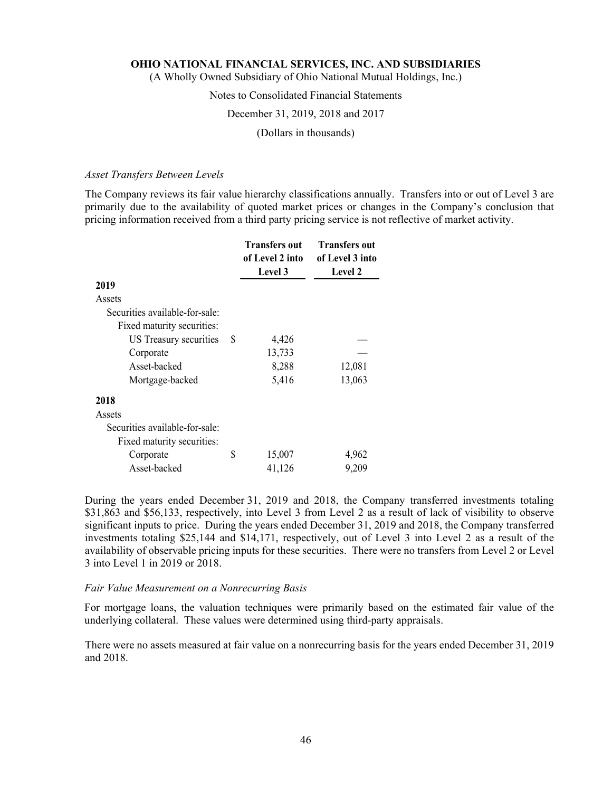(A Wholly Owned Subsidiary of Ohio National Mutual Holdings, Inc.)

### Notes to Consolidated Financial Statements

### December 31, 2019, 2018 and 2017

#### (Dollars in thousands)

#### *Asset Transfers Between Levels*

The Company reviews its fair value hierarchy classifications annually. Transfers into or out of Level 3 are primarily due to the availability of quoted market prices or changes in the Company's conclusion that pricing information received from a third party pricing service is not reflective of market activity.

|                                |   | <b>Transfers out</b><br>of Level 2 into | <b>Transfers out</b><br>of Level 3 into |
|--------------------------------|---|-----------------------------------------|-----------------------------------------|
|                                |   | Level 3                                 | <b>Level 2</b>                          |
| 2019                           |   |                                         |                                         |
| Assets                         |   |                                         |                                         |
| Securities available-for-sale: |   |                                         |                                         |
| Fixed maturity securities:     |   |                                         |                                         |
| US Treasury securities         | S | 4,426                                   |                                         |
| Corporate                      |   | 13,733                                  |                                         |
| Asset-backed                   |   | 8,288                                   | 12,081                                  |
| Mortgage-backed                |   | 5,416                                   | 13,063                                  |
| 2018                           |   |                                         |                                         |
| Assets                         |   |                                         |                                         |
| Securities available-for-sale: |   |                                         |                                         |
| Fixed maturity securities:     |   |                                         |                                         |
| Corporate                      | S | 15,007                                  | 4,962                                   |
| Asset-backed                   |   | 41,126                                  | 9,209                                   |

During the years ended December 31, 2019 and 2018, the Company transferred investments totaling \$31,863 and \$56,133, respectively, into Level 3 from Level 2 as a result of lack of visibility to observe significant inputs to price. During the years ended December 31, 2019 and 2018, the Company transferred investments totaling \$25,144 and \$14,171, respectively, out of Level 3 into Level 2 as a result of the availability of observable pricing inputs for these securities. There were no transfers from Level 2 or Level 3 into Level 1 in 2019 or 2018.

#### *Fair Value Measurement on a Nonrecurring Basis*

For mortgage loans, the valuation techniques were primarily based on the estimated fair value of the underlying collateral. These values were determined using third-party appraisals.

There were no assets measured at fair value on a nonrecurring basis for the years ended December 31, 2019 and 2018.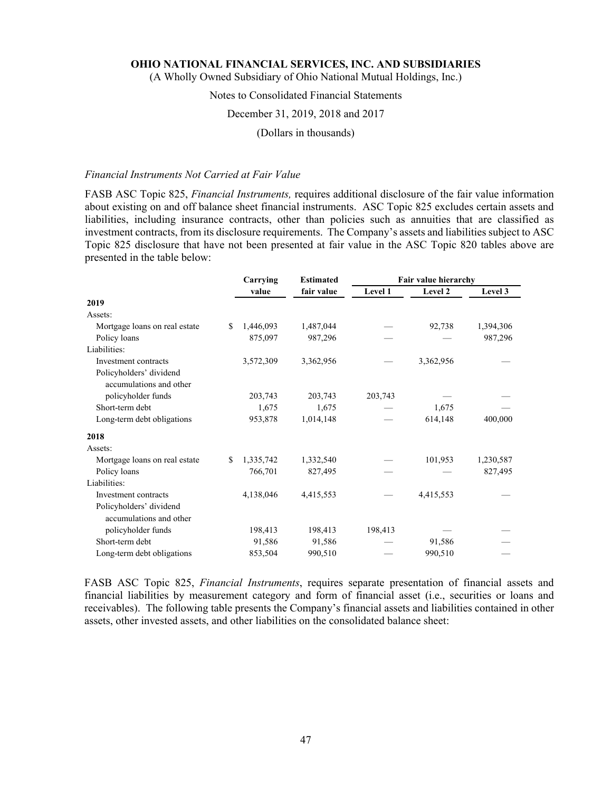(A Wholly Owned Subsidiary of Ohio National Mutual Holdings, Inc.)

## Notes to Consolidated Financial Statements

### December 31, 2019, 2018 and 2017

(Dollars in thousands)

### *Financial Instruments Not Carried at Fair Value*

FASB ASC Topic 825, *Financial Instruments,* requires additional disclosure of the fair value information about existing on and off balance sheet financial instruments. ASC Topic 825 excludes certain assets and liabilities, including insurance contracts, other than policies such as annuities that are classified as investment contracts, from its disclosure requirements. The Company's assets and liabilities subject to ASC Topic 825 disclosure that have not been presented at fair value in the ASC Topic 820 tables above are presented in the table below:

|                               |     | Carrying  | <b>Estimated</b> | Fair value hierarchy |           |           |
|-------------------------------|-----|-----------|------------------|----------------------|-----------|-----------|
|                               |     | value     | fair value       | Level 1              | Level 2   | Level 3   |
| 2019                          |     |           |                  |                      |           |           |
| Assets:                       |     |           |                  |                      |           |           |
| Mortgage loans on real estate | \$. | 1,446,093 | 1,487,044        |                      | 92,738    | 1,394,306 |
| Policy loans                  |     | 875,097   | 987,296          |                      |           | 987,296   |
| Liabilities:                  |     |           |                  |                      |           |           |
| Investment contracts          |     | 3,572,309 | 3,362,956        |                      | 3,362,956 |           |
| Policyholders' dividend       |     |           |                  |                      |           |           |
| accumulations and other       |     |           |                  |                      |           |           |
| policyholder funds            |     | 203,743   | 203,743          | 203,743              |           |           |
| Short-term debt               |     | 1,675     | 1,675            |                      | 1.675     |           |
| Long-term debt obligations    |     | 953,878   | 1,014,148        |                      | 614,148   | 400,000   |
| 2018                          |     |           |                  |                      |           |           |
| Assets:                       |     |           |                  |                      |           |           |
| Mortgage loans on real estate | S.  | 1,335,742 | 1,332,540        |                      | 101,953   | 1,230,587 |
| Policy loans                  |     | 766,701   | 827,495          |                      |           | 827,495   |
| Liabilities:                  |     |           |                  |                      |           |           |
| Investment contracts          |     | 4,138,046 | 4,415,553        |                      | 4,415,553 |           |
| Policyholders' dividend       |     |           |                  |                      |           |           |
| accumulations and other       |     |           |                  |                      |           |           |
| policyholder funds            |     | 198,413   | 198,413          | 198,413              |           |           |
| Short-term debt               |     | 91,586    | 91,586           |                      | 91,586    |           |
| Long-term debt obligations    |     | 853,504   | 990,510          |                      | 990,510   |           |

FASB ASC Topic 825, *Financial Instruments*, requires separate presentation of financial assets and financial liabilities by measurement category and form of financial asset (i.e., securities or loans and receivables). The following table presents the Company's financial assets and liabilities contained in other assets, other invested assets, and other liabilities on the consolidated balance sheet: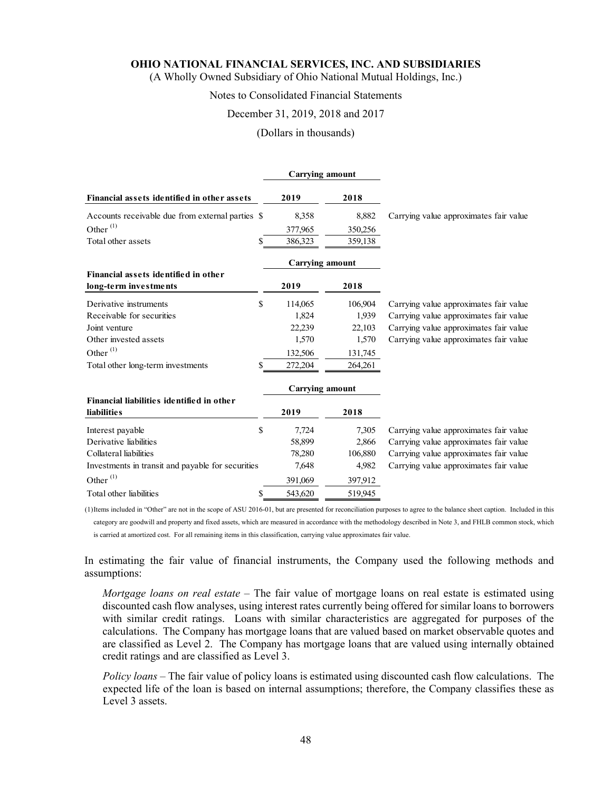(A Wholly Owned Subsidiary of Ohio National Mutual Holdings, Inc.)

### Notes to Consolidated Financial Statements

### December 31, 2019, 2018 and 2017

#### (Dollars in thousands)

|                                                   |         | <b>Carrying amount</b> |                                        |
|---------------------------------------------------|---------|------------------------|----------------------------------------|
| Financial assets identified in other assets       | 2019    | 2018                   |                                        |
| Accounts receivable due from external parties \$  | 8,358   | 8,882                  | Carrying value approximates fair value |
| Other <sup>(1)</sup>                              | 377,965 | 350,256                |                                        |
| Total other assets<br>S                           | 386,323 | 359,138                |                                        |
|                                                   |         | <b>Carrying amount</b> |                                        |
| Financial assets identified in other              |         |                        |                                        |
| long-term investments                             | 2019    | 2018                   |                                        |
| \$<br>Derivative instruments                      | 114,065 | 106,904                | Carrying value approximates fair value |
| Receivable for securities                         | 1,824   | 1,939                  | Carrying value approximates fair value |
| Joint venture                                     | 22,239  | 22,103                 | Carrying value approximates fair value |
| Other invested assets                             | 1,570   | 1,570                  | Carrying value approximates fair value |
| Other $^{(1)}$                                    | 132,506 | 131,745                |                                        |
| Total other long-term investments<br>S            | 272,204 | 264,261                |                                        |
|                                                   |         | <b>Carrying amount</b> |                                        |
| Financial liabilities identified in other         |         |                        |                                        |
| <b>liabilities</b>                                | 2019    | 2018                   |                                        |
| \$<br>Interest payable                            | 7,724   | 7,305                  | Carrying value approximates fair value |
| Derivative liabilities                            | 58,899  | 2,866                  | Carrying value approximates fair value |
| Collateral liabilities                            | 78,280  | 106,880                | Carrying value approximates fair value |
| Investments in transit and payable for securities | 7,648   | 4,982                  | Carrying value approximates fair value |
| Other <sup>(1)</sup>                              | 391,069 | 397,912                |                                        |
| Total other liabilities<br>\$                     | 543,620 | 519,945                |                                        |

(1) Items included in "Other" are not in the scope of ASU 2016-01, but are presented for reconciliation purposes to agree to the balance sheet caption. Included in this category are goodwill and property and fixed assets, which are measured in accordance with the methodology described in Note 3, and FHLB common stock, which is carried at amortized cost. For all remaining items in this classification, carrying value approximates fair value.

In estimating the fair value of financial instruments, the Company used the following methods and assumptions:

*Mortgage loans on real estate* – The fair value of mortgage loans on real estate is estimated using discounted cash flow analyses, using interest rates currently being offered for similar loans to borrowers with similar credit ratings. Loans with similar characteristics are aggregated for purposes of the calculations. The Company has mortgage loans that are valued based on market observable quotes and are classified as Level 2. The Company has mortgage loans that are valued using internally obtained credit ratings and are classified as Level 3.

*Policy loans* – The fair value of policy loans is estimated using discounted cash flow calculations. The expected life of the loan is based on internal assumptions; therefore, the Company classifies these as Level 3 assets.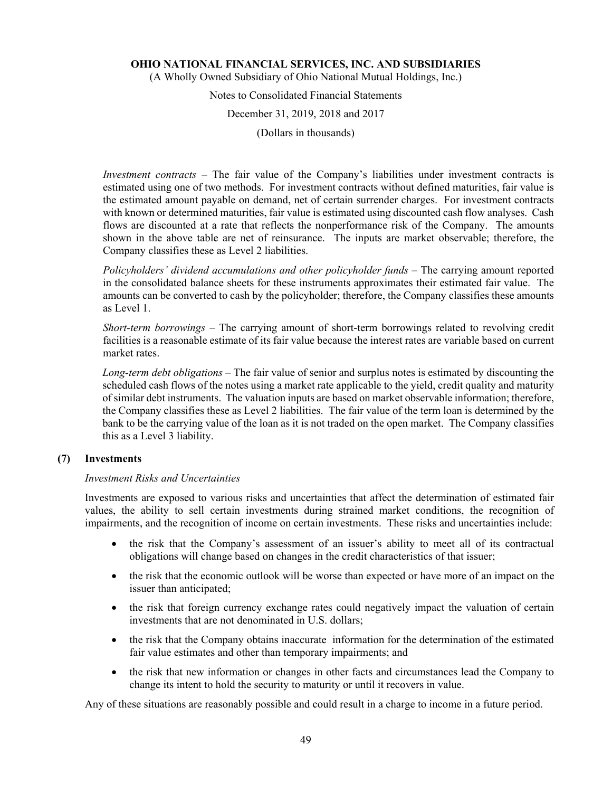(A Wholly Owned Subsidiary of Ohio National Mutual Holdings, Inc.)

Notes to Consolidated Financial Statements

December 31, 2019, 2018 and 2017

(Dollars in thousands)

*Investment contracts* – The fair value of the Company's liabilities under investment contracts is estimated using one of two methods. For investment contracts without defined maturities, fair value is the estimated amount payable on demand, net of certain surrender charges. For investment contracts with known or determined maturities, fair value is estimated using discounted cash flow analyses. Cash flows are discounted at a rate that reflects the nonperformance risk of the Company. The amounts shown in the above table are net of reinsurance. The inputs are market observable; therefore, the Company classifies these as Level 2 liabilities.

Policyholders' dividend accumulations and other policyholder funds - The carrying amount reported in the consolidated balance sheets for these instruments approximates their estimated fair value. The amounts can be converted to cash by the policyholder; therefore, the Company classifies these amounts as Level 1.

*Short-term borrowings* – The carrying amount of short-term borrowings related to revolving credit facilities is a reasonable estimate of its fair value because the interest rates are variable based on current market rates.

*Long-term debt obligations –* The fair value of senior and surplus notes is estimated by discounting the scheduled cash flows of the notes using a market rate applicable to the yield, credit quality and maturity of similar debt instruments. The valuation inputs are based on market observable information; therefore, the Company classifies these as Level 2 liabilities. The fair value of the term loan is determined by the bank to be the carrying value of the loan as it is not traded on the open market. The Company classifies this as a Level 3 liability.

### **(7) Investments**

### *Investment Risks and Uncertainties*

Investments are exposed to various risks and uncertainties that affect the determination of estimated fair values, the ability to sell certain investments during strained market conditions, the recognition of impairments, and the recognition of income on certain investments. These risks and uncertainties include:

- the risk that the Company's assessment of an issuer's ability to meet all of its contractual obligations will change based on changes in the credit characteristics of that issuer;
- the risk that the economic outlook will be worse than expected or have more of an impact on the issuer than anticipated;
- the risk that foreign currency exchange rates could negatively impact the valuation of certain investments that are not denominated in U.S. dollars;
- the risk that the Company obtains inaccurate information for the determination of the estimated fair value estimates and other than temporary impairments; and
- the risk that new information or changes in other facts and circumstances lead the Company to change its intent to hold the security to maturity or until it recovers in value.

Any of these situations are reasonably possible and could result in a charge to income in a future period.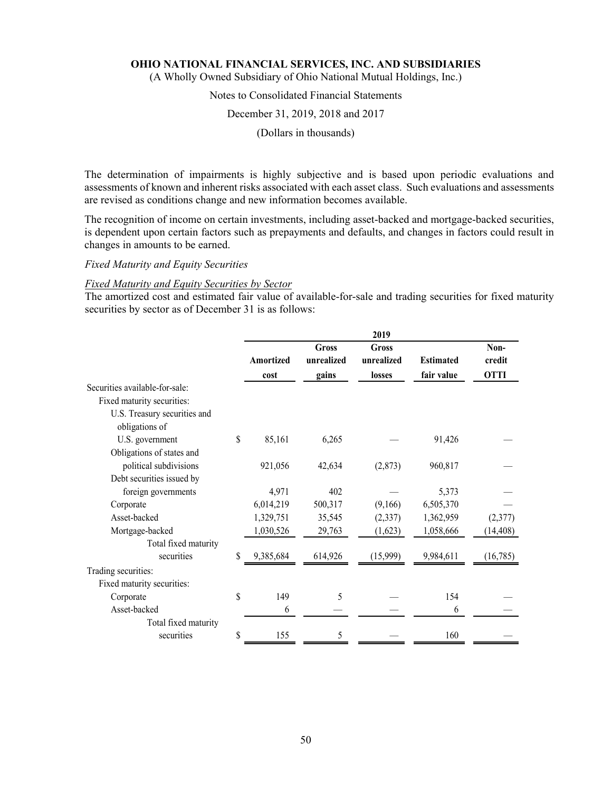(A Wholly Owned Subsidiary of Ohio National Mutual Holdings, Inc.)

## Notes to Consolidated Financial Statements

### December 31, 2019, 2018 and 2017

(Dollars in thousands)

The determination of impairments is highly subjective and is based upon periodic evaluations and assessments of known and inherent risks associated with each asset class. Such evaluations and assessments are revised as conditions change and new information becomes available.

The recognition of income on certain investments, including asset-backed and mortgage-backed securities, is dependent upon certain factors such as prepayments and defaults, and changes in factors could result in changes in amounts to be earned.

### *Fixed Maturity and Equity Securities*

#### *Fixed Maturity and Equity Securities by Sector*

The amortized cost and estimated fair value of available-for-sale and trading securities for fixed maturity securities by sector as of December 31 is as follows:

|                                                |                   |                              | 2019                                 |                                |                               |
|------------------------------------------------|-------------------|------------------------------|--------------------------------------|--------------------------------|-------------------------------|
|                                                | Amortized<br>cost | Gross<br>unrealized<br>gains | <b>Gross</b><br>unrealized<br>losses | <b>Estimated</b><br>fair value | Non-<br>credit<br><b>OTTI</b> |
| Securities available-for-sale:                 |                   |                              |                                      |                                |                               |
| Fixed maturity securities:                     |                   |                              |                                      |                                |                               |
| U.S. Treasury securities and<br>obligations of |                   |                              |                                      |                                |                               |
| U.S. government                                | \$<br>85,161      | 6,265                        |                                      | 91,426                         |                               |
| Obligations of states and                      |                   |                              |                                      |                                |                               |
| political subdivisions                         | 921,056           | 42,634                       | (2,873)                              | 960,817                        |                               |
| Debt securities issued by                      |                   |                              |                                      |                                |                               |
| foreign governments                            | 4,971             | 402                          |                                      | 5,373                          |                               |
| Corporate                                      | 6,014,219         | 500,317                      | (9,166)                              | 6,505,370                      |                               |
| Asset-backed                                   | 1,329,751         | 35,545                       | (2, 337)                             | 1,362,959                      | (2,377)                       |
| Mortgage-backed                                | 1,030,526         | 29,763                       | (1,623)                              | 1,058,666                      | (14, 408)                     |
| Total fixed maturity                           |                   |                              |                                      |                                |                               |
| securities                                     | \$<br>9,385,684   | 614,926                      | (15,999)                             | 9,984,611                      | (16, 785)                     |
| Trading securities:                            |                   |                              |                                      |                                |                               |
| Fixed maturity securities:                     |                   |                              |                                      |                                |                               |
| Corporate                                      | \$<br>149         | 5                            |                                      | 154                            |                               |
| Asset-backed                                   | 6                 |                              |                                      | 6                              |                               |
| Total fixed maturity                           |                   |                              |                                      |                                |                               |
| securities                                     | \$<br>155         | 5                            |                                      | 160                            |                               |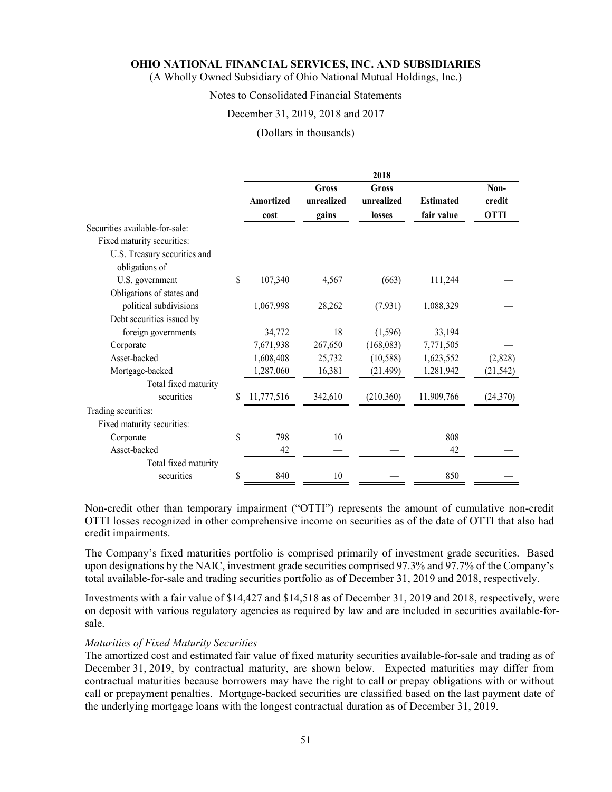(A Wholly Owned Subsidiary of Ohio National Mutual Holdings, Inc.)

## Notes to Consolidated Financial Statements

### December 31, 2019, 2018 and 2017

(Dollars in thousands)

|                                |    |            |              | 2018         |                  |             |
|--------------------------------|----|------------|--------------|--------------|------------------|-------------|
|                                |    |            | <b>Gross</b> | <b>Gross</b> |                  | Non-        |
|                                |    | Amortized  | unrealized   | unrealized   | <b>Estimated</b> | credit      |
|                                |    | cost       | gains        | losses       | fair value       | <b>OTTI</b> |
| Securities available-for-sale: |    |            |              |              |                  |             |
| Fixed maturity securities:     |    |            |              |              |                  |             |
| U.S. Treasury securities and   |    |            |              |              |                  |             |
| obligations of                 |    |            |              |              |                  |             |
| U.S. government                | S  | 107,340    | 4,567        | (663)        | 111,244          |             |
| Obligations of states and      |    |            |              |              |                  |             |
| political subdivisions         |    | 1,067,998  | 28,262       | (7, 931)     | 1,088,329        |             |
| Debt securities issued by      |    |            |              |              |                  |             |
| foreign governments            |    | 34,772     | 18           | (1,596)      | 33,194           |             |
| Corporate                      |    | 7,671,938  | 267,650      | (168,083)    | 7,771,505        |             |
| Asset-backed                   |    | 1,608,408  | 25,732       | (10, 588)    | 1,623,552        | (2,828)     |
| Mortgage-backed                |    | 1,287,060  | 16,381       | (21, 499)    | 1,281,942        | (21, 542)   |
| Total fixed maturity           |    |            |              |              |                  |             |
| securities                     | \$ | 11,777,516 | 342,610      | (210, 360)   | 11,909,766       | (24, 370)   |
| Trading securities:            |    |            |              |              |                  |             |
| Fixed maturity securities:     |    |            |              |              |                  |             |
| Corporate                      | \$ | 798        | 10           |              | 808              |             |
| Asset-backed                   |    | 42         |              |              | 42               |             |
| Total fixed maturity           |    |            |              |              |                  |             |
| securities                     | \$ | 840        | 10           |              | 850              |             |

Non-credit other than temporary impairment ("OTTI") represents the amount of cumulative non-credit OTTI losses recognized in other comprehensive income on securities as of the date of OTTI that also had credit impairments.

The Company's fixed maturities portfolio is comprised primarily of investment grade securities. Based upon designations by the NAIC, investment grade securities comprised 97.3% and 97.7% of the Company's total available-for-sale and trading securities portfolio as of December 31, 2019 and 2018, respectively.

Investments with a fair value of \$14,427 and \$14,518 as of December 31, 2019 and 2018, respectively, were on deposit with various regulatory agencies as required by law and are included in securities available-forsale.

### *Maturities of Fixed Maturity Securities*

The amortized cost and estimated fair value of fixed maturity securities available-for-sale and trading as of December 31, 2019, by contractual maturity, are shown below. Expected maturities may differ from contractual maturities because borrowers may have the right to call or prepay obligations with or without call or prepayment penalties. Mortgage-backed securities are classified based on the last payment date of the underlying mortgage loans with the longest contractual duration as of December 31, 2019.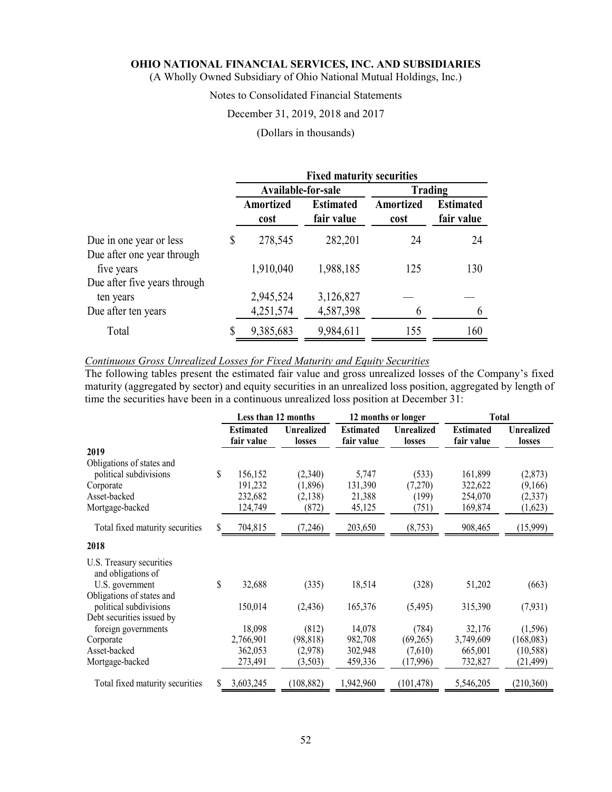(A Wholly Owned Subsidiary of Ohio National Mutual Holdings, Inc.)

### Notes to Consolidated Financial Statements

### December 31, 2019, 2018 and 2017

### (Dollars in thousands)

|                                                       | <b>Fixed maturity securities</b> |                                |                          |                                |  |  |
|-------------------------------------------------------|----------------------------------|--------------------------------|--------------------------|--------------------------------|--|--|
|                                                       | Available-for-sale               |                                | <b>Trading</b>           |                                |  |  |
|                                                       | Amortized<br>cost                | <b>Estimated</b><br>fair value | <b>Amortized</b><br>cost | <b>Estimated</b><br>fair value |  |  |
| Due in one year or less<br>Due after one year through | \$<br>278,545                    | 282,201                        | 24                       | 24                             |  |  |
| five years                                            | 1,910,040                        | 1,988,185                      | 125                      | 130                            |  |  |
| Due after five years through                          |                                  |                                |                          |                                |  |  |
| ten years                                             | 2,945,524                        | 3,126,827                      |                          |                                |  |  |
| Due after ten years                                   | 4,251,574                        | 4,587,398                      |                          |                                |  |  |
| Total                                                 | 9,385,683                        | 9,984,611                      | 155                      | 160                            |  |  |

### *Continuous Gross Unrealized Losses for Fixed Maturity and Equity Securities*

The following tables present the estimated fair value and gross unrealized losses of the Company's fixed maturity (aggregated by sector) and equity securities in an unrealized loss position, aggregated by length of time the securities have been in a continuous unrealized loss position at December 31:

|                                                                                                     |    | Less than 12 months                      |                                        |                                      | 12 months or longer                | <b>Total</b>                             |                                           |
|-----------------------------------------------------------------------------------------------------|----|------------------------------------------|----------------------------------------|--------------------------------------|------------------------------------|------------------------------------------|-------------------------------------------|
|                                                                                                     |    | <b>Estimated</b><br>fair value           | <b>Unrealized</b><br>losses            | <b>Estimated</b><br>fair value       | <b>Unrealized</b><br>losses        | <b>Estimated</b><br>fair value           | <b>Unrealized</b><br>losses               |
| 2019                                                                                                |    |                                          |                                        |                                      |                                    |                                          |                                           |
| Obligations of states and<br>political subdivisions<br>Corporate<br>Asset-backed<br>Mortgage-backed | \$ | 156,152<br>191,232<br>232,682<br>124,749 | (2,340)<br>(1,896)<br>(2,138)<br>(872) | 5,747<br>131,390<br>21,388<br>45,125 | (533)<br>(7,270)<br>(199)<br>(751) | 161,899<br>322,622<br>254,070<br>169,874 | (2, 873)<br>(9,166)<br>(2,337)<br>(1,623) |
| Total fixed maturity securities                                                                     | S  | 704,815                                  | (7,246)                                | 203,650                              | (8,753)                            | 908,465                                  | (15,999)                                  |
| 2018                                                                                                |    |                                          |                                        |                                      |                                    |                                          |                                           |
| U.S. Treasury securities<br>and obligations of<br>U.S. government                                   | \$ | 32,688                                   | (335)                                  | 18,514                               | (328)                              | 51,202                                   | (663)                                     |
| Obligations of states and<br>political subdivisions                                                 |    | 150,014                                  | (2, 436)                               | 165,376                              | (5,495)                            | 315,390                                  | (7, 931)                                  |
| Debt securities issued by<br>foreign governments                                                    |    | 18,098                                   | (812)                                  | 14,078                               | (784)                              | 32,176                                   | (1, 596)                                  |
| Corporate<br>Asset-backed                                                                           |    | 2,766,901<br>362,053                     | (98, 818)<br>(2,978)                   | 982,708<br>302,948                   | (69,265)<br>(7,610)                | 3,749,609<br>665,001                     | (168, 083)<br>(10, 588)                   |
| Mortgage-backed                                                                                     |    | 273,491                                  | (3,503)                                | 459,336                              | (17,996)                           | 732,827                                  | (21, 499)                                 |
| Total fixed maturity securities                                                                     |    | 3,603,245                                | (108, 882)                             | 1,942,960                            | (101, 478)                         | 5,546,205                                | (210,360)                                 |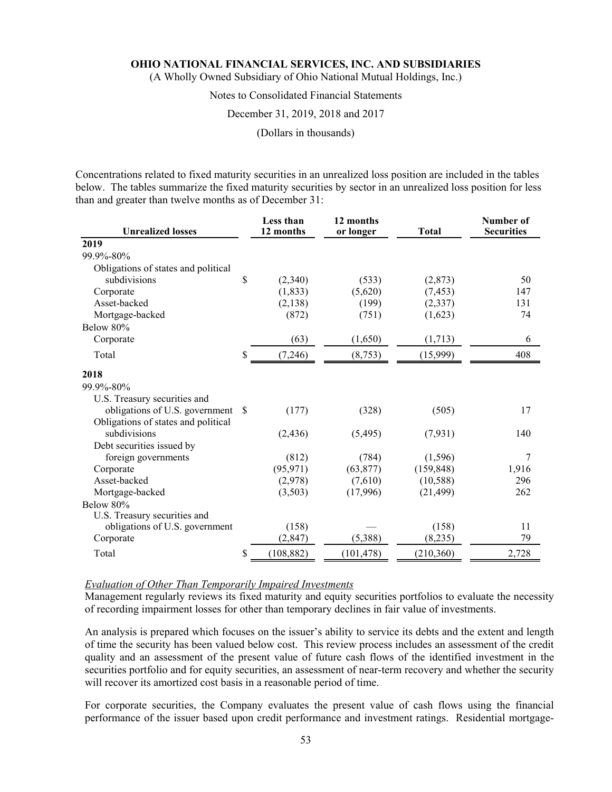(A Wholly Owned Subsidiary of Ohio National Mutual Holdings, Inc.)

## Notes to Consolidated Financial Statements

### December 31, 2019, 2018 and 2017

### (Dollars in thousands)

Concentrations related to fixed maturity securities in an unrealized loss position are included in the tables below. The tables summarize the fixed maturity securities by sector in an unrealized loss position for less than and greater than twelve months as of December 31:

| <b>Unrealized losses</b>            | <b>Less than</b><br>12 months | 12 months<br>or longer | <b>Total</b> | Number of<br><b>Securities</b> |
|-------------------------------------|-------------------------------|------------------------|--------------|--------------------------------|
| 2019                                |                               |                        |              |                                |
| 99.9%-80%                           |                               |                        |              |                                |
| Obligations of states and political |                               |                        |              |                                |
| subdivisions                        | \$<br>(2,340)                 | (533)                  | (2,873)      | 50                             |
| Corporate                           | (1,833)                       | (5,620)                | (7, 453)     | 147                            |
| Asset-backed                        | (2,138)                       | (199)                  | (2,337)      | 131                            |
| Mortgage-backed                     | (872)                         | (751)                  | (1,623)      | 74                             |
| Below 80%                           |                               |                        |              |                                |
| Corporate                           | (63)                          | (1,650)                | (1,713)      | 6                              |
| Total                               | \$<br>(7,246)                 | (8,753)                | (15,999)     | 408                            |
| 2018                                |                               |                        |              |                                |
| 99.9%-80%                           |                               |                        |              |                                |
| U.S. Treasury securities and        |                               |                        |              |                                |
| obligations of U.S. government \$   | (177)                         | (328)                  | (505)        | 17                             |
| Obligations of states and political |                               |                        |              |                                |
| subdivisions                        | (2, 436)                      | (5,495)                | (7,931)      | 140                            |
| Debt securities issued by           |                               |                        |              |                                |
| foreign governments                 | (812)                         | (784)                  | (1, 596)     | 7                              |
| Corporate                           | (95, 971)                     | (63, 877)              | (159, 848)   | 1,916                          |
| Asset-backed                        | (2,978)                       | (7,610)                | (10, 588)    | 296                            |
| Mortgage-backed                     | (3,503)                       | (17,996)               | (21, 499)    | 262                            |
| Below 80%                           |                               |                        |              |                                |
| U.S. Treasury securities and        |                               |                        |              |                                |
| obligations of U.S. government      | (158)                         |                        | (158)        | 11                             |
| Corporate                           | (2, 847)                      | (5,388)                | (8,235)      | 79                             |
| Total                               | \$<br>(108, 882)              | (101, 478)             | (210, 360)   | 2,728                          |

### *Evaluation of Other Than Temporarily Impaired Investments*

Management regularly reviews its fixed maturity and equity securities portfolios to evaluate the necessity of recording impairment losses for other than temporary declines in fair value of investments.

An analysis is prepared which focuses on the issuer's ability to service its debts and the extent and length of time the security has been valued below cost. This review process includes an assessment of the credit quality and an assessment of the present value of future cash flows of the identified investment in the securities portfolio and for equity securities, an assessment of near-term recovery and whether the security will recover its amortized cost basis in a reasonable period of time.

For corporate securities, the Company evaluates the present value of cash flows using the financial performance of the issuer based upon credit performance and investment ratings. Residential mortgage-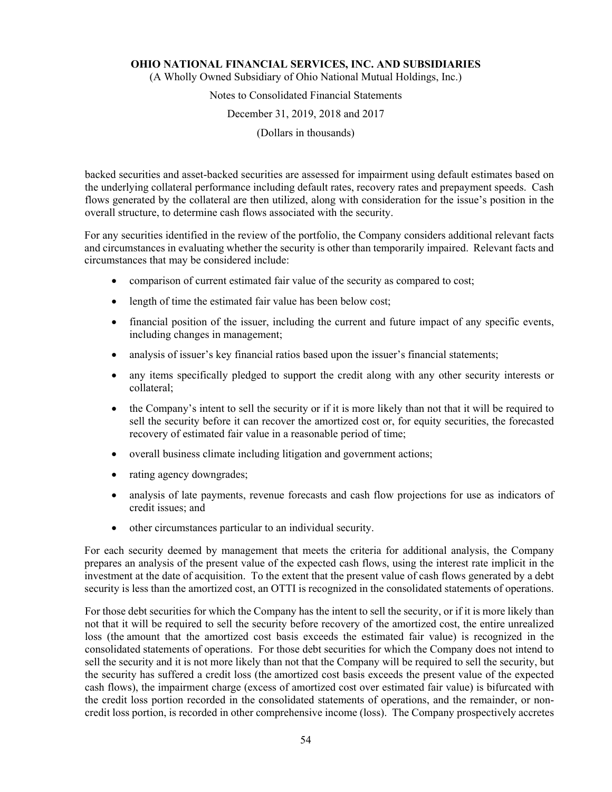(A Wholly Owned Subsidiary of Ohio National Mutual Holdings, Inc.)

## Notes to Consolidated Financial Statements

### December 31, 2019, 2018 and 2017

(Dollars in thousands)

backed securities and asset-backed securities are assessed for impairment using default estimates based on the underlying collateral performance including default rates, recovery rates and prepayment speeds. Cash flows generated by the collateral are then utilized, along with consideration for the issue's position in the overall structure, to determine cash flows associated with the security.

For any securities identified in the review of the portfolio, the Company considers additional relevant facts and circumstances in evaluating whether the security is other than temporarily impaired. Relevant facts and circumstances that may be considered include:

- comparison of current estimated fair value of the security as compared to cost;
- length of time the estimated fair value has been below cost;
- financial position of the issuer, including the current and future impact of any specific events, including changes in management;
- analysis of issuer's key financial ratios based upon the issuer's financial statements;
- any items specifically pledged to support the credit along with any other security interests or collateral;
- the Company's intent to sell the security or if it is more likely than not that it will be required to sell the security before it can recover the amortized cost or, for equity securities, the forecasted recovery of estimated fair value in a reasonable period of time;
- overall business climate including litigation and government actions;
- rating agency downgrades;
- analysis of late payments, revenue forecasts and cash flow projections for use as indicators of credit issues; and
- other circumstances particular to an individual security.

For each security deemed by management that meets the criteria for additional analysis, the Company prepares an analysis of the present value of the expected cash flows, using the interest rate implicit in the investment at the date of acquisition. To the extent that the present value of cash flows generated by a debt security is less than the amortized cost, an OTTI is recognized in the consolidated statements of operations.

For those debt securities for which the Company has the intent to sell the security, or if it is more likely than not that it will be required to sell the security before recovery of the amortized cost, the entire unrealized loss (the amount that the amortized cost basis exceeds the estimated fair value) is recognized in the consolidated statements of operations. For those debt securities for which the Company does not intend to sell the security and it is not more likely than not that the Company will be required to sell the security, but the security has suffered a credit loss (the amortized cost basis exceeds the present value of the expected cash flows), the impairment charge (excess of amortized cost over estimated fair value) is bifurcated with the credit loss portion recorded in the consolidated statements of operations, and the remainder, or noncredit loss portion, is recorded in other comprehensive income (loss). The Company prospectively accretes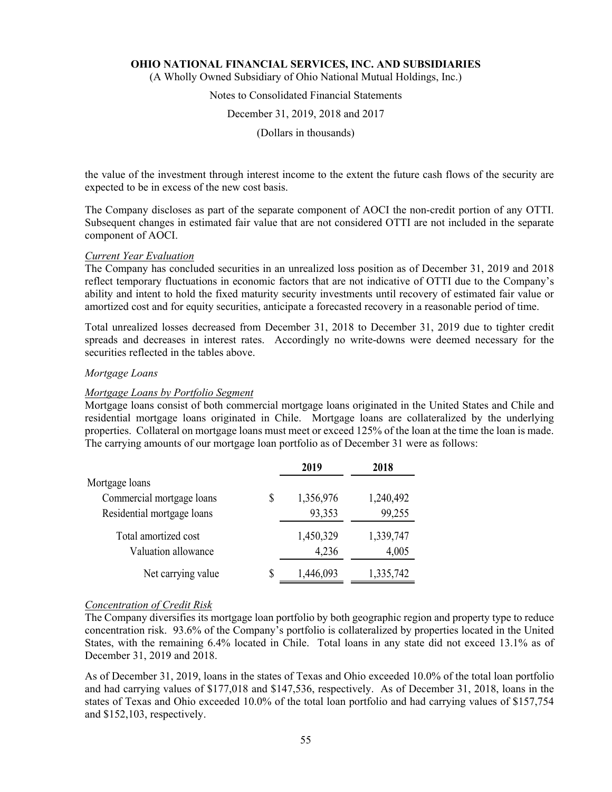(A Wholly Owned Subsidiary of Ohio National Mutual Holdings, Inc.)

### Notes to Consolidated Financial Statements

#### December 31, 2019, 2018 and 2017

(Dollars in thousands)

the value of the investment through interest income to the extent the future cash flows of the security are expected to be in excess of the new cost basis.

The Company discloses as part of the separate component of AOCI the non-credit portion of any OTTI. Subsequent changes in estimated fair value that are not considered OTTI are not included in the separate component of AOCI.

#### *Current Year Evaluation*

The Company has concluded securities in an unrealized loss position as of December 31, 2019 and 2018 reflect temporary fluctuations in economic factors that are not indicative of OTTI due to the Company's ability and intent to hold the fixed maturity security investments until recovery of estimated fair value or amortized cost and for equity securities, anticipate a forecasted recovery in a reasonable period of time.

Total unrealized losses decreased from December 31, 2018 to December 31, 2019 due to tighter credit spreads and decreases in interest rates. Accordingly no write-downs were deemed necessary for the securities reflected in the tables above.

#### *Mortgage Loans*

#### *Mortgage Loans by Portfolio Segment*

Mortgage loans consist of both commercial mortgage loans originated in the United States and Chile and residential mortgage loans originated in Chile. Mortgage loans are collateralized by the underlying properties. Collateral on mortgage loans must meet or exceed 125% of the loan at the time the loan is made. The carrying amounts of our mortgage loan portfolio as of December 31 were as follows:

|                            |    | 2019      | 2018      |
|----------------------------|----|-----------|-----------|
| Mortgage loans             |    |           |           |
| Commercial mortgage loans  | \$ | 1,356,976 | 1,240,492 |
| Residential mortgage loans |    | 93,353    | 99,255    |
| Total amortized cost       |    | 1,450,329 | 1,339,747 |
| Valuation allowance        |    | 4,236     | 4,005     |
| Net carrying value         | S  | 1,446,093 | 1,335,742 |

#### *Concentration of Credit Risk*

The Company diversifies its mortgage loan portfolio by both geographic region and property type to reduce concentration risk. 93.6% of the Company's portfolio is collateralized by properties located in the United States, with the remaining 6.4% located in Chile. Total loans in any state did not exceed 13.1% as of December 31, 2019 and 2018.

As of December 31, 2019, loans in the states of Texas and Ohio exceeded 10.0% of the total loan portfolio and had carrying values of \$177,018 and \$147,536, respectively. As of December 31, 2018, loans in the states of Texas and Ohio exceeded 10.0% of the total loan portfolio and had carrying values of \$157,754 and \$152,103, respectively.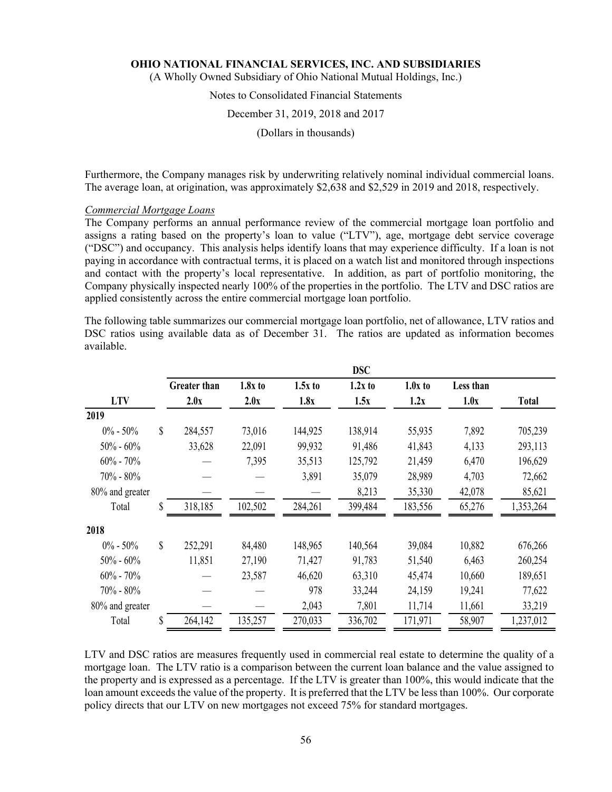(A Wholly Owned Subsidiary of Ohio National Mutual Holdings, Inc.)

### Notes to Consolidated Financial Statements

### December 31, 2019, 2018 and 2017

(Dollars in thousands)

Furthermore, the Company manages risk by underwriting relatively nominal individual commercial loans. The average loan, at origination, was approximately \$2,638 and \$2,529 in 2019 and 2018, respectively.

#### *Commercial Mortgage Loans*

The Company performs an annual performance review of the commercial mortgage loan portfolio and assigns a rating based on the property's loan to value ("LTV"), age, mortgage debt service coverage ("DSC") and occupancy. This analysis helps identify loans that may experience difficulty. If a loan is not paying in accordance with contractual terms, it is placed on a watch list and monitored through inspections and contact with the property's local representative. In addition, as part of portfolio monitoring, the Company physically inspected nearly 100% of the properties in the portfolio. The LTV and DSC ratios are applied consistently across the entire commercial mortgage loan portfolio.

The following table summarizes our commercial mortgage loan portfolio, net of allowance, LTV ratios and DSC ratios using available data as of December 31. The ratios are updated as information becomes available.

|                 |                     |           |           | <b>DSC</b> |           |           |              |
|-----------------|---------------------|-----------|-----------|------------|-----------|-----------|--------------|
|                 | <b>Greater than</b> | $1.8x$ to | $1.5x$ to | $1.2x$ to  | $1.0x$ to | Less than |              |
| <b>LTV</b>      | 2.0x                | 2.0x      | 1.8x      | 1.5x       | 1.2x      | 1.0x      | <b>Total</b> |
| 2019            |                     |           |           |            |           |           |              |
| $0\% - 50\%$    | \$<br>284,557       | 73,016    | 144,925   | 138,914    | 55,935    | 7,892     | 705,239      |
| $50\% - 60\%$   | 33,628              | 22,091    | 99,932    | 91,486     | 41,843    | 4,133     | 293,113      |
| $60\% - 70\%$   |                     | 7,395     | 35,513    | 125,792    | 21,459    | 6,470     | 196,629      |
| 70% - 80%       |                     |           | 3,891     | 35,079     | 28,989    | 4,703     | 72,662       |
| 80% and greater |                     |           |           | 8,213      | 35,330    | 42,078    | 85,621       |
| Total           | \$<br>318,185       | 102,502   | 284,261   | 399,484    | 183,556   | 65,276    | 1,353,264    |
| 2018            |                     |           |           |            |           |           |              |
| $0\% - 50\%$    | \$<br>252,291       | 84,480    | 148,965   | 140,564    | 39,084    | 10,882    | 676,266      |
| $50\% - 60\%$   | 11,851              | 27,190    | 71,427    | 91,783     | 51,540    | 6,463     | 260,254      |
| $60\% - 70\%$   |                     | 23,587    | 46,620    | 63,310     | 45,474    | 10,660    | 189,651      |
| $70\% - 80\%$   |                     |           | 978       | 33,244     | 24,159    | 19,241    | 77,622       |
| 80% and greater |                     |           | 2,043     | 7,801      | 11,714    | 11,661    | 33,219       |
| Total           | \$<br>264,142       | 135,257   | 270,033   | 336,702    | 171,971   | 58,907    | 1,237,012    |

LTV and DSC ratios are measures frequently used in commercial real estate to determine the quality of a mortgage loan. The LTV ratio is a comparison between the current loan balance and the value assigned to the property and is expressed as a percentage. If the LTV is greater than 100%, this would indicate that the loan amount exceeds the value of the property. It is preferred that the LTV be less than 100%. Our corporate policy directs that our LTV on new mortgages not exceed 75% for standard mortgages.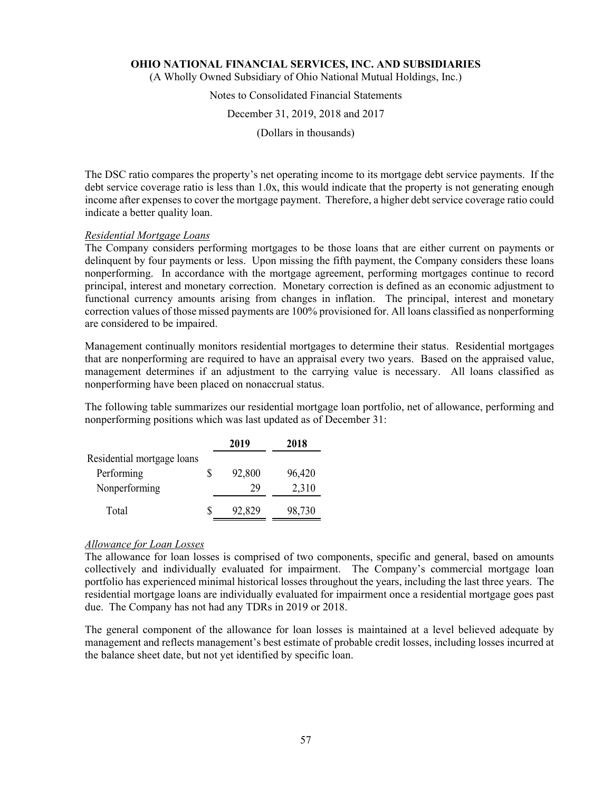(A Wholly Owned Subsidiary of Ohio National Mutual Holdings, Inc.)

### Notes to Consolidated Financial Statements

### December 31, 2019, 2018 and 2017

(Dollars in thousands)

The DSC ratio compares the property's net operating income to its mortgage debt service payments. If the debt service coverage ratio is less than 1.0x, this would indicate that the property is not generating enough income after expenses to cover the mortgage payment. Therefore, a higher debt service coverage ratio could indicate a better quality loan.

### *Residential Mortgage Loans*

The Company considers performing mortgages to be those loans that are either current on payments or delinquent by four payments or less. Upon missing the fifth payment, the Company considers these loans nonperforming. In accordance with the mortgage agreement, performing mortgages continue to record principal, interest and monetary correction. Monetary correction is defined as an economic adjustment to functional currency amounts arising from changes in inflation. The principal, interest and monetary correction values of those missed payments are 100% provisioned for. All loans classified as nonperforming are considered to be impaired.

Management continually monitors residential mortgages to determine their status. Residential mortgages that are nonperforming are required to have an appraisal every two years. Based on the appraised value, management determines if an adjustment to the carrying value is necessary. All loans classified as nonperforming have been placed on nonaccrual status.

The following table summarizes our residential mortgage loan portfolio, net of allowance, performing and nonperforming positions which was last updated as of December 31:

|                            |   | 2019   | 2018   |
|----------------------------|---|--------|--------|
| Residential mortgage loans |   |        |        |
| Performing                 | S | 92,800 | 96,420 |
| Nonperforming              |   | 29     | 2,310  |
| Total                      |   | 92,829 | 98,730 |

### *Allowance for Loan Losses*

The allowance for loan losses is comprised of two components, specific and general, based on amounts collectively and individually evaluated for impairment. The Company's commercial mortgage loan portfolio has experienced minimal historical losses throughout the years, including the last three years. The residential mortgage loans are individually evaluated for impairment once a residential mortgage goes past due. The Company has not had any TDRs in 2019 or 2018.

The general component of the allowance for loan losses is maintained at a level believed adequate by management and reflects management's best estimate of probable credit losses, including losses incurred at the balance sheet date, but not yet identified by specific loan.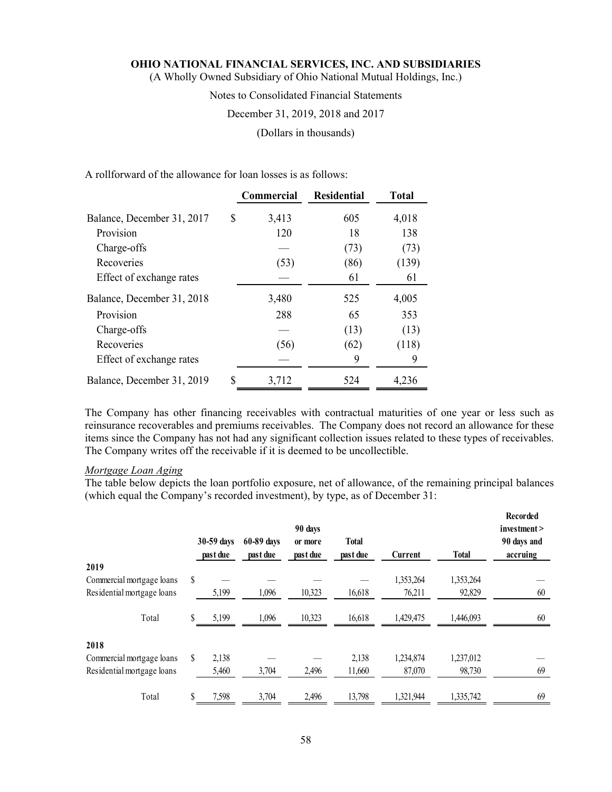(A Wholly Owned Subsidiary of Ohio National Mutual Holdings, Inc.)

### Notes to Consolidated Financial Statements

### December 31, 2019, 2018 and 2017

(Dollars in thousands)

A rollforward of the allowance for loan losses is as follows:

|                            |    | <b>Commercial</b> | <b>Residential</b> | <b>Total</b> |
|----------------------------|----|-------------------|--------------------|--------------|
| Balance, December 31, 2017 | S  | 3,413             | 605                | 4,018        |
| Provision                  |    | 120               | 18                 | 138          |
| Charge-offs                |    |                   | (73)               | (73)         |
| Recoveries                 |    | (53)              | (86)               | (139)        |
| Effect of exchange rates   |    |                   | 61                 | 61           |
| Balance, December 31, 2018 |    | 3,480             | 525                | 4,005        |
| Provision                  |    | 288               | 65                 | 353          |
| Charge-offs                |    |                   | (13)               | (13)         |
| Recoveries                 |    | (56)              | (62)               | (118)        |
| Effect of exchange rates   |    |                   | 9                  | 9            |
| Balance, December 31, 2019 | \$ | 3,712             | 524                | 4,236        |

The Company has other financing receivables with contractual maturities of one year or less such as reinsurance recoverables and premiums receivables. The Company does not record an allowance for these items since the Company has not had any significant collection issues related to these types of receivables. The Company writes off the receivable if it is deemed to be uncollectible.

### *Mortgage Loan Aging*

The table below depicts the loan portfolio exposure, net of allowance, of the remaining principal balances (which equal the Company's recorded investment), by type, as of December 31:

|                            |    | 30-59 days<br>past due | 60-89 days<br>past due | 90 days<br>or more<br>past due | <b>Total</b><br>past due | Current   | <b>Total</b> | Recorded<br>investment<br>90 days and<br>accruing |
|----------------------------|----|------------------------|------------------------|--------------------------------|--------------------------|-----------|--------------|---------------------------------------------------|
| 2019                       |    |                        |                        |                                |                          |           |              |                                                   |
| Commercial mortgage loans  | \$ |                        |                        |                                |                          | 1,353,264 | 1,353,264    |                                                   |
| Residential mortgage loans |    | 5,199                  | 1,096                  | 10,323                         | 16,618                   | 76,211    | 92,829       | 60                                                |
| Total                      |    | 5,199                  | 1,096                  | 10,323                         | 16,618                   | 1,429,475 | 1,446,093    | 60                                                |
| 2018                       |    |                        |                        |                                |                          |           |              |                                                   |
| Commercial mortgage loans  | S  | 2,138                  |                        |                                | 2,138                    | 1,234,874 | 1,237,012    |                                                   |
| Residential mortgage loans |    | 5,460                  | 3,704                  | 2,496                          | 11,660                   | 87,070    | 98,730       | 69                                                |
| Total                      | S  | 7,598                  | 3,704                  | 2,496                          | 13,798                   | 1,321,944 | 1,335,742    | 69                                                |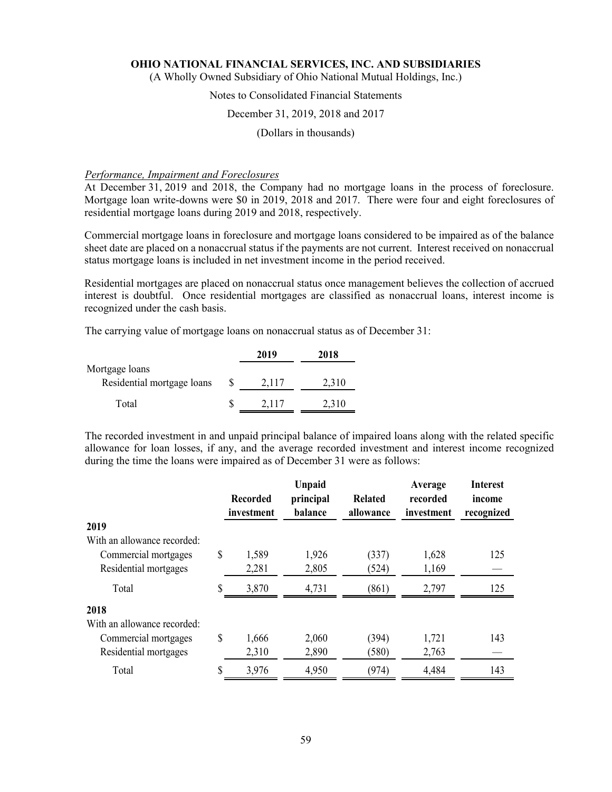(A Wholly Owned Subsidiary of Ohio National Mutual Holdings, Inc.)

## Notes to Consolidated Financial Statements

### December 31, 2019, 2018 and 2017

(Dollars in thousands)

#### *Performance, Impairment and Foreclosures*

At December 31, 2019 and 2018, the Company had no mortgage loans in the process of foreclosure. Mortgage loan write-downs were \$0 in 2019, 2018 and 2017. There were four and eight foreclosures of residential mortgage loans during 2019 and 2018, respectively.

Commercial mortgage loans in foreclosure and mortgage loans considered to be impaired as of the balance sheet date are placed on a nonaccrual status if the payments are not current. Interest received on nonaccrual status mortgage loans is included in net investment income in the period received.

Residential mortgages are placed on nonaccrual status once management believes the collection of accrued interest is doubtful. Once residential mortgages are classified as nonaccrual loans, interest income is recognized under the cash basis.

The carrying value of mortgage loans on nonaccrual status as of December 31:

|                            |   | 2019  | 2018  |
|----------------------------|---|-------|-------|
| Mortgage loans             |   |       |       |
| Residential mortgage loans | S | 2,117 | 2,310 |
| Total                      |   | 2.117 | 2,310 |

The recorded investment in and unpaid principal balance of impaired loans along with the related specific allowance for loan losses, if any, and the average recorded investment and interest income recognized during the time the loans were impaired as of December 31 were as follows:

|                             | <b>Recorded</b><br>investment | <b>Unpaid</b><br>principal<br>balance | Related<br>allowance | Average<br>recorded<br>investment | <b>Interest</b><br>income<br>recognized |
|-----------------------------|-------------------------------|---------------------------------------|----------------------|-----------------------------------|-----------------------------------------|
| 2019                        |                               |                                       |                      |                                   |                                         |
| With an allowance recorded: |                               |                                       |                      |                                   |                                         |
| Commercial mortgages        | \$<br>1,589                   | 1,926                                 | (337)                | 1,628                             | 125                                     |
| Residential mortgages       | 2,281                         | 2,805                                 | (524)                | 1,169                             |                                         |
| Total                       | 3,870                         | 4,731                                 | (861)                | 2,797                             | 125                                     |
| 2018                        |                               |                                       |                      |                                   |                                         |
| With an allowance recorded: |                               |                                       |                      |                                   |                                         |
| Commercial mortgages        | \$<br>1,666                   | 2,060                                 | (394)                | 1,721                             | 143                                     |
| Residential mortgages       | 2,310                         | 2,890                                 | (580)                | 2,763                             |                                         |
| Total                       | 3,976                         | 4,950                                 | (974)                | 4,484                             | 143                                     |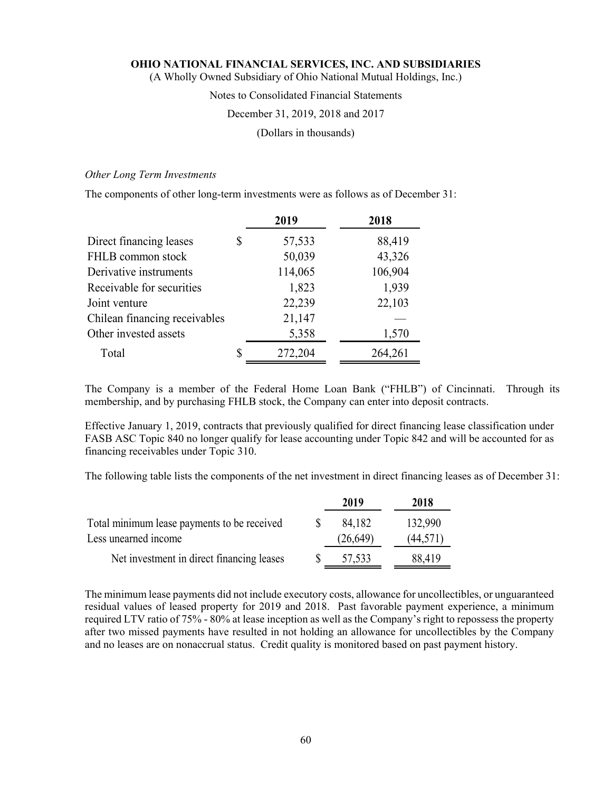(A Wholly Owned Subsidiary of Ohio National Mutual Holdings, Inc.)

### Notes to Consolidated Financial Statements

### December 31, 2019, 2018 and 2017

(Dollars in thousands)

### *Other Long Term Investments*

The components of other long-term investments were as follows as of December 31:

|                               | 2019          | 2018    |
|-------------------------------|---------------|---------|
| Direct financing leases       | \$<br>57,533  | 88,419  |
| FHLB common stock             | 50,039        | 43,326  |
| Derivative instruments        | 114,065       | 106,904 |
| Receivable for securities     | 1,823         | 1,939   |
| Joint venture                 | 22,239        | 22,103  |
| Chilean financing receivables | 21,147        |         |
| Other invested assets         | 5,358         | 1,570   |
| Total                         | \$<br>272,204 | 264,261 |

The Company is a member of the Federal Home Loan Bank ("FHLB") of Cincinnati. Through its membership, and by purchasing FHLB stock, the Company can enter into deposit contracts.

Effective January 1, 2019, contracts that previously qualified for direct financing lease classification under FASB ASC Topic 840 no longer qualify for lease accounting under Topic 842 and will be accounted for as financing receivables under Topic 310.

The following table lists the components of the net investment in direct financing leases as of December 31:

|                                             | 2019      | 2018      |
|---------------------------------------------|-----------|-----------|
| Total minimum lease payments to be received | 84,182    | 132,990   |
| Less unearned income                        | (26, 649) | (44, 571) |
| Net investment in direct financing leases   | 57,533    | 88.419    |

The minimum lease payments did not include executory costs, allowance for uncollectibles, or unguaranteed residual values of leased property for 2019 and 2018. Past favorable payment experience, a minimum required LTV ratio of 75% - 80% at lease inception as well as the Company's right to repossess the property after two missed payments have resulted in not holding an allowance for uncollectibles by the Company and no leases are on nonaccrual status. Credit quality is monitored based on past payment history.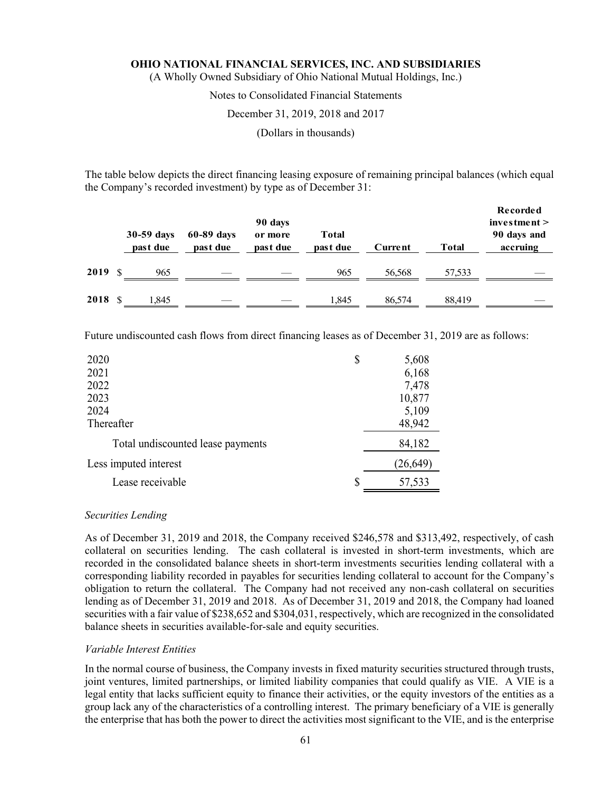(A Wholly Owned Subsidiary of Ohio National Mutual Holdings, Inc.)

### Notes to Consolidated Financial Statements

### December 31, 2019, 2018 and 2017

(Dollars in thousands)

The table below depicts the direct financing leasing exposure of remaining principal balances (which equal the Company's recorded investment) by type as of December 31:

|      |    | 30-59 days<br>past due | 60-89 days<br>past due | 90 days<br>or more<br>past due | Total<br>past due | Current | <b>Total</b> | Recorded<br>investment ><br>90 days and<br>accruing |
|------|----|------------------------|------------------------|--------------------------------|-------------------|---------|--------------|-----------------------------------------------------|
| 2019 | -S | 965                    |                        |                                | 965               | 56,568  | 57,533       |                                                     |
| 2018 | -S | .845                   |                        |                                | 1.845             | 86,574  | 88.419       |                                                     |

Future undiscounted cash flows from direct financing leases as of December 31, 2019 are as follows:

| 2020                              | \$       | 5,608     |
|-----------------------------------|----------|-----------|
| 2021                              |          | 6,168     |
| 2022                              |          | 7,478     |
| 2023                              |          | 10,877    |
| 2024                              |          | 5,109     |
| Thereafter                        |          | 48,942    |
| Total undiscounted lease payments |          | 84,182    |
| Less imputed interest             |          | (26, 649) |
| Lease receivable                  | <b>S</b> | 57,533    |

#### *Securities Lending*

As of December 31, 2019 and 2018, the Company received \$246,578 and \$313,492, respectively, of cash collateral on securities lending. The cash collateral is invested in short-term investments, which are recorded in the consolidated balance sheets in short-term investments securities lending collateral with a corresponding liability recorded in payables for securities lending collateral to account for the Company's obligation to return the collateral. The Company had not received any non-cash collateral on securities lending as of December 31, 2019 and 2018. As of December 31, 2019 and 2018, the Company had loaned securities with a fair value of \$238,652 and \$304,031, respectively, which are recognized in the consolidated balance sheets in securities available-for-sale and equity securities.

#### *Variable Interest Entities*

In the normal course of business, the Company invests in fixed maturity securities structured through trusts, joint ventures, limited partnerships, or limited liability companies that could qualify as VIE. A VIE is a legal entity that lacks sufficient equity to finance their activities, or the equity investors of the entities as a group lack any of the characteristics of a controlling interest. The primary beneficiary of a VIE is generally the enterprise that has both the power to direct the activities most significant to the VIE, and is the enterprise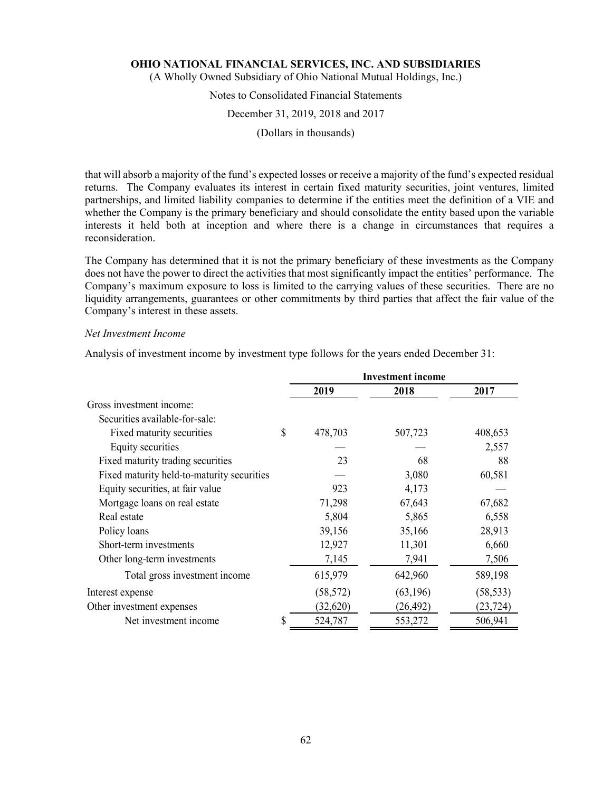(A Wholly Owned Subsidiary of Ohio National Mutual Holdings, Inc.)

### Notes to Consolidated Financial Statements

#### December 31, 2019, 2018 and 2017

(Dollars in thousands)

that will absorb a majority of the fund's expected losses or receive a majority of the fund's expected residual returns. The Company evaluates its interest in certain fixed maturity securities, joint ventures, limited partnerships, and limited liability companies to determine if the entities meet the definition of a VIE and whether the Company is the primary beneficiary and should consolidate the entity based upon the variable interests it held both at inception and where there is a change in circumstances that requires a reconsideration.

The Company has determined that it is not the primary beneficiary of these investments as the Company does not have the power to direct the activities that most significantly impact the entities' performance. The Company's maximum exposure to loss is limited to the carrying values of these securities. There are no liquidity arrangements, guarantees or other commitments by third parties that affect the fair value of the Company's interest in these assets.

#### *Net Investment Income*

Analysis of investment income by investment type follows for the years ended December 31:

|                                            | <b>Investment income</b> |           |           |
|--------------------------------------------|--------------------------|-----------|-----------|
|                                            | 2019                     | 2018      | 2017      |
| Gross investment income:                   |                          |           |           |
| Securities available-for-sale:             |                          |           |           |
| Fixed maturity securities                  | \$<br>478,703            | 507,723   | 408,653   |
| Equity securities                          |                          |           | 2,557     |
| Fixed maturity trading securities          | 23                       | 68        | 88        |
| Fixed maturity held-to-maturity securities |                          | 3,080     | 60,581    |
| Equity securities, at fair value           | 923                      | 4,173     |           |
| Mortgage loans on real estate              | 71,298                   | 67,643    | 67,682    |
| Real estate                                | 5,804                    | 5,865     | 6,558     |
| Policy loans                               | 39,156                   | 35,166    | 28,913    |
| Short-term investments                     | 12,927                   | 11,301    | 6,660     |
| Other long-term investments                | 7,145                    | 7,941     | 7,506     |
| Total gross investment income              | 615,979                  | 642,960   | 589,198   |
| Interest expense                           | (58, 572)                | (63, 196) | (58, 533) |
| Other investment expenses                  | (32,620)                 | (26, 492) | (23, 724) |
| Net investment income                      | \$<br>524,787            | 553,272   | 506,941   |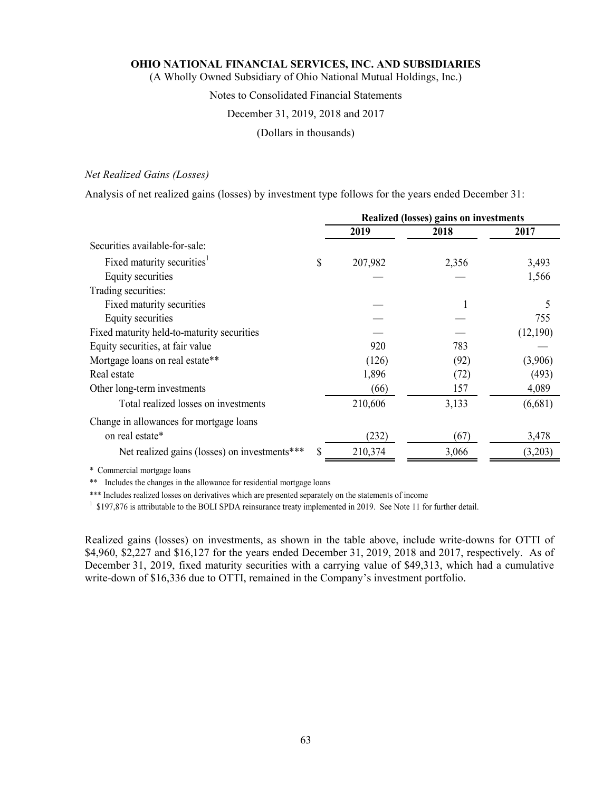(A Wholly Owned Subsidiary of Ohio National Mutual Holdings, Inc.)

### Notes to Consolidated Financial Statements

#### December 31, 2019, 2018 and 2017

(Dollars in thousands)

### *Net Realized Gains (Losses)*

Analysis of net realized gains (losses) by investment type follows for the years ended December 31:

|                                               | Realized (losses) gains on investments |       |          |
|-----------------------------------------------|----------------------------------------|-------|----------|
|                                               | 2019                                   | 2018  | 2017     |
| Securities available-for-sale:                |                                        |       |          |
| Fixed maturity securities <sup>1</sup>        | \$<br>207,982                          | 2,356 | 3,493    |
| Equity securities                             |                                        |       | 1,566    |
| Trading securities:                           |                                        |       |          |
| Fixed maturity securities                     |                                        |       |          |
| Equity securities                             |                                        |       | 755      |
| Fixed maturity held-to-maturity securities    |                                        |       | (12,190) |
| Equity securities, at fair value              | 920                                    | 783   |          |
| Mortgage loans on real estate**               | (126)                                  | (92)  | (3,906)  |
| Real estate                                   | 1,896                                  | (72)  | (493)    |
| Other long-term investments                   | (66)                                   | 157   | 4,089    |
| Total realized losses on investments          | 210,606                                | 3,133 | (6,681)  |
| Change in allowances for mortgage loans       |                                        |       |          |
| on real estate*                               | (232)                                  | (67)  | 3,478    |
| Net realized gains (losses) on investments*** | 210,374                                | 3,066 | (3,203)  |

\* Commercial mortgage loans

\*\* Includes the changes in the allowance for residential mortgage loans

\*\*\* Includes realized losses on derivatives which are presented separately on the statements of income

<sup>1</sup> \$197,876 is attributable to the BOLI SPDA reinsurance treaty implemented in 2019. See Note 11 for further detail.

Realized gains (losses) on investments, as shown in the table above, include write-downs for OTTI of \$4,960, \$2,227 and \$16,127 for the years ended December 31, 2019, 2018 and 2017, respectively. As of December 31, 2019, fixed maturity securities with a carrying value of \$49,313, which had a cumulative write-down of \$16,336 due to OTTI, remained in the Company's investment portfolio.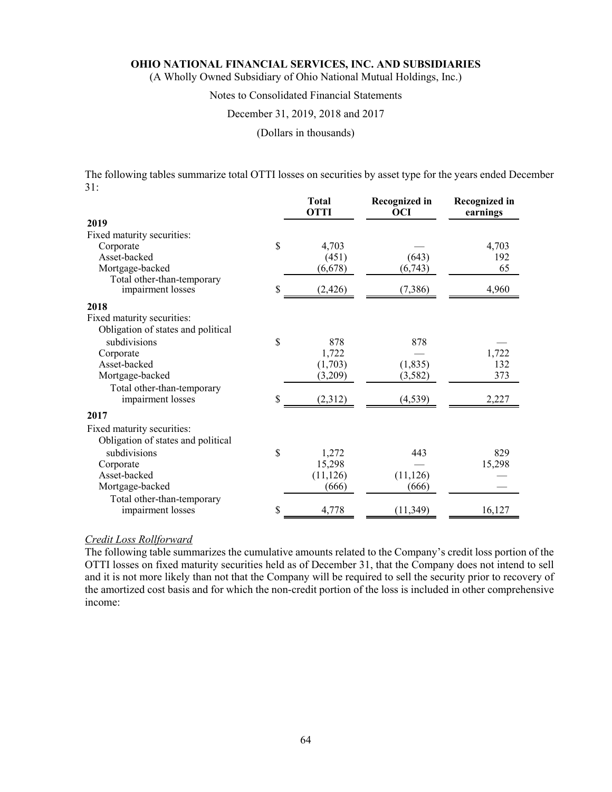(A Wholly Owned Subsidiary of Ohio National Mutual Holdings, Inc.)

### Notes to Consolidated Financial Statements

#### December 31, 2019, 2018 and 2017

(Dollars in thousands)

The following tables summarize total OTTI losses on securities by asset type for the years ended December 31:

|                                    |    | <b>Total</b><br><b>OTTI</b> | Recognized in<br><b>OCI</b> | <b>Recognized in</b><br>earnings |
|------------------------------------|----|-----------------------------|-----------------------------|----------------------------------|
| 2019                               |    |                             |                             |                                  |
| Fixed maturity securities:         |    |                             |                             |                                  |
| Corporate                          | \$ | 4,703                       |                             | 4,703                            |
| Asset-backed                       |    | (451)                       | (643)                       | 192                              |
| Mortgage-backed                    |    | (6,678)                     | (6,743)                     | 65                               |
| Total other-than-temporary         |    |                             |                             |                                  |
| impairment losses                  | S  | (2, 426)                    | (7,386)                     | 4,960                            |
| 2018                               |    |                             |                             |                                  |
| Fixed maturity securities:         |    |                             |                             |                                  |
| Obligation of states and political |    |                             |                             |                                  |
| subdivisions                       | \$ | 878                         | 878                         |                                  |
| Corporate                          |    | 1,722                       |                             | 1,722                            |
| Asset-backed                       |    | (1,703)                     | (1, 835)                    | 132                              |
| Mortgage-backed                    |    | (3,209)                     | (3, 582)                    | 373                              |
| Total other-than-temporary         |    |                             |                             |                                  |
| impairment losses                  | \$ | (2,312)                     | (4, 539)                    | 2,227                            |
| 2017                               |    |                             |                             |                                  |
| Fixed maturity securities:         |    |                             |                             |                                  |
| Obligation of states and political |    |                             |                             |                                  |
| subdivisions                       | \$ | 1,272                       | 443                         | 829                              |
| Corporate                          |    | 15,298                      |                             | 15,298                           |
| Asset-backed                       |    | (11, 126)                   | (11, 126)                   |                                  |
| Mortgage-backed                    |    | (666)                       | (666)                       |                                  |
| Total other-than-temporary         |    |                             |                             |                                  |
| impairment losses                  | \$ | 4,778                       | (11, 349)                   | 16,127                           |

### *Credit Loss Rollforward*

The following table summarizes the cumulative amounts related to the Company's credit loss portion of the OTTI losses on fixed maturity securities held as of December 31, that the Company does not intend to sell and it is not more likely than not that the Company will be required to sell the security prior to recovery of the amortized cost basis and for which the non-credit portion of the loss is included in other comprehensive income: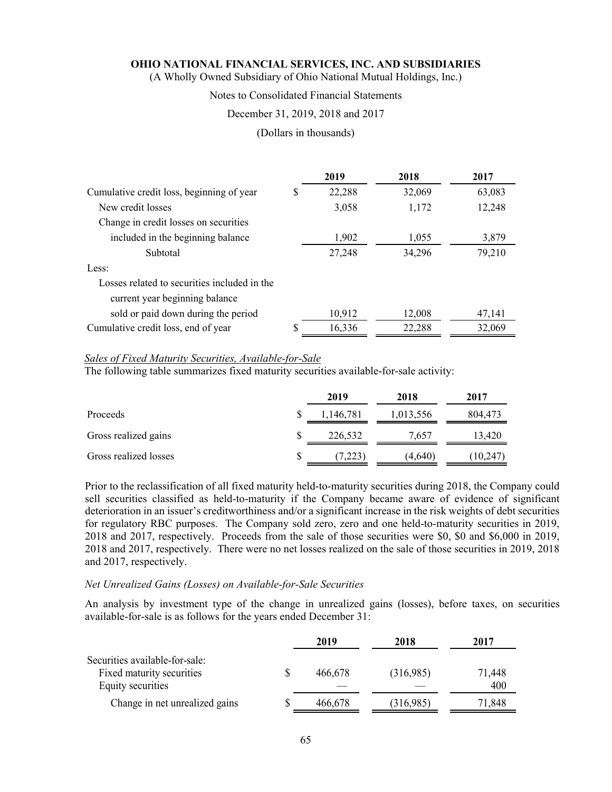(A Wholly Owned Subsidiary of Ohio National Mutual Holdings, Inc.)

## Notes to Consolidated Financial Statements

### December 31, 2019, 2018 and 2017

#### (Dollars in thousands)

|                                              |    | 2019   | 2018   | 2017   |
|----------------------------------------------|----|--------|--------|--------|
| Cumulative credit loss, beginning of year    | \$ | 22,288 | 32,069 | 63,083 |
| New credit losses                            |    | 3,058  | 1,172  | 12,248 |
| Change in credit losses on securities        |    |        |        |        |
| included in the beginning balance            |    | 1,902  | 1,055  | 3,879  |
| Subtotal                                     |    | 27,248 | 34,296 | 79,210 |
| Less:                                        |    |        |        |        |
| Losses related to securities included in the |    |        |        |        |
| current year beginning balance               |    |        |        |        |
| sold or paid down during the period          |    | 10,912 | 12,008 | 47,141 |
| Cumulative credit loss, end of year          | S  | 16,336 | 22,288 | 32,069 |

#### *Sales of Fixed Maturity Securities, Available-for-Sale*

The following table summarizes fixed maturity securities available-for-sale activity:

|                       | 2019      | 2018      | 2017    |
|-----------------------|-----------|-----------|---------|
| Proceeds              | 1,146,781 | 1,013,556 | 804,473 |
| Gross realized gains  | 226,532   | 7.657     | 13,420  |
| Gross realized losses | (7,223)   | (4.640)   | 10,247  |

Prior to the reclassification of all fixed maturity held-to-maturity securities during 2018, the Company could sell securities classified as held-to-maturity if the Company became aware of evidence of significant deterioration in an issuer's creditworthiness and/or a significant increase in the risk weights of debt securities for regulatory RBC purposes. The Company sold zero, zero and one held-to-maturity securities in 2019, 2018 and 2017, respectively. Proceeds from the sale of those securities were \$0, \$0 and \$6,000 in 2019, 2018 and 2017, respectively. There were no net losses realized on the sale of those securities in 2019, 2018 and 2017, respectively.

### *Net Unrealized Gains (Losses) on Available-for-Sale Securities*

An analysis by investment type of the change in unrealized gains (losses), before taxes, on securities available-for-sale is as follows for the years ended December 31:

|                                                                                  | 2019    | 2018      | 2017          |
|----------------------------------------------------------------------------------|---------|-----------|---------------|
| Securities available-for-sale:<br>Fixed maturity securities<br>Equity securities | 466.678 | (316,985) | 71,448<br>400 |
| Change in net unrealized gains                                                   | 466.678 | (316,985) | 71.848        |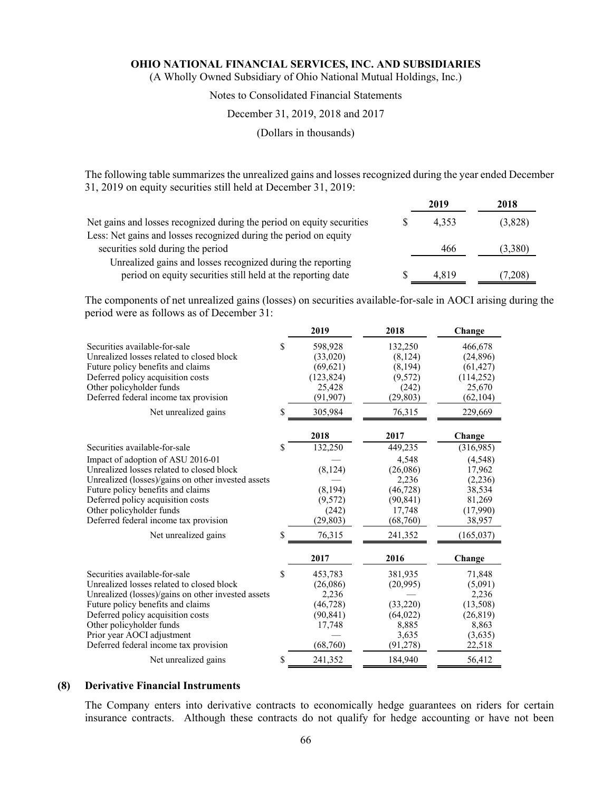(A Wholly Owned Subsidiary of Ohio National Mutual Holdings, Inc.)

### Notes to Consolidated Financial Statements

### December 31, 2019, 2018 and 2017

### (Dollars in thousands)

The following table summarizes the unrealized gains and losses recognized during the year ended December 31, 2019 on equity securities still held at December 31, 2019:

|                                                                        | 2019  | 2018    |
|------------------------------------------------------------------------|-------|---------|
| Net gains and losses recognized during the period on equity securities | 4.353 | (3,828) |
| Less: Net gains and losses recognized during the period on equity      |       |         |
| securities sold during the period                                      | 466   | (3,380) |
| Unrealized gains and losses recognized during the reporting            |       |         |
| period on equity securities still held at the reporting date           | 4.819 | (7,208) |

The components of net unrealized gains (losses) on securities available-for-sale in AOCI arising during the period were as follows as of December 31:

|                                                                                                                                                                                                                                                                                                                                              |          | 2019                                                                         | 2018                                                                                             | Change                                                                                            |
|----------------------------------------------------------------------------------------------------------------------------------------------------------------------------------------------------------------------------------------------------------------------------------------------------------------------------------------------|----------|------------------------------------------------------------------------------|--------------------------------------------------------------------------------------------------|---------------------------------------------------------------------------------------------------|
| Securities available-for-sale<br>Unrealized losses related to closed block<br>Future policy benefits and claims<br>Deferred policy acquisition costs<br>Other policyholder funds<br>Deferred federal income tax provision                                                                                                                    | \$       | 598,928<br>(33,020)<br>(69, 621)<br>(123, 824)<br>25,428<br>(91, 907)        | 132,250<br>(8, 124)<br>(8, 194)<br>(9,572)<br>(242)<br>(29, 803)                                 | 466,678<br>(24, 896)<br>(61, 427)<br>(114, 252)<br>25,670<br>(62, 104)                            |
| Net unrealized gains                                                                                                                                                                                                                                                                                                                         | \$       | 305,984                                                                      | 76,315                                                                                           | 229,669                                                                                           |
|                                                                                                                                                                                                                                                                                                                                              |          | 2018                                                                         | 2017                                                                                             | Change                                                                                            |
| Securities available-for-sale<br>Impact of adoption of ASU 2016-01<br>Unrealized losses related to closed block<br>Unrealized (losses)/gains on other invested assets<br>Future policy benefits and claims<br>Deferred policy acquisition costs<br>Other policyholder funds<br>Deferred federal income tax provision<br>Net unrealized gains | \$<br>\$ | 132,250<br>(8, 124)<br>(8, 194)<br>(9,572)<br>(242)<br>(29, 803)<br>76,315   | 449,235<br>4,548<br>(26,086)<br>2,236<br>(46, 728)<br>(90, 841)<br>17,748<br>(68,760)<br>241,352 | (316,985)<br>(4,548)<br>17,962<br>(2,236)<br>38,534<br>81,269<br>(17,990)<br>38,957<br>(165, 037) |
|                                                                                                                                                                                                                                                                                                                                              |          | 2017                                                                         | 2016                                                                                             | Change                                                                                            |
| Securities available-for-sale<br>Unrealized losses related to closed block<br>Unrealized (losses)/gains on other invested assets<br>Future policy benefits and claims<br>Deferred policy acquisition costs<br>Other policyholder funds<br>Prior year AOCI adjustment<br>Deferred federal income tax provision                                | \$       | 453,783<br>(26,086)<br>2,236<br>(46, 728)<br>(90, 841)<br>17,748<br>(68,760) | 381,935<br>(20,995)<br>(33,220)<br>(64, 022)<br>8,885<br>3,635<br>(91, 278)                      | 71,848<br>(5,091)<br>2,236<br>(13,508)<br>(26, 819)<br>8,863<br>(3,635)<br>22,518                 |
| Net unrealized gains                                                                                                                                                                                                                                                                                                                         | \$       | 241,352                                                                      | 184,940                                                                                          | 56,412                                                                                            |

### **(8) Derivative Financial Instruments**

The Company enters into derivative contracts to economically hedge guarantees on riders for certain insurance contracts. Although these contracts do not qualify for hedge accounting or have not been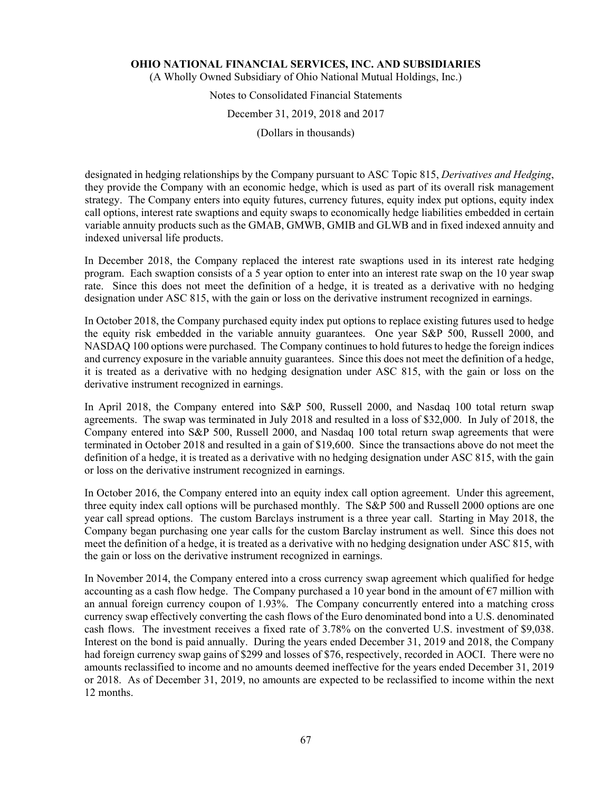(A Wholly Owned Subsidiary of Ohio National Mutual Holdings, Inc.)

# Notes to Consolidated Financial Statements

### December 31, 2019, 2018 and 2017

(Dollars in thousands)

designated in hedging relationships by the Company pursuant to ASC Topic 815, *Derivatives and Hedging*, they provide the Company with an economic hedge, which is used as part of its overall risk management strategy. The Company enters into equity futures, currency futures, equity index put options, equity index call options, interest rate swaptions and equity swaps to economically hedge liabilities embedded in certain variable annuity products such as the GMAB, GMWB, GMIB and GLWB and in fixed indexed annuity and indexed universal life products.

In December 2018, the Company replaced the interest rate swaptions used in its interest rate hedging program. Each swaption consists of a 5 year option to enter into an interest rate swap on the 10 year swap rate. Since this does not meet the definition of a hedge, it is treated as a derivative with no hedging designation under ASC 815, with the gain or loss on the derivative instrument recognized in earnings.

In October 2018, the Company purchased equity index put options to replace existing futures used to hedge the equity risk embedded in the variable annuity guarantees. One year S&P 500, Russell 2000, and NASDAQ 100 options were purchased. The Company continues to hold futures to hedge the foreign indices and currency exposure in the variable annuity guarantees. Since this does not meet the definition of a hedge, it is treated as a derivative with no hedging designation under ASC 815, with the gain or loss on the derivative instrument recognized in earnings.

In April 2018, the Company entered into S&P 500, Russell 2000, and Nasdaq 100 total return swap agreements. The swap was terminated in July 2018 and resulted in a loss of \$32,000. In July of 2018, the Company entered into S&P 500, Russell 2000, and Nasdaq 100 total return swap agreements that were terminated in October 2018 and resulted in a gain of \$19,600. Since the transactions above do not meet the definition of a hedge, it is treated as a derivative with no hedging designation under ASC 815, with the gain or loss on the derivative instrument recognized in earnings.

In October 2016, the Company entered into an equity index call option agreement. Under this agreement, three equity index call options will be purchased monthly. The S&P 500 and Russell 2000 options are one year call spread options. The custom Barclays instrument is a three year call. Starting in May 2018, the Company began purchasing one year calls for the custom Barclay instrument as well. Since this does not meet the definition of a hedge, it is treated as a derivative with no hedging designation under ASC 815, with the gain or loss on the derivative instrument recognized in earnings.

In November 2014, the Company entered into a cross currency swap agreement which qualified for hedge accounting as a cash flow hedge. The Company purchased a 10 year bond in the amount of  $\epsilon$ 7 million with an annual foreign currency coupon of 1.93%. The Company concurrently entered into a matching cross currency swap effectively converting the cash flows of the Euro denominated bond into a U.S. denominated cash flows. The investment receives a fixed rate of 3.78% on the converted U.S. investment of \$9,038. Interest on the bond is paid annually. During the years ended December 31, 2019 and 2018, the Company had foreign currency swap gains of \$299 and losses of \$76, respectively, recorded in AOCI. There were no amounts reclassified to income and no amounts deemed ineffective for the years ended December 31, 2019 or 2018. As of December 31, 2019, no amounts are expected to be reclassified to income within the next 12 months.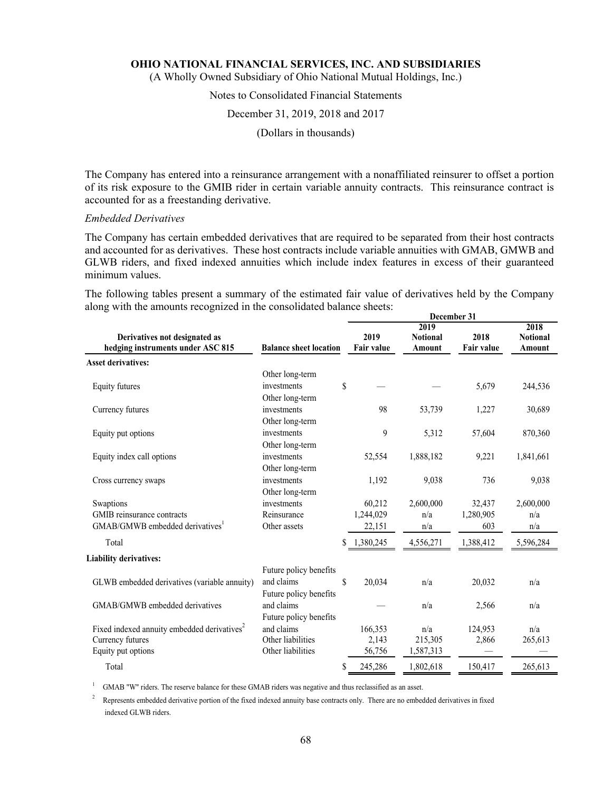(A Wholly Owned Subsidiary of Ohio National Mutual Holdings, Inc.)

## Notes to Consolidated Financial Statements

#### December 31, 2019, 2018 and 2017

(Dollars in thousands)

The Company has entered into a reinsurance arrangement with a nonaffiliated reinsurer to offset a portion of its risk exposure to the GMIB rider in certain variable annuity contracts. This reinsurance contract is accounted for as a freestanding derivative.

#### *Embedded Derivatives*

The Company has certain embedded derivatives that are required to be separated from their host contracts and accounted for as derivatives. These host contracts include variable annuities with GMAB, GMWB and GLWB riders, and fixed indexed annuities which include index features in excess of their guaranteed minimum values.

The following tables present a summary of the estimated fair value of derivatives held by the Company along with the amounts recognized in the consolidated balance sheets: **December 31**

|                                                                    |                               |                           | 2019                      |                           | 2018                      |
|--------------------------------------------------------------------|-------------------------------|---------------------------|---------------------------|---------------------------|---------------------------|
| Derivatives not designated as<br>hedging instruments under ASC 815 | <b>Balance sheet location</b> | 2019<br><b>Fair value</b> | <b>Notional</b><br>Amount | 2018<br><b>Fair value</b> | <b>Notional</b><br>Amount |
| <b>Asset derivatives:</b>                                          |                               |                           |                           |                           |                           |
|                                                                    | Other long-term               |                           |                           |                           |                           |
| Equity futures                                                     | investments                   | \$                        |                           | 5,679                     | 244,536                   |
|                                                                    | Other long-term               |                           |                           |                           |                           |
| Currency futures                                                   | investments                   | 98                        | 53,739                    | 1,227                     | 30,689                    |
|                                                                    | Other long-term               |                           |                           |                           |                           |
| Equity put options                                                 | investments                   | 9                         | 5,312                     | 57,604                    | 870,360                   |
|                                                                    | Other long-term               |                           |                           |                           |                           |
| Equity index call options                                          | investments                   | 52,554                    | 1,888,182                 | 9,221                     | 1,841,661                 |
|                                                                    | Other long-term               |                           |                           |                           |                           |
| Cross currency swaps                                               | investments                   | 1,192                     | 9,038                     | 736                       | 9,038                     |
|                                                                    | Other long-term               |                           |                           |                           |                           |
| Swaptions                                                          | investments                   | 60,212                    | 2,600,000                 | 32,437                    | 2,600,000                 |
| GMIB reinsurance contracts                                         | Reinsurance                   | 1,244,029                 | n/a                       | 1,280,905                 | n/a                       |
| GMAB/GMWB embedded derivatives <sup>1</sup>                        | Other assets                  | 22,151                    | n/a                       | 603                       | n/a                       |
| Total                                                              |                               | \$<br>1,380,245           | 4,556,271                 | 1,388,412                 | 5,596,284                 |
| <b>Liability derivatives:</b>                                      |                               |                           |                           |                           |                           |
|                                                                    | Future policy benefits        |                           |                           |                           |                           |
| GLWB embedded derivatives (variable annuity)                       | and claims                    | \$<br>20,034              | n/a                       | 20,032                    | n/a                       |
|                                                                    | Future policy benefits        |                           |                           |                           |                           |
| GMAB/GMWB embedded derivatives                                     | and claims                    |                           | n/a                       | 2,566                     | n/a                       |
|                                                                    | Future policy benefits        |                           |                           |                           |                           |
| Fixed indexed annuity embedded derivatives <sup>2</sup>            | and claims                    | 166,353                   | n/a                       | 124,953                   | n/a                       |
| Currency futures                                                   | Other liabilities             | 2,143                     | 215,305                   | 2,866                     | 265,613                   |
| Equity put options                                                 | Other liabilities             | 56,756                    | 1,587,313                 |                           |                           |
| Total                                                              |                               | \$<br>245,286             | 1,802,618                 | 150,417                   | 265,613                   |

<sup>1</sup> GMAB "W" riders. The reserve balance for these GMAB riders was negative and thus reclassified as an asset.

<sup>2</sup> Represents embedded derivative portion of the fixed indexed annuity base contracts only. There are no embedded derivatives in fixed indexed GLWB riders.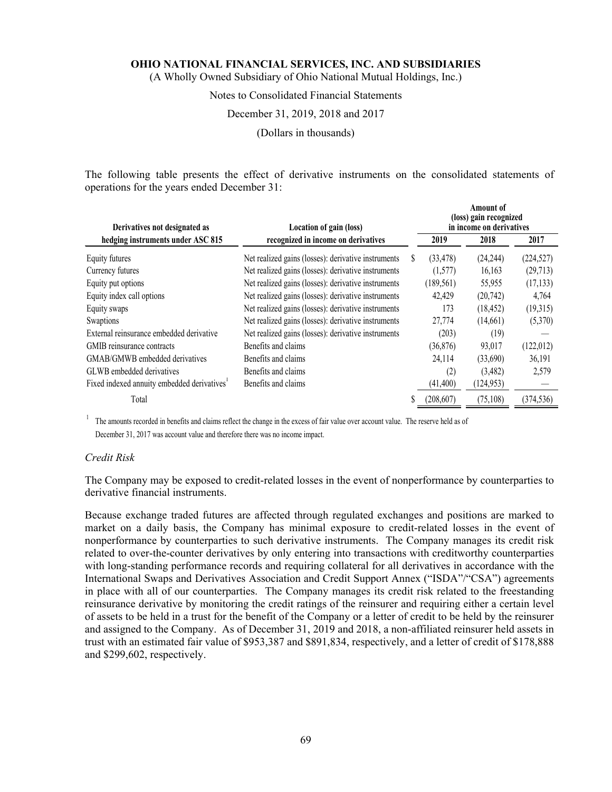(A Wholly Owned Subsidiary of Ohio National Mutual Holdings, Inc.)

### Notes to Consolidated Financial Statements

### December 31, 2019, 2018 and 2017

(Dollars in thousands)

The following table presents the effect of derivative instruments on the consolidated statements of operations for the years ended December 31:

| Derivatives not designated as                           | Location of gain (loss)                             | Amount of<br>(loss) gain recognized<br>in income on derivatives |            |            |  |
|---------------------------------------------------------|-----------------------------------------------------|-----------------------------------------------------------------|------------|------------|--|
| hedging instruments under ASC 815                       | recognized in income on derivatives                 | 2019                                                            | 2018       | 2017       |  |
| Equity futures                                          | Net realized gains (losses): derivative instruments | (33, 478)                                                       | (24, 244)  | (224, 527) |  |
| Currency futures                                        | Net realized gains (losses): derivative instruments | (1,577)                                                         | 16,163     | (29,713)   |  |
| Equity put options                                      | Net realized gains (losses): derivative instruments | (189, 561)                                                      | 55,955     | (17, 133)  |  |
| Equity index call options                               | Net realized gains (losses): derivative instruments | 42,429                                                          | (20, 742)  | 4,764      |  |
| Equity swaps                                            | Net realized gains (losses): derivative instruments | 173                                                             | (18, 452)  | (19,315)   |  |
| Swaptions                                               | Net realized gains (losses): derivative instruments | 27,774                                                          | (14,661)   | (5,370)    |  |
| External reinsurance embedded derivative                | Net realized gains (losses): derivative instruments | (203)                                                           | (19)       |            |  |
| GMIB reinsurance contracts                              | Benefits and claims                                 | (36,876)                                                        | 93,017     | (122,012)  |  |
| GMAB/GMWB embedded derivatives                          | Benefits and claims                                 | 24,114                                                          | (33,690)   | 36,191     |  |
| GLWB embedded derivatives                               | Benefits and claims                                 | (2)                                                             | (3,482)    | 2,579      |  |
| Fixed indexed annuity embedded derivatives <sup>1</sup> | Benefits and claims                                 | (41, 400)                                                       | (124, 953) |            |  |
| Total                                                   |                                                     | (208, 607)                                                      | (75, 108)  | (374, 536) |  |

<sup>1</sup> The amounts recorded in benefits and claims reflect the change in the excess of fair value over account value. The reserve held as of December 31, 2017 was account value and therefore there was no income impact.

#### *Credit Risk*

The Company may be exposed to credit-related losses in the event of nonperformance by counterparties to derivative financial instruments.

Because exchange traded futures are affected through regulated exchanges and positions are marked to market on a daily basis, the Company has minimal exposure to credit-related losses in the event of nonperformance by counterparties to such derivative instruments. The Company manages its credit risk related to over-the-counter derivatives by only entering into transactions with creditworthy counterparties with long-standing performance records and requiring collateral for all derivatives in accordance with the International Swaps and Derivatives Association and Credit Support Annex ("ISDA"/"CSA") agreements in place with all of our counterparties. The Company manages its credit risk related to the freestanding reinsurance derivative by monitoring the credit ratings of the reinsurer and requiring either a certain level of assets to be held in a trust for the benefit of the Company or a letter of credit to be held by the reinsurer and assigned to the Company. As of December 31, 2019 and 2018, a non-affiliated reinsurer held assets in trust with an estimated fair value of \$953,387 and \$891,834, respectively, and a letter of credit of \$178,888 and \$299,602, respectively.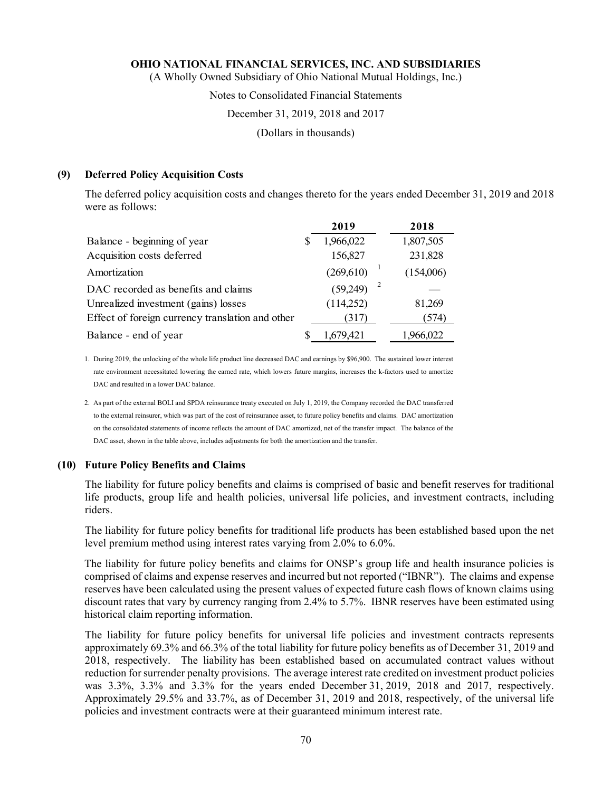(A Wholly Owned Subsidiary of Ohio National Mutual Holdings, Inc.)

### Notes to Consolidated Financial Statements

### December 31, 2019, 2018 and 2017

(Dollars in thousands)

### **(9) Deferred Policy Acquisition Costs**

The deferred policy acquisition costs and changes thereto for the years ended December 31, 2019 and 2018 were as follows:

|                                                  | 2019       | 2018      |
|--------------------------------------------------|------------|-----------|
| Balance - beginning of year                      | 1,966,022  | 1,807,505 |
| Acquisition costs deferred                       | 156,827    | 231,828   |
| Amortization                                     | (269, 610) | (154,006) |
| DAC recorded as benefits and claims              | (59,249)   |           |
| Unrealized investment (gains) losses             | (114,252)  | 81,269    |
| Effect of foreign currency translation and other | (317)      | (574)     |
| Balance - end of year                            | 1,679,421  | 1,966,022 |

1. During 2019, the unlocking of the whole life product line decreased DAC and earnings by \$96,900. The sustained lower interest rate environment necessitated lowering the earned rate, which lowers future margins, increases the k-factors used to amortize DAC and resulted in a lower DAC balance.

### **(10) Future Policy Benefits and Claims**

The liability for future policy benefits and claims is comprised of basic and benefit reserves for traditional life products, group life and health policies, universal life policies, and investment contracts, including riders.

The liability for future policy benefits for traditional life products has been established based upon the net level premium method using interest rates varying from 2.0% to 6.0%.

The liability for future policy benefits and claims for ONSP's group life and health insurance policies is comprised of claims and expense reserves and incurred but not reported ("IBNR"). The claims and expense reserves have been calculated using the present values of expected future cash flows of known claims using discount rates that vary by currency ranging from 2.4% to 5.7%. IBNR reserves have been estimated using historical claim reporting information.

The liability for future policy benefits for universal life policies and investment contracts represents approximately 69.3% and 66.3% of the total liability for future policy benefits as of December 31, 2019 and 2018, respectively. The liability has been established based on accumulated contract values without reduction for surrender penalty provisions. The average interest rate credited on investment product policies was 3.3%, 3.3% and 3.3% for the years ended December 31, 2019, 2018 and 2017, respectively. Approximately 29.5% and 33.7%, as of December 31, 2019 and 2018, respectively, of the universal life policies and investment contracts were at their guaranteed minimum interest rate.

<sup>2.</sup> As part of the external BOLI and SPDA reinsurance treaty executed on July 1, 2019, the Company recorded the DAC transferred to the external reinsurer, which was part of the cost of reinsurance asset, to future policy benefits and claims. DAC amortization on the consolidated statements of income reflects the amount of DAC amortized, net of the transfer impact. The balance of the DAC asset, shown in the table above, includes adjustments for both the amortization and the transfer.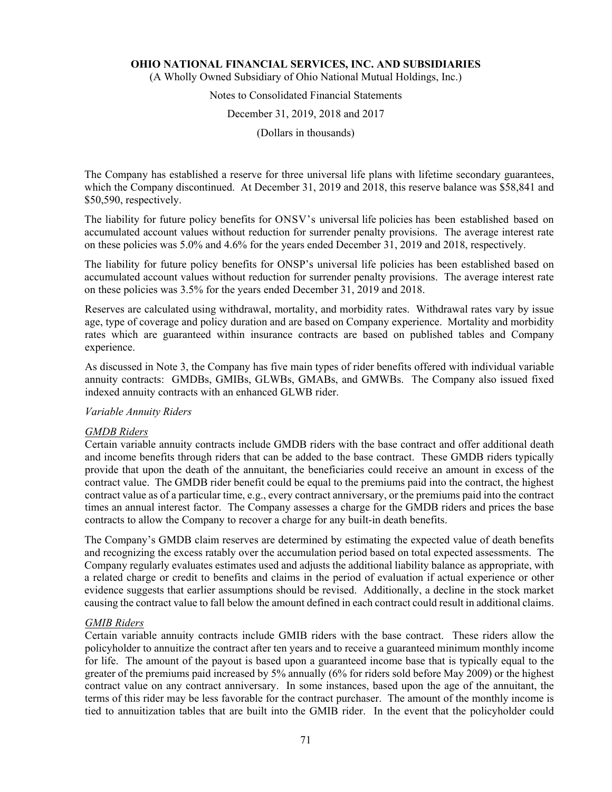(A Wholly Owned Subsidiary of Ohio National Mutual Holdings, Inc.)

## Notes to Consolidated Financial Statements

### December 31, 2019, 2018 and 2017

(Dollars in thousands)

The Company has established a reserve for three universal life plans with lifetime secondary guarantees, which the Company discontinued. At December 31, 2019 and 2018, this reserve balance was \$58,841 and \$50,590, respectively.

The liability for future policy benefits for ONSV's universal life policies has been established based on accumulated account values without reduction for surrender penalty provisions. The average interest rate on these policies was 5.0% and 4.6% for the years ended December 31, 2019 and 2018, respectively.

The liability for future policy benefits for ONSP's universal life policies has been established based on accumulated account values without reduction for surrender penalty provisions. The average interest rate on these policies was 3.5% for the years ended December 31, 2019 and 2018.

Reserves are calculated using withdrawal, mortality, and morbidity rates. Withdrawal rates vary by issue age, type of coverage and policy duration and are based on Company experience. Mortality and morbidity rates which are guaranteed within insurance contracts are based on published tables and Company experience.

As discussed in Note 3, the Company has five main types of rider benefits offered with individual variable annuity contracts: GMDBs, GMIBs, GLWBs, GMABs, and GMWBs. The Company also issued fixed indexed annuity contracts with an enhanced GLWB rider.

### *Variable Annuity Riders*

### *GMDB Riders*

Certain variable annuity contracts include GMDB riders with the base contract and offer additional death and income benefits through riders that can be added to the base contract. These GMDB riders typically provide that upon the death of the annuitant, the beneficiaries could receive an amount in excess of the contract value. The GMDB rider benefit could be equal to the premiums paid into the contract, the highest contract value as of a particular time, e.g., every contract anniversary, or the premiums paid into the contract times an annual interest factor. The Company assesses a charge for the GMDB riders and prices the base contracts to allow the Company to recover a charge for any built-in death benefits.

The Company's GMDB claim reserves are determined by estimating the expected value of death benefits and recognizing the excess ratably over the accumulation period based on total expected assessments. The Company regularly evaluates estimates used and adjusts the additional liability balance as appropriate, with a related charge or credit to benefits and claims in the period of evaluation if actual experience or other evidence suggests that earlier assumptions should be revised. Additionally, a decline in the stock market causing the contract value to fall below the amount defined in each contract could result in additional claims.

### *GMIB Riders*

Certain variable annuity contracts include GMIB riders with the base contract. These riders allow the policyholder to annuitize the contract after ten years and to receive a guaranteed minimum monthly income for life. The amount of the payout is based upon a guaranteed income base that is typically equal to the greater of the premiums paid increased by 5% annually (6% for riders sold before May 2009) or the highest contract value on any contract anniversary. In some instances, based upon the age of the annuitant, the terms of this rider may be less favorable for the contract purchaser. The amount of the monthly income is tied to annuitization tables that are built into the GMIB rider. In the event that the policyholder could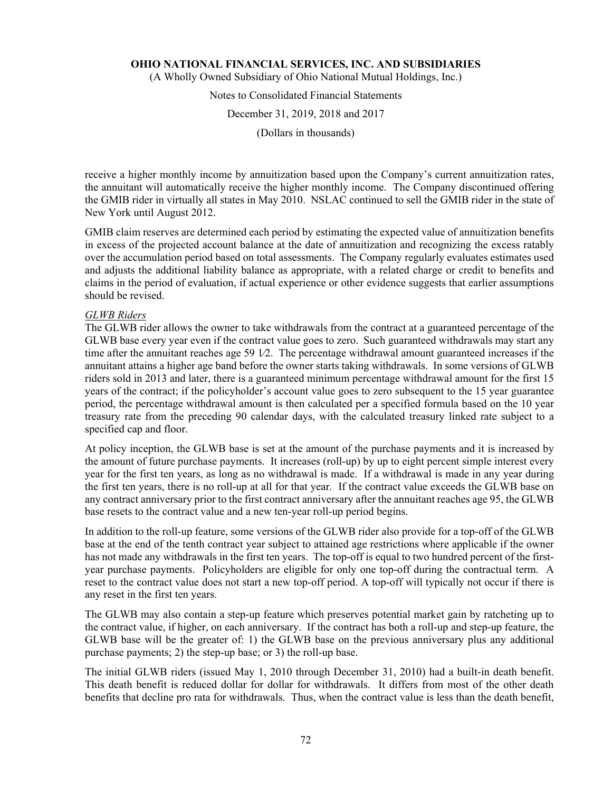(A Wholly Owned Subsidiary of Ohio National Mutual Holdings, Inc.)

# Notes to Consolidated Financial Statements

### December 31, 2019, 2018 and 2017

(Dollars in thousands)

receive a higher monthly income by annuitization based upon the Company's current annuitization rates, the annuitant will automatically receive the higher monthly income. The Company discontinued offering the GMIB rider in virtually all states in May 2010. NSLAC continued to sell the GMIB rider in the state of New York until August 2012.

GMIB claim reserves are determined each period by estimating the expected value of annuitization benefits in excess of the projected account balance at the date of annuitization and recognizing the excess ratably over the accumulation period based on total assessments. The Company regularly evaluates estimates used and adjusts the additional liability balance as appropriate, with a related charge or credit to benefits and claims in the period of evaluation, if actual experience or other evidence suggests that earlier assumptions should be revised.

# *GLWB Riders*

The GLWB rider allows the owner to take withdrawals from the contract at a guaranteed percentage of the GLWB base every year even if the contract value goes to zero. Such guaranteed withdrawals may start any time after the annuitant reaches age 59 1∕2. The percentage withdrawal amount guaranteed increases if the annuitant attains a higher age band before the owner starts taking withdrawals. In some versions of GLWB riders sold in 2013 and later, there is a guaranteed minimum percentage withdrawal amount for the first 15 years of the contract; if the policyholder's account value goes to zero subsequent to the 15 year guarantee period, the percentage withdrawal amount is then calculated per a specified formula based on the 10 year treasury rate from the preceding 90 calendar days, with the calculated treasury linked rate subject to a specified cap and floor.

At policy inception, the GLWB base is set at the amount of the purchase payments and it is increased by the amount of future purchase payments. It increases (roll-up) by up to eight percent simple interest every year for the first ten years, as long as no withdrawal is made. If a withdrawal is made in any year during the first ten years, there is no roll-up at all for that year. If the contract value exceeds the GLWB base on any contract anniversary prior to the first contract anniversary after the annuitant reaches age 95, the GLWB base resets to the contract value and a new ten-year roll-up period begins.

In addition to the roll-up feature, some versions of the GLWB rider also provide for a top-off of the GLWB base at the end of the tenth contract year subject to attained age restrictions where applicable if the owner has not made any withdrawals in the first ten years. The top-off is equal to two hundred percent of the firstyear purchase payments. Policyholders are eligible for only one top-off during the contractual term. A reset to the contract value does not start a new top-off period. A top-off will typically not occur if there is any reset in the first ten years.

The GLWB may also contain a step-up feature which preserves potential market gain by ratcheting up to the contract value, if higher, on each anniversary. If the contract has both a roll-up and step-up feature, the GLWB base will be the greater of: 1) the GLWB base on the previous anniversary plus any additional purchase payments; 2) the step-up base; or 3) the roll-up base.

The initial GLWB riders (issued May 1, 2010 through December 31, 2010) had a built-in death benefit. This death benefit is reduced dollar for dollar for withdrawals. It differs from most of the other death benefits that decline pro rata for withdrawals. Thus, when the contract value is less than the death benefit,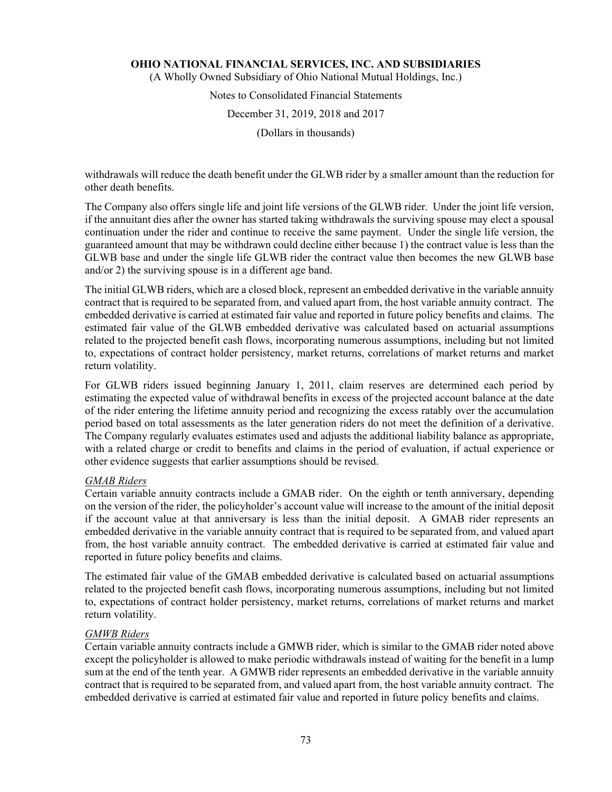(A Wholly Owned Subsidiary of Ohio National Mutual Holdings, Inc.)

# Notes to Consolidated Financial Statements

# December 31, 2019, 2018 and 2017

(Dollars in thousands)

withdrawals will reduce the death benefit under the GLWB rider by a smaller amount than the reduction for other death benefits.

The Company also offers single life and joint life versions of the GLWB rider. Under the joint life version, if the annuitant dies after the owner has started taking withdrawals the surviving spouse may elect a spousal continuation under the rider and continue to receive the same payment. Under the single life version, the guaranteed amount that may be withdrawn could decline either because 1) the contract value is less than the GLWB base and under the single life GLWB rider the contract value then becomes the new GLWB base and/or 2) the surviving spouse is in a different age band.

The initial GLWB riders, which are a closed block, represent an embedded derivative in the variable annuity contract that is required to be separated from, and valued apart from, the host variable annuity contract. The embedded derivative is carried at estimated fair value and reported in future policy benefits and claims. The estimated fair value of the GLWB embedded derivative was calculated based on actuarial assumptions related to the projected benefit cash flows, incorporating numerous assumptions, including but not limited to, expectations of contract holder persistency, market returns, correlations of market returns and market return volatility.

For GLWB riders issued beginning January 1, 2011, claim reserves are determined each period by estimating the expected value of withdrawal benefits in excess of the projected account balance at the date of the rider entering the lifetime annuity period and recognizing the excess ratably over the accumulation period based on total assessments as the later generation riders do not meet the definition of a derivative. The Company regularly evaluates estimates used and adjusts the additional liability balance as appropriate, with a related charge or credit to benefits and claims in the period of evaluation, if actual experience or other evidence suggests that earlier assumptions should be revised.

### *GMAB Riders*

Certain variable annuity contracts include a GMAB rider. On the eighth or tenth anniversary, depending on the version of the rider, the policyholder's account value will increase to the amount of the initial deposit if the account value at that anniversary is less than the initial deposit. A GMAB rider represents an embedded derivative in the variable annuity contract that is required to be separated from, and valued apart from, the host variable annuity contract. The embedded derivative is carried at estimated fair value and reported in future policy benefits and claims.

The estimated fair value of the GMAB embedded derivative is calculated based on actuarial assumptions related to the projected benefit cash flows, incorporating numerous assumptions, including but not limited to, expectations of contract holder persistency, market returns, correlations of market returns and market return volatility.

### *GMWB Riders*

Certain variable annuity contracts include a GMWB rider, which is similar to the GMAB rider noted above except the policyholder is allowed to make periodic withdrawals instead of waiting for the benefit in a lump sum at the end of the tenth year. A GMWB rider represents an embedded derivative in the variable annuity contract that is required to be separated from, and valued apart from, the host variable annuity contract. The embedded derivative is carried at estimated fair value and reported in future policy benefits and claims.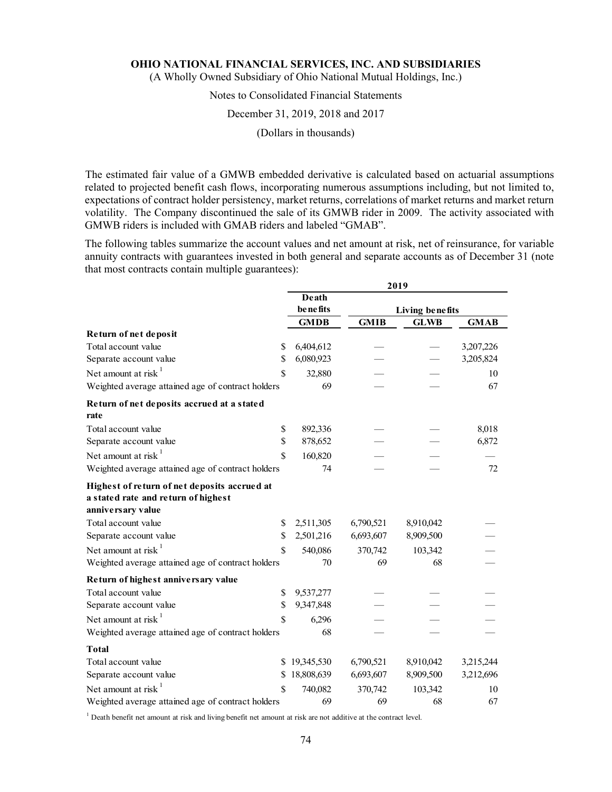(A Wholly Owned Subsidiary of Ohio National Mutual Holdings, Inc.)

# Notes to Consolidated Financial Statements

#### December 31, 2019, 2018 and 2017

(Dollars in thousands)

The estimated fair value of a GMWB embedded derivative is calculated based on actuarial assumptions related to projected benefit cash flows, incorporating numerous assumptions including, but not limited to, expectations of contract holder persistency, market returns, correlations of market returns and market return volatility. The Company discontinued the sale of its GMWB rider in 2009. The activity associated with GMWB riders is included with GMAB riders and labeled "GMAB".

The following tables summarize the account values and net amount at risk, net of reinsurance, for variable annuity contracts with guarantees invested in both general and separate accounts as of December 31 (note that most contracts contain multiple guarantees):

|                                                   | 2019        |                 |             |             |  |
|---------------------------------------------------|-------------|-----------------|-------------|-------------|--|
|                                                   | Death       |                 |             |             |  |
|                                                   | benefits    | Living benefits |             |             |  |
|                                                   | <b>GMDB</b> | <b>GMIB</b>     | <b>GLWB</b> | <b>GMAB</b> |  |
| Return of net deposit                             |             |                 |             |             |  |
| Total account value<br>\$                         | 6,404,612   |                 |             | 3,207,226   |  |
| \$<br>Separate account value                      | 6,080,923   |                 |             | 3,205,824   |  |
| Net amount at risk <sup>1</sup><br>\$             | 32,880      |                 |             | 10          |  |
| Weighted average attained age of contract holders | 69          |                 |             | 67          |  |
| Return of net deposits accrued at a stated        |             |                 |             |             |  |
| rate                                              |             |                 |             |             |  |
| Total account value<br>\$                         | 892,336     |                 |             | 8,018       |  |
| \$<br>Separate account value                      | 878,652     |                 |             | 6,872       |  |
| Net amount at risk <sup>1</sup><br>\$             | 160,820     |                 |             |             |  |
| Weighted average attained age of contract holders | 74          |                 |             | 72          |  |
| Highest of return of net deposits accrued at      |             |                 |             |             |  |
| a stated rate and return of highest               |             |                 |             |             |  |
| anniversary value                                 |             |                 |             |             |  |
| Total account value<br>\$                         | 2,511,305   | 6,790,521       | 8,910,042   |             |  |
| \$<br>Separate account value                      | 2,501,216   | 6,693,607       | 8,909,500   |             |  |
| Net amount at risk $1$<br>\$                      | 540,086     | 370,742         | 103,342     |             |  |
| Weighted average attained age of contract holders | 70          | 69              | 68          |             |  |
| Return of highest anniversary value               |             |                 |             |             |  |
| Total account value<br>\$                         | 9,537,277   |                 |             |             |  |
| Separate account value<br>\$                      | 9,347,848   |                 |             |             |  |
| Net amount at risk <sup>1</sup><br>\$             | 6,296       |                 |             |             |  |
| Weighted average attained age of contract holders | 68          |                 |             |             |  |
| <b>Total</b>                                      |             |                 |             |             |  |
| Total account value<br>\$                         | 19,345,530  | 6,790,521       | 8,910,042   | 3,215,244   |  |
| Separate account value<br>\$                      | 18,808,639  | 6,693,607       | 8,909,500   | 3,212,696   |  |
| Net amount at risk $1$<br>\$                      | 740,082     | 370,742         | 103,342     | 10          |  |
| Weighted average attained age of contract holders | 69          | 69              | 68          | 67          |  |

<sup>1</sup> Death benefit net amount at risk and living benefit net amount at risk are not additive at the contract level.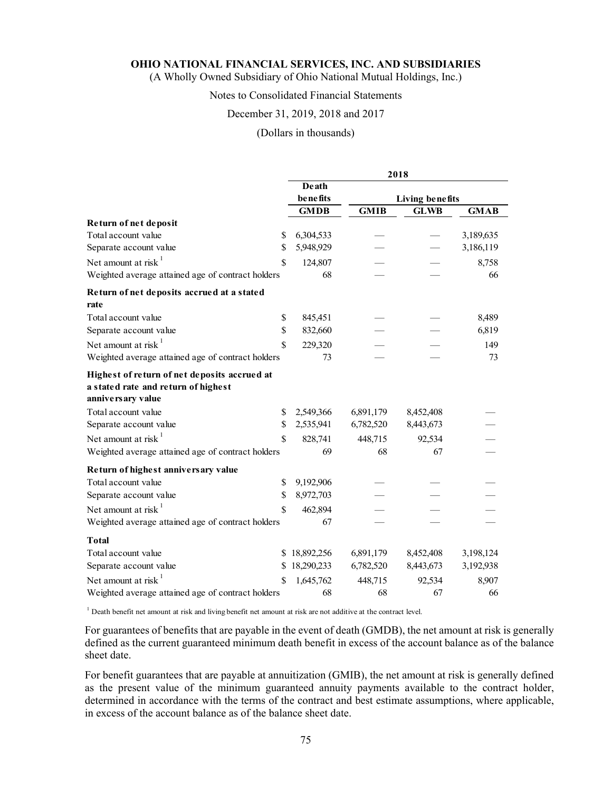(A Wholly Owned Subsidiary of Ohio National Mutual Holdings, Inc.)

# Notes to Consolidated Financial Statements

### December 31, 2019, 2018 and 2017

#### (Dollars in thousands)

|                                                   | 2018             |             |                 |             |  |
|---------------------------------------------------|------------------|-------------|-----------------|-------------|--|
|                                                   | Death            |             |                 |             |  |
|                                                   | <b>be</b> nefits |             | Living benefits |             |  |
|                                                   | <b>GMDB</b>      | <b>GMIB</b> | <b>GLWB</b>     | <b>GMAB</b> |  |
| Return of net deposit                             |                  |             |                 |             |  |
| Total account value<br>\$                         | 6,304,533        |             |                 | 3,189,635   |  |
| \$<br>Separate account value                      | 5,948,929        |             |                 | 3,186,119   |  |
| Net amount at risk <sup>1</sup><br>\$             | 124,807          |             |                 | 8,758       |  |
| Weighted average attained age of contract holders | 68               |             |                 | 66          |  |
| Return of net deposits accrued at a stated        |                  |             |                 |             |  |
| rate                                              |                  |             |                 |             |  |
| Total account value<br>\$                         | 845,451          |             |                 | 8,489       |  |
| $\mathbf S$<br>Separate account value             | 832,660          |             |                 | 6,819       |  |
| Net amount at risk $1$<br>\$                      | 229,320          |             |                 | 149         |  |
| Weighted average attained age of contract holders | 73               |             |                 | 73          |  |
| Highest of return of net deposits accrued at      |                  |             |                 |             |  |
| a stated rate and return of highest               |                  |             |                 |             |  |
| anniversary value                                 |                  |             |                 |             |  |
| Total account value<br>\$                         | 2,549,366        | 6,891,179   | 8,452,408       |             |  |
| \$<br>Separate account value                      | 2,535,941        | 6,782,520   | 8,443,673       |             |  |
| Net amount at risk $1$<br>\$                      | 828,741          | 448,715     | 92,534          |             |  |
| Weighted average attained age of contract holders | 69               | 68          | 67              |             |  |
| Return of highest anniversary value               |                  |             |                 |             |  |
| Total account value<br>\$                         | 9,192,906        |             |                 |             |  |
| Separate account value<br>\$                      | 8,972,703        |             |                 |             |  |
| Net amount at risk $1$<br>\$                      | 462,894          |             |                 |             |  |
| Weighted average attained age of contract holders | 67               |             |                 |             |  |
| <b>Total</b>                                      |                  |             |                 |             |  |
| Total account value                               | \$18,892,256     | 6,891,179   | 8,452,408       | 3,198,124   |  |
| Separate account value<br>\$                      | 18,290,233       | 6,782,520   | 8,443,673       | 3,192,938   |  |
| Net amount at risk <sup>1</sup><br>\$             | 1,645,762        | 448,715     | 92,534          | 8,907       |  |
| Weighted average attained age of contract holders | 68               | 68          | 67              | 66          |  |

<sup>1</sup> Death benefit net amount at risk and living benefit net amount at risk are not additive at the contract level.

For guarantees of benefits that are payable in the event of death (GMDB), the net amount at risk is generally defined as the current guaranteed minimum death benefit in excess of the account balance as of the balance sheet date.

For benefit guarantees that are payable at annuitization (GMIB), the net amount at risk is generally defined as the present value of the minimum guaranteed annuity payments available to the contract holder, determined in accordance with the terms of the contract and best estimate assumptions, where applicable, in excess of the account balance as of the balance sheet date.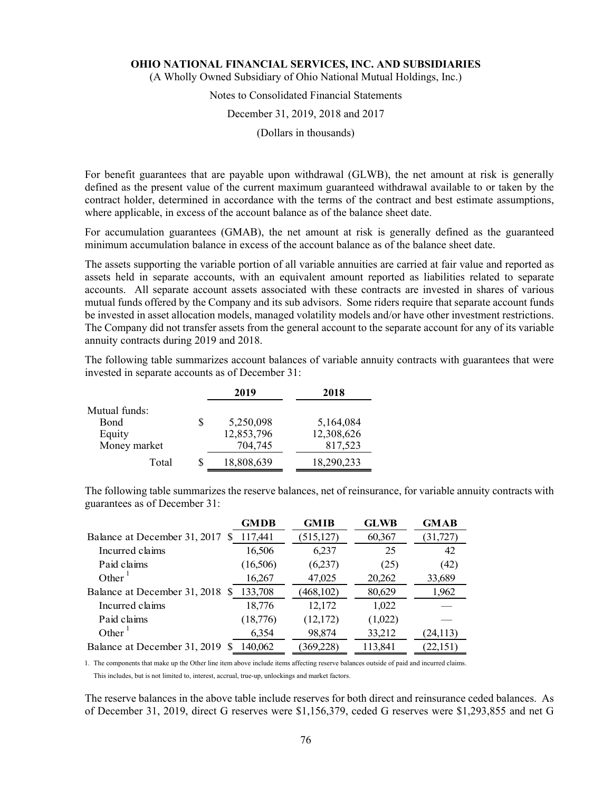(A Wholly Owned Subsidiary of Ohio National Mutual Holdings, Inc.)

# Notes to Consolidated Financial Statements

#### December 31, 2019, 2018 and 2017

(Dollars in thousands)

For benefit guarantees that are payable upon withdrawal (GLWB), the net amount at risk is generally defined as the present value of the current maximum guaranteed withdrawal available to or taken by the contract holder, determined in accordance with the terms of the contract and best estimate assumptions, where applicable, in excess of the account balance as of the balance sheet date.

For accumulation guarantees (GMAB), the net amount at risk is generally defined as the guaranteed minimum accumulation balance in excess of the account balance as of the balance sheet date.

The assets supporting the variable portion of all variable annuities are carried at fair value and reported as assets held in separate accounts, with an equivalent amount reported as liabilities related to separate accounts. All separate account assets associated with these contracts are invested in shares of various mutual funds offered by the Company and its sub advisors. Some riders require that separate account funds be invested in asset allocation models, managed volatility models and/or have other investment restrictions. The Company did not transfer assets from the general account to the separate account for any of its variable annuity contracts during 2019 and 2018.

The following table summarizes account balances of variable annuity contracts with guarantees that were invested in separate accounts as of December 31:

|               |    | 2019       | 2018       |
|---------------|----|------------|------------|
| Mutual funds: |    |            |            |
| <b>B</b> ond  | \$ | 5,250,098  | 5,164,084  |
| Equity        |    | 12,853,796 | 12,308,626 |
| Money market  |    | 704,745    | 817,523    |
| Total         | S  | 18,808,639 | 18,290,233 |

The following table summarizes the reserve balances, net of reinsurance, for variable annuity contracts with guarantees as of December 31:

| <b>GMDB</b> | <b>GMIB</b> | <b>GLWB</b> | <b>GMAB</b> |
|-------------|-------------|-------------|-------------|
| 117,441     | (515, 127)  | 60,367      | (31, 727)   |
| 16,506      | 6,237       | 25          | 42          |
| (16,506)    | (6,237)     | (25)        | (42)        |
| 16,267      | 47,025      | 20,262      | 33,689      |
| 133,708     | (468,102)   | 80,629      | 1,962       |
| 18,776      | 12,172      | 1,022       |             |
| (18,776)    | (12,172)    | (1,022)     |             |
| 6,354       | 98,874      | 33,212      | 24,113)     |
| 140,062     | 369,228)    | 113,841     | (22,151)    |
|             |             |             |             |

1. The components that make up the Other line item above include items affecting reserve balances outside of paid and incurred claims.

This includes, but is not limited to, interest, accrual, true-up, unlockings and market factors.

The reserve balances in the above table include reserves for both direct and reinsurance ceded balances. As of December 31, 2019, direct G reserves were \$1,156,379, ceded G reserves were \$1,293,855 and net G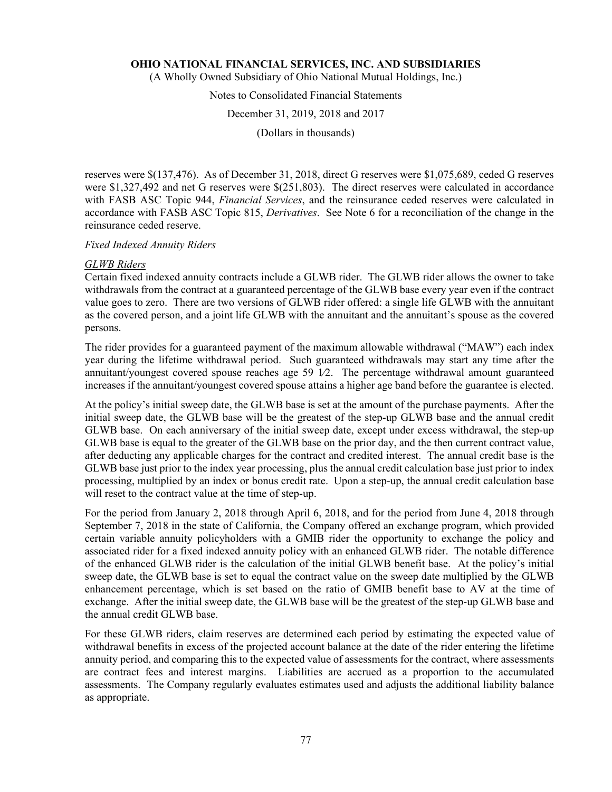(A Wholly Owned Subsidiary of Ohio National Mutual Holdings, Inc.)

# Notes to Consolidated Financial Statements

### December 31, 2019, 2018 and 2017

(Dollars in thousands)

reserves were \$(137,476). As of December 31, 2018, direct G reserves were \$1,075,689, ceded G reserves were \$1,327,492 and net G reserves were \$(251,803). The direct reserves were calculated in accordance with FASB ASC Topic 944, *Financial Services*, and the reinsurance ceded reserves were calculated in accordance with FASB ASC Topic 815, *Derivatives*. See Note 6 for a reconciliation of the change in the reinsurance ceded reserve.

### *Fixed Indexed Annuity Riders*

### *GLWB Riders*

Certain fixed indexed annuity contracts include a GLWB rider. The GLWB rider allows the owner to take withdrawals from the contract at a guaranteed percentage of the GLWB base every year even if the contract value goes to zero. There are two versions of GLWB rider offered: a single life GLWB with the annuitant as the covered person, and a joint life GLWB with the annuitant and the annuitant's spouse as the covered persons.

The rider provides for a guaranteed payment of the maximum allowable withdrawal ("MAW") each index year during the lifetime withdrawal period. Such guaranteed withdrawals may start any time after the annuitant/youngest covered spouse reaches age 59 1∕2. The percentage withdrawal amount guaranteed increases if the annuitant/youngest covered spouse attains a higher age band before the guarantee is elected.

At the policy's initial sweep date, the GLWB base is set at the amount of the purchase payments. After the initial sweep date, the GLWB base will be the greatest of the step-up GLWB base and the annual credit GLWB base. On each anniversary of the initial sweep date, except under excess withdrawal, the step-up GLWB base is equal to the greater of the GLWB base on the prior day, and the then current contract value, after deducting any applicable charges for the contract and credited interest. The annual credit base is the GLWB base just prior to the index year processing, plus the annual credit calculation base just prior to index processing, multiplied by an index or bonus credit rate. Upon a step-up, the annual credit calculation base will reset to the contract value at the time of step-up.

For the period from January 2, 2018 through April 6, 2018, and for the period from June 4, 2018 through September 7, 2018 in the state of California, the Company offered an exchange program, which provided certain variable annuity policyholders with a GMIB rider the opportunity to exchange the policy and associated rider for a fixed indexed annuity policy with an enhanced GLWB rider. The notable difference of the enhanced GLWB rider is the calculation of the initial GLWB benefit base. At the policy's initial sweep date, the GLWB base is set to equal the contract value on the sweep date multiplied by the GLWB enhancement percentage, which is set based on the ratio of GMIB benefit base to AV at the time of exchange. After the initial sweep date, the GLWB base will be the greatest of the step-up GLWB base and the annual credit GLWB base.

For these GLWB riders, claim reserves are determined each period by estimating the expected value of withdrawal benefits in excess of the projected account balance at the date of the rider entering the lifetime annuity period, and comparing this to the expected value of assessments for the contract, where assessments are contract fees and interest margins. Liabilities are accrued as a proportion to the accumulated assessments. The Company regularly evaluates estimates used and adjusts the additional liability balance as appropriate.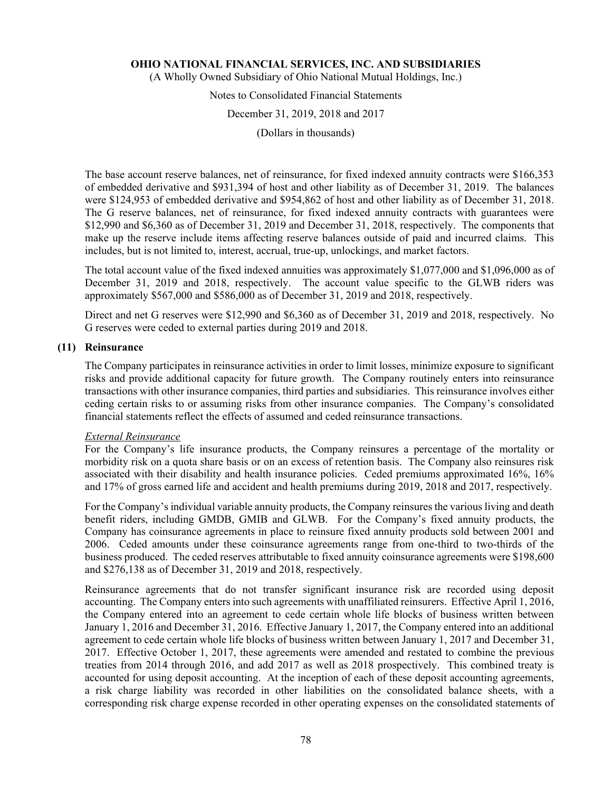(A Wholly Owned Subsidiary of Ohio National Mutual Holdings, Inc.)

# Notes to Consolidated Financial Statements

# December 31, 2019, 2018 and 2017

(Dollars in thousands)

The base account reserve balances, net of reinsurance, for fixed indexed annuity contracts were \$166,353 of embedded derivative and \$931,394 of host and other liability as of December 31, 2019. The balances were \$124,953 of embedded derivative and \$954,862 of host and other liability as of December 31, 2018. The G reserve balances, net of reinsurance, for fixed indexed annuity contracts with guarantees were \$12,990 and \$6,360 as of December 31, 2019 and December 31, 2018, respectively. The components that make up the reserve include items affecting reserve balances outside of paid and incurred claims. This includes, but is not limited to, interest, accrual, true-up, unlockings, and market factors.

The total account value of the fixed indexed annuities was approximately \$1,077,000 and \$1,096,000 as of December 31, 2019 and 2018, respectively. The account value specific to the GLWB riders was approximately \$567,000 and \$586,000 as of December 31, 2019 and 2018, respectively.

Direct and net G reserves were \$12,990 and \$6,360 as of December 31, 2019 and 2018, respectively. No G reserves were ceded to external parties during 2019 and 2018.

### **(11) Reinsurance**

The Company participates in reinsurance activities in order to limit losses, minimize exposure to significant risks and provide additional capacity for future growth. The Company routinely enters into reinsurance transactions with other insurance companies, third parties and subsidiaries. This reinsurance involves either ceding certain risks to or assuming risks from other insurance companies. The Company's consolidated financial statements reflect the effects of assumed and ceded reinsurance transactions.

### *External Reinsurance*

For the Company's life insurance products, the Company reinsures a percentage of the mortality or morbidity risk on a quota share basis or on an excess of retention basis. The Company also reinsures risk associated with their disability and health insurance policies. Ceded premiums approximated 16%, 16% and 17% of gross earned life and accident and health premiums during 2019, 2018 and 2017, respectively.

For the Company's individual variable annuity products, the Company reinsures the various living and death benefit riders, including GMDB, GMIB and GLWB. For the Company's fixed annuity products, the Company has coinsurance agreements in place to reinsure fixed annuity products sold between 2001 and 2006. Ceded amounts under these coinsurance agreements range from one-third to two-thirds of the business produced. The ceded reserves attributable to fixed annuity coinsurance agreements were \$198,600 and \$276,138 as of December 31, 2019 and 2018, respectively.

Reinsurance agreements that do not transfer significant insurance risk are recorded using deposit accounting. The Company enters into such agreements with unaffiliated reinsurers. Effective April 1, 2016, the Company entered into an agreement to cede certain whole life blocks of business written between January 1, 2016 and December 31, 2016. Effective January 1, 2017, the Company entered into an additional agreement to cede certain whole life blocks of business written between January 1, 2017 and December 31, 2017. Effective October 1, 2017, these agreements were amended and restated to combine the previous treaties from 2014 through 2016, and add 2017 as well as 2018 prospectively. This combined treaty is accounted for using deposit accounting. At the inception of each of these deposit accounting agreements, a risk charge liability was recorded in other liabilities on the consolidated balance sheets, with a corresponding risk charge expense recorded in other operating expenses on the consolidated statements of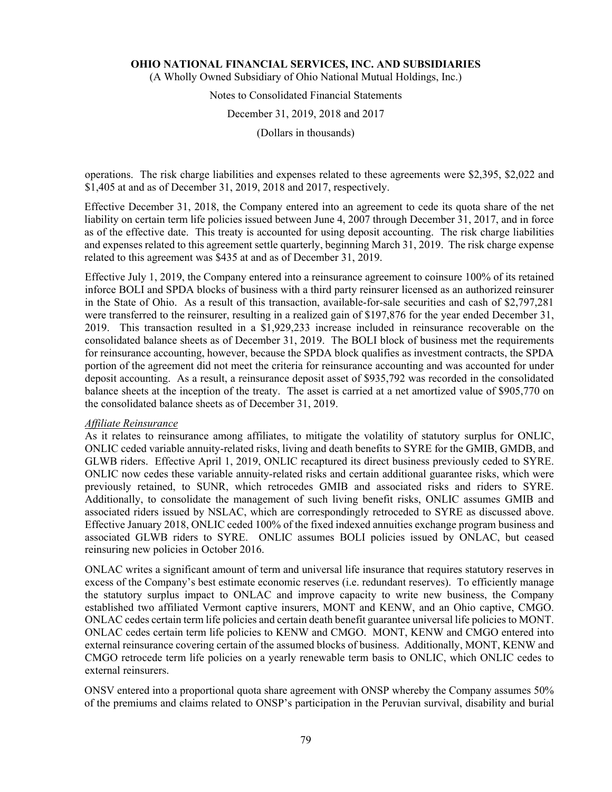(A Wholly Owned Subsidiary of Ohio National Mutual Holdings, Inc.)

# Notes to Consolidated Financial Statements

# December 31, 2019, 2018 and 2017

(Dollars in thousands)

operations. The risk charge liabilities and expenses related to these agreements were \$2,395, \$2,022 and \$1,405 at and as of December 31, 2019, 2018 and 2017, respectively.

Effective December 31, 2018, the Company entered into an agreement to cede its quota share of the net liability on certain term life policies issued between June 4, 2007 through December 31, 2017, and in force as of the effective date. This treaty is accounted for using deposit accounting. The risk charge liabilities and expenses related to this agreement settle quarterly, beginning March 31, 2019. The risk charge expense related to this agreement was \$435 at and as of December 31, 2019.

Effective July 1, 2019, the Company entered into a reinsurance agreement to coinsure 100% of its retained inforce BOLI and SPDA blocks of business with a third party reinsurer licensed as an authorized reinsurer in the State of Ohio. As a result of this transaction, available-for-sale securities and cash of \$2,797,281 were transferred to the reinsurer, resulting in a realized gain of \$197,876 for the year ended December 31, 2019. This transaction resulted in a \$1,929,233 increase included in reinsurance recoverable on the consolidated balance sheets as of December 31, 2019. The BOLI block of business met the requirements for reinsurance accounting, however, because the SPDA block qualifies as investment contracts, the SPDA portion of the agreement did not meet the criteria for reinsurance accounting and was accounted for under deposit accounting. As a result, a reinsurance deposit asset of \$935,792 was recorded in the consolidated balance sheets at the inception of the treaty. The asset is carried at a net amortized value of \$905,770 on the consolidated balance sheets as of December 31, 2019.

# *Affiliate Reinsurance*

As it relates to reinsurance among affiliates, to mitigate the volatility of statutory surplus for ONLIC, ONLIC ceded variable annuity-related risks, living and death benefits to SYRE for the GMIB, GMDB, and GLWB riders. Effective April 1, 2019, ONLIC recaptured its direct business previously ceded to SYRE. ONLIC now cedes these variable annuity-related risks and certain additional guarantee risks, which were previously retained, to SUNR, which retrocedes GMIB and associated risks and riders to SYRE. Additionally, to consolidate the management of such living benefit risks, ONLIC assumes GMIB and associated riders issued by NSLAC, which are correspondingly retroceded to SYRE as discussed above. Effective January 2018, ONLIC ceded 100% of the fixed indexed annuities exchange program business and associated GLWB riders to SYRE. ONLIC assumes BOLI policies issued by ONLAC, but ceased reinsuring new policies in October 2016.

ONLAC writes a significant amount of term and universal life insurance that requires statutory reserves in excess of the Company's best estimate economic reserves (i.e. redundant reserves). To efficiently manage the statutory surplus impact to ONLAC and improve capacity to write new business, the Company established two affiliated Vermont captive insurers, MONT and KENW, and an Ohio captive, CMGO. ONLAC cedes certain term life policies and certain death benefit guarantee universal life policies to MONT. ONLAC cedes certain term life policies to KENW and CMGO. MONT, KENW and CMGO entered into external reinsurance covering certain of the assumed blocks of business. Additionally, MONT, KENW and CMGO retrocede term life policies on a yearly renewable term basis to ONLIC, which ONLIC cedes to external reinsurers.

ONSV entered into a proportional quota share agreement with ONSP whereby the Company assumes 50% of the premiums and claims related to ONSP's participation in the Peruvian survival, disability and burial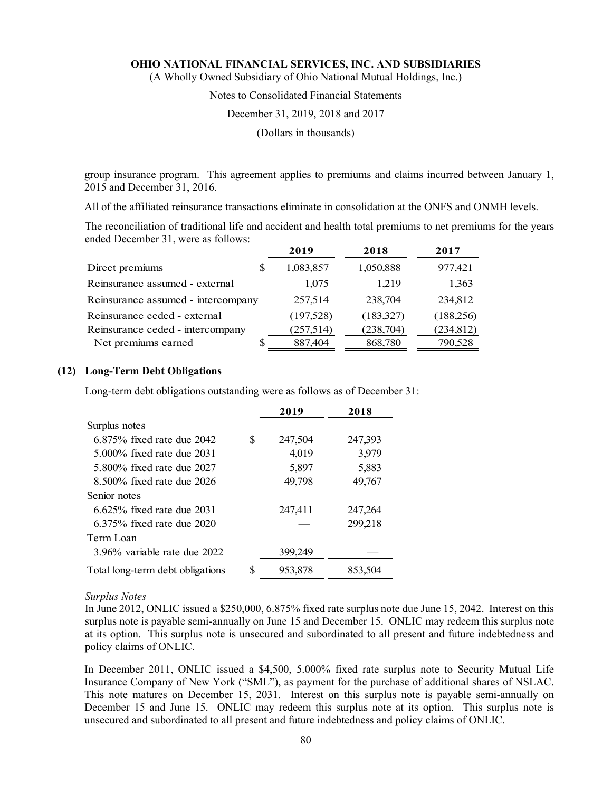(A Wholly Owned Subsidiary of Ohio National Mutual Holdings, Inc.)

# Notes to Consolidated Financial Statements

#### December 31, 2019, 2018 and 2017

(Dollars in thousands)

group insurance program. This agreement applies to premiums and claims incurred between January 1, 2015 and December 31, 2016.

All of the affiliated reinsurance transactions eliminate in consolidation at the ONFS and ONMH levels.

The reconciliation of traditional life and accident and health total premiums to net premiums for the years ended December 31, were as follows:

|                                    | 2019       | 2018       | 2017       |
|------------------------------------|------------|------------|------------|
| Direct premiums<br>S               | 1,083,857  | 1,050,888  | 977,421    |
| Reinsurance assumed - external     | 1,075      | 1.219      | 1,363      |
| Reinsurance assumed - intercompany | 257,514    | 238,704    | 234,812    |
| Reinsurance ceded - external       | (197, 528) | (183,327)  | (188, 256) |
| Reinsurance ceded - intercompany   | (257,514)  | (238, 704) | (234, 812) |
| Net premiums earned                | 887,404    | 868,780    | 790,528    |

# **(12) Long-Term Debt Obligations**

Long-term debt obligations outstanding were as follows as of December 31:

|                                  |    | 2019    | 2018    |
|----------------------------------|----|---------|---------|
| Surplus notes                    |    |         |         |
| 6.875% fixed rate due 2042       | \$ | 247,504 | 247,393 |
| 5,000% fixed rate due 2031       |    | 4,019   | 3,979   |
| 5,800% fixed rate due 2027       |    | 5,897   | 5,883   |
| 8.500% fixed rate due 2026       |    | 49,798  | 49,767  |
| Senior notes                     |    |         |         |
| $6.625\%$ fixed rate due 2031    |    | 247,411 | 247,264 |
| 6.375% fixed rate due 2020       |    |         | 299,218 |
| Term Loan                        |    |         |         |
| 3.96% variable rate due 2022     |    | 399,249 |         |
| Total long-term debt obligations | S  | 953,878 | 853,504 |

#### *Surplus Notes*

In June 2012, ONLIC issued a \$250,000, 6.875% fixed rate surplus note due June 15, 2042. Interest on this surplus note is payable semi-annually on June 15 and December 15. ONLIC may redeem this surplus note at its option. This surplus note is unsecured and subordinated to all present and future indebtedness and policy claims of ONLIC.

In December 2011, ONLIC issued a \$4,500, 5.000% fixed rate surplus note to Security Mutual Life Insurance Company of New York ("SML"), as payment for the purchase of additional shares of NSLAC. This note matures on December 15, 2031. Interest on this surplus note is payable semi-annually on December 15 and June 15. ONLIC may redeem this surplus note at its option. This surplus note is unsecured and subordinated to all present and future indebtedness and policy claims of ONLIC.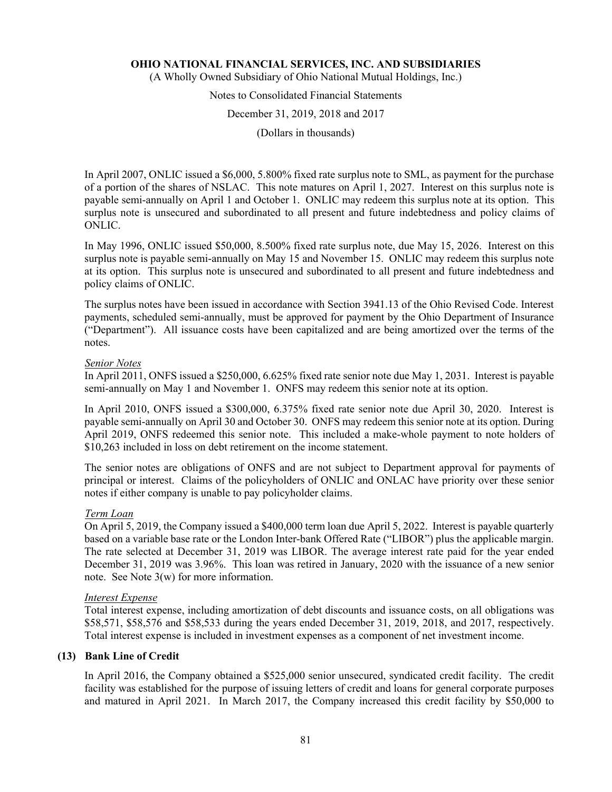(A Wholly Owned Subsidiary of Ohio National Mutual Holdings, Inc.)

# Notes to Consolidated Financial Statements

# December 31, 2019, 2018 and 2017

(Dollars in thousands)

In April 2007, ONLIC issued a \$6,000, 5.800% fixed rate surplus note to SML, as payment for the purchase of a portion of the shares of NSLAC. This note matures on April 1, 2027. Interest on this surplus note is payable semi-annually on April 1 and October 1. ONLIC may redeem this surplus note at its option. This surplus note is unsecured and subordinated to all present and future indebtedness and policy claims of ONLIC.

In May 1996, ONLIC issued \$50,000, 8.500% fixed rate surplus note, due May 15, 2026. Interest on this surplus note is payable semi-annually on May 15 and November 15. ONLIC may redeem this surplus note at its option. This surplus note is unsecured and subordinated to all present and future indebtedness and policy claims of ONLIC.

The surplus notes have been issued in accordance with Section 3941.13 of the Ohio Revised Code. Interest payments, scheduled semi-annually, must be approved for payment by the Ohio Department of Insurance ("Department"). All issuance costs have been capitalized and are being amortized over the terms of the notes.

### *Senior Notes*

In April 2011, ONFS issued a \$250,000, 6.625% fixed rate senior note due May 1, 2031. Interest is payable semi-annually on May 1 and November 1. ONFS may redeem this senior note at its option.

In April 2010, ONFS issued a \$300,000, 6.375% fixed rate senior note due April 30, 2020. Interest is payable semi-annually on April 30 and October 30. ONFS may redeem this senior note at its option. During April 2019, ONFS redeemed this senior note. This included a make-whole payment to note holders of \$10,263 included in loss on debt retirement on the income statement.

The senior notes are obligations of ONFS and are not subject to Department approval for payments of principal or interest. Claims of the policyholders of ONLIC and ONLAC have priority over these senior notes if either company is unable to pay policyholder claims.

### *Term Loan*

On April 5, 2019, the Company issued a \$400,000 term loan due April 5, 2022. Interest is payable quarterly based on a variable base rate or the London Inter-bank Offered Rate ("LIBOR") plus the applicable margin. The rate selected at December 31, 2019 was LIBOR. The average interest rate paid for the year ended December 31, 2019 was 3.96%. This loan was retired in January, 2020 with the issuance of a new senior note. See Note 3(w) for more information.

# *Interest Expense*

Total interest expense, including amortization of debt discounts and issuance costs, on all obligations was \$58,571, \$58,576 and \$58,533 during the years ended December 31, 2019, 2018, and 2017, respectively. Total interest expense is included in investment expenses as a component of net investment income.

# **(13) Bank Line of Credit**

In April 2016, the Company obtained a \$525,000 senior unsecured, syndicated credit facility. The credit facility was established for the purpose of issuing letters of credit and loans for general corporate purposes and matured in April 2021. In March 2017, the Company increased this credit facility by \$50,000 to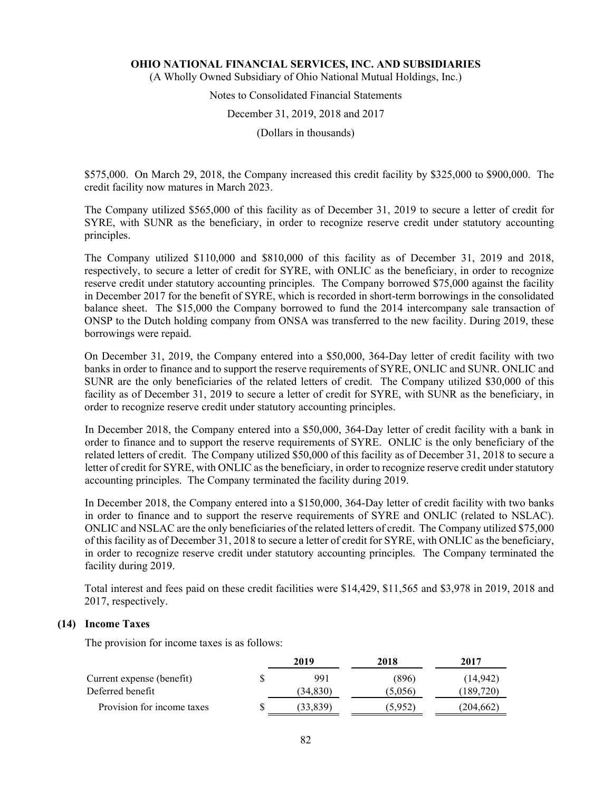(A Wholly Owned Subsidiary of Ohio National Mutual Holdings, Inc.)

# Notes to Consolidated Financial Statements

#### December 31, 2019, 2018 and 2017

(Dollars in thousands)

\$575,000. On March 29, 2018, the Company increased this credit facility by \$325,000 to \$900,000. The credit facility now matures in March 2023.

The Company utilized \$565,000 of this facility as of December 31, 2019 to secure a letter of credit for SYRE, with SUNR as the beneficiary, in order to recognize reserve credit under statutory accounting principles.

The Company utilized \$110,000 and \$810,000 of this facility as of December 31, 2019 and 2018, respectively, to secure a letter of credit for SYRE, with ONLIC as the beneficiary, in order to recognize reserve credit under statutory accounting principles. The Company borrowed \$75,000 against the facility in December 2017 for the benefit of SYRE, which is recorded in short-term borrowings in the consolidated balance sheet. The \$15,000 the Company borrowed to fund the 2014 intercompany sale transaction of ONSP to the Dutch holding company from ONSA was transferred to the new facility. During 2019, these borrowings were repaid.

On December 31, 2019, the Company entered into a \$50,000, 364-Day letter of credit facility with two banks in order to finance and to support the reserve requirements of SYRE, ONLIC and SUNR. ONLIC and SUNR are the only beneficiaries of the related letters of credit. The Company utilized \$30,000 of this facility as of December 31, 2019 to secure a letter of credit for SYRE, with SUNR as the beneficiary, in order to recognize reserve credit under statutory accounting principles.

In December 2018, the Company entered into a \$50,000, 364-Day letter of credit facility with a bank in order to finance and to support the reserve requirements of SYRE. ONLIC is the only beneficiary of the related letters of credit. The Company utilized \$50,000 of this facility as of December 31, 2018 to secure a letter of credit for SYRE, with ONLIC as the beneficiary, in order to recognize reserve credit under statutory accounting principles. The Company terminated the facility during 2019.

In December 2018, the Company entered into a \$150,000, 364-Day letter of credit facility with two banks in order to finance and to support the reserve requirements of SYRE and ONLIC (related to NSLAC). ONLIC and NSLAC are the only beneficiaries of the related letters of credit. The Company utilized \$75,000 of this facility as of December 31, 2018 to secure a letter of credit for SYRE, with ONLIC as the beneficiary, in order to recognize reserve credit under statutory accounting principles. The Company terminated the facility during 2019.

Total interest and fees paid on these credit facilities were \$14,429, \$11,565 and \$3,978 in 2019, 2018 and 2017, respectively.

# **(14) Income Taxes**

The provision for income taxes is as follows:

|                            | 2019 |           | 2018    | 2017      |
|----------------------------|------|-----------|---------|-----------|
| Current expense (benefit)  |      | 991       | (896)   | (14, 942) |
| Deferred benefit           |      | (34, 830) | (5,056) | (189,720) |
| Provision for income taxes |      | 33,839    | (5,952) | (204,662) |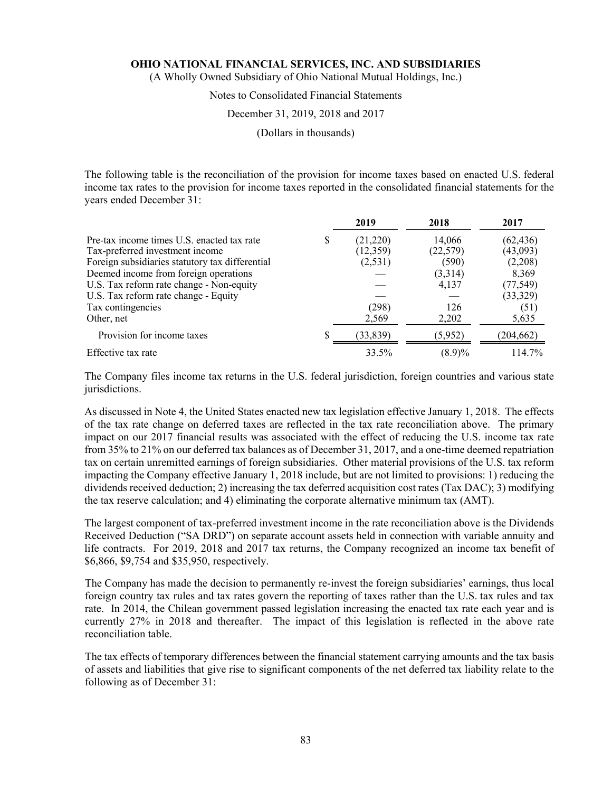(A Wholly Owned Subsidiary of Ohio National Mutual Holdings, Inc.)

# Notes to Consolidated Financial Statements

### December 31, 2019, 2018 and 2017

(Dollars in thousands)

The following table is the reconciliation of the provision for income taxes based on enacted U.S. federal income tax rates to the provision for income taxes reported in the consolidated financial statements for the years ended December 31:

|                                                 | 2019      | 2018      | 2017       |
|-------------------------------------------------|-----------|-----------|------------|
| Pre-tax income times U.S. enacted tax rate      | (21,220)  | 14,066    | (62, 436)  |
| Tax-preferred investment income                 | (12,359)  | (22, 579) | (43,093)   |
| Foreign subsidiaries statutory tax differential | (2, 531)  | (590)     | (2,208)    |
| Deemed income from foreign operations           |           | (3,314)   | 8,369      |
| U.S. Tax reform rate change - Non-equity        |           | 4,137     | (77, 549)  |
| U.S. Tax reform rate change - Equity            |           |           | (33,329)   |
| Tax contingencies                               | (298)     | 126       | (51)       |
| Other, net                                      | 2,569     | 2,202     | 5,635      |
| Provision for income taxes                      | (33, 839) | (5,952)   | (204, 662) |
| Effective tax rate                              | 33.5%     | $(8.9)\%$ | 114.7%     |

The Company files income tax returns in the U.S. federal jurisdiction, foreign countries and various state jurisdictions.

As discussed in Note 4, the United States enacted new tax legislation effective January 1, 2018. The effects of the tax rate change on deferred taxes are reflected in the tax rate reconciliation above. The primary impact on our 2017 financial results was associated with the effect of reducing the U.S. income tax rate from 35% to 21% on our deferred tax balances as of December 31, 2017, and a one-time deemed repatriation tax on certain unremitted earnings of foreign subsidiaries. Other material provisions of the U.S. tax reform impacting the Company effective January 1, 2018 include, but are not limited to provisions: 1) reducing the dividends received deduction; 2) increasing the tax deferred acquisition cost rates (Tax DAC); 3) modifying the tax reserve calculation; and 4) eliminating the corporate alternative minimum tax (AMT).

The largest component of tax-preferred investment income in the rate reconciliation above is the Dividends Received Deduction ("SA DRD") on separate account assets held in connection with variable annuity and life contracts. For 2019, 2018 and 2017 tax returns, the Company recognized an income tax benefit of \$6,866, \$9,754 and \$35,950, respectively.

The Company has made the decision to permanently re-invest the foreign subsidiaries' earnings, thus local foreign country tax rules and tax rates govern the reporting of taxes rather than the U.S. tax rules and tax rate. In 2014, the Chilean government passed legislation increasing the enacted tax rate each year and is currently 27% in 2018 and thereafter. The impact of this legislation is reflected in the above rate reconciliation table.

The tax effects of temporary differences between the financial statement carrying amounts and the tax basis of assets and liabilities that give rise to significant components of the net deferred tax liability relate to the following as of December 31: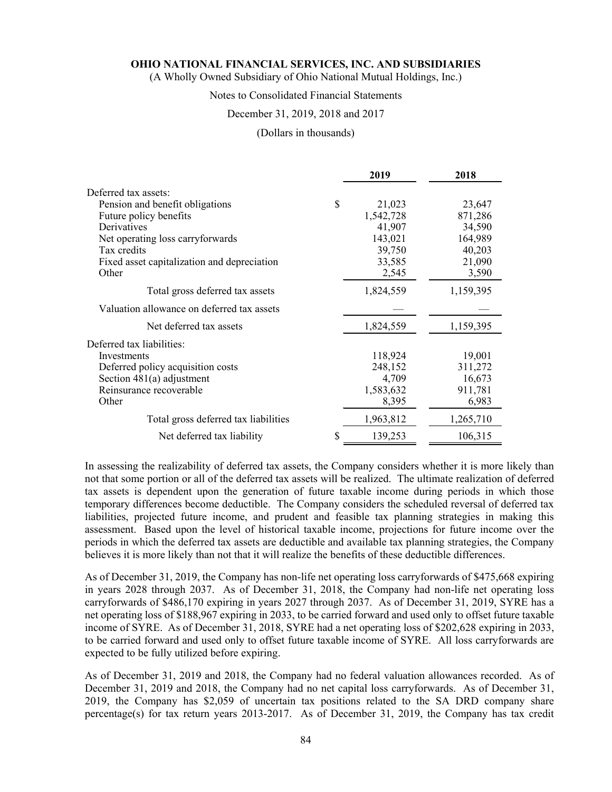(A Wholly Owned Subsidiary of Ohio National Mutual Holdings, Inc.)

### Notes to Consolidated Financial Statements

#### December 31, 2019, 2018 and 2017

#### (Dollars in thousands)

|                                             |    | 2019      | 2018      |
|---------------------------------------------|----|-----------|-----------|
| Deferred tax assets:                        |    |           |           |
| Pension and benefit obligations             | \$ | 21,023    | 23,647    |
| Future policy benefits                      |    | 1,542,728 | 871,286   |
| Derivatives                                 |    | 41,907    | 34,590    |
| Net operating loss carryforwards            |    | 143,021   | 164,989   |
| Tax credits                                 |    | 39,750    | 40,203    |
| Fixed asset capitalization and depreciation |    | 33,585    | 21,090    |
| Other                                       |    | 2,545     | 3,590     |
| Total gross deferred tax assets             |    | 1,824,559 | 1,159,395 |
| Valuation allowance on deferred tax assets  |    |           |           |
| Net deferred tax assets                     |    | 1,824,559 | 1,159,395 |
| Deferred tax liabilities:                   |    |           |           |
| Investments                                 |    | 118,924   | 19,001    |
| Deferred policy acquisition costs           |    | 248,152   | 311,272   |
| Section $481(a)$ adjustment                 |    | 4,709     | 16,673    |
| Reinsurance recoverable                     |    | 1,583,632 | 911,781   |
| Other                                       |    | 8,395     | 6,983     |
| Total gross deferred tax liabilities        |    | 1,963,812 | 1,265,710 |
| Net deferred tax liability                  | S  | 139,253   | 106,315   |

In assessing the realizability of deferred tax assets, the Company considers whether it is more likely than not that some portion or all of the deferred tax assets will be realized. The ultimate realization of deferred tax assets is dependent upon the generation of future taxable income during periods in which those temporary differences become deductible. The Company considers the scheduled reversal of deferred tax liabilities, projected future income, and prudent and feasible tax planning strategies in making this assessment. Based upon the level of historical taxable income, projections for future income over the periods in which the deferred tax assets are deductible and available tax planning strategies, the Company believes it is more likely than not that it will realize the benefits of these deductible differences.

As of December 31, 2019, the Company has non-life net operating loss carryforwards of \$475,668 expiring in years 2028 through 2037. As of December 31, 2018, the Company had non-life net operating loss carryforwards of \$486,170 expiring in years 2027 through 2037. As of December 31, 2019, SYRE has a net operating loss of \$188,967 expiring in 2033, to be carried forward and used only to offset future taxable income of SYRE. As of December 31, 2018, SYRE had a net operating loss of \$202,628 expiring in 2033, to be carried forward and used only to offset future taxable income of SYRE. All loss carryforwards are expected to be fully utilized before expiring.

As of December 31, 2019 and 2018, the Company had no federal valuation allowances recorded. As of December 31, 2019 and 2018, the Company had no net capital loss carryforwards. As of December 31, 2019, the Company has \$2,059 of uncertain tax positions related to the SA DRD company share percentage(s) for tax return years 2013-2017. As of December 31, 2019, the Company has tax credit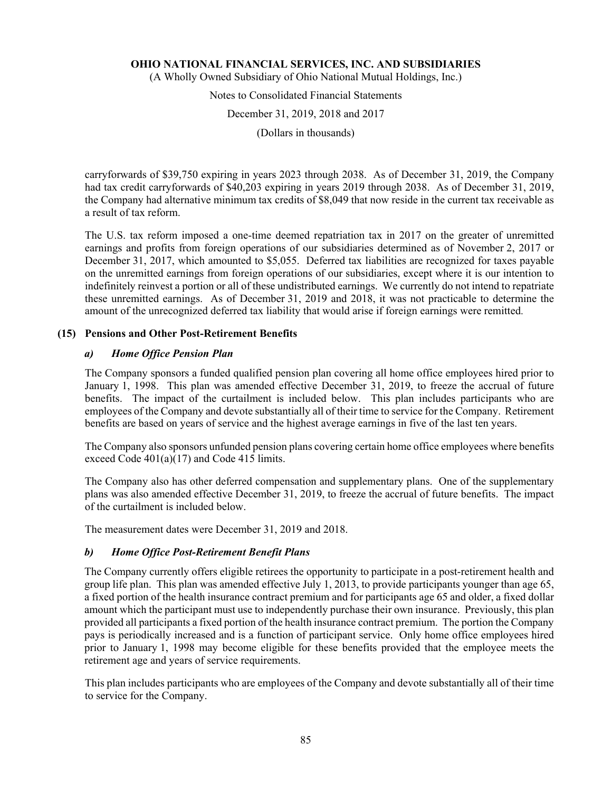(A Wholly Owned Subsidiary of Ohio National Mutual Holdings, Inc.)

Notes to Consolidated Financial Statements

December 31, 2019, 2018 and 2017

(Dollars in thousands)

carryforwards of \$39,750 expiring in years 2023 through 2038. As of December 31, 2019, the Company had tax credit carryforwards of \$40,203 expiring in years 2019 through 2038. As of December 31, 2019, the Company had alternative minimum tax credits of \$8,049 that now reside in the current tax receivable as a result of tax reform.

The U.S. tax reform imposed a one-time deemed repatriation tax in 2017 on the greater of unremitted earnings and profits from foreign operations of our subsidiaries determined as of November 2, 2017 or December 31, 2017, which amounted to \$5,055. Deferred tax liabilities are recognized for taxes payable on the unremitted earnings from foreign operations of our subsidiaries, except where it is our intention to indefinitely reinvest a portion or all of these undistributed earnings. We currently do not intend to repatriate these unremitted earnings. As of December 31, 2019 and 2018, it was not practicable to determine the amount of the unrecognized deferred tax liability that would arise if foreign earnings were remitted.

# **(15) Pensions and Other Post-Retirement Benefits**

# *a) Home Office Pension Plan*

The Company sponsors a funded qualified pension plan covering all home office employees hired prior to January 1, 1998. This plan was amended effective December 31, 2019, to freeze the accrual of future benefits. The impact of the curtailment is included below. This plan includes participants who are employees of the Company and devote substantially all of their time to service for the Company. Retirement benefits are based on years of service and the highest average earnings in five of the last ten years.

The Company also sponsors unfunded pension plans covering certain home office employees where benefits exceed Code 401(a)(17) and Code 415 limits.

The Company also has other deferred compensation and supplementary plans. One of the supplementary plans was also amended effective December 31, 2019, to freeze the accrual of future benefits. The impact of the curtailment is included below.

The measurement dates were December 31, 2019 and 2018.

# *b) Home Office Post-Retirement Benefit Plans*

The Company currently offers eligible retirees the opportunity to participate in a post-retirement health and group life plan. This plan was amended effective July 1, 2013, to provide participants younger than age 65, a fixed portion of the health insurance contract premium and for participants age 65 and older, a fixed dollar amount which the participant must use to independently purchase their own insurance. Previously, this plan provided all participants a fixed portion of the health insurance contract premium. The portion the Company pays is periodically increased and is a function of participant service. Only home office employees hired prior to January 1, 1998 may become eligible for these benefits provided that the employee meets the retirement age and years of service requirements.

This plan includes participants who are employees of the Company and devote substantially all of their time to service for the Company.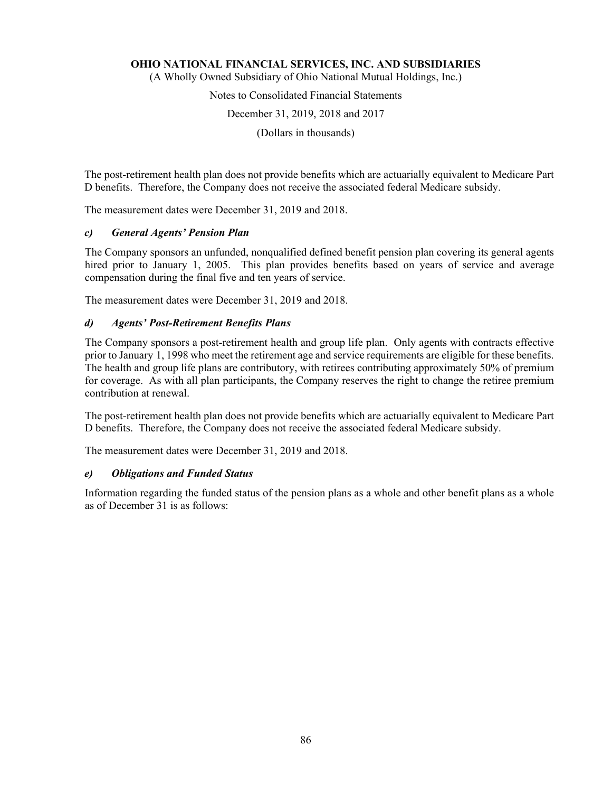(A Wholly Owned Subsidiary of Ohio National Mutual Holdings, Inc.)

# Notes to Consolidated Financial Statements

December 31, 2019, 2018 and 2017

(Dollars in thousands)

The post-retirement health plan does not provide benefits which are actuarially equivalent to Medicare Part D benefits. Therefore, the Company does not receive the associated federal Medicare subsidy.

The measurement dates were December 31, 2019 and 2018.

# *c) General Agents' Pension Plan*

The Company sponsors an unfunded, nonqualified defined benefit pension plan covering its general agents hired prior to January 1, 2005. This plan provides benefits based on years of service and average compensation during the final five and ten years of service.

The measurement dates were December 31, 2019 and 2018.

# *d) Agents' Post-Retirement Benefits Plans*

The Company sponsors a post-retirement health and group life plan. Only agents with contracts effective prior to January 1, 1998 who meet the retirement age and service requirements are eligible for these benefits. The health and group life plans are contributory, with retirees contributing approximately 50% of premium for coverage. As with all plan participants, the Company reserves the right to change the retiree premium contribution at renewal.

The post-retirement health plan does not provide benefits which are actuarially equivalent to Medicare Part D benefits. Therefore, the Company does not receive the associated federal Medicare subsidy.

The measurement dates were December 31, 2019 and 2018.

### *e) Obligations and Funded Status*

Information regarding the funded status of the pension plans as a whole and other benefit plans as a whole as of December 31 is as follows: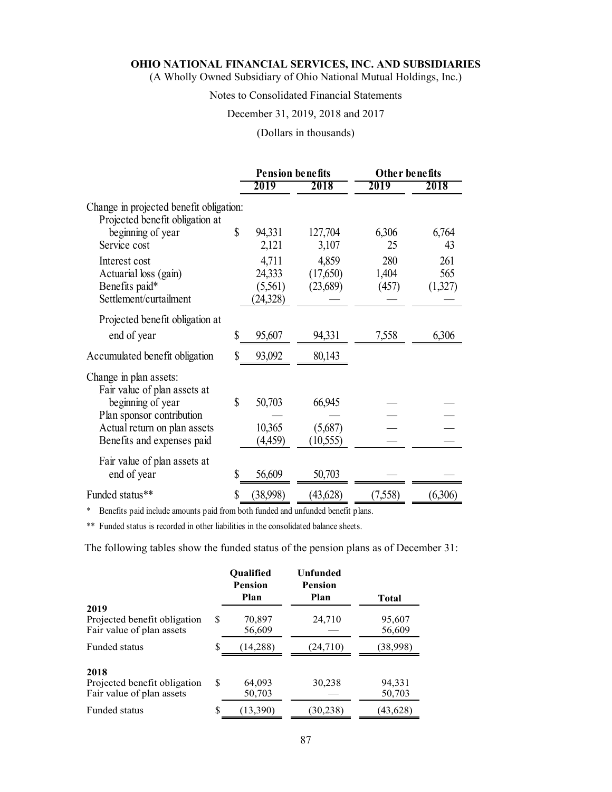(A Wholly Owned Subsidiary of Ohio National Mutual Holdings, Inc.)

# Notes to Consolidated Financial Statements

# December 31, 2019, 2018 and 2017

# (Dollars in thousands)

|                                                                                         | <b>Pension benefits</b>                 |                               | <b>Other benefits</b> |                       |
|-----------------------------------------------------------------------------------------|-----------------------------------------|-------------------------------|-----------------------|-----------------------|
|                                                                                         | 2019                                    | 2018                          | 2019                  | 2018                  |
| Change in projected benefit obligation:<br>Projected benefit obligation at              |                                         |                               |                       |                       |
| beginning of year<br>Service cost                                                       | \$<br>94,331<br>2,121                   | 127,704<br>3,107              | 6,306<br>25           | 6,764<br>43           |
| Interest cost<br>Actuarial loss (gain)<br>Benefits paid*<br>Settlement/curtailment      | 4,711<br>24,333<br>(5,561)<br>(24, 328) | 4,859<br>(17,650)<br>(23,689) | 280<br>1,404<br>(457) | 261<br>565<br>(1,327) |
| Projected benefit obligation at                                                         |                                         |                               |                       |                       |
| end of year                                                                             | \$<br>95,607                            | 94,331                        | 7,558                 | 6,306                 |
| Accumulated benefit obligation                                                          | \$<br>93,092                            | 80,143                        |                       |                       |
| Change in plan assets:<br>Fair value of plan assets at                                  |                                         |                               |                       |                       |
| beginning of year                                                                       | \$<br>50,703                            | 66,945                        |                       |                       |
| Plan sponsor contribution<br>Actual return on plan assets<br>Benefits and expenses paid | 10,365<br>(4,459)                       | (5,687)<br>(10, 555)          |                       |                       |
| Fair value of plan assets at<br>end of year                                             | \$<br>56,609                            | 50,703                        |                       |                       |
| Funded status**                                                                         | \$<br>(38,998)                          | (43,628)                      | (7,558)               | (6,306)               |

\* Benefits paid include amounts paid from both funded and unfunded benefit plans.

\*\* Funded status is recorded in other liabilities in the consolidated balance sheets.

The following tables show the funded status of the pension plans as of December 31:

|                                                                   |   | <b>Oualified</b><br>Pension | Unfunded<br><b>Pension</b> |                  |
|-------------------------------------------------------------------|---|-----------------------------|----------------------------|------------------|
| 2019                                                              |   | Plan                        | Plan                       | <b>Total</b>     |
| Projected benefit obligation<br>Fair value of plan assets         | S | 70,897<br>56,609            | 24,710                     | 95,607<br>56,609 |
| Funded status                                                     | S | (14, 288)                   | (24, 710)                  | (38,998)         |
| 2018<br>Projected benefit obligation<br>Fair value of plan assets | S | 64,093<br>50,703            | 30,238                     | 94,331<br>50,703 |
| Funded status                                                     | S | (13, 390)                   | (30, 238)                  | (43, 628)        |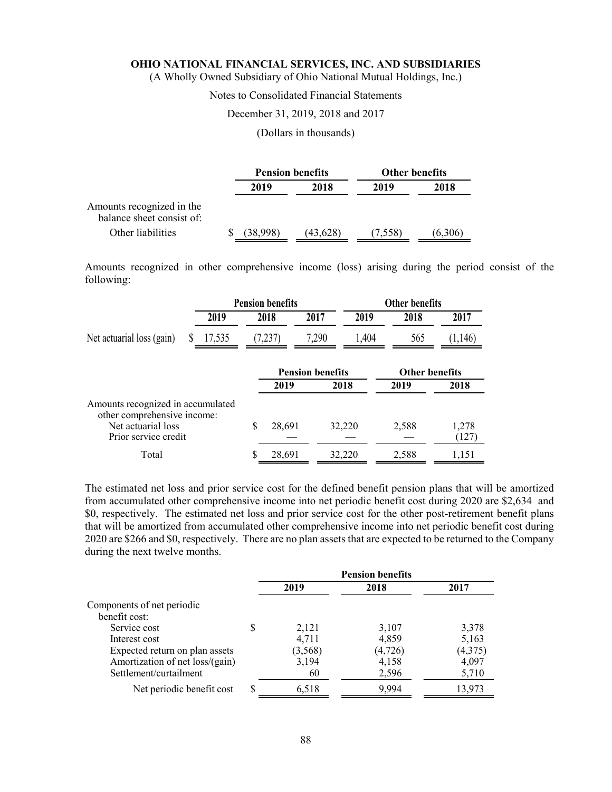(A Wholly Owned Subsidiary of Ohio National Mutual Holdings, Inc.)

# Notes to Consolidated Financial Statements

#### December 31, 2019, 2018 and 2017

### (Dollars in thousands)

|                                                        |              | <b>Pension benefits</b> | <b>Other benefits</b> |         |  |
|--------------------------------------------------------|--------------|-------------------------|-----------------------|---------|--|
|                                                        | 2018<br>2019 |                         | 2019                  | 2018    |  |
| Amounts recognized in the<br>balance sheet consist of: |              |                         |                       |         |  |
| Other liabilities                                      | (38,998)     | (43,628)                | (7,558)               | (6,306) |  |

Amounts recognized in other comprehensive income (loss) arising during the period consist of the following:

|                                                                  |        |   | <b>Pension benefits</b> |                         |       | Other benefits        |                |
|------------------------------------------------------------------|--------|---|-------------------------|-------------------------|-------|-----------------------|----------------|
|                                                                  | 2019   |   | 2018                    | 2017                    | 2019  | 2018                  | 2017           |
| Net actuarial loss (gain)                                        | 17,535 |   | (7,237)                 | 7,290                   | 1,404 | 565                   | (1,146)        |
|                                                                  |        |   |                         | <b>Pension benefits</b> |       | <b>Other benefits</b> |                |
|                                                                  |        |   | 2019                    | 2018                    |       | 2019                  | 2018           |
| Amounts recognized in accumulated<br>other comprehensive income: |        |   |                         |                         |       |                       |                |
| Net actuarial loss<br>Prior service credit                       |        | S | 28,691                  | 32,220                  |       | 2,588                 | 1,278<br>(127) |
| Total                                                            |        | S | 28,691                  | 32,220                  |       | 2,588                 | 1,151          |

The estimated net loss and prior service cost for the defined benefit pension plans that will be amortized from accumulated other comprehensive income into net periodic benefit cost during 2020 are \$2,634 and \$0, respectively. The estimated net loss and prior service cost for the other post-retirement benefit plans that will be amortized from accumulated other comprehensive income into net periodic benefit cost during 2020 are \$266 and \$0, respectively. There are no plan assets that are expected to be returned to the Company during the next twelve months.

|                                 |   | <b>Pension benefits</b> |          |         |  |
|---------------------------------|---|-------------------------|----------|---------|--|
|                                 |   | 2019                    | 2018     | 2017    |  |
| Components of net periodic      |   |                         |          |         |  |
| benefit cost:                   |   |                         |          |         |  |
| Service cost                    | S | 2,121                   | 3,107    | 3,378   |  |
| Interest cost                   |   | 4,711                   | 4,859    | 5,163   |  |
| Expected return on plan assets  |   | (3, 568)                | (4, 726) | (4,375) |  |
| Amortization of net loss/(gain) |   | 3,194                   | 4,158    | 4,097   |  |
| Settlement/curtailment          |   | 60                      | 2,596    | 5,710   |  |
| Net periodic benefit cost       | S | 6,518                   | 9.994    | 13,973  |  |
|                                 |   |                         |          |         |  |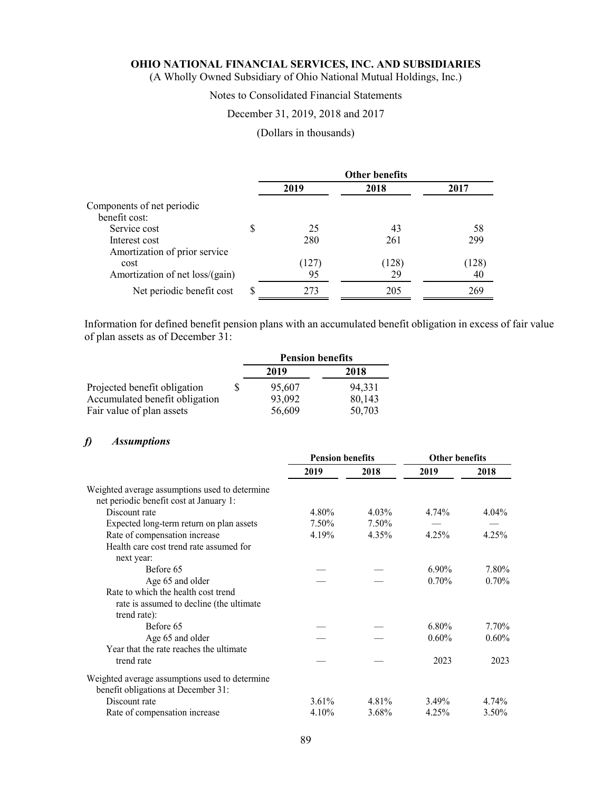(A Wholly Owned Subsidiary of Ohio National Mutual Holdings, Inc.)

# Notes to Consolidated Financial Statements

# December 31, 2019, 2018 and 2017

# (Dollars in thousands)

|                                 |    | <b>Other benefits</b> |       |       |  |
|---------------------------------|----|-----------------------|-------|-------|--|
|                                 |    | 2019                  | 2018  | 2017  |  |
| Components of net periodic      |    |                       |       |       |  |
| benefit cost:                   |    |                       |       |       |  |
| Service cost                    | \$ | 25                    | 43    | 58    |  |
| Interest cost                   |    | 280                   | 261   | 299   |  |
| Amortization of prior service   |    |                       |       |       |  |
| cost                            |    | (IZ7)                 | (128) | (128) |  |
| Amortization of net loss/(gain) |    | 95                    | 29    | 40    |  |
| Net periodic benefit cost       | S  | 273                   | 205   | 269   |  |

Information for defined benefit pension plans with an accumulated benefit obligation in excess of fair value of plan assets as of December 31:

|                                | <b>Pension benefits</b> |        |  |  |
|--------------------------------|-------------------------|--------|--|--|
|                                | 2019                    | 2018   |  |  |
| Projected benefit obligation   | 95,607                  | 94.331 |  |  |
| Accumulated benefit obligation | 93,092                  | 80,143 |  |  |
| Fair value of plan assets      | 56,609                  | 50,703 |  |  |

# *f) Assumptions*

|                                                | <b>Pension benefits</b> |          | <b>Other benefits</b> |          |
|------------------------------------------------|-------------------------|----------|-----------------------|----------|
|                                                | 2019                    | 2018     | 2019                  | 2018     |
| Weighted average assumptions used to determine |                         |          |                       |          |
| net periodic benefit cost at January 1:        |                         |          |                       |          |
| Discount rate                                  | 4.80%                   | $4.03\%$ | 4.74%                 | $4.04\%$ |
| Expected long-term return on plan assets       | 7.50%                   | 7.50%    |                       |          |
| Rate of compensation increase                  | 4.19%                   | 4.35%    | 4.25%                 | 4.25%    |
| Health care cost trend rate assumed for        |                         |          |                       |          |
| next year:                                     |                         |          |                       |          |
| Before 65                                      |                         |          | $6.90\%$              | 7.80%    |
| Age 65 and older                               |                         |          | 0.70%                 | 0.70%    |
| Rate to which the health cost trend            |                         |          |                       |          |
| rate is assumed to decline (the ultimate       |                         |          |                       |          |
| trend rate):                                   |                         |          |                       |          |
| Before 65                                      |                         |          | $6.80\%$              | 7.70%    |
| Age 65 and older                               |                         |          | $0.60\%$              | 0.60%    |
| Year that the rate reaches the ultimate        |                         |          |                       |          |
| trend rate                                     |                         |          | 2023                  | 2023     |
| Weighted average assumptions used to determine |                         |          |                       |          |
| benefit obligations at December 31:            |                         |          |                       |          |
| Discount rate                                  | $3.61\%$                | 4.81%    | 3.49%                 | 4.74%    |
| Rate of compensation increase                  | 4.10%                   | 3.68%    | 4.25%                 | 3.50%    |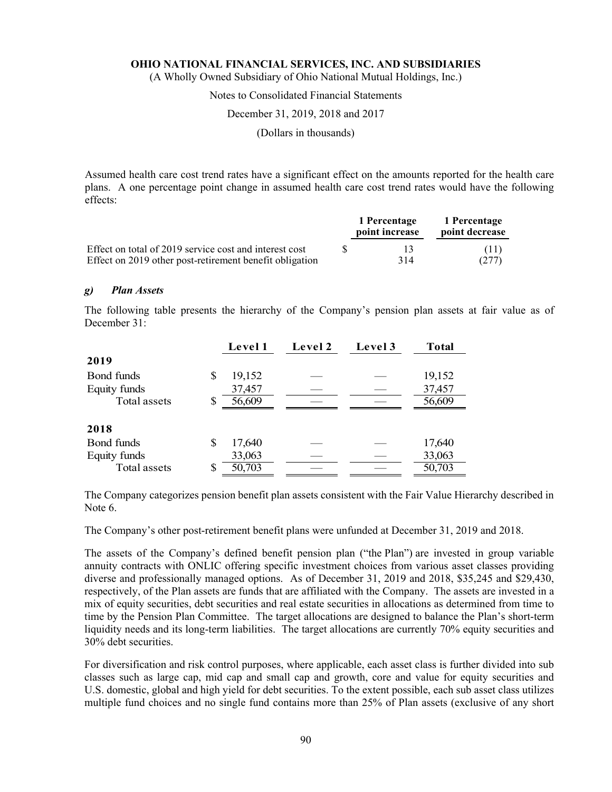(A Wholly Owned Subsidiary of Ohio National Mutual Holdings, Inc.)

# Notes to Consolidated Financial Statements

#### December 31, 2019, 2018 and 2017

(Dollars in thousands)

Assumed health care cost trend rates have a significant effect on the amounts reported for the health care plans. A one percentage point change in assumed health care cost trend rates would have the following effects:

|                                                         | 1 Percentage<br>point increase | 1 Percentage<br>point decrease |
|---------------------------------------------------------|--------------------------------|--------------------------------|
| Effect on total of 2019 service cost and interest cost  |                                | (11)                           |
| Effect on 2019 other post-retirement benefit obligation | 314                            | (277)                          |

#### *g) Plan Assets*

The following table presents the hierarchy of the Company's pension plan assets at fair value as of December 31:

|                        | Level 1 | Level 2 | Level 3 | <b>Total</b> |
|------------------------|---------|---------|---------|--------------|
| 2019                   |         |         |         |              |
| Bond funds<br>S        | 19,152  |         |         | 19,152       |
| Equity funds           | 37,457  |         |         | 37,457       |
| Total assets<br>S      | 56,609  |         |         | 56,609       |
|                        |         |         |         |              |
| 2018                   |         |         |         |              |
| <b>Bond funds</b><br>S | 17,640  |         |         | 17,640       |
| Equity funds           | 33,063  |         |         | 33,063       |
| Total assets<br>S      | 50,703  |         |         | 50,703       |

The Company categorizes pension benefit plan assets consistent with the Fair Value Hierarchy described in Note 6.

The Company's other post-retirement benefit plans were unfunded at December 31, 2019 and 2018.

The assets of the Company's defined benefit pension plan ("the Plan") are invested in group variable annuity contracts with ONLIC offering specific investment choices from various asset classes providing diverse and professionally managed options. As of December 31, 2019 and 2018, \$35,245 and \$29,430, respectively, of the Plan assets are funds that are affiliated with the Company. The assets are invested in a mix of equity securities, debt securities and real estate securities in allocations as determined from time to time by the Pension Plan Committee. The target allocations are designed to balance the Plan's short-term liquidity needs and its long-term liabilities. The target allocations are currently 70% equity securities and 30% debt securities.

For diversification and risk control purposes, where applicable, each asset class is further divided into sub classes such as large cap, mid cap and small cap and growth, core and value for equity securities and U.S. domestic, global and high yield for debt securities. To the extent possible, each sub asset class utilizes multiple fund choices and no single fund contains more than 25% of Plan assets (exclusive of any short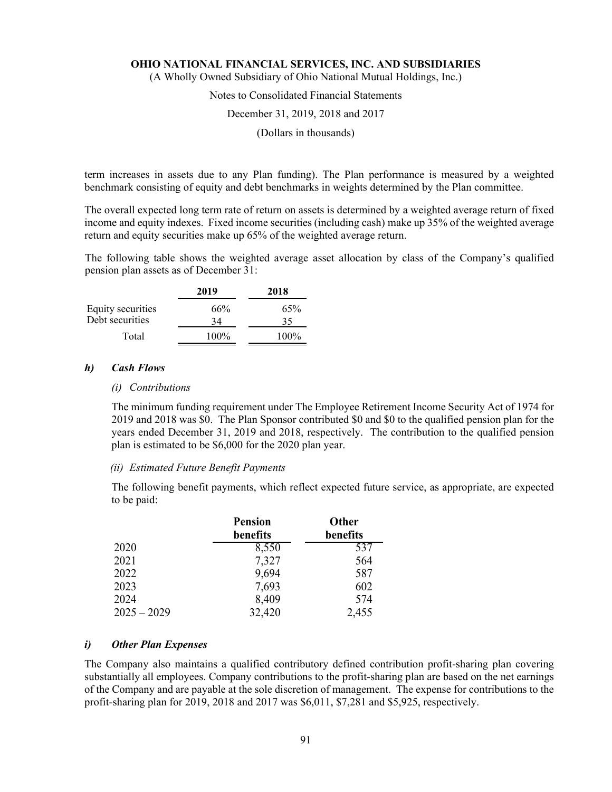(A Wholly Owned Subsidiary of Ohio National Mutual Holdings, Inc.)

# Notes to Consolidated Financial Statements

### December 31, 2019, 2018 and 2017

(Dollars in thousands)

term increases in assets due to any Plan funding). The Plan performance is measured by a weighted benchmark consisting of equity and debt benchmarks in weights determined by the Plan committee.

The overall expected long term rate of return on assets is determined by a weighted average return of fixed income and equity indexes. Fixed income securities (including cash) make up 35% of the weighted average return and equity securities make up 65% of the weighted average return.

The following table shows the weighted average asset allocation by class of the Company's qualified pension plan assets as of December 31:

|                   | 2019    | 2018    |
|-------------------|---------|---------|
| Equity securities | 66%     | 65%     |
| Debt securities   | 34      | 35      |
| Total             | $100\%$ | $100\%$ |

#### *h) Cash Flows*

# *(i) Contributions*

The minimum funding requirement under The Employee Retirement Income Security Act of 1974 for 2019 and 2018 was \$0. The Plan Sponsor contributed \$0 and \$0 to the qualified pension plan for the years ended December 31, 2019 and 2018, respectively. The contribution to the qualified pension plan is estimated to be \$6,000 for the 2020 plan year.

#### *(ii) Estimated Future Benefit Payments*

The following benefit payments, which reflect expected future service, as appropriate, are expected to be paid:

|               | <b>Pension</b><br>benefits | Other<br>benefits |
|---------------|----------------------------|-------------------|
| 2020          | 8,550                      | 537               |
| 2021          | 7,327                      | 564               |
| 2022          | 9,694                      | 587               |
| 2023          | 7,693                      | 602               |
| 2024          | 8,409                      | 574               |
| $2025 - 2029$ | 32,420                     | 2,455             |

#### *i) Other Plan Expenses*

The Company also maintains a qualified contributory defined contribution profit-sharing plan covering substantially all employees. Company contributions to the profit-sharing plan are based on the net earnings of the Company and are payable at the sole discretion of management. The expense for contributions to the profit-sharing plan for 2019, 2018 and 2017 was \$6,011, \$7,281 and \$5,925, respectively.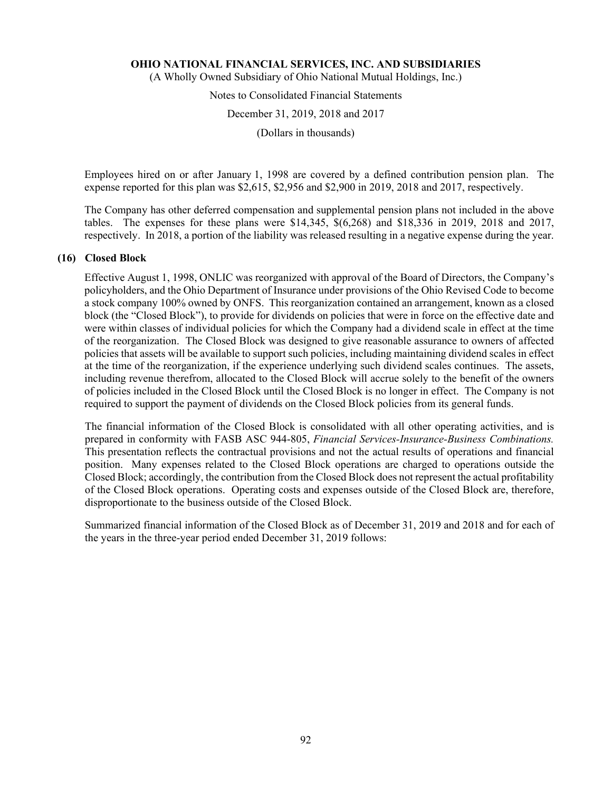(A Wholly Owned Subsidiary of Ohio National Mutual Holdings, Inc.)

# Notes to Consolidated Financial Statements

December 31, 2019, 2018 and 2017

(Dollars in thousands)

Employees hired on or after January 1, 1998 are covered by a defined contribution pension plan. The expense reported for this plan was \$2,615, \$2,956 and \$2,900 in 2019, 2018 and 2017, respectively.

The Company has other deferred compensation and supplemental pension plans not included in the above tables. The expenses for these plans were \$14,345, \$(6,268) and \$18,336 in 2019, 2018 and 2017, respectively. In 2018, a portion of the liability was released resulting in a negative expense during the year.

#### **(16) Closed Block**

Effective August 1, 1998, ONLIC was reorganized with approval of the Board of Directors, the Company's policyholders, and the Ohio Department of Insurance under provisions of the Ohio Revised Code to become a stock company 100% owned by ONFS. This reorganization contained an arrangement, known as a closed block (the "Closed Block"), to provide for dividends on policies that were in force on the effective date and were within classes of individual policies for which the Company had a dividend scale in effect at the time of the reorganization. The Closed Block was designed to give reasonable assurance to owners of affected policies that assets will be available to support such policies, including maintaining dividend scales in effect at the time of the reorganization, if the experience underlying such dividend scales continues. The assets, including revenue therefrom, allocated to the Closed Block will accrue solely to the benefit of the owners of policies included in the Closed Block until the Closed Block is no longer in effect. The Company is not required to support the payment of dividends on the Closed Block policies from its general funds.

The financial information of the Closed Block is consolidated with all other operating activities, and is prepared in conformity with FASB ASC 944-805, *Financial Services-Insurance-Business Combinations.*  This presentation reflects the contractual provisions and not the actual results of operations and financial position. Many expenses related to the Closed Block operations are charged to operations outside the Closed Block; accordingly, the contribution from the Closed Block does not represent the actual profitability of the Closed Block operations. Operating costs and expenses outside of the Closed Block are, therefore, disproportionate to the business outside of the Closed Block.

Summarized financial information of the Closed Block as of December 31, 2019 and 2018 and for each of the years in the three-year period ended December 31, 2019 follows: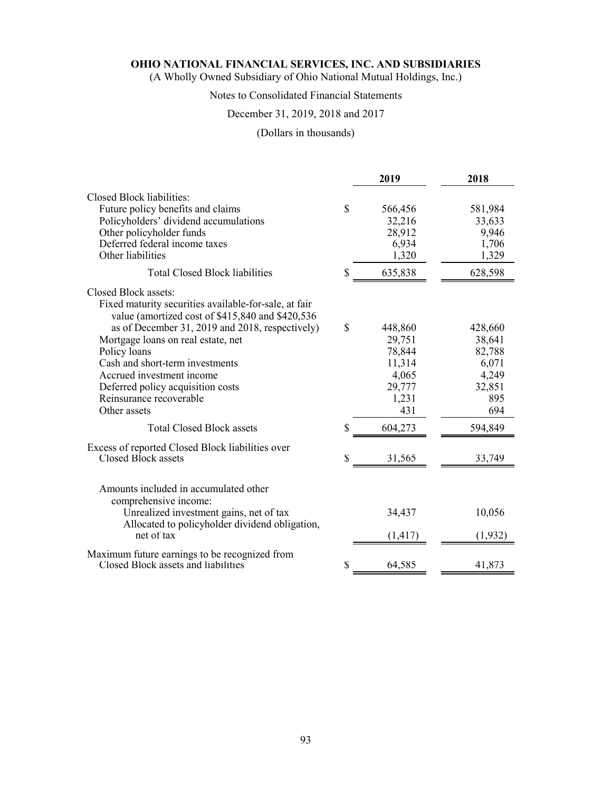(A Wholly Owned Subsidiary of Ohio National Mutual Holdings, Inc.)

# Notes to Consolidated Financial Statements

# December 31, 2019, 2018 and 2017

# (Dollars in thousands)

|                                                                                                                                                                                                                            |    | 2019                                                | 2018                                             |
|----------------------------------------------------------------------------------------------------------------------------------------------------------------------------------------------------------------------------|----|-----------------------------------------------------|--------------------------------------------------|
| Closed Block liabilities:<br>Future policy benefits and claims<br>Policyholders' dividend accumulations<br>Other policyholder funds<br>Deferred federal income taxes<br>Other liabilities                                  | \$ | 566,456<br>32,216<br>28,912<br>6,934<br>1,320       | 581,984<br>33,633<br>9,946<br>1,706<br>1,329     |
| <b>Total Closed Block liabilities</b>                                                                                                                                                                                      | \$ | 635,838                                             | 628,598                                          |
| Closed Block assets:<br>Fixed maturity securities available-for-sale, at fair<br>value (amortized cost of \$415,840 and \$420,536<br>as of December 31, 2019 and 2018, respectively)<br>Mortgage loans on real estate, net | \$ | 448,860<br>29,751                                   | 428,660<br>38,641                                |
| Policy loans<br>Cash and short-term investments<br>Accrued investment income<br>Deferred policy acquisition costs<br>Reinsurance recoverable<br>Other assets                                                               |    | 78,844<br>11,314<br>4,065<br>29,777<br>1,231<br>431 | 82,788<br>6,071<br>4,249<br>32,851<br>895<br>694 |
| <b>Total Closed Block assets</b>                                                                                                                                                                                           | \$ | 604,273                                             | 594,849                                          |
| Excess of reported Closed Block liabilities over<br>Closed Block assets                                                                                                                                                    | S  | 31,565                                              | 33,749                                           |
| Amounts included in accumulated other<br>comprehensive income:<br>Unrealized investment gains, net of tax<br>Allocated to policyholder dividend obligation,<br>net of tax                                                  |    | 34,437<br>(1, 417)                                  | 10,056<br>(1, 932)                               |
| Maximum future earnings to be recognized from<br>Closed Block assets and liabilities                                                                                                                                       | S  | 64,585                                              | 41,873                                           |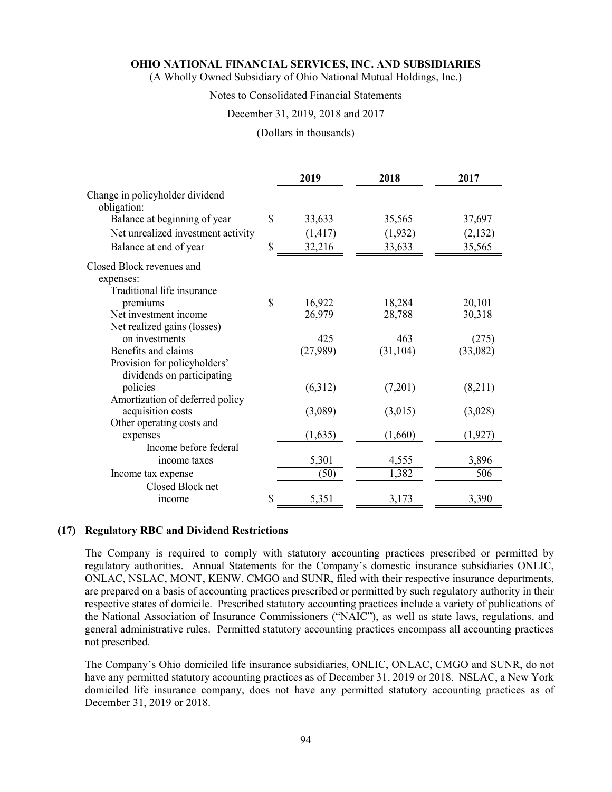(A Wholly Owned Subsidiary of Ohio National Mutual Holdings, Inc.)

# Notes to Consolidated Financial Statements

# December 31, 2019, 2018 and 2017

#### (Dollars in thousands)

|                                                                      | 2019         | 2018      | 2017     |
|----------------------------------------------------------------------|--------------|-----------|----------|
| Change in policyholder dividend<br>obligation:                       |              |           |          |
| Balance at beginning of year                                         | \$<br>33,633 | 35,565    | 37,697   |
| Net unrealized investment activity                                   | (1, 417)     | (1,932)   | (2,132)  |
| Balance at end of year                                               | \$<br>32,216 | 33,633    | 35,565   |
| Closed Block revenues and<br>expenses:<br>Traditional life insurance |              |           |          |
| premiums                                                             | \$<br>16,922 | 18,284    | 20,101   |
| Net investment income                                                | 26,979       | 28,788    | 30,318   |
| Net realized gains (losses)                                          |              |           |          |
| on investments                                                       | 425          | 463       | (275)    |
| Benefits and claims                                                  | (27,989)     | (31, 104) | (33,082) |
| Provision for policyholders'<br>dividends on participating           |              |           |          |
| policies                                                             | (6,312)      | (7,201)   | (8,211)  |
| Amortization of deferred policy                                      |              |           |          |
| acquisition costs                                                    | (3,089)      | (3,015)   | (3,028)  |
| Other operating costs and                                            |              |           |          |
| expenses                                                             | (1,635)      | (1,660)   | (1, 927) |
| Income before federal                                                |              |           |          |
| income taxes                                                         | 5,301        | 4,555     | 3,896    |
| Income tax expense                                                   | (50)         | 1,382     | 506      |
| Closed Block net<br><i>n</i> come                                    | \$<br>5,351  | 3,173     | 3,390    |

#### **(17) Regulatory RBC and Dividend Restrictions**

The Company is required to comply with statutory accounting practices prescribed or permitted by regulatory authorities. Annual Statements for the Company's domestic insurance subsidiaries ONLIC, ONLAC, NSLAC, MONT, KENW, CMGO and SUNR, filed with their respective insurance departments, are prepared on a basis of accounting practices prescribed or permitted by such regulatory authority in their respective states of domicile. Prescribed statutory accounting practices include a variety of publications of the National Association of Insurance Commissioners ("NAIC"), as well as state laws, regulations, and general administrative rules. Permitted statutory accounting practices encompass all accounting practices not prescribed.

The Company's Ohio domiciled life insurance subsidiaries, ONLIC, ONLAC, CMGO and SUNR, do not have any permitted statutory accounting practices as of December 31, 2019 or 2018. NSLAC, a New York domiciled life insurance company, does not have any permitted statutory accounting practices as of December 31, 2019 or 2018.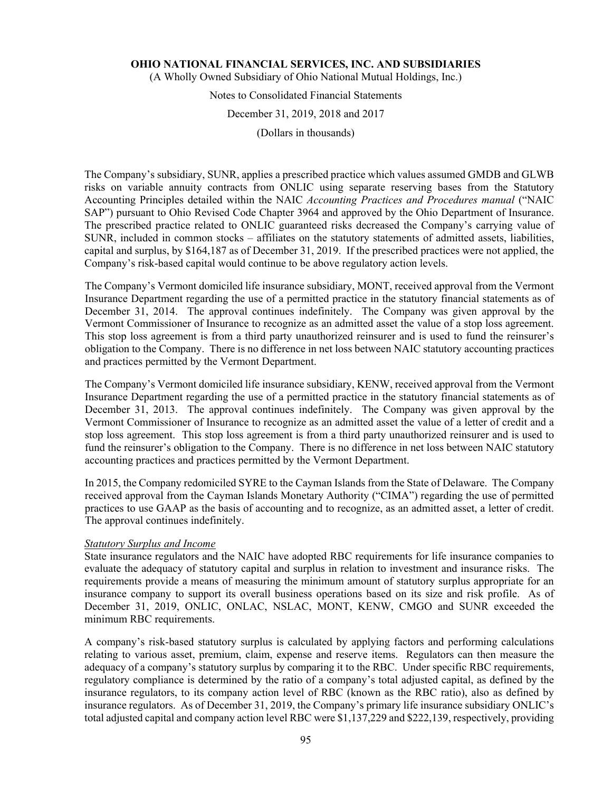(A Wholly Owned Subsidiary of Ohio National Mutual Holdings, Inc.)

# Notes to Consolidated Financial Statements

# December 31, 2019, 2018 and 2017

(Dollars in thousands)

The Company's subsidiary, SUNR, applies a prescribed practice which values assumed GMDB and GLWB risks on variable annuity contracts from ONLIC using separate reserving bases from the Statutory Accounting Principles detailed within the NAIC *Accounting Practices and Procedures manual* ("NAIC SAP") pursuant to Ohio Revised Code Chapter 3964 and approved by the Ohio Department of Insurance. The prescribed practice related to ONLIC guaranteed risks decreased the Company's carrying value of SUNR, included in common stocks – affiliates on the statutory statements of admitted assets, liabilities, capital and surplus, by \$164,187 as of December 31, 2019. If the prescribed practices were not applied, the Company's risk-based capital would continue to be above regulatory action levels.

The Company's Vermont domiciled life insurance subsidiary, MONT, received approval from the Vermont Insurance Department regarding the use of a permitted practice in the statutory financial statements as of December 31, 2014. The approval continues indefinitely. The Company was given approval by the Vermont Commissioner of Insurance to recognize as an admitted asset the value of a stop loss agreement. This stop loss agreement is from a third party unauthorized reinsurer and is used to fund the reinsurer's obligation to the Company. There is no difference in net loss between NAIC statutory accounting practices and practices permitted by the Vermont Department.

The Company's Vermont domiciled life insurance subsidiary, KENW, received approval from the Vermont Insurance Department regarding the use of a permitted practice in the statutory financial statements as of December 31, 2013. The approval continues indefinitely. The Company was given approval by the Vermont Commissioner of Insurance to recognize as an admitted asset the value of a letter of credit and a stop loss agreement. This stop loss agreement is from a third party unauthorized reinsurer and is used to fund the reinsurer's obligation to the Company. There is no difference in net loss between NAIC statutory accounting practices and practices permitted by the Vermont Department.

In 2015, the Company redomiciled SYRE to the Cayman Islands from the State of Delaware. The Company received approval from the Cayman Islands Monetary Authority ("CIMA") regarding the use of permitted practices to use GAAP as the basis of accounting and to recognize, as an admitted asset, a letter of credit. The approval continues indefinitely.

### *Statutory Surplus and Income*

State insurance regulators and the NAIC have adopted RBC requirements for life insurance companies to evaluate the adequacy of statutory capital and surplus in relation to investment and insurance risks. The requirements provide a means of measuring the minimum amount of statutory surplus appropriate for an insurance company to support its overall business operations based on its size and risk profile. As of December 31, 2019, ONLIC, ONLAC, NSLAC, MONT, KENW, CMGO and SUNR exceeded the minimum RBC requirements.

A company's risk-based statutory surplus is calculated by applying factors and performing calculations relating to various asset, premium, claim, expense and reserve items. Regulators can then measure the adequacy of a company's statutory surplus by comparing it to the RBC. Under specific RBC requirements, regulatory compliance is determined by the ratio of a company's total adjusted capital, as defined by the insurance regulators, to its company action level of RBC (known as the RBC ratio), also as defined by insurance regulators. As of December 31, 2019, the Company's primary life insurance subsidiary ONLIC's total adjusted capital and company action level RBC were \$1,137,229 and \$222,139, respectively, providing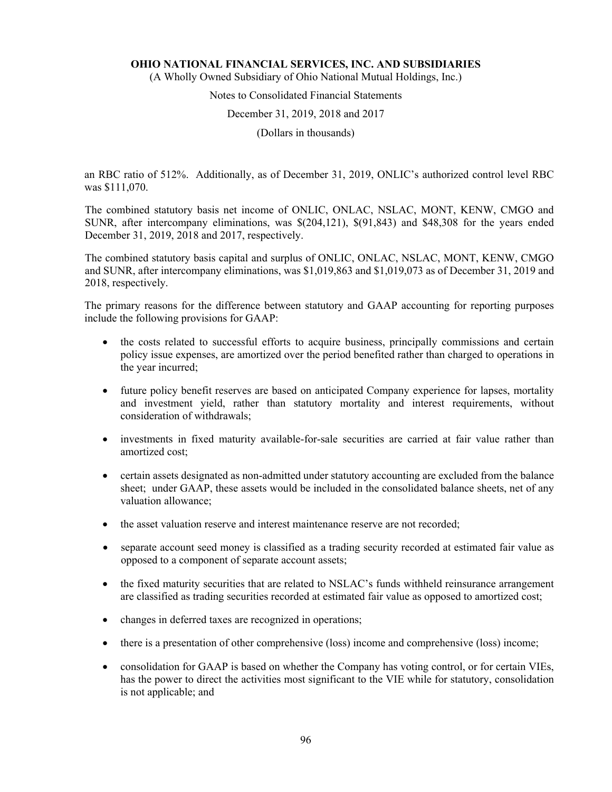(A Wholly Owned Subsidiary of Ohio National Mutual Holdings, Inc.)

# Notes to Consolidated Financial Statements

#### December 31, 2019, 2018 and 2017

(Dollars in thousands)

an RBC ratio of 512%. Additionally, as of December 31, 2019, ONLIC's authorized control level RBC was \$111,070.

The combined statutory basis net income of ONLIC, ONLAC, NSLAC, MONT, KENW, CMGO and SUNR, after intercompany eliminations, was \$(204,121), \$(91,843) and \$48,308 for the years ended December 31, 2019, 2018 and 2017, respectively.

The combined statutory basis capital and surplus of ONLIC, ONLAC, NSLAC, MONT, KENW, CMGO and SUNR, after intercompany eliminations, was \$1,019,863 and \$1,019,073 as of December 31, 2019 and 2018, respectively.

The primary reasons for the difference between statutory and GAAP accounting for reporting purposes include the following provisions for GAAP:

- the costs related to successful efforts to acquire business, principally commissions and certain policy issue expenses, are amortized over the period benefited rather than charged to operations in the year incurred;
- future policy benefit reserves are based on anticipated Company experience for lapses, mortality and investment yield, rather than statutory mortality and interest requirements, without consideration of withdrawals;
- investments in fixed maturity available-for-sale securities are carried at fair value rather than amortized cost;
- certain assets designated as non-admitted under statutory accounting are excluded from the balance sheet; under GAAP, these assets would be included in the consolidated balance sheets, net of any valuation allowance;
- the asset valuation reserve and interest maintenance reserve are not recorded;
- separate account seed money is classified as a trading security recorded at estimated fair value as opposed to a component of separate account assets;
- the fixed maturity securities that are related to NSLAC's funds withheld reinsurance arrangement are classified as trading securities recorded at estimated fair value as opposed to amortized cost;
- changes in deferred taxes are recognized in operations;
- there is a presentation of other comprehensive (loss) income and comprehensive (loss) income;
- consolidation for GAAP is based on whether the Company has voting control, or for certain VIEs, has the power to direct the activities most significant to the VIE while for statutory, consolidation is not applicable; and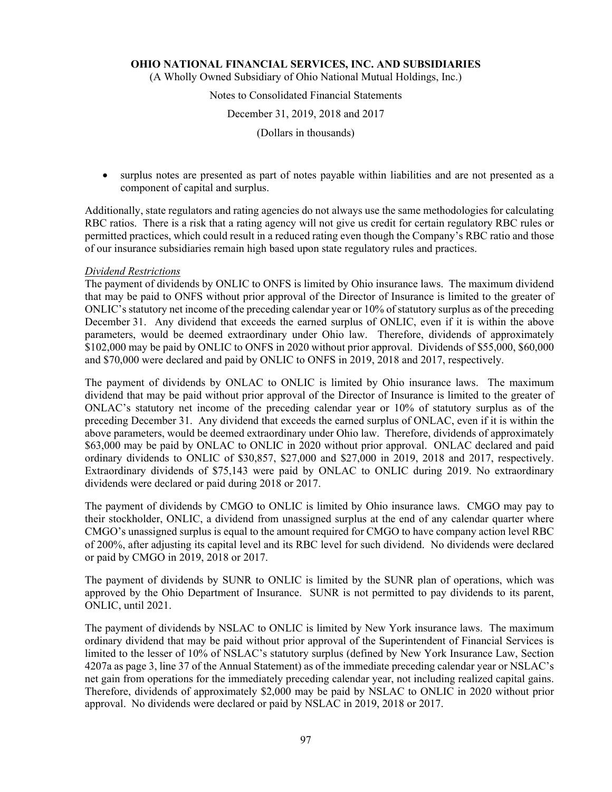(A Wholly Owned Subsidiary of Ohio National Mutual Holdings, Inc.)

# Notes to Consolidated Financial Statements

### December 31, 2019, 2018 and 2017

(Dollars in thousands)

 surplus notes are presented as part of notes payable within liabilities and are not presented as a component of capital and surplus.

Additionally, state regulators and rating agencies do not always use the same methodologies for calculating RBC ratios. There is a risk that a rating agency will not give us credit for certain regulatory RBC rules or permitted practices, which could result in a reduced rating even though the Company's RBC ratio and those of our insurance subsidiaries remain high based upon state regulatory rules and practices.

### *Dividend Restrictions*

The payment of dividends by ONLIC to ONFS is limited by Ohio insurance laws. The maximum dividend that may be paid to ONFS without prior approval of the Director of Insurance is limited to the greater of ONLIC's statutory net income of the preceding calendar year or 10% of statutory surplus as of the preceding December 31. Any dividend that exceeds the earned surplus of ONLIC, even if it is within the above parameters, would be deemed extraordinary under Ohio law. Therefore, dividends of approximately \$102,000 may be paid by ONLIC to ONFS in 2020 without prior approval. Dividends of \$55,000, \$60,000 and \$70,000 were declared and paid by ONLIC to ONFS in 2019, 2018 and 2017, respectively.

The payment of dividends by ONLAC to ONLIC is limited by Ohio insurance laws. The maximum dividend that may be paid without prior approval of the Director of Insurance is limited to the greater of ONLAC's statutory net income of the preceding calendar year or 10% of statutory surplus as of the preceding December 31. Any dividend that exceeds the earned surplus of ONLAC, even if it is within the above parameters, would be deemed extraordinary under Ohio law. Therefore, dividends of approximately \$63,000 may be paid by ONLAC to ONLIC in 2020 without prior approval. ONLAC declared and paid ordinary dividends to ONLIC of \$30,857, \$27,000 and \$27,000 in 2019, 2018 and 2017, respectively. Extraordinary dividends of \$75,143 were paid by ONLAC to ONLIC during 2019. No extraordinary dividends were declared or paid during 2018 or 2017.

The payment of dividends by CMGO to ONLIC is limited by Ohio insurance laws. CMGO may pay to their stockholder, ONLIC, a dividend from unassigned surplus at the end of any calendar quarter where CMGO's unassigned surplus is equal to the amount required for CMGO to have company action level RBC of 200%, after adjusting its capital level and its RBC level for such dividend. No dividends were declared or paid by CMGO in 2019, 2018 or 2017.

The payment of dividends by SUNR to ONLIC is limited by the SUNR plan of operations, which was approved by the Ohio Department of Insurance. SUNR is not permitted to pay dividends to its parent, ONLIC, until 2021.

The payment of dividends by NSLAC to ONLIC is limited by New York insurance laws. The maximum ordinary dividend that may be paid without prior approval of the Superintendent of Financial Services is limited to the lesser of 10% of NSLAC's statutory surplus (defined by New York Insurance Law, Section 4207a as page 3, line 37 of the Annual Statement) as of the immediate preceding calendar year or NSLAC's net gain from operations for the immediately preceding calendar year, not including realized capital gains. Therefore, dividends of approximately \$2,000 may be paid by NSLAC to ONLIC in 2020 without prior approval. No dividends were declared or paid by NSLAC in 2019, 2018 or 2017.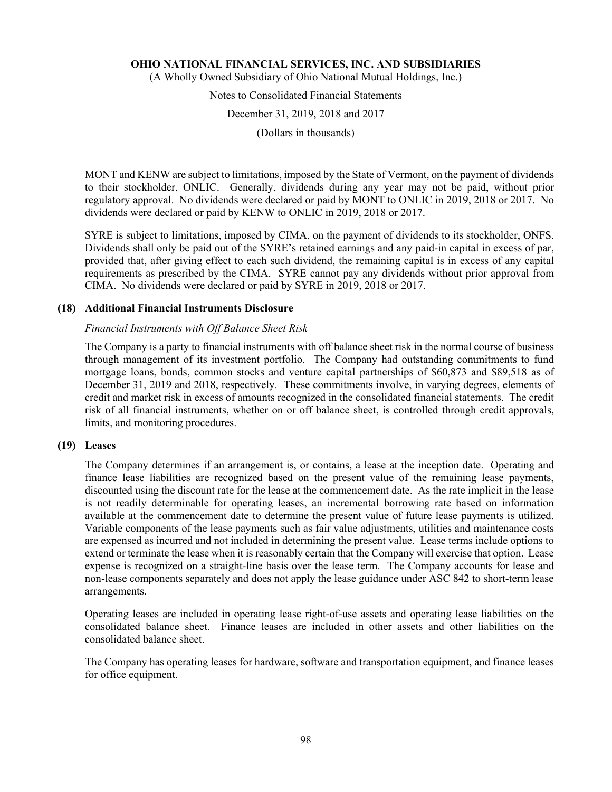(A Wholly Owned Subsidiary of Ohio National Mutual Holdings, Inc.)

Notes to Consolidated Financial Statements

December 31, 2019, 2018 and 2017

(Dollars in thousands)

MONT and KENW are subject to limitations, imposed by the State of Vermont, on the payment of dividends to their stockholder, ONLIC. Generally, dividends during any year may not be paid, without prior regulatory approval. No dividends were declared or paid by MONT to ONLIC in 2019, 2018 or 2017. No dividends were declared or paid by KENW to ONLIC in 2019, 2018 or 2017.

SYRE is subject to limitations, imposed by CIMA, on the payment of dividends to its stockholder, ONFS. Dividends shall only be paid out of the SYRE's retained earnings and any paid-in capital in excess of par, provided that, after giving effect to each such dividend, the remaining capital is in excess of any capital requirements as prescribed by the CIMA. SYRE cannot pay any dividends without prior approval from CIMA. No dividends were declared or paid by SYRE in 2019, 2018 or 2017.

# **(18) Additional Financial Instruments Disclosure**

# *Financial Instruments with Off Balance Sheet Risk*

The Company is a party to financial instruments with off balance sheet risk in the normal course of business through management of its investment portfolio. The Company had outstanding commitments to fund mortgage loans, bonds, common stocks and venture capital partnerships of \$60,873 and \$89,518 as of December 31, 2019 and 2018, respectively. These commitments involve, in varying degrees, elements of credit and market risk in excess of amounts recognized in the consolidated financial statements. The credit risk of all financial instruments, whether on or off balance sheet, is controlled through credit approvals, limits, and monitoring procedures.

# **(19) Leases**

The Company determines if an arrangement is, or contains, a lease at the inception date. Operating and finance lease liabilities are recognized based on the present value of the remaining lease payments, discounted using the discount rate for the lease at the commencement date. As the rate implicit in the lease is not readily determinable for operating leases, an incremental borrowing rate based on information available at the commencement date to determine the present value of future lease payments is utilized. Variable components of the lease payments such as fair value adjustments, utilities and maintenance costs are expensed as incurred and not included in determining the present value. Lease terms include options to extend or terminate the lease when it is reasonably certain that the Company will exercise that option. Lease expense is recognized on a straight-line basis over the lease term. The Company accounts for lease and non-lease components separately and does not apply the lease guidance under ASC 842 to short-term lease arrangements.

Operating leases are included in operating lease right-of-use assets and operating lease liabilities on the consolidated balance sheet. Finance leases are included in other assets and other liabilities on the consolidated balance sheet.

The Company has operating leases for hardware, software and transportation equipment, and finance leases for office equipment.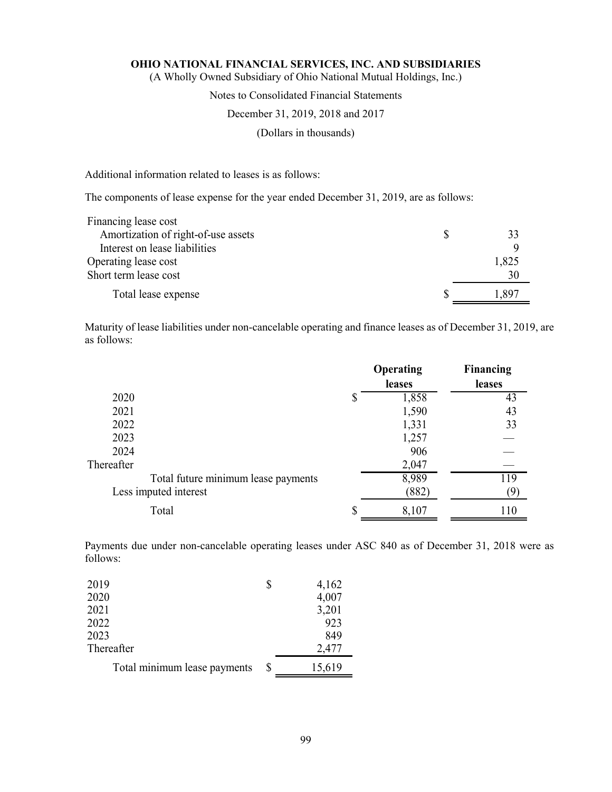(A Wholly Owned Subsidiary of Ohio National Mutual Holdings, Inc.)

# Notes to Consolidated Financial Statements

#### December 31, 2019, 2018 and 2017

(Dollars in thousands)

Additional information related to leases is as follows:

The components of lease expense for the year ended December 31, 2019, are as follows:

| Financing lease cost                |       |
|-------------------------------------|-------|
| Amortization of right-of-use assets |       |
| Interest on lease liabilities       |       |
| Operating lease cost                | 1,825 |
| Short term lease cost               | 30    |
| Total lease expense                 | 1.897 |

Maturity of lease liabilities under non-cancelable operating and finance leases as of December 31, 2019, are as follows:

|                                     |   | Operating | <b>Financing</b> |
|-------------------------------------|---|-----------|------------------|
|                                     |   | leases    | leases           |
| 2020                                | S | 1,858     | 43               |
| 2021                                |   | 1,590     | 43               |
| 2022                                |   | 1,331     | 33               |
| 2023                                |   | 1,257     |                  |
| 2024                                |   | 906       |                  |
| Thereafter                          |   | 2,047     |                  |
| Total future minimum lease payments |   | 8,989     | 119              |
| Less imputed interest               |   | (882)     | (9               |
| Total                               |   | 8,107     | 110              |

Payments due under non-cancelable operating leases under ASC 840 as of December 31, 2018 were as follows:

| 2019                         | 4,162  |
|------------------------------|--------|
| 2020                         | 4,007  |
| 2021                         | 3,201  |
| 2022                         | 923    |
| 2023                         | 849    |
| Thereafter                   | 2,477  |
| Total minimum lease payments | 15,619 |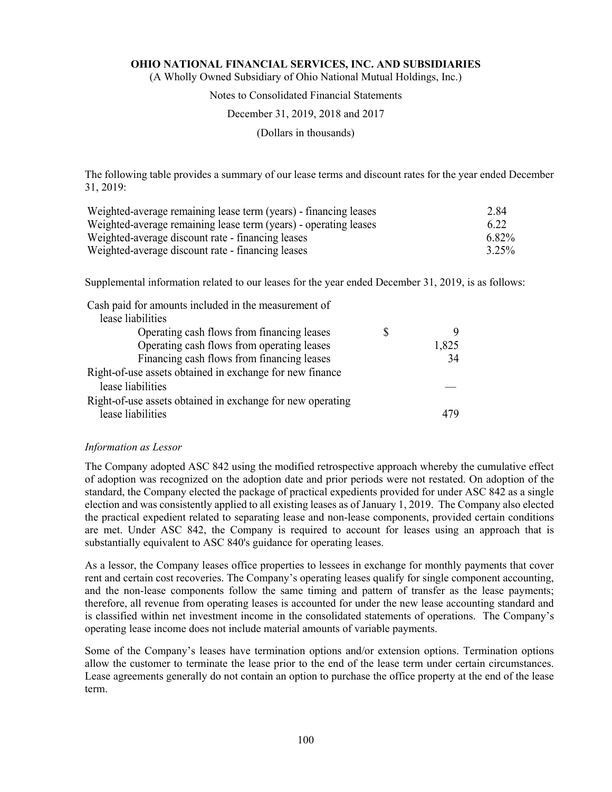(A Wholly Owned Subsidiary of Ohio National Mutual Holdings, Inc.)

# Notes to Consolidated Financial Statements

### December 31, 2019, 2018 and 2017

(Dollars in thousands)

The following table provides a summary of our lease terms and discount rates for the year ended December 31, 2019:

| Weighted-average remaining lease term (years) - financing leases | 2.84     |
|------------------------------------------------------------------|----------|
| Weighted-average remaining lease term (years) - operating leases | 6.22     |
| Weighted-average discount rate - financing leases                | 6.82%    |
| Weighted-average discount rate - financing leases                | $3.25\%$ |

Supplemental information related to our leases for the year ended December 31, 2019, is as follows:

| Cash paid for amounts included in the measurement of       |       |
|------------------------------------------------------------|-------|
| lease liabilities                                          |       |
| Operating cash flows from financing leases                 |       |
| Operating cash flows from operating leases                 | 1,825 |
| Financing cash flows from financing leases                 | 34    |
| Right-of-use assets obtained in exchange for new finance   |       |
| lease liabilities                                          |       |
| Right-of-use assets obtained in exchange for new operating |       |
| lease liabilities                                          |       |

#### *Information as Lessor*

The Company adopted ASC 842 using the modified retrospective approach whereby the cumulative effect of adoption was recognized on the adoption date and prior periods were not restated. On adoption of the standard, the Company elected the package of practical expedients provided for under ASC 842 as a single election and was consistently applied to all existing leases as of January 1, 2019. The Company also elected the practical expedient related to separating lease and non-lease components, provided certain conditions are met. Under ASC 842, the Company is required to account for leases using an approach that is substantially equivalent to ASC 840's guidance for operating leases.

As a lessor, the Company leases office properties to lessees in exchange for monthly payments that cover rent and certain cost recoveries. The Company's operating leases qualify for single component accounting, and the non-lease components follow the same timing and pattern of transfer as the lease payments; therefore, all revenue from operating leases is accounted for under the new lease accounting standard and is classified within net investment income in the consolidated statements of operations. The Company's operating lease income does not include material amounts of variable payments.

Some of the Company's leases have termination options and/or extension options. Termination options allow the customer to terminate the lease prior to the end of the lease term under certain circumstances. Lease agreements generally do not contain an option to purchase the office property at the end of the lease term.